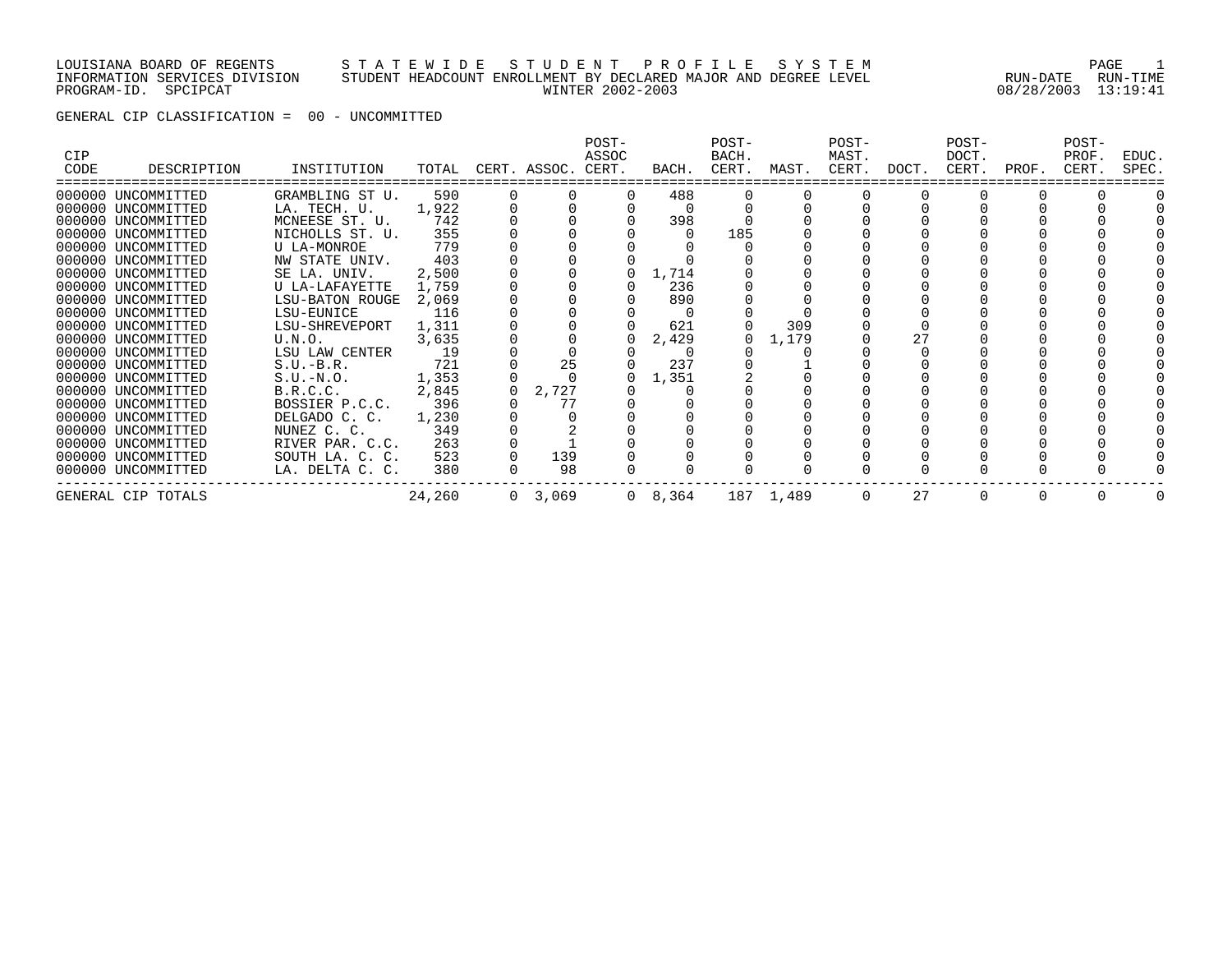#### LOUISIANA BOARD OF REGENTS S T A T E W I D E S T U D E N T P R O F I L E S Y S T E M PAGE 1 INFORMATION SERVICES DIVISION STUDENT HEADCOUNT ENROLLMENT BY DECLARED MAJOR AND DEGREE LEVEL RUN-DATE RUN-TIME PROGRAM-ID. SPCIPCAT WINTER 2002-2003 08/28/2003 13:19:41

GENERAL CIP CLASSIFICATION = 00 - UNCOMMITTED

| CIP<br>CODE | DESCRIPTION        | INSTITUTION     | TOTAL  | CERT. ASSOC. CERT. | POST-<br>ASSOC | BACH.           | POST-<br>BACH.<br>CERT. | MAST.     | POST-<br>MAST.<br>CERT. | DOCT. | POST-<br>DOCT.<br>CERT. | PROF. | POST-<br>PROF.<br>CERT. | EDUC.<br>SPEC. |
|-------------|--------------------|-----------------|--------|--------------------|----------------|-----------------|-------------------------|-----------|-------------------------|-------|-------------------------|-------|-------------------------|----------------|
|             | 000000 UNCOMMITTED | GRAMBLING ST U. | 590    |                    |                | 488             |                         |           |                         |       |                         |       |                         |                |
|             | 000000 UNCOMMITTED | LA. TECH. U.    | 1,922  |                    |                |                 |                         |           |                         |       |                         |       |                         |                |
|             | 000000 UNCOMMITTED | MCNEESE ST. U.  | 742    |                    |                | 398             |                         |           |                         |       |                         |       |                         |                |
|             | 000000 UNCOMMITTED | NICHOLLS ST. U. | 355    |                    |                |                 | 185                     |           |                         |       |                         |       |                         |                |
|             | 000000 UNCOMMITTED | U LA-MONROE     | 779    |                    |                |                 |                         |           |                         |       |                         |       |                         |                |
|             | 000000 UNCOMMITTED | NW STATE UNIV.  | 403    |                    |                |                 |                         |           |                         |       |                         |       |                         |                |
|             | 000000 UNCOMMITTED | SE LA. UNIV.    | 2,500  |                    |                | 1,714           |                         |           |                         |       |                         |       |                         |                |
|             | 000000 UNCOMMITTED | U LA-LAFAYETTE  | 1,759  |                    |                | 236             |                         |           |                         |       |                         |       |                         |                |
|             | 000000 UNCOMMITTED | LSU-BATON ROUGE | 2,069  |                    |                | 890             |                         |           |                         |       |                         |       |                         |                |
|             | 000000 UNCOMMITTED | LSU-EUNICE      | 116    |                    |                |                 |                         |           |                         |       |                         |       |                         |                |
|             | 000000 UNCOMMITTED | LSU-SHREVEPORT  | 1,311  |                    |                | 621             |                         | 309       |                         |       |                         |       |                         |                |
|             | 000000 UNCOMMITTED | U.N.O.          | 3,635  |                    |                | 2,429           |                         | 1,179     |                         | 27    |                         |       |                         |                |
|             | 000000 UNCOMMITTED | LSU LAW CENTER  | 19     |                    |                |                 |                         |           |                         |       |                         |       |                         |                |
|             | 000000 UNCOMMITTED | $S.U.-B.R.$     | 721    | 25                 |                | 237             |                         |           |                         |       |                         |       |                         |                |
|             | 000000 UNCOMMITTED | $S.U.-N.O.$     | 1,353  |                    |                | 1,351           |                         |           |                         |       |                         |       |                         |                |
|             | 000000 UNCOMMITTED | B.R.C.C.        | 2,845  | 2,727              |                |                 |                         |           |                         |       |                         |       |                         |                |
|             | 000000 UNCOMMITTED | BOSSIER P.C.C.  | 396    | 77                 |                |                 |                         |           |                         |       |                         |       |                         |                |
|             | 000000 UNCOMMITTED | DELGADO C. C.   | 1,230  |                    |                |                 |                         |           |                         |       |                         |       |                         |                |
|             | 000000 UNCOMMITTED | NUNEZ C. C.     | 349    |                    |                |                 |                         |           |                         |       |                         |       |                         |                |
|             | 000000 UNCOMMITTED | RIVER PAR. C.C. | 263    |                    |                |                 |                         |           |                         |       |                         |       |                         |                |
|             | 000000 UNCOMMITTED | SOUTH LA. C. C. | 523    | 139                |                |                 |                         |           |                         |       |                         |       |                         |                |
|             | 000000 UNCOMMITTED | LA. DELTA C. C. | 380    | 98                 |                |                 |                         |           |                         |       |                         |       |                         |                |
|             | GENERAL CIP TOTALS |                 | 24,260 | 0, 3, 069          |                | $0 \quad 8,364$ |                         | 187 1,489 | $\Omega$                | 27    | $\Omega$                |       |                         |                |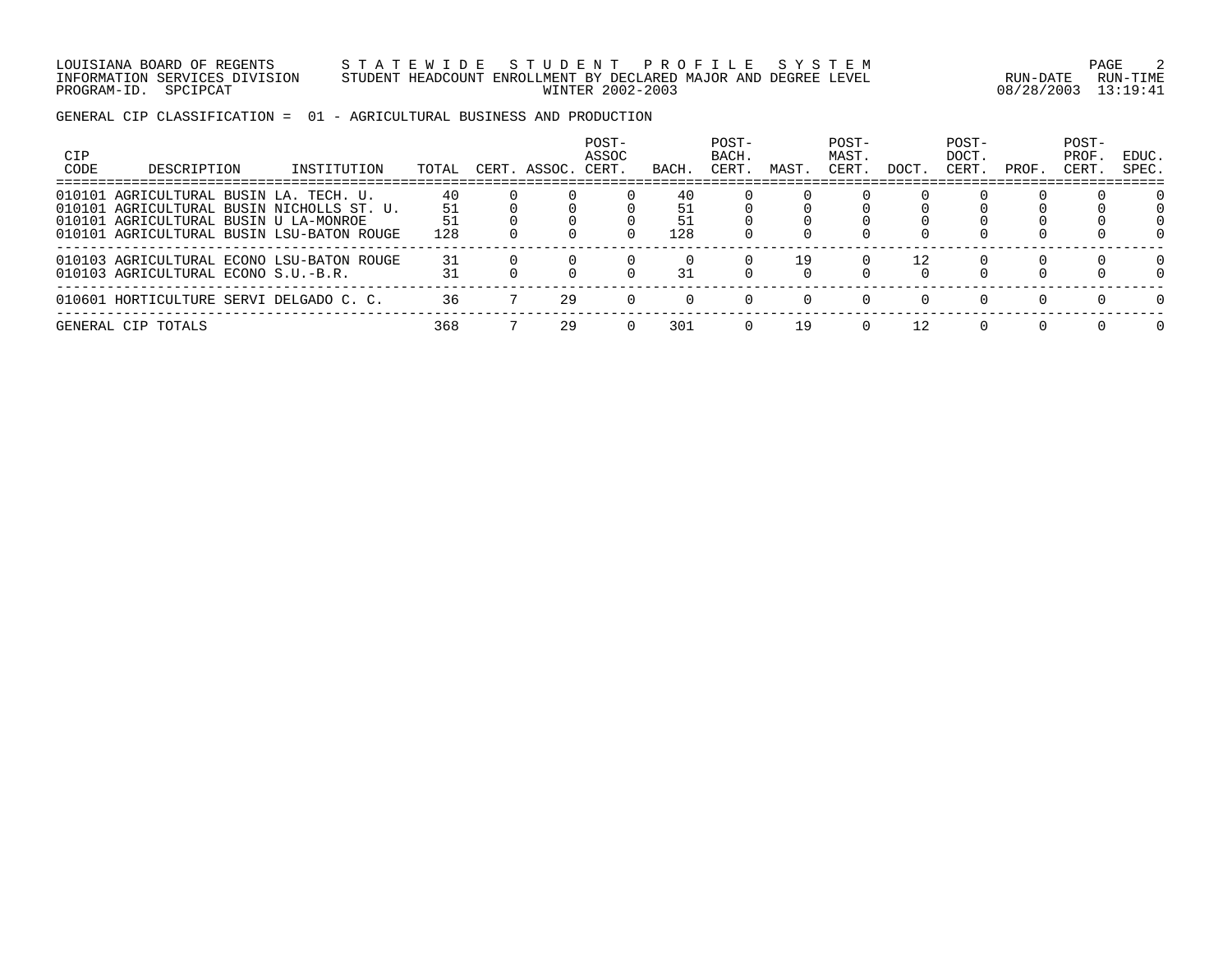LOUISIANA BOARD OF REGENTS S T A T E W I D E S T U D E N T P R O F I L E S Y S T E M PAGE 2 INFORMATION SERVICES DIVISION STUDENT HEADCOUNT ENROLLMENT BY DECLARED MAJOR AND DEGREE LEVEL RUN-DATE RUN-TIME PROGRAM-ID. SPCIPCAT WINTER 2002-2003 08/28/2003 13:19:41

GENERAL CIP CLASSIFICATION = 01 - AGRICULTURAL BUSINESS AND PRODUCTION

| CIP<br>CODE | DESCRIPTION                                                                                                                                                               | INSTITUTION | TOTAL     | CERT. ASSOC. | POST-<br>ASSOC<br>CERT. | BACH.     | POST-<br>BACH.<br>CERT | MAST. | POST-<br>MAST.<br>CERT. | DOCT. | POST-<br>DOCT.<br>CERT. | PROF. | POST-<br>PROF.<br>CERT. | EDUC.<br>SPEC. |
|-------------|---------------------------------------------------------------------------------------------------------------------------------------------------------------------------|-------------|-----------|--------------|-------------------------|-----------|------------------------|-------|-------------------------|-------|-------------------------|-------|-------------------------|----------------|
|             | 010101 AGRICULTURAL BUSIN LA. TECH. U.<br>010101 AGRICULTURAL BUSIN NICHOLLS ST. U.<br>010101 AGRICULTURAL BUSIN U LA-MONROE<br>010101 AGRICULTURAL BUSIN LSU-BATON ROUGE |             | 40<br>128 |              |                         | 40<br>128 |                        |       |                         |       |                         |       |                         |                |
|             | 010103 AGRICULTURAL ECONO LSU-BATON ROUGE<br>010103 AGRICULTURAL ECONO S.U.-B.R.                                                                                          |             | 31        |              |                         | 31        |                        | 19    |                         |       |                         |       |                         |                |
|             | 010601 HORTICULTURE SERVI DELGADO C. C.                                                                                                                                   |             | 36        | 29           |                         |           |                        |       |                         |       | $\Omega$                | n.    | $\cap$                  | $\Omega$       |
|             | GENERAL CIP TOTALS                                                                                                                                                        |             | 368       | 29           |                         | 301       |                        | 19    |                         |       |                         |       |                         | <sup>n</sup>   |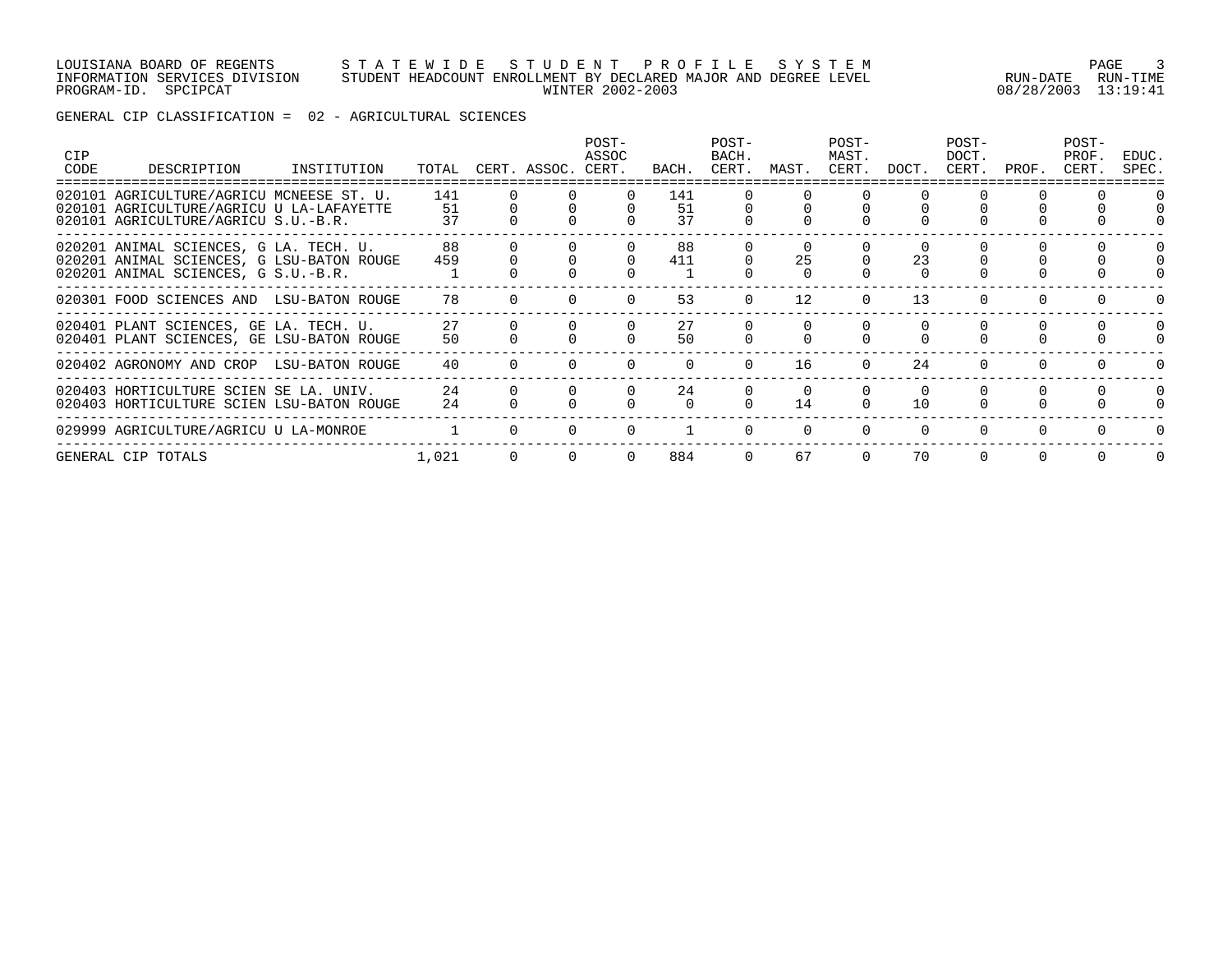#### LOUISIANA BOARD OF REGENTS S T A T E W I D E S T U D E N T P R O F I L E S Y S T E M PAGE 3 INFORMATION SERVICES DIVISION STUDENT HEADCOUNT ENROLLMENT BY DECLARED MAJOR AND DEGREE LEVEL RUN-DATE RUN-TIME PROGRAM-ID. SPCIPCAT WINTER 2002-2003 08/28/2003 13:19:41

GENERAL CIP CLASSIFICATION = 02 - AGRICULTURAL SCIENCES

| <b>CIP</b><br>CODE | DESCRIPTION                                                                                                                 | INSTITUTION | TOTAL           | CERT. ASSOC. | POST-<br>ASSOC<br>CERT. | BACH.           | POST-<br>BACH.<br>CERT. | MAST.    | POST-<br>MAST.<br>CERT. | DOCT.    | POST-<br>DOCT.<br>CERT. | PROF. | POST-<br>PROF.<br>CERT. | EDUC.<br>SPEC. |
|--------------------|-----------------------------------------------------------------------------------------------------------------------------|-------------|-----------------|--------------|-------------------------|-----------------|-------------------------|----------|-------------------------|----------|-------------------------|-------|-------------------------|----------------|
|                    | 020101 AGRICULTURE/AGRICU MCNEESE ST. U.<br>020101 AGRICULTURE/AGRICU U LA-LAFAYETTE<br>020101 AGRICULTURE/AGRICU S.U.-B.R. |             | 141<br>51<br>37 |              |                         | 141<br>51<br>37 |                         |          |                         |          |                         |       |                         |                |
|                    | 020201 ANIMAL SCIENCES, G LA. TECH. U.<br>020201 ANIMAL SCIENCES, G LSU-BATON ROUGE<br>020201 ANIMAL SCIENCES, G S.U.-B.R.  |             | 88<br>459       |              |                         | 88<br>411       |                         | 25       |                         | 23       |                         |       |                         |                |
|                    | 020301 FOOD SCIENCES AND LSU-BATON ROUGE                                                                                    |             | 78              |              |                         | 53              |                         | 12       |                         | 13       |                         |       |                         |                |
|                    | 020401 PLANT SCIENCES, GE LA. TECH. U.<br>020401 PLANT SCIENCES, GE LSU-BATON ROUGE                                         |             | 27<br>50        |              |                         | 27<br>50        |                         |          |                         |          |                         |       |                         | $\Omega$       |
|                    | 020402 AGRONOMY AND CROP LSU-BATON ROUGE                                                                                    |             | 40              |              |                         |                 |                         | 16       | $\Omega$                | 24       |                         |       |                         |                |
|                    | 020403 HORTICULTURE SCIEN SE LA. UNIV.<br>020403 HORTICULTURE SCIEN LSU-BATON ROUGE                                         |             | 24<br>24        |              |                         | 24<br>$\cap$    |                         | 14       | $\Omega$                | 10       |                         |       |                         | $\Omega$       |
|                    | 029999 AGRICULTURE/AGRICU U LA-MONROE                                                                                       |             |                 |              |                         |                 |                         | $\Omega$ | $\Omega$                | $\Omega$ | $\Omega$                |       |                         |                |
|                    | GENERAL CIP TOTALS                                                                                                          |             | 1,021           |              |                         | 884             |                         | 67       | $\Omega$                | 70       |                         |       |                         |                |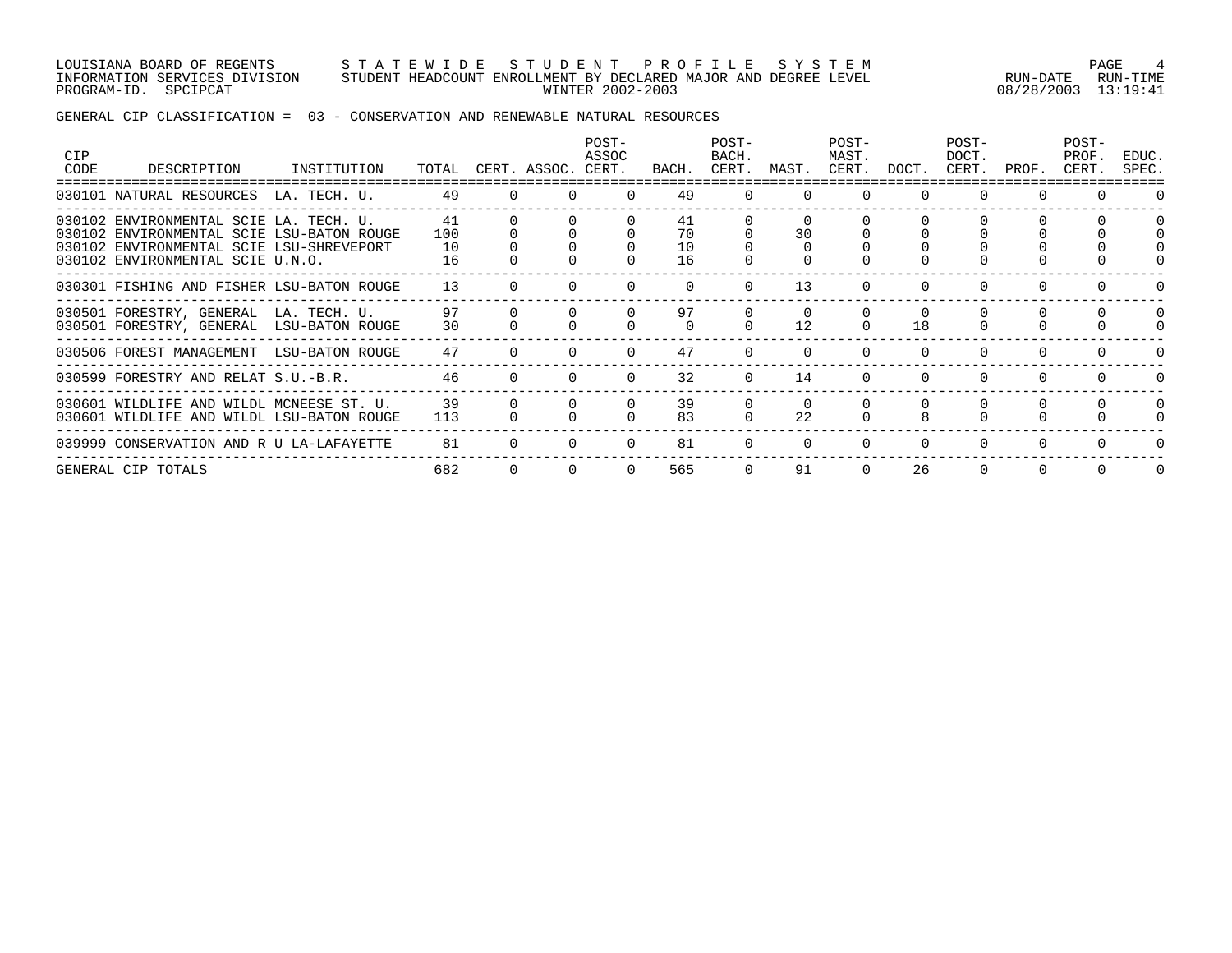LOUISIANA BOARD OF REGENTS S T A T E W I D E S T U D E N T P R O F I L E S Y S T E M PAGE 4 INFORMATION SERVICES DIVISION STUDENT HEADCOUNT ENROLLMENT BY DECLARED MAJOR AND DEGREE LEVEL RUN-DATE RUN-TIME PROGRAM-ID. SPCIPCAT WINTER 2002-2003 08/28/2003 13:19:41

### GENERAL CIP CLASSIFICATION = 03 - CONSERVATION AND RENEWABLE NATURAL RESOURCES

| <b>CIP</b><br>CODE | DESCRIPTION                                                                                                                                                         | INSTITUTION     | TOTAL                 |          | CERT. ASSOC. | POST-<br>ASSOC<br>CERT. | BACH.                | POST-<br>BACH.<br>CERT. | MAST. | POST-<br>MAST.<br>CERT. | DOCT. | POST-<br>DOCT.<br>CERT. | PROF.    | POST-<br>PROF.<br>CERT. | EDUC.<br>SPEC. |
|--------------------|---------------------------------------------------------------------------------------------------------------------------------------------------------------------|-----------------|-----------------------|----------|--------------|-------------------------|----------------------|-------------------------|-------|-------------------------|-------|-------------------------|----------|-------------------------|----------------|
|                    | 030101 NATURAL RESOURCES LA. TECH. U.                                                                                                                               |                 | 49                    | $\Omega$ |              |                         | 49                   | $\Omega$                |       | $\Omega$                |       | $\Omega$                | $\Omega$ |                         | $\Omega$       |
|                    | 030102 ENVIRONMENTAL SCIE LA. TECH. U.<br>030102 ENVIRONMENTAL SCIE LSU-BATON ROUGE<br>030102 ENVIRONMENTAL SCIE LSU-SHREVEPORT<br>030102 ENVIRONMENTAL SCIE U.N.O. |                 | 41<br>100<br>10<br>16 |          |              |                         | 41<br>70<br>10<br>16 |                         | 30    |                         |       |                         |          |                         | $\Omega$       |
|                    | 030301 FISHING AND FISHER LSU-BATON ROUGE                                                                                                                           |                 | 13                    |          |              |                         |                      |                         | 13    |                         |       | $\Omega$                |          |                         |                |
|                    | 030501 FORESTRY, GENERAL LA. TECH. U.<br>030501 FORESTRY, GENERAL                                                                                                   | LSU-BATON ROUGE | 97<br>30              |          |              |                         | 97                   |                         | 12    |                         | 18    |                         |          |                         | $\Omega$       |
|                    | 030506 FOREST MANAGEMENT                                                                                                                                            | LSU-BATON ROUGE | 47                    |          |              |                         | 47                   |                         |       |                         |       | $\Omega$                |          |                         | 0              |
|                    | 030599 FORESTRY AND RELAT S.U.-B.R.                                                                                                                                 |                 | 46                    |          |              |                         | 32                   |                         | 14    |                         |       | $\Omega$                |          |                         | $\Omega$       |
|                    | 030601 WILDLIFE AND WILDL MCNEESE ST. U.<br>030601 WILDLIFE AND WILDL LSU-BATON ROUGE                                                                               |                 | 39<br>113             |          |              |                         | 39<br>83             |                         | 22    |                         |       |                         |          |                         | $\Omega$       |
|                    | 039999 CONSERVATION AND R U LA-LAFAYETTE                                                                                                                            |                 | 81                    |          |              |                         | 81                   |                         |       |                         |       | $\Omega$                |          |                         | 0              |
|                    | GENERAL CIP TOTALS                                                                                                                                                  |                 | 682                   |          |              |                         | 565                  |                         | 91    |                         | 26    | $\Omega$                |          | $\Omega$                | $\Omega$       |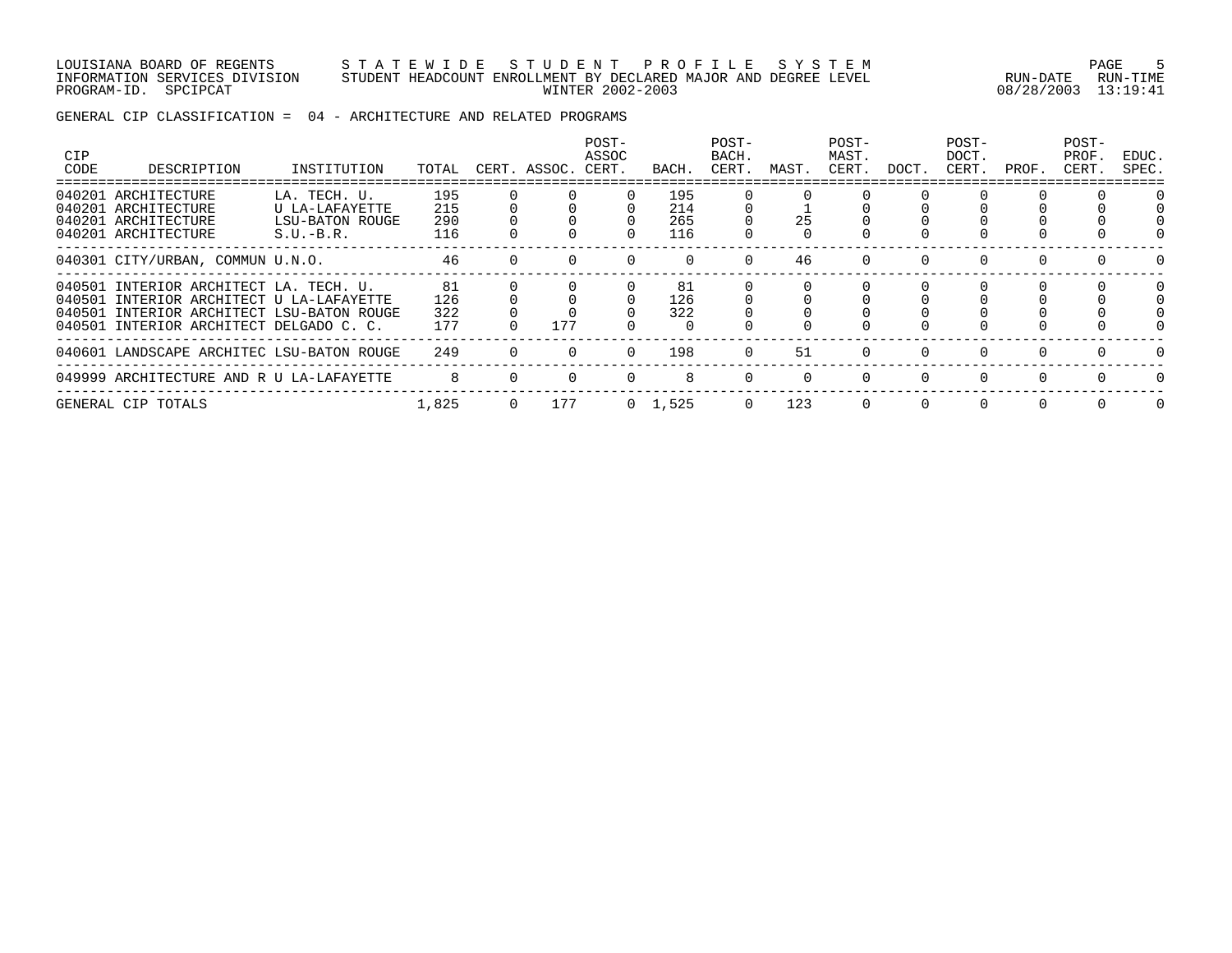LOUISIANA BOARD OF REGENTS S T A T E W I D E S T U D E N T P R O F I L E S Y S T E M PAGE 5 INFORMATION SERVICES DIVISION STUDENT HEADCOUNT ENROLLMENT BY DECLARED MAJOR AND DEGREE LEVEL RUN-DATE RUN-TIME PROGRAM-ID. SPCIPCAT WINTER 2002-2003 08/28/2003 13:19:41

GENERAL CIP CLASSIFICATION = 04 - ARCHITECTURE AND RELATED PROGRAMS

| <b>CIP</b><br>CODE | DESCRIPTION                                                                                                                                                                | INSTITUTION                                                      | TOTAL                    |          | CERT. ASSOC. CERT. | POST-<br>ASSOC | BACH.                    | POST-<br>BACH.<br>CERT. | MAST. | POST-<br>MAST.<br>CERT. | DOCT.    | POST-<br>DOCT.<br>CERT. | PROF. | POST-<br>PROF.<br>CERT. | EDUC.<br>SPEC. |
|--------------------|----------------------------------------------------------------------------------------------------------------------------------------------------------------------------|------------------------------------------------------------------|--------------------------|----------|--------------------|----------------|--------------------------|-------------------------|-------|-------------------------|----------|-------------------------|-------|-------------------------|----------------|
|                    | 040201 ARCHITECTURE<br>040201 ARCHITECTURE<br>040201 ARCHITECTURE<br>040201 ARCHITECTURE                                                                                   | LA. TECH. U.<br>U LA-LAFAYETTE<br>LSU-BATON ROUGE<br>$S.U.-B.R.$ | 195<br>215<br>290<br>116 |          |                    |                | 195<br>214<br>265<br>116 |                         | 25    |                         |          |                         |       |                         |                |
|                    | 040301 CITY/URBAN, COMMUN U.N.O.                                                                                                                                           |                                                                  | 46                       |          |                    |                |                          | $\Omega$                | 46    |                         |          |                         |       |                         |                |
|                    | 040501 INTERIOR ARCHITECT LA. TECH. U.<br>040501 INTERIOR ARCHITECT U LA-LAFAYETTE<br>040501 INTERIOR ARCHITECT LSU-BATON ROUGE<br>040501 INTERIOR ARCHITECT DELGADO C. C. |                                                                  | 81<br>126<br>322<br>177  |          | 177                |                | 81<br>126<br>322         |                         |       |                         |          |                         |       | 0                       |                |
|                    | 040601 LANDSCAPE ARCHITEC LSU-BATON ROUGE                                                                                                                                  |                                                                  | 249                      |          |                    | $\Omega$       | 198                      | $\Omega$                | 51    | $\Omega$                | $\Omega$ |                         |       | $\Omega$                |                |
|                    | 049999 ARCHITECTURE AND R U LA-LAFAYETTE                                                                                                                                   |                                                                  |                          |          |                    |                |                          |                         |       | $\Omega$                |          |                         |       |                         |                |
|                    | GENERAL CIP TOTALS                                                                                                                                                         |                                                                  | 1,825                    | $\Omega$ | 177                |                | $0 \quad 1,525$          | $\Omega$                | 123   | $\Omega$                | $\Omega$ |                         |       | $\Omega$                |                |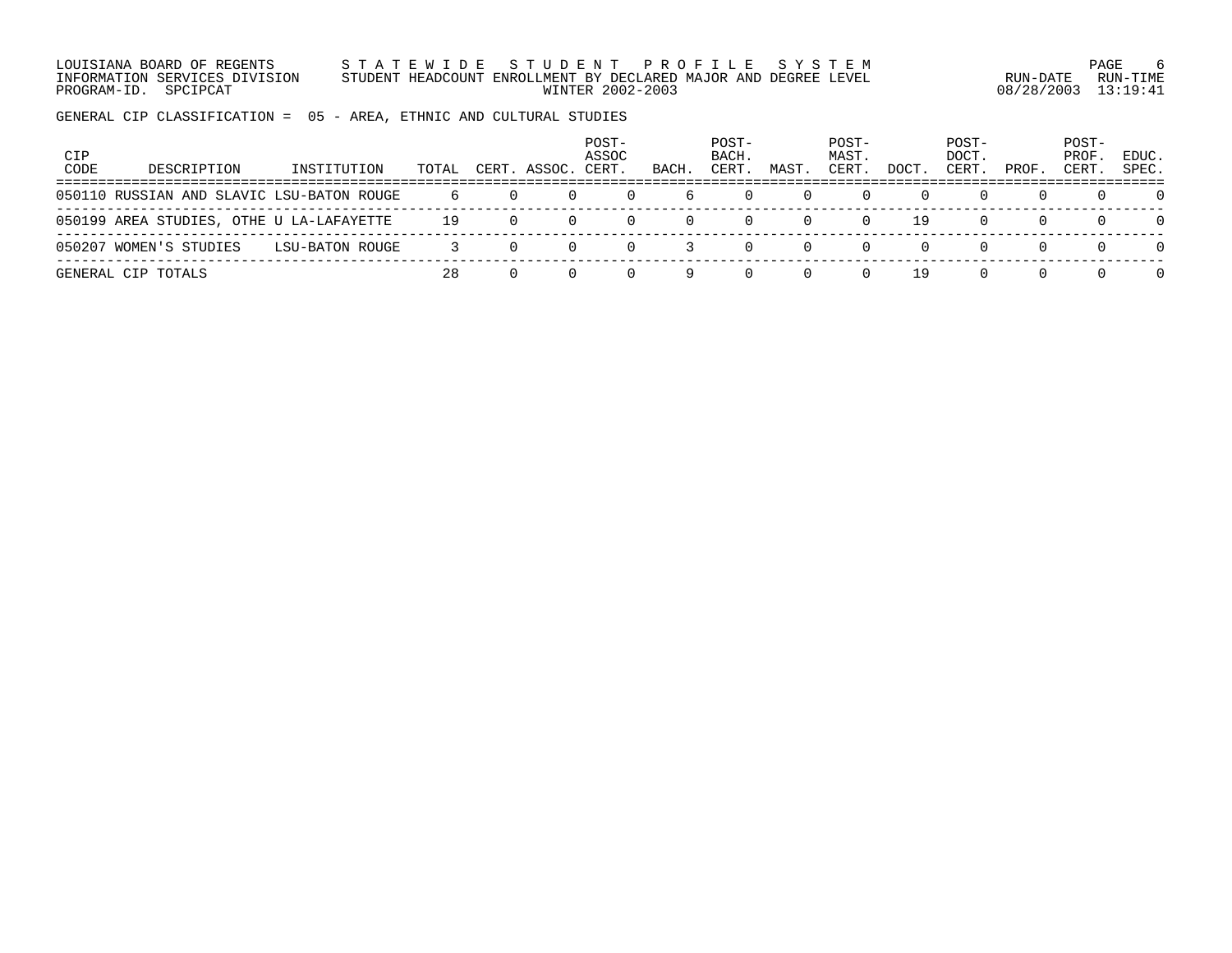LOUISIANA BOARD OF REGENTS S T A T E W I D E S T U D E N T P R O F I L E S Y S T E M PAGE 6 INFORMATION SERVICES DIVISION STUDENT HEADCOUNT ENROLLMENT BY DECLARED MAJOR AND DEGREE LEVEL RUN-DATE RUN-TIME PROGRAM-ID. SPCIPCAT WINTER 2002-2003 08/28/2003 13:19:41

GENERAL CIP CLASSIFICATION = 05 - AREA, ETHNIC AND CULTURAL STUDIES

| CIP<br>CODE | DESCRIPTION                               | INSTITUTION     | TOTAL | CERT. ASSOC. | POST-<br>ASSOC<br>CERT. | BACH.    | POST-<br>BACH.<br>CERT. | MAST | POST-<br>MAST.<br>CERT. | DOCT | POST-<br>DOCT.<br>CERT. | PROF. | POST-<br>PROF.<br>CERT | EDUC.<br>SPEC. |
|-------------|-------------------------------------------|-----------------|-------|--------------|-------------------------|----------|-------------------------|------|-------------------------|------|-------------------------|-------|------------------------|----------------|
|             | 050110 RUSSIAN AND SLAVIC LSU-BATON ROUGE |                 | 6     |              |                         | 6        |                         |      |                         |      |                         |       |                        | $\Omega$       |
|             | 050199 AREA STUDIES, OTHE U LA-LAFAYETTE  |                 | 19    |              |                         | $\Omega$ |                         |      |                         | 19   |                         |       |                        | $\Omega$       |
|             | 050207 WOMEN'S STUDIES                    | LSU-BATON ROUGE |       |              |                         |          |                         |      |                         |      |                         |       |                        | $\Omega$       |
|             | GENERAL CIP TOTALS                        |                 | 28    |              |                         |          |                         |      |                         | 19   |                         |       |                        | $\Omega$       |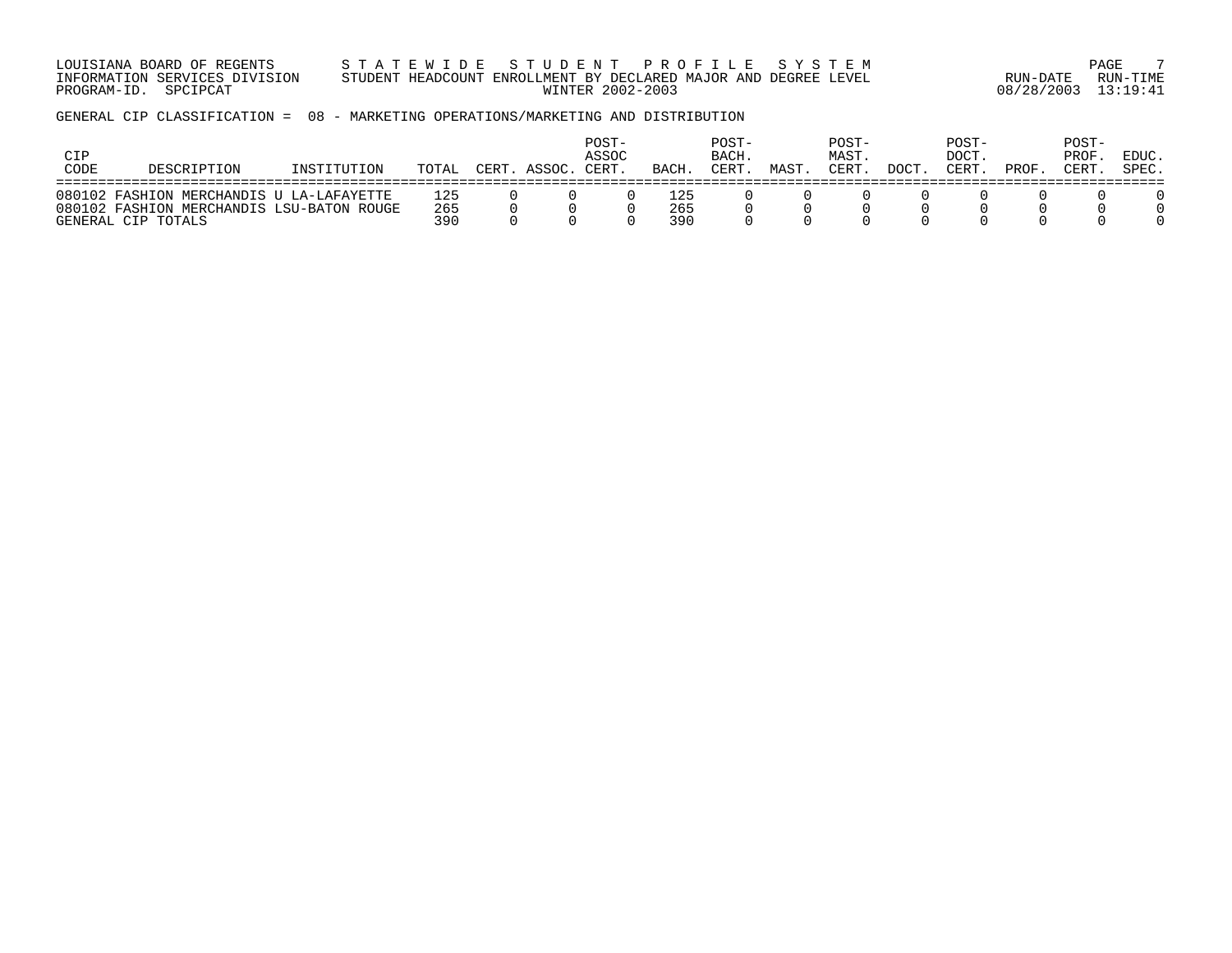LOUISIANA BOARD OF REGENTS S T A T E W I D E S T U D E N T P R O F I L E S Y S T E M PAGE 7 INFORMATION SERVICES DIVISION STUDENT HEADCOUNT ENROLLMENT BY DECLARED MAJOR AND DEGREE LEVEL RUN-DATE RUN-TIME PROGRAM-ID. SPCIPCAT WINTER 2002-2003 08/28/2003 13:19:41

GENERAL CIP CLASSIFICATION = 08 - MARKETING OPERATIONS/MARKETING AND DISTRIBUTION

| <b>CIP</b><br>CODE | DESCRIPTION                                                                                                 | TOTAL             | חתחי | ASSOC. | POST-<br>ASSOC<br>CERT | BACH              | POST-<br>BACH.<br>CERT | MAST | POST-<br>MAST.<br>CERT | <b>DOCT</b> | POST-<br>DOCT.<br><b>CERT</b> | PROF | POST-<br>PROF<br>CERT | EDUC.<br>SPEC. |
|--------------------|-------------------------------------------------------------------------------------------------------------|-------------------|------|--------|------------------------|-------------------|------------------------|------|------------------------|-------------|-------------------------------|------|-----------------------|----------------|
|                    | 080102 FASHION MERCHANDIS U LA-LAFAYETTE<br>080102 FASHION MERCHANDIS LSU-BATON ROUGE<br>GENERAL CIP TOTALS | 125<br>265<br>390 |      |        |                        | ⊥25<br>265<br>390 |                        |      |                        |             |                               |      |                       |                |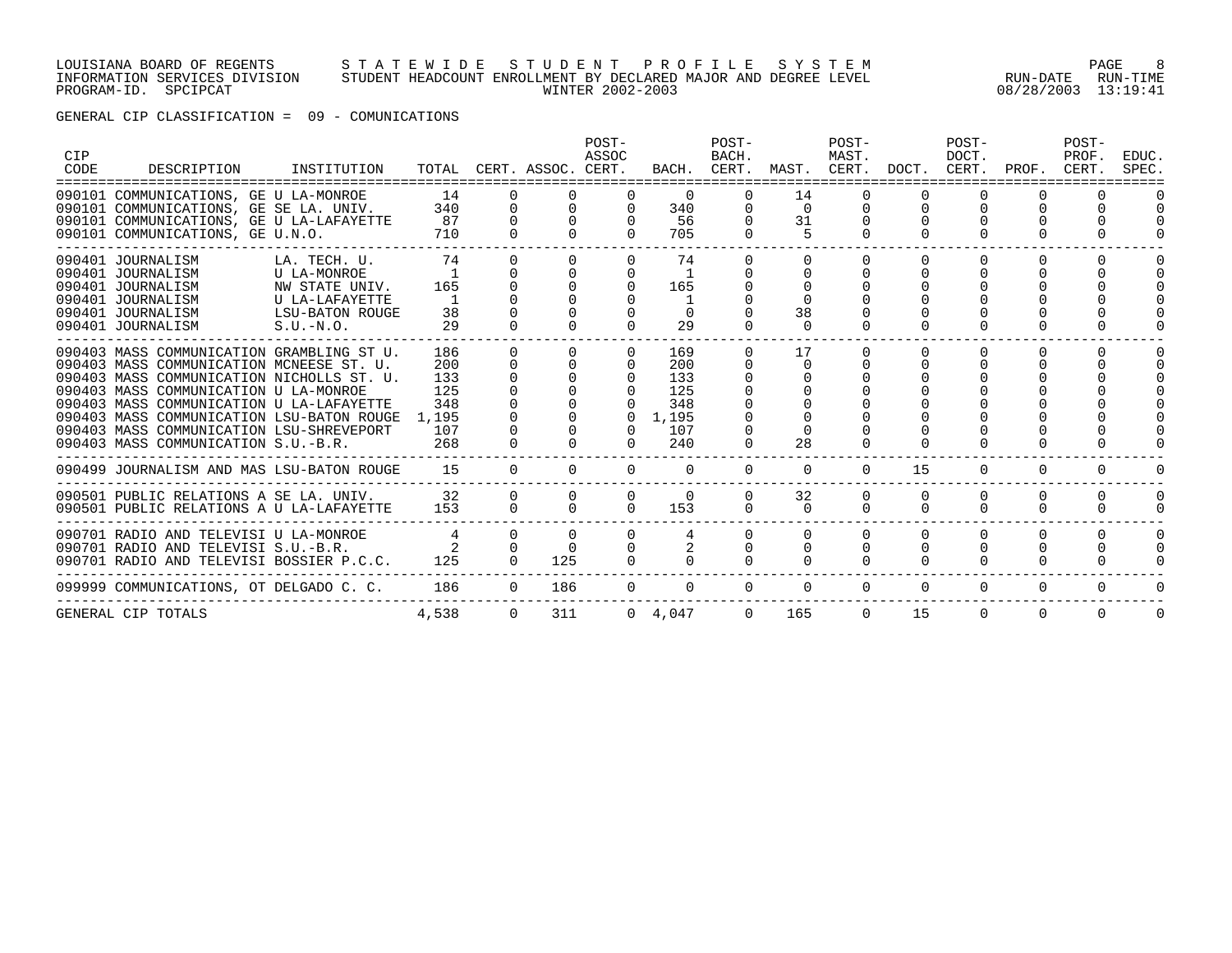#### LOUISIANA BOARD OF REGENTS S T A T E W I D E S T U D E N T P R O F I L E S Y S T E M PAGE 8 INFORMATION SERVICES DIVISION STUDENT HEADCOUNT ENROLLMENT BY DECLARED MAJOR AND DEGREE LEVEL RUN-DATE RUN-TIME PROGRAM-ID. SPCIPCAT WINTER 2002-2003 08/28/2003 13:19:41

GENERAL CIP CLASSIFICATION = 09 - COMUNICATIONS

| <b>CIP</b><br>CODE | DESCRIPTION                                                                                                                                                                                                                                                                                                                                             | INSTITUTION                                                                                              |                                                        |                                      | TOTAL CERT. ASSOC. CERT. | POST-<br>ASSOC                 |                                                               | POST-<br>BACH.<br>BACH. CERT. | MAST. CERT.                            | POST-<br>MAST.       | DOCT.        | POST-<br>DOCT.<br>CERT. | PROF.    | POST-<br>PROF.<br>CERT. | EDUC.<br>SPEC. |
|--------------------|---------------------------------------------------------------------------------------------------------------------------------------------------------------------------------------------------------------------------------------------------------------------------------------------------------------------------------------------------------|----------------------------------------------------------------------------------------------------------|--------------------------------------------------------|--------------------------------------|--------------------------|--------------------------------|---------------------------------------------------------------|-------------------------------|----------------------------------------|----------------------|--------------|-------------------------|----------|-------------------------|----------------|
|                    | 090101 COMMUNICATIONS, GE U LA-MONROE<br>090101 COMMUNICATIONS, GE SE LA. UNIV.<br>090101 COMMUNICATIONS, GE U LA-LAFAYETTE<br>090101 COMMUNICATIONS, GE U.N.O.                                                                                                                                                                                         |                                                                                                          | 14<br>340<br>87<br>710                                 | $\Omega$<br>$\cap$                   |                          |                                | 340<br>56<br>705                                              | 0                             | 14<br>$\Omega$<br>31<br>5              | 0<br>$\Omega$        | $\Omega$     | $\Omega$                |          |                         |                |
|                    | 090401 JOURNALISM<br>090401 JOURNALISM<br>090401 JOURNALISM<br>090401 JOURNALISM<br>090401 JOURNALISM<br>090401 JOURNALISM                                                                                                                                                                                                                              | LA. TECH. U.<br><b>U LA-MONROE</b><br>NW STATE UNIV.<br>U LA-LAFAYETTE<br>LSU-BATON ROUGE<br>$S.U.-N.O.$ | 74<br>165<br>38<br>29                                  | $\Omega$<br>$\Omega$<br><sup>n</sup> | $\Omega$                 | $\Omega$                       | 74<br>$\overline{1}$<br>165<br>$\mathbf{1}$<br>$\Omega$<br>29 |                               | $\Omega$<br>$\Omega$<br>38<br>$\Omega$ | $\Omega$<br>$\Omega$ |              |                         |          |                         |                |
|                    | 090403 MASS COMMUNICATION GRAMBLING ST U.<br>090403 MASS COMMUNICATION MCNEESE ST. U.<br>090403 MASS COMMUNICATION NICHOLLS ST. U.<br>090403 MASS COMMUNICATION U LA-MONROE<br>090403 MASS COMMUNICATION U LA-LAFAYETTE<br>090403 MASS COMMUNICATION LSU-BATON ROUGE<br>090403 MASS COMMUNICATION LSU-SHREVEPORT<br>090403 MASS COMMUNICATION S.U.-B.R. |                                                                                                          | 186<br>200<br>133<br>125<br>348<br>1,195<br>107<br>268 | $\Omega$                             | $\Omega$<br>$\cap$       | $\Omega$<br>$\Omega$<br>$\cap$ | 169<br>200<br>133<br>125<br>348<br>1,195<br>107<br>240        | 0                             | 17<br>$\Omega$<br>$\Omega$<br>28       | $\Omega$             | <sup>n</sup> | 0                       |          |                         |                |
|                    | 090499 JOURNALISM AND MAS LSU-BATON ROUGE                                                                                                                                                                                                                                                                                                               |                                                                                                          | 15                                                     | $\Omega$                             | $\cap$                   |                                | $\Omega$                                                      | $\Omega$                      | $\Omega$                               | $\Omega$             | 15           | $\Omega$                | $\Omega$ | $\Omega$                |                |
|                    | 090501 PUBLIC RELATIONS A SE LA. UNIV.<br>090501 PUBLIC RELATIONS A U LA-LAFAYETTE                                                                                                                                                                                                                                                                      |                                                                                                          | 32<br>153                                              | $\mathbf 0$<br>$\Omega$              | $\cap$                   | $\cap$                         | $\Omega$<br>153                                               |                               | 32<br>$\Omega$                         | $\Omega$             | $\Omega$     | $\Omega$                | 0        | $\Omega$                |                |
|                    | 090701 RADIO AND TELEVISI U LA-MONROE<br>090701 RADIO AND TELEVISI S.U.-B.R.<br>090701 RADIO AND TELEVISI BOSSIER P.C.C.                                                                                                                                                                                                                                |                                                                                                          | 4<br>125                                               | $\Omega$<br>$\Omega$                 | 125                      |                                |                                                               |                               |                                        |                      |              | $\Omega$                |          |                         | 0              |
|                    | 099999 COMMUNICATIONS, OT DELGADO C. C.                                                                                                                                                                                                                                                                                                                 |                                                                                                          | 186                                                    | $\Omega$                             | 186                      |                                |                                                               | $\Omega$                      |                                        |                      | $\Omega$     | $\Omega$                | $\Omega$ | $\Omega$                | $\Omega$       |
|                    | GENERAL CIP TOTALS                                                                                                                                                                                                                                                                                                                                      |                                                                                                          | 4,538                                                  | $\Omega$                             | 311                      |                                | $0 \quad 4,047$                                               | $\Omega$                      | 165                                    | $\Omega$             | 15           | $\Omega$                | $\Omega$ | $\Omega$                | $\Omega$       |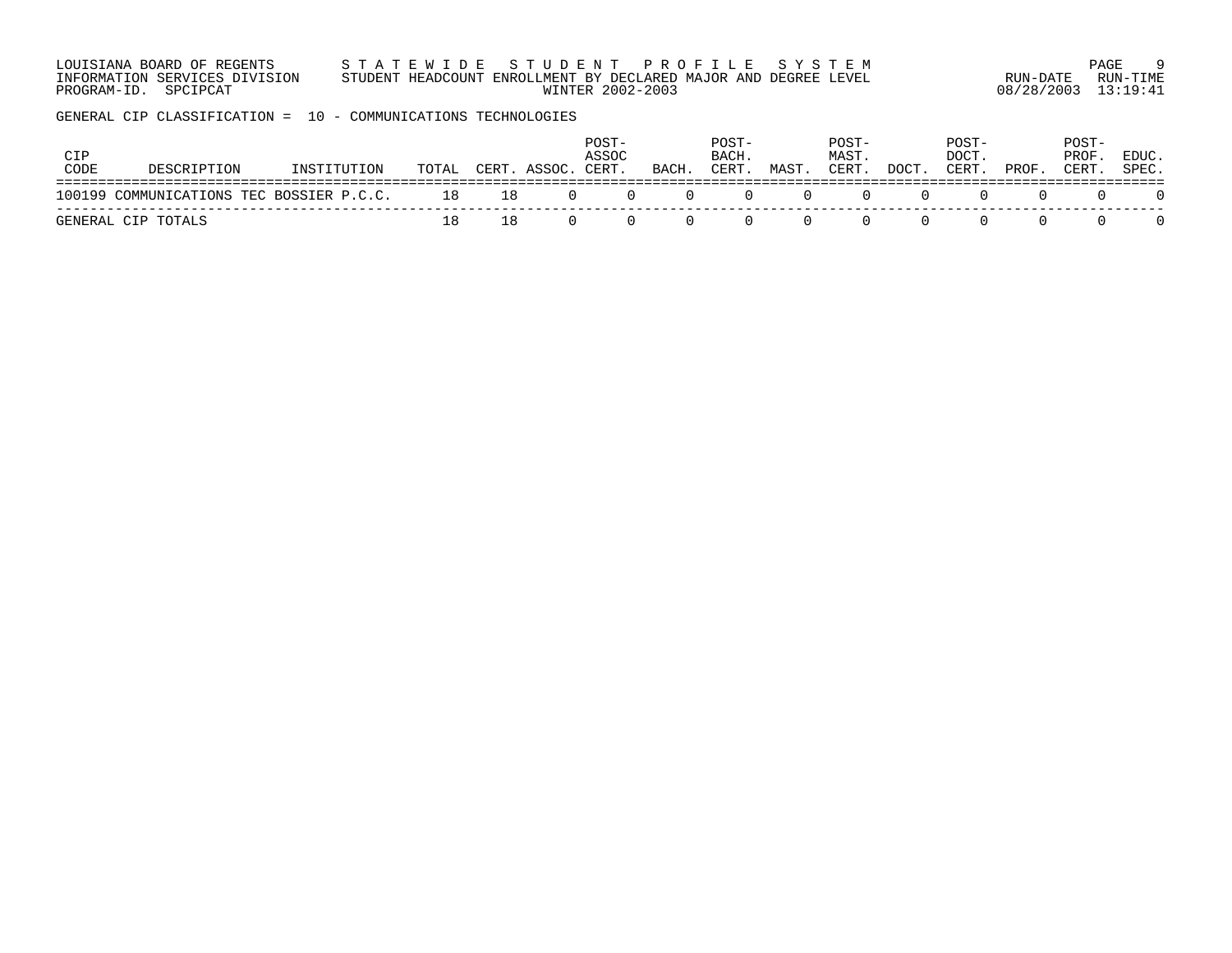| LOUISIANA BOARD OF REGENTS    | STATEWIDE STUDENT PROFILE SYSTEM                                |                     | PAGE     |
|-------------------------------|-----------------------------------------------------------------|---------------------|----------|
| INFORMATION SERVICES DIVISION | STUDENT HEADCOUNT ENROLLMENT BY DECLARED MAJOR AND DEGREE LEVEL | RUN-DATE            | RUN-TIMF |
| PROGRAM-ID. SPCIPCAT          | WINTER 2002-2003                                                | 08/28/2003 13:19:41 |          |

GENERAL CIP CLASSIFICATION = 10 - COMMUNICATIONS TECHNOLOGIES

| CIP<br>CODE | DESCRIPTION                                    | INSTITUTION | TOTAL | CERT. ASSOC. CERT. | POST-<br>ASSOC             | BACH. | POST-<br>BACH.<br>CERT.                    | MAST.          | POST-<br>MAST.<br>CERT. | DOCT. | POST-<br>DOCT.<br>CERT. | PROF. | POST-<br>PROF.<br>CERT. | EDUC.<br>SPEC. |
|-------------|------------------------------------------------|-------------|-------|--------------------|----------------------------|-------|--------------------------------------------|----------------|-------------------------|-------|-------------------------|-------|-------------------------|----------------|
|             | 100199 COMMUNICATIONS TEC BOSSIER P.C.C. 18 18 |             |       |                    | $\overline{0}$<br>$\Omega$ |       | $\begin{array}{ccc} & & & & 0 \end{array}$ | $\overline{0}$ |                         |       | $\left( \right)$        |       |                         |                |
|             | GENERAL CIP TOTALS                             |             |       |                    |                            |       |                                            |                |                         |       |                         |       |                         |                |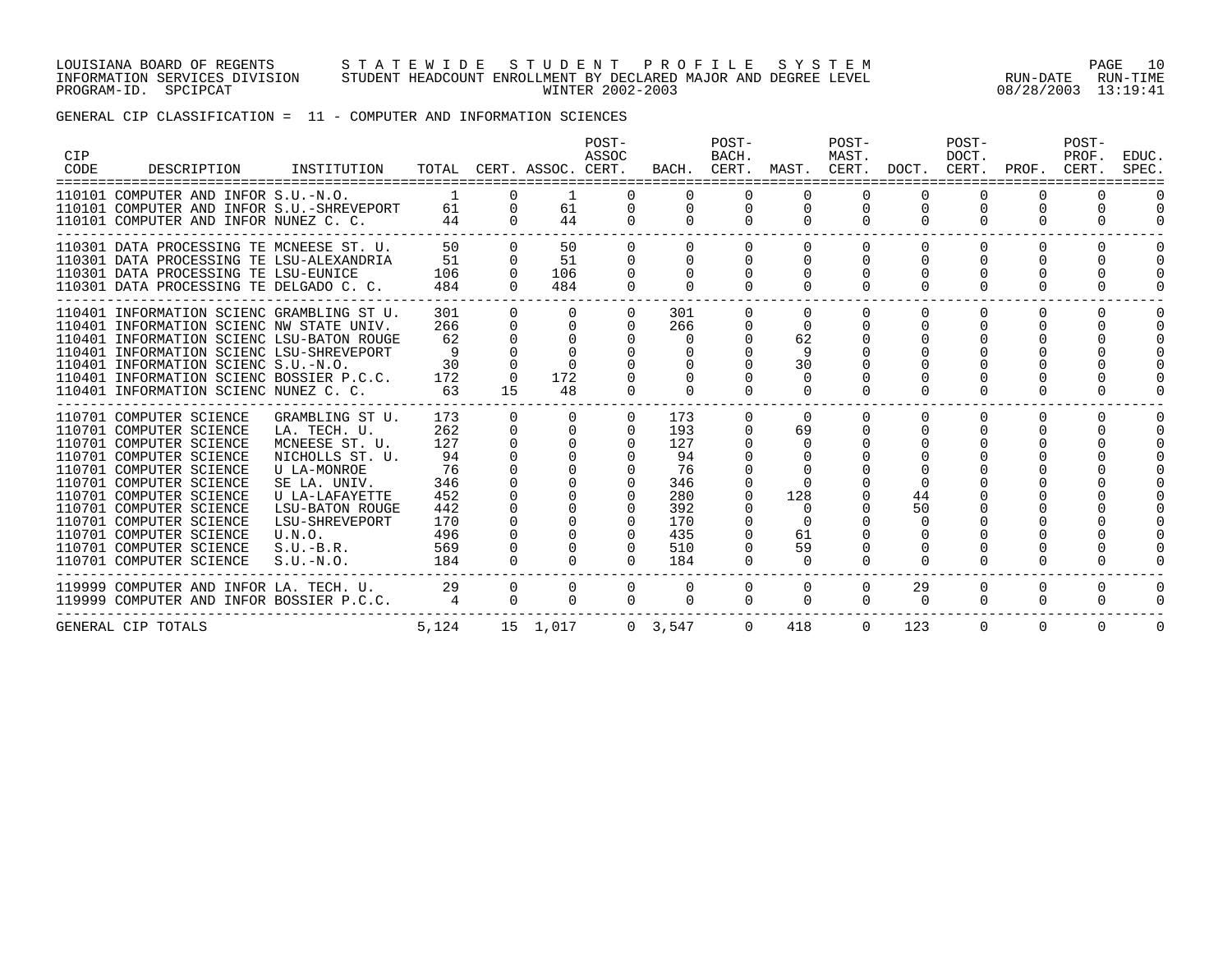#### LOUISIANA BOARD OF REGENTS S T A T E W I D E S T U D E N T P R O F I L E S Y S T E M PAGE 10 INFORMATION SERVICES DIVISION STUDENT HEADCOUNT ENROLLMENT BY DECLARED MAJOR AND DEGREE LEVEL RUN-DATE RUN-TIME PROGRAM-ID. SPCIPCAT WINTER 2002-2003 08/28/2003 13:19:41

# GENERAL CIP CLASSIFICATION = 11 - COMPUTER AND INFORMATION SCIENCES

| <b>CIP</b><br>CODE | DESCRIPTION                                                                                                                                                                                                                                                                                                                                                  | INSTITUTION                                                                                                                                                                                               |                                                                                |                                              | TOTAL CERT. ASSOC. CERT.                                                                                 | POST-<br>ASSOC                 |                                                                                | POST-<br>BACH.<br>BACH. CERT. MAST. CERT. DOCT. CERT. PROF. |                                                                                   | POST-<br>MAST.                               |                      | POST-<br>DOCT.            |               | POST-<br>PROF.<br>CERT.  | EDUC.<br>SPEC.                               |
|--------------------|--------------------------------------------------------------------------------------------------------------------------------------------------------------------------------------------------------------------------------------------------------------------------------------------------------------------------------------------------------------|-----------------------------------------------------------------------------------------------------------------------------------------------------------------------------------------------------------|--------------------------------------------------------------------------------|----------------------------------------------|----------------------------------------------------------------------------------------------------------|--------------------------------|--------------------------------------------------------------------------------|-------------------------------------------------------------|-----------------------------------------------------------------------------------|----------------------------------------------|----------------------|---------------------------|---------------|--------------------------|----------------------------------------------|
|                    | 110101 COMPUTER AND INFOR S.U.-N.O.<br>110101 COMPUTER AND INFOR S.U.-SHREVEPORT<br>110101 COMPUTER AND INFOR NUNEZ C. C.                                                                                                                                                                                                                                    |                                                                                                                                                                                                           | 61<br>44                                                                       | $\Omega$<br>$\mathbf 0$<br>$\Omega$          | 61<br>44                                                                                                 | $\Omega$<br>$\cap$             | $\mathbf{0}$<br>$\Omega$                                                       | $\Omega$<br>$\overline{0}$<br>$\Omega$                      | $\overline{0}$<br>$\Omega$                                                        | $\mathbf 0$<br>$\Omega$                      | 0<br>$\Omega$        | 0<br>$\Omega$             | 0<br>$\Omega$ | $\Omega$<br>$\Omega$     | $\Omega$<br>$\Omega$                         |
|                    | 110301 DATA PROCESSING TE MCNEESE ST. U.<br>110301 DATA PROCESSING TE LSU-ALEXANDRIA<br>110301 DATA PROCESSING TE LSU-EUNICE<br>110301 DATA PROCESSING TE DELGADO C. C.                                                                                                                                                                                      |                                                                                                                                                                                                           | 50<br>51<br>106<br>484                                                         | $\Omega$<br>$\Omega$<br>$\Omega$<br>$\Omega$ | 50<br>51<br>106<br>484                                                                                   | $\Omega$<br>$\Omega$           | $\Omega$<br>$\Omega$<br>$\Omega$                                               | $\Omega$<br>$\Omega$<br>$\Omega$<br>$\Omega$                | $\Omega$<br>$\Omega$<br>$\Omega$<br>$\Omega$                                      | $\Omega$<br>$\Omega$<br>$\Omega$<br>$\Omega$ | $\Omega$<br>$\Omega$ | $\Omega$<br>$\Omega$<br>0 | $\Omega$<br>O | $\Omega$<br><sup>o</sup> | $\Omega$<br>$\Omega$<br>$\Omega$<br>$\Omega$ |
|                    | 110401 INFORMATION SCIENC GRAMBLING ST U.<br>110401 INFORMATION SCIENC NW STATE UNIV.<br>110401 INFORMATION SCIENC LSU-BATON ROUGE<br>110401 INFORMATION SCIENC LSU-SHREVEPORT<br>110401 INFORMATION SCIENC S.U.-N.O.<br>110401 INFORMATION SCIENC BOSSIER P.C.C.<br>110401 INFORMATION SCIENC NUNEZ C. C.                                                   |                                                                                                                                                                                                           | 301<br>266<br>62<br>30<br>172<br>63                                            | $\Omega$<br>$\Omega$<br>15                   | $\Omega$<br>$\Omega$<br>172<br>48                                                                        | $\Omega$                       | 301<br>266<br>$\Omega$                                                         | $\Omega$                                                    | $\Omega$<br>62<br>9<br>30                                                         | $\Omega$                                     | $\cap$               | $\Omega$                  | 0             | $\Omega$                 | $\Omega$                                     |
|                    | ------------------------<br>110701 COMPUTER SCIENCE<br>110701 COMPUTER SCIENCE<br>110701 COMPUTER SCIENCE<br>110701 COMPUTER SCIENCE<br>110701 COMPUTER SCIENCE<br>110701 COMPUTER SCIENCE<br>110701 COMPUTER SCIENCE<br>110701 COMPUTER SCIENCE<br>110701 COMPUTER SCIENCE<br>110701 COMPUTER SCIENCE<br>110701 COMPUTER SCIENCE<br>110701 COMPUTER SCIENCE | GRAMBLING ST U.<br>LA. TECH. U.<br>MCNEESE ST. U.<br>NICHOLLS ST. U.<br>U LA-MONROE<br>SE LA. UNIV.<br>U LA-LAFAYETTE<br><b>LSU-BATON ROUGE</b><br>LSU-SHREVEPORT<br>U.N.O.<br>$S.U.-B.R.$<br>$S.U.-N.O.$ | 173<br>262<br>127<br>94<br>76<br>346<br>452<br>442<br>170<br>496<br>569<br>184 | $\Omega$<br>$\Omega$<br>$\Omega$             | $\Omega$<br>$\cap$<br>$\cap$<br><sup>n</sup><br><sup>n</sup><br><sup>n</sup><br><sup>n</sup><br>$\Omega$ | $\Omega$<br>$\Omega$<br>$\cap$ | 173<br>193<br>127<br>94<br>76<br>346<br>280<br>392<br>170<br>435<br>510<br>184 | $\Omega$<br>$\Omega$                                        | $\Omega$<br>69<br>$\Omega$<br>128<br>$\Omega$<br>$\Omega$<br>61<br>59<br>$\Omega$ |                                              | 44<br>50             | $\Omega$                  |               | $\Omega$                 | $\Omega$                                     |
|                    | 119999 COMPUTER AND INFOR LA. TECH. U. 29<br>119999 COMPUTER AND INFOR BOSSIER P.C.C.                                                                                                                                                                                                                                                                        |                                                                                                                                                                                                           | $\overline{4}$                                                                 | $\overline{0}$<br>$\Omega$                   | $\overline{0}$<br>$\Omega$                                                                               | $\overline{0}$<br>$\Omega$     | $\mathbf{0}$<br>$\Omega$                                                       | $\overline{0}$<br>$\Omega$                                  | $\overline{0}$<br>$\Omega$                                                        | $\overline{0}$<br>$\Omega$                   | 29<br>$\Omega$       | 0<br>$\Omega$             | 0<br>$\Omega$ | 0<br>$\Omega$            | $\Omega$<br>$\Omega$                         |
|                    | GENERAL CIP TOTALS                                                                                                                                                                                                                                                                                                                                           |                                                                                                                                                                                                           | 5,124                                                                          |                                              | 15 1,017                                                                                                 |                                | $0 \quad 3.547$                                                                | $\overline{0}$                                              | 418                                                                               | $\Omega$                                     | 123                  | $\Omega$                  | $\Omega$      | $\Omega$                 | $\mathbf 0$                                  |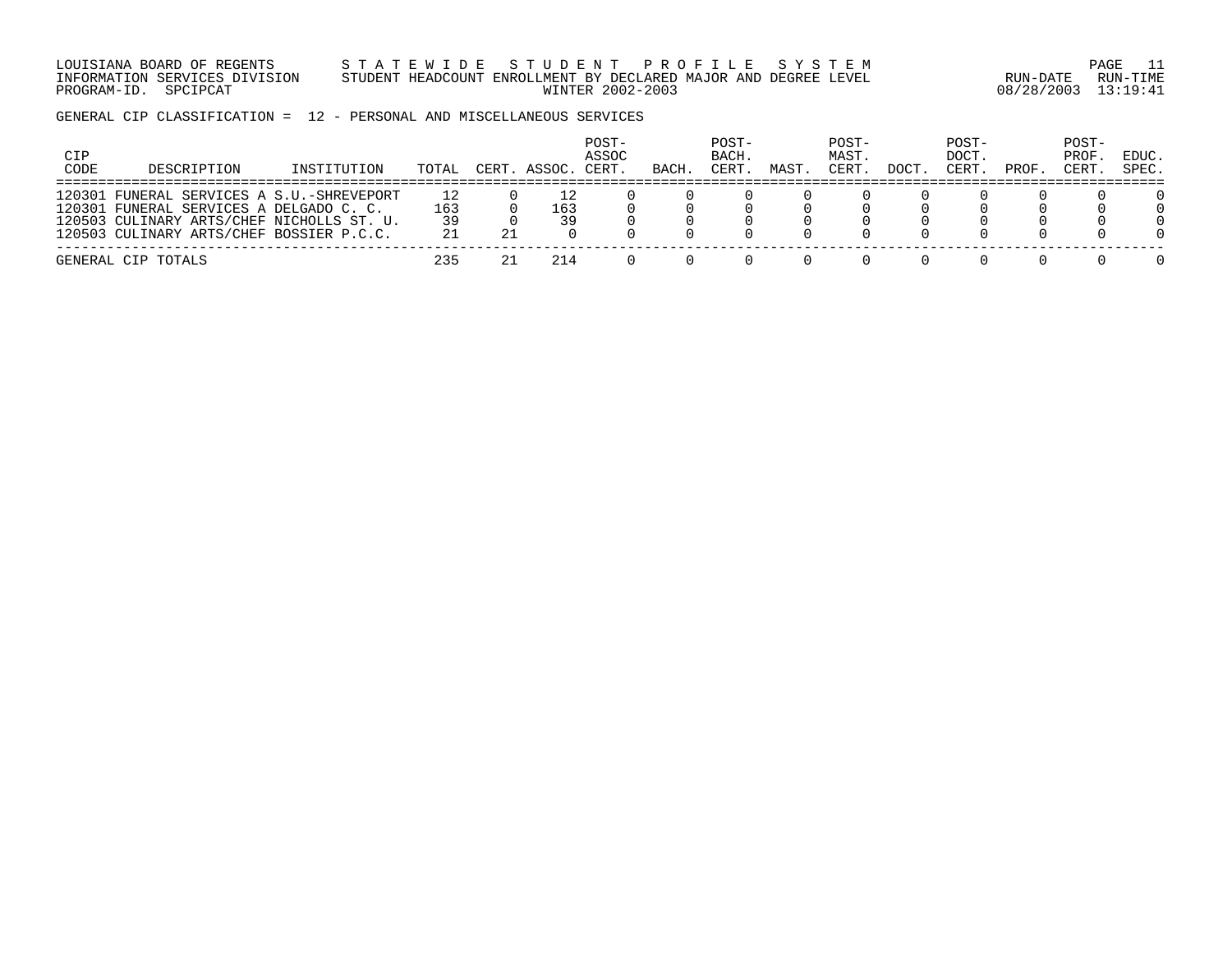LOUISIANA BOARD OF REGENTS S T A T E W I D E S T U D E N T P R O F I L E S Y S T E M PAGE 11 INFORMATION SERVICES DIVISION STUDENT HEADCOUNT ENROLLMENT BY DECLARED MAJOR AND DEGREE LEVEL RUN-DATE RUN-TIME PROGRAM-ID. SPCIPCAT WINTER 2002-2003 08/28/2003 13:19:41

GENERAL CIP CLASSIFICATION = 12 - PERSONAL AND MISCELLANEOUS SERVICES

| CIP<br>CODE | DESCRIPTION                                                                                                                                                              | INSTITUTION | TOTAL           |    | CERT. ASSOC. | POST-<br>ASSOC<br>CERT. | BACH | POST-<br>BACH.<br>CERT. | MAST | POST-<br>MAST.<br>CERT. | <b>DOCT</b> | POST-<br>DOCT.<br>CERT. | PROF. | POST-<br>PROF.<br>CERT. | EDUC.<br>SPEC. |
|-------------|--------------------------------------------------------------------------------------------------------------------------------------------------------------------------|-------------|-----------------|----|--------------|-------------------------|------|-------------------------|------|-------------------------|-------------|-------------------------|-------|-------------------------|----------------|
| 120301      | . FUNERAL SERVICES A S.U.-SHREVEPORT<br>120301 FUNERAL SERVICES A DELGADO C. C.<br>120503 CULINARY ARTS/CHEF NICHOLLS ST. U.<br>120503 CULINARY ARTS/CHEF BOSSIER P.C.C. |             | 163<br>39<br>21 | 21 | 163<br>39    |                         |      |                         |      |                         |             |                         |       |                         |                |
|             | GENERAL CIP TOTALS                                                                                                                                                       |             | 235             |    | 214          |                         |      |                         |      |                         |             |                         |       |                         |                |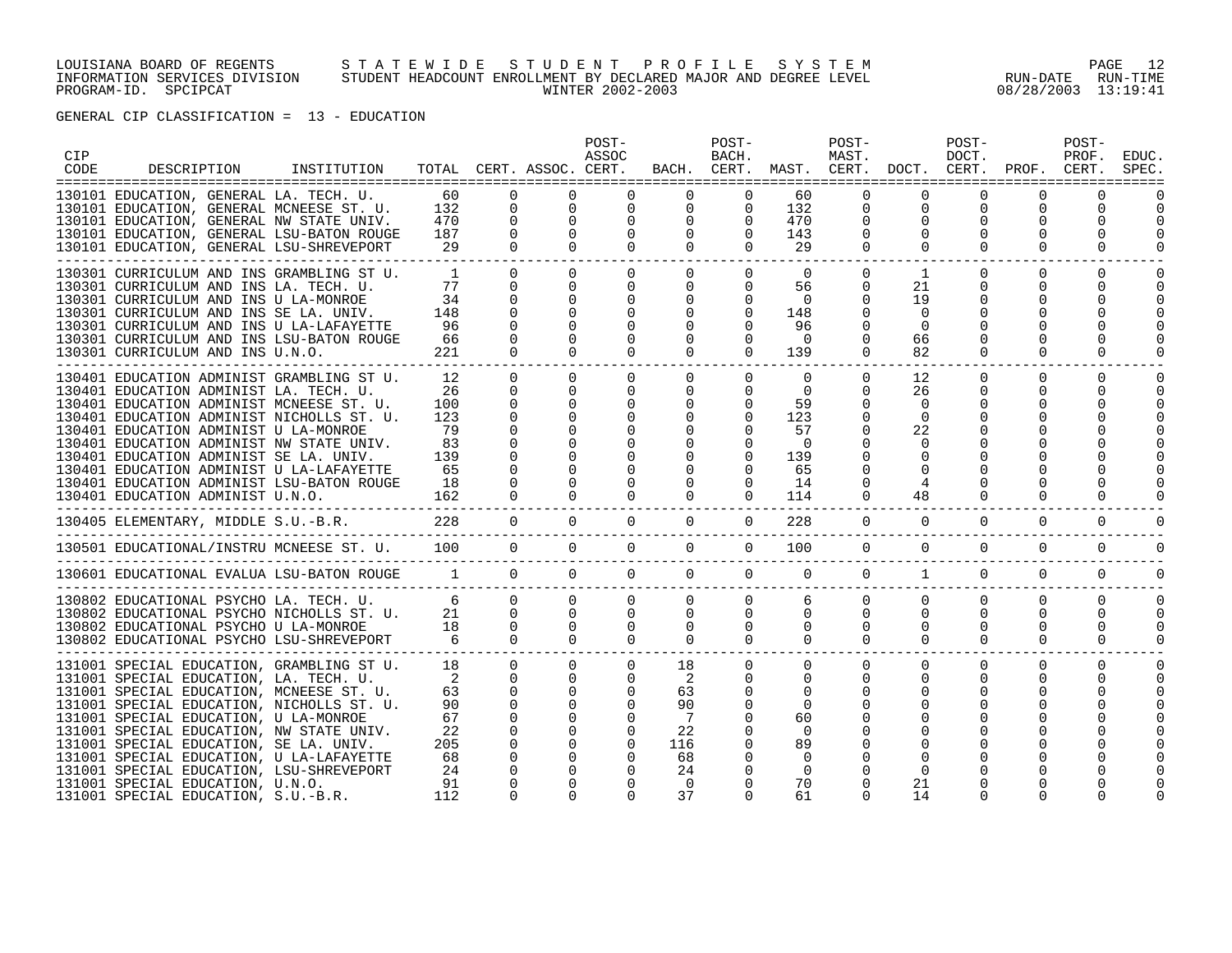#### LOUISIANA BOARD OF REGENTS S T A T E W I D E S T U D E N T P R O F I L E S Y S T E M PAGE 12 INFORMATION SERVICES DIVISION STUDENT HEADCOUNT ENROLLMENT BY DECLARED MAJOR AND DEGREE LEVEL RUN-DATE RUN-TIME PROGRAM-ID. SPCIPCAT WINTER 2002-2003 08/28/2003 13:19:41

| CIP<br>CODE | DESCRIPTION                                                                                                                                                                                                                                                                                                                                                                                                                                                                    | INSTITUTION |                                                                              |                                                                                                                                        | TOTAL CERT. ASSOC. CERT.                                                                                                                | POST-<br>ASSOC                                                                   |                                                                                                          | POST-<br>BACH.                                                                                               | BACH. CERT. MAST. CERT. DOCT. CERT. PROF. CERT.                                                             | POST-<br>MAST.                                                                      |                                                          | POST-<br>DOCT.                               |                                          | POST-<br>PROF.          | <b>EDUC</b><br>SPEC            |
|-------------|--------------------------------------------------------------------------------------------------------------------------------------------------------------------------------------------------------------------------------------------------------------------------------------------------------------------------------------------------------------------------------------------------------------------------------------------------------------------------------|-------------|------------------------------------------------------------------------------|----------------------------------------------------------------------------------------------------------------------------------------|-----------------------------------------------------------------------------------------------------------------------------------------|----------------------------------------------------------------------------------|----------------------------------------------------------------------------------------------------------|--------------------------------------------------------------------------------------------------------------|-------------------------------------------------------------------------------------------------------------|-------------------------------------------------------------------------------------|----------------------------------------------------------|----------------------------------------------|------------------------------------------|-------------------------|--------------------------------|
|             | 130101 EDUCATION, GENERAL LA. TECH. U.<br>130101 EDUCATION, GENERAL MCNEESE ST. U.<br>130101 EDUCATION, GENERAL NW STATE UNIV.<br>130101 EDUCATION, GENERAL LSU-BATON ROUGE<br>130101 EDUCATION, GENERAL LSU-SHREVEPORT                                                                                                                                                                                                                                                        |             | 60<br>132<br>470<br>187<br>29                                                | $\Omega$<br>$\mathbf 0$<br>$\mathbf 0$<br>$\mathbf 0$<br>$\Omega$                                                                      | $\overline{0}$<br>$\overline{0}$<br>$\mathbf 0$<br>$\Omega$                                                                             | $\mathbf 0$<br>$\mathbf 0$<br>$\Omega$<br>$\Omega$                               | 0<br>$\mathbf 0$<br>$\Omega$<br>$\Omega$                                                                 | $\mathbf{0}$<br>$\Omega$<br>$\mathbf{0}$<br>$\Omega$                                                         | 60<br>132<br>470<br>143<br>29                                                                               | 0<br>0<br>0<br>$\Omega$                                                             | 0<br>0<br>$\Omega$                                       | $\mathbf 0$<br>0<br>$\Omega$                 | 0<br>0<br>0<br>$\Omega$                  | 0<br>0                  |                                |
|             | 130301 CURRICULUM AND INS GRAMBLING ST U.<br>130301 CURRICULUM AND INS LA. TECH. U.<br>130301 CURRICULUM AND INS U LA-MONROE<br>130301 CURRICULUM AND INS SE LA. UNIV.<br>130301 CURRICULUM AND INS U LA-LAFAYETTE<br>130301 CURRICULUM AND INS LSU-BATON ROUGE<br>130301 CURRICULUM AND INS U.N.O.                                                                                                                                                                            |             | <sup>1</sup><br>77<br>34<br>148<br>96<br>66<br>221                           | $\Omega$<br>$\Omega$<br>$\Omega$<br>$\Omega$<br>$\Omega$<br>$\Omega$<br>$\Omega$                                                       | $\Omega$<br>$\Omega$<br>$\Omega$<br>$\Omega$<br>$\Omega$<br>$\Omega$<br>$\cap$                                                          | $\Omega$<br>$\Omega$<br>$\Omega$<br>$\Omega$<br>$\Omega$<br>$\Omega$<br>$\Omega$ | $\Omega$<br>$\Omega$<br>$\Omega$<br>$\Omega$<br>$\Omega$<br>$\Omega$<br>$\Omega$                         | $\Omega$<br>$\Omega$<br>$\Omega$<br>$\Omega$<br>$\Omega$<br>0<br>$\Omega$                                    | $\Omega$<br>56<br>$\Omega$<br>148<br>96<br>$\Omega$<br>139                                                  | $\mathbf{0}$<br>$\mathbf{0}$<br>$\Omega$<br>$\Omega$<br>$\Omega$                    | 1<br>21<br>19<br>$\Omega$<br>$\Omega$<br>66<br>82        | $\Omega$<br>0<br>0<br>$\Omega$               | $\Omega$<br>O<br>O<br>$\Omega$           | 0<br>0                  | $\Omega$                       |
|             | 130401 EDUCATION ADMINIST GRAMBLING ST U.<br>130401 EDUCATION ADMINIST LA. TECH. U.<br>130401 EDUCATION ADMINIST MCNEESE ST. U.<br>130401 EDUCATION ADMINIST NICHOLLS ST. U.<br>130401 EDUCATION ADMINIST U LA-MONROE<br>130401 EDUCATION ADMINIST NW STATE UNIV.<br>130401 EDUCATION ADMINIST SE LA. UNIV.<br>130401 EDUCATION ADMINIST U LA-LAFAYETTE<br>130401 EDUCATION ADMINIST LSU-BATON ROUGE<br>130401 EDUCATION ADMINIST U.N.O.                                       |             | 12<br>26<br>100<br>123<br>79<br>83<br>139<br>65<br>18<br>162                 | $\Omega$<br>$\mathbf 0$<br>$\Omega$<br>$\Omega$<br>$\Omega$<br>$\Omega$<br>$\Omega$<br>$\Omega$<br>$\Omega$<br>$\Omega$                | $\Omega$<br>$\mathbf 0$<br>$\Omega$<br>$\Omega$<br>$\Omega$<br>$\Omega$<br>$\Omega$<br>$\Omega$<br>$\Omega$                             | $\Omega$<br>$\Omega$<br>$\Omega$<br>$\Omega$                                     | $\Omega$<br>$\Omega$<br>$\Omega$<br>$\Omega$<br>$\Omega$<br>$\Omega$<br>$\Omega$<br>$\Omega$<br>$\Omega$ | $\Omega$<br>$\mathbf{0}$<br>$\Omega$<br>$\Omega$<br>$\Omega$<br>$\Omega$<br>$\Omega$<br>$\Omega$<br>$\Omega$ | $\Omega$<br>$\overline{0}$<br>59<br>123<br>57<br>$\Omega$<br>139<br>65<br>14<br>114                         | $\mathbf 0$<br>$\mathbf 0$<br>$\Omega$<br>$\Omega$<br>$\Omega$<br>0<br>$\mathbf{0}$ | 12<br>26<br>$\Omega$<br>$\Omega$<br>22<br>$\Omega$<br>48 | $\Omega$<br>$\Omega$<br>$\Omega$<br>$\Omega$ | $\Omega$<br>$\Omega$<br>O<br>$\Omega$    | $\Omega$<br>0           | $\Omega$<br>$\Omega$           |
|             | 130405 ELEMENTARY, MIDDLE S.U.-B.R.                                                                                                                                                                                                                                                                                                                                                                                                                                            |             | 228                                                                          | $\overline{0}$                                                                                                                         | $\overline{0}$                                                                                                                          | $\Omega$                                                                         | $\Omega$                                                                                                 | $\overline{0}$                                                                                               | 228                                                                                                         | $\overline{0}$                                                                      | $\overline{0}$                                           | $\overline{0}$                               | $\mathbf 0$                              | $\Omega$                | $\Omega$                       |
|             | 130501 EDUCATIONAL/INSTRU MCNEESE ST. U. 100                                                                                                                                                                                                                                                                                                                                                                                                                                   |             |                                                                              | $\Omega$                                                                                                                               | $\Omega$                                                                                                                                | $\Omega$                                                                         | $\Omega$                                                                                                 | $\Omega$                                                                                                     | 100                                                                                                         | $\Omega$                                                                            | $\Omega$                                                 | $\Omega$                                     | $\Omega$                                 | $\Omega$                | $\Omega$                       |
|             | 130601 EDUCATIONAL EVALUA LSU-BATON ROUGE 1 0                                                                                                                                                                                                                                                                                                                                                                                                                                  |             |                                                                              |                                                                                                                                        | $\Omega$                                                                                                                                | $\Omega$                                                                         | $\Omega$                                                                                                 | $\Omega$                                                                                                     | $\Omega$                                                                                                    | $\Omega$                                                                            | 1                                                        | $\Omega$                                     | $\Omega$                                 | $\Omega$                | $\Omega$                       |
|             | 130802 EDUCATIONAL PSYCHO LA. TECH. U.<br>130802 EDUCATIONAL PSYCHO NICHOLLS ST. U.<br>130802 EDUCATIONAL PSYCHO U LA-MONROE<br>130802 EDUCATIONAL PSYCHO LSU-SHREVEPORT                                                                                                                                                                                                                                                                                                       |             | $\frac{6}{21}$<br>18<br>6                                                    | $\Omega$<br>$\overline{0}$<br>$\overline{0}$<br>$\Omega$                                                                               | $\Omega$<br>$\overline{0}$<br>$\Omega$                                                                                                  | $\Omega$<br>$\overline{0}$<br>$\Omega$<br>$\Omega$<br>$\cap$                     | $\Omega$<br>$\Omega$<br>$\mathbf{0}$<br>$\cap$                                                           | $\Omega$<br>$\Omega$<br>$\Omega$                                                                             | 6<br>$\overline{0}$<br>$\overline{0}$<br>$\mathbf{0}$<br>$\Omega$                                           | $\Omega$<br>$\overline{0}$<br>$\mathbf{0}$<br>$\Omega$                              | $\Omega$<br>$\Omega$<br>0<br>$\Omega$                    | $\Omega$<br>$\Omega$<br>0<br>$\Omega$        | $\Omega$<br>$\mathbf 0$<br>0<br>$\Omega$ | $\Omega$<br>0<br>0<br>0 | $\Omega$<br>$\Omega$<br>0<br>0 |
|             | 131001 SPECIAL EDUCATION, GRAMBLING ST U.<br>131001 SPECIAL EDUCATION, LA. TECH. U.<br>131001 SPECIAL EDUCATION, MCNEESE ST. U.<br>131001 SPECIAL EDUCATION, NICHOLLS ST. U.<br>131001 SPECIAL EDUCATION, U LA-MONROE<br>131001 SPECIAL EDUCATION, NW STATE UNIV.<br>131001 SPECIAL EDUCATION, SE LA. UNIV.<br>131001 SPECIAL EDUCATION, U LA-LAFAYETTE<br>131001 SPECIAL EDUCATION, LSU-SHREVEPORT<br>131001 SPECIAL EDUCATION, U.N.O.<br>131001 SPECIAL EDUCATION, S.U.-B.R. |             | 18<br>$\overline{2}$<br>63<br>90<br>67<br>22<br>205<br>68<br>24<br>91<br>112 | $\overline{0}$<br>$\Omega$<br>$\Omega$<br>$\Omega$<br>$\Omega$<br>$\Omega$<br>$\Omega$<br>$\Omega$<br>$\Omega$<br>$\Omega$<br>$\Omega$ | $\overline{0}$<br>$\Omega$<br>$\Omega$<br>$\Omega$<br>$\Omega$<br>$\mathbf 0$<br>$\Omega$<br>$\Omega$<br>$\Omega$<br>$\Omega$<br>$\cap$ | $\mathbf 0$<br>$\Omega$<br>$\Omega$                                              | 18<br>- 2<br>63<br>90<br>22<br>116<br>68<br>24<br>$\Omega$<br>37                                         | 0<br>$\Omega$<br>$\Omega$<br>$\Omega$<br>0<br>∩                                                              | $\mathbf 0$<br>$\Omega$<br>$\Omega$<br>$\Omega$<br>60<br>$\Omega$<br>89<br>$\Omega$<br>$\Omega$<br>70<br>61 | 0<br>$\Omega$<br>$\Omega$<br>$\cap$                                                 | 0<br>21<br>14                                            | $\mathbf 0$<br>$\Omega$<br>∩                 | 0<br>$\Omega$<br>∩                       | 0                       | 0                              |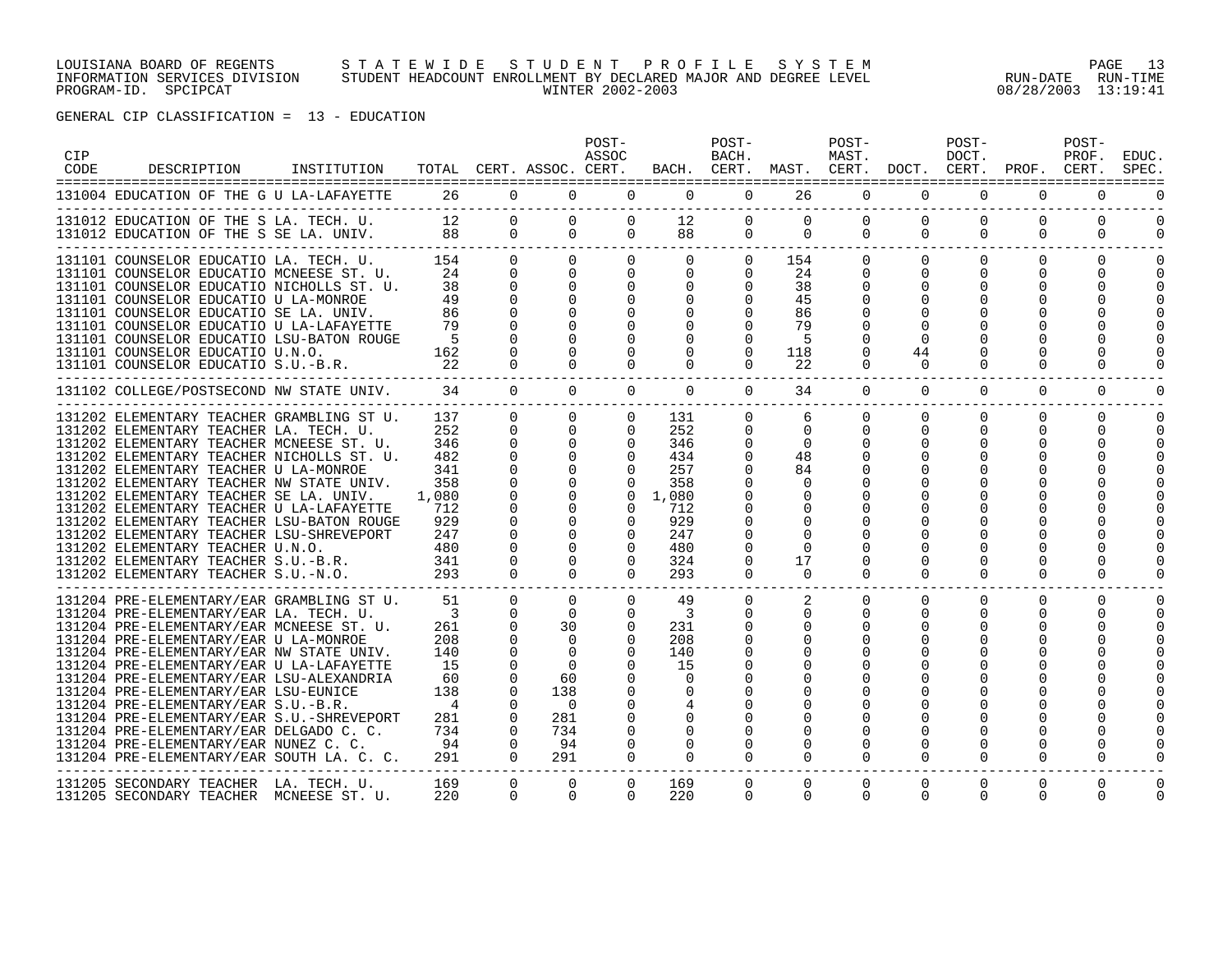#### LOUISIANA BOARD OF REGENTS S T A T E W I D E S T U D E N T P R O F I L E S Y S T E M PAGE 13 INFORMATION SERVICES DIVISION STUDENT HEADCOUNT ENROLLMENT BY DECLARED MAJOR AND DEGREE LEVEL RUN-DATE RUN-TIME PROGRAM-ID. SPCIPCAT WINTER 2002-2003 08/28/2003 13:19:41

| CIP<br>CODE | DESCRIPTION                                                                                                                                                                                                                                                                                                                                                                                                                                                                                                                                                               | INSTITUTION | TOTAL CERT. ASSOC. CERT.                                                                                           |                                                                                                                                              |                                                                                                         | POST-<br>ASSOC                                                                                  |                                                                                                     | POST-<br>BACH.                                                            | BACH. CERT. MAST. CERT. DOCT. CERT. PROF. CERT.                          | POST-<br>MAST.                   |                                                      | POST-<br>DOCT.                   |                                                             | POST-<br>PROF.       | EDUC.<br><b>SPEC</b> |
|-------------|---------------------------------------------------------------------------------------------------------------------------------------------------------------------------------------------------------------------------------------------------------------------------------------------------------------------------------------------------------------------------------------------------------------------------------------------------------------------------------------------------------------------------------------------------------------------------|-------------|--------------------------------------------------------------------------------------------------------------------|----------------------------------------------------------------------------------------------------------------------------------------------|---------------------------------------------------------------------------------------------------------|-------------------------------------------------------------------------------------------------|-----------------------------------------------------------------------------------------------------|---------------------------------------------------------------------------|--------------------------------------------------------------------------|----------------------------------|------------------------------------------------------|----------------------------------|-------------------------------------------------------------|----------------------|----------------------|
|             | 131004 EDUCATION OF THE G U LA-LAFAYETTE                                                                                                                                                                                                                                                                                                                                                                                                                                                                                                                                  |             |                                                                                                                    | 26                                                                                                                                           | $0 \qquad \qquad$<br>$\Omega$                                                                           | $\Omega$                                                                                        | $\Omega$                                                                                            |                                                                           | $0 \qquad \qquad$<br>26                                                  | $\Omega$                         | $\Omega$                                             | $\Omega$                         | $\Omega$                                                    | $\Omega$             |                      |
|             | 131012 EDUCATION OF THE S LA. TECH. U.<br>131012 EDUCATION OF THE S SE LA. UNIV. 88                                                                                                                                                                                                                                                                                                                                                                                                                                                                                       |             | 12                                                                                                                 | $\Omega$                                                                                                                                     | $\Omega$                                                                                                | $\Omega$<br>$\Omega$<br>$\Omega$                                                                | 12<br>$\Omega$                                                                                      | $\Omega$<br>88 8                                                          | $\Omega$<br>$0\qquad 0$                                                  | $\Omega$<br>$\Omega$             | $\Omega$<br>$\Omega$                                 | $\Omega$<br>$\Omega$             | $\Omega$<br>$\Omega$                                        | $\Omega$<br>$\Omega$ | $\Omega$<br>$\Omega$ |
|             | 131101 COUNSELOR EDUCATIO LA. TECH. U. 154<br>131101 COUNSELOR EDUCATIO MCNEESE ST. U. 24<br>131101 COUNSELOR EDUCATIO NICHOLLS ST. U.<br>131101 COUNSELOR EDUCATIO U LA-MONROE<br>131101 COUNSELOR EDUCATIO SE LA. UNIV.<br>131101 COUNSELOR EDUCATIO U LA-LAFAYETTE<br>131101 COUNSELOR EDUCATIO LSU-BATON ROUGE<br>131101 COUNSELOR EDUCATIO U.N.O.<br>131101 COUNSELOR EDUCATIO S.U.-B.R.                                                                                                                                                                             |             | 38<br>49<br>86<br>79<br>- 5<br>162<br>22                                                                           | $\Omega$<br>$\Omega$<br>$\Omega$<br>$\Omega$                                                                                                 | $\overline{0}$<br>$\Omega$                                                                              | $0 \qquad \qquad$<br>$\Omega$<br>$\Omega$<br>$\Omega$                                           | $0\qquad \qquad 0$<br>$\begin{matrix} 0 & 0 \end{matrix}$<br>$\Omega$<br>$\Omega$<br>$\Omega$       | $\Omega$<br>$\overline{0}$<br>0<br>$\Omega$                               | $0 \t 154$<br>24<br>38<br>45<br>86<br>79<br>.5<br>118<br>22              | $\Omega$                         | $0 \qquad \qquad$<br>$\Omega$<br>O<br>44<br>$\Omega$ | 0<br>$\Omega$<br>$\Omega$        | $\overline{0}$<br>$\Omega$<br>$\Omega$<br>0<br><sup>0</sup> | $\Omega$             | $\Omega$             |
|             | 131102 COLLEGE/POSTSECOND NW STATE UNIV. 34                                                                                                                                                                                                                                                                                                                                                                                                                                                                                                                               |             |                                                                                                                    | $\Omega$                                                                                                                                     | $\Omega$                                                                                                | $\Omega$                                                                                        | $\overline{0}$                                                                                      | $\overline{0}$                                                            | 34                                                                       | $\Omega$                         | $\overline{0}$                                       | $\mathbf{0}$                     | $\mathbf 0$                                                 | $\mathbf 0$          |                      |
|             | 131202 ELEMENTARY TEACHER GRAMBLING ST U.<br>131202 ELEMENTARY TEACHER LA. TECH. U.<br>131202 ELEMENTARY TEACHER MCNEESE ST. U.<br>131202 ELEMENTARY TEACHER NICHOLLS ST. U.<br>131202 ELEMENTARY TEACHER U LA-MONROE<br>131202 ELEMENTARY TEACHER NW STATE UNIV.<br>131202 ELEMENTARY TEACHER SE LA. UNIV.<br>131202 ELEMENTARY TEACHER U LA-LAFAYETTE<br>131202 ELEMENTARY TEACHER LSU-BATON ROUGE<br>131202 ELEMENTARY TEACHER LSU-SHREVEPORT<br>131202 ELEMENTARY TEACHER U.N.O.<br>131202 ELEMENTARY TEACHER S.U.-B.R.<br>131202 ELEMENTARY TEACHER S.U.-N.O.        |             | 137<br>252<br>346<br>482<br>341<br>358<br>1,080<br>712<br>929<br>247<br>480<br>341<br>293                          | $\Omega$<br>$\Omega$<br>$\Omega$<br>$\mathbf 0$<br>0<br>$\mathbf 0$<br>$\mathbf 0$<br>$\mathbf 0$<br>$\Omega$<br>$\Omega$<br>$\cap$          | $\Omega$<br>$\Omega$<br>$\Omega$<br>$\Omega$<br>$\mathbf 0$<br>$\Omega$<br>$\cap$                       | $\Omega$<br>$\Omega$<br>$\Omega$<br>$\Omega$<br>$\mathbf 0$<br>$\Omega$<br>$\Omega$<br>$\Omega$ | 131<br>252<br>346<br>434<br>257<br>358<br>$0 \quad 1,080$<br>712<br>929<br>247<br>480<br>324<br>293 | $\Omega$<br>$\Omega$<br>$\Omega$<br>$\Omega$<br>$\Omega$<br>0<br>$\Omega$ | 6<br>$\Omega$<br>$\Omega$<br>48<br>84<br>0<br>$\Omega$<br>17<br>$\Omega$ | $\Omega$<br>$\Omega$<br>$\Omega$ | $\Omega$<br>$\Omega$<br>O<br>$\cap$                  | $\Omega$<br>$\Omega$<br>$\Omega$ | $\Omega$<br>$\Omega$<br>0<br><sup>0</sup><br>$\Omega$       | $\Omega$<br>$\Omega$ |                      |
|             | 131204 PRE-ELEMENTARY/EAR GRAMBLING ST U.<br>131204 PRE-ELEMENTARY/EAR LA. TECH. U.<br>131204 PRE-ELEMENTARY/EAR MCNEESE ST. U.<br>131204 PRE-ELEMENTARY/EAR U LA-MONROE<br>131204 PRE-ELEMENTARY/EAR NW STATE UNIV.<br>131204 PRE-ELEMENTARY/EAR U LA-LAFAYETTE<br>131204 PRE-ELEMENTARY/EAR LSU-ALEXANDRIA<br>131204 PRE-ELEMENTARY/EAR LSU-EUNICE<br>131204 PRE-ELEMENTARY/EAR S.U.-B.R.<br>131204 PRE-ELEMENTARY/EAR S.U.-SHREVEPORT<br>131204 PRE-ELEMENTARY/EAR DELGADO C. C.<br>131204 PRE-ELEMENTARY/EAR NUNEZ C. C.<br>131204 PRE-ELEMENTARY/EAR SOUTH LA. C. C. |             | 51<br>$\overline{\mathbf{3}}$<br>261<br>208<br>140<br>15<br>60<br>138<br>$\overline{4}$<br>281<br>734<br>94<br>291 | $\Omega$<br>$\Omega$<br>$\Omega$<br>$\Omega$<br>$\Omega$<br>$\Omega$<br>$\Omega$<br>$\Omega$<br>$\Omega$<br>$\Omega$<br>$\Omega$<br>$\Omega$ | $\Omega$<br>$\Omega$<br>30<br>$\Omega$<br>$\Omega$<br>60<br>138<br>$\bigcap$<br>281<br>734<br>94<br>291 | $\Omega$<br>$\Omega$<br>$\Omega$<br>$\Omega$<br>$\Omega$<br>$\Omega$                            | 49<br>-3<br>231<br>208<br>140<br>15<br>$\Omega$<br>$\Omega$<br>$\Omega$                             | $\Omega$<br>$\Omega$<br>$\Omega$                                          | $\Omega$                                                                 | $\Omega$<br>$\Omega$             | $\Omega$<br>$\Omega$<br>$\Omega$                     | $\Omega$<br>0<br>$\Omega$        | $\Omega$<br>0<br><sup>0</sup><br>$\Omega$                   | $\Omega$             |                      |
|             | 131205 SECONDARY TEACHER LA. TECH. U.<br>131205 SECONDARY TEACHER MCNEESE ST. U.                                                                                                                                                                                                                                                                                                                                                                                                                                                                                          |             | 169<br>220                                                                                                         | $\Omega$<br>$\Omega$                                                                                                                         | $\Omega$<br>$\Omega$                                                                                    | $\Omega$<br>$\Omega$                                                                            | 169<br>220                                                                                          | $\Omega$<br>$\Omega$                                                      | $\mathbf 0$<br>$\Omega$                                                  | $\Omega$<br>$\Omega$             | $\mathbf 0$<br>$\Omega$                              | 0<br>$\Omega$                    | $\Omega$<br>$\Omega$                                        | $\overline{0}$       |                      |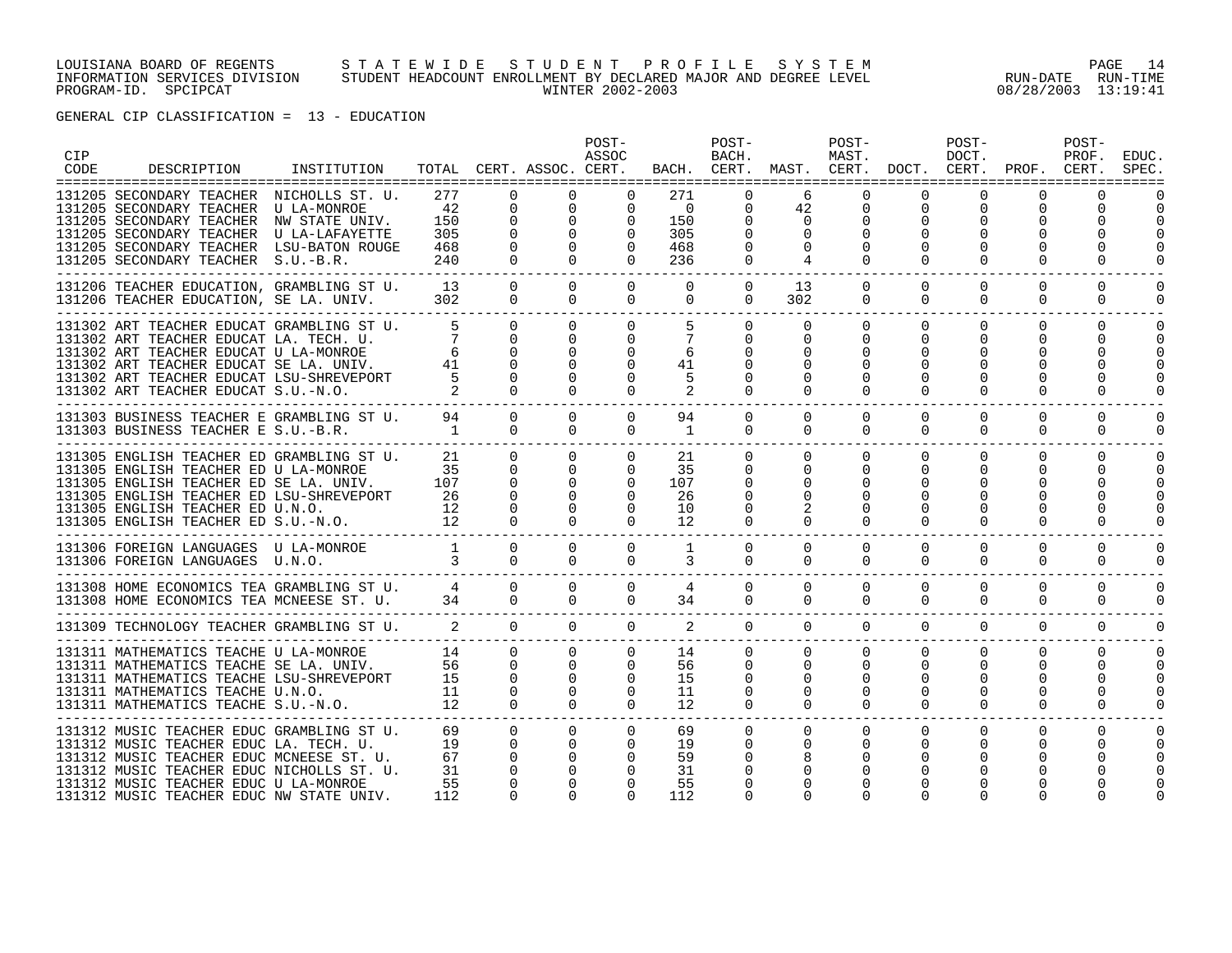#### LOUISIANA BOARD OF REGENTS S T A T E W I D E S T U D E N T P R O F I L E S Y S T E M PAGE 14 INFORMATION SERVICES DIVISION STUDENT HEADCOUNT ENROLLMENT BY DECLARED MAJOR AND DEGREE LEVEL RUN-DATE RUN-TIME PROGRAM-ID. SPCIPCAT WINTER 2002-2003 08/28/2003 13:19:41

| CIP<br>CODE | DESCRIPTION                                                                                                                                                                                                                                                       | INSTITUTION                             |                                                      |                                                                            | TOTAL CERT. ASSOC. CERT.                                         | POST-<br>ASSOC                                               |                                                   | POST-<br>BACH.                                              | BACH. CERT. MAST. CERT. DOCT. CERT. PROF. CERT.                     | POST-<br>MAST.                                                       |                                  | POST-<br>DOCT.                               |                                                  | POST-<br>PROF.       | <b>EDUC</b><br>SPEC<br>------ |
|-------------|-------------------------------------------------------------------------------------------------------------------------------------------------------------------------------------------------------------------------------------------------------------------|-----------------------------------------|------------------------------------------------------|----------------------------------------------------------------------------|------------------------------------------------------------------|--------------------------------------------------------------|---------------------------------------------------|-------------------------------------------------------------|---------------------------------------------------------------------|----------------------------------------------------------------------|----------------------------------|----------------------------------------------|--------------------------------------------------|----------------------|-------------------------------|
|             | 131205 SECONDARY TEACHER NICHOLLS ST. U.<br>131205 SECONDARY TEACHER U LA-MONROE<br>131205 SECONDARY TEACHER NW STATE UNIV.<br>131205 SECONDARY TEACHER U LA-LAFAYETTE<br>131205 SECONDARY TEACHER LSU-BATON ROUGE<br>131205 SECONDARY TEACHER S.U.-B.R.          |                                         | 277<br>42<br>150<br>305<br>468<br>240                | $\Omega$<br>$\mathbf 0$<br>$\mathbf 0$<br>$\Omega$<br>$\Omega$<br>$\Omega$ | $\mathbf{0}$<br>$\mathbf{0}$<br>$\Omega$<br>$\Omega$<br>$\cap$   | $\Omega$<br>$\overline{0}$                                   | 271<br>$\overline{0}$<br>150<br>305<br>468<br>236 | 0<br>0<br>$\Omega$<br>$\Omega$<br>$\Omega$                  | 6<br>42<br>$\overline{0}$<br>$\Omega$<br>$\Omega$<br>$\overline{4}$ | 0<br>$\mathbf 0$<br>$\Omega$<br>$\Omega$                             | $\mathbf 0$                      | 0<br>$\Omega$                                | 0<br>$\Omega$                                    | O                    |                               |
|             | 131206 TEACHER EDUCATION, GRAMBLING ST U.<br>131206 TEACHER EDUCATION, SE LA. UNIV.                                                                                                                                                                               |                                         | 13<br>302                                            | $\Omega$<br>$\Omega$                                                       | $\Omega$<br>$\Omega$                                             | $\Omega$<br>$\Omega$                                         | $\Omega$<br>$\Omega$                              | $\overline{0}$<br>$\Omega$                                  | 13<br>302                                                           | $\overline{0}$<br>$\Omega$                                           | $\Omega$<br>$\Omega$             | $\mathbf 0$<br>$\Omega$                      | $\Omega$<br>$\Omega$                             | $\Omega$<br>$\Omega$ | $\Omega$                      |
|             | 131302 ART TEACHER EDUCAT GRAMBLING ST U.<br>131302 ART TEACHER EDUCAT LA. TECH. U.<br>131302 ART TEACHER EDUCAT U LA-MONROE<br>131302 ART TEACHER EDUCAT SE LA. UNIV.<br>131302 ART TEACHER EDUCAT LSU-SHREVEPORT<br>131302 ART TEACHER EDUCAT S.U.-N.O.         |                                         | 5<br>-6<br>41<br>$5^{\circ}$                         | $\Omega$<br>$\Omega$<br>$\Omega$<br>$\Omega$<br>$\Omega$                   | $\Omega$<br>$\Omega$<br>$\cap$                                   | $\Omega$<br>$\Omega$                                         | 6<br>41<br>5                                      | $\Omega$<br>0                                               | $\Omega$<br>0<br>$\Omega$<br>$\Omega$<br>$\Omega$                   | $\Omega$<br>$\Omega$                                                 | $\Omega$                         | $\Omega$<br>$\Omega$                         | $\Omega$<br>U                                    | 0                    |                               |
|             | 131303 BUSINESS TEACHER E GRAMBLING ST U. 94<br>131303 BUSINESS TEACHER E S.U.-B.R.                                                                                                                                                                               |                                         | 1                                                    | $\Omega$<br>$\Omega$                                                       | $\Omega$<br>$\cap$                                               | $\Omega$<br>$\Omega$                                         | 94<br>$\mathbf{1}$                                | $\Omega$<br>$\Omega$                                        | $\Omega$<br>$\Omega$                                                | $\Omega$<br>$\Omega$                                                 | $\Omega$<br>$\Omega$             | $\Omega$<br>$\Omega$                         | $\Omega$<br>$\Omega$                             | 0<br>$\Omega$        | $\Omega$<br>$\Omega$          |
|             | 131305 ENGLISH TEACHER ED GRAMBLING ST U.<br>131305 ENGLISH TEACHER ED U LA-MONROE<br>131305 ENGLISH TEACHER ED SE LA. UNIV.<br>131305 ENGLISH TEACHER ED LSU-SHREVEPORT<br>131305 ENGLISH TEACHER ED U.N.O.<br>131305 ENGLISH TEACHER ED S.U.-N.O.               | $\begin{array}{c} 12 \\ 12 \end{array}$ | 21<br>35<br>$\begin{array}{c} 107 \\ 26 \end{array}$ | $\Omega$<br>$\Omega$<br>$\Omega$<br>$\Omega$<br>$\Omega$                   | $\Omega$<br>$\Omega$<br>$\Omega$<br>$\Omega$<br>$\Omega$         | $\Omega$<br>$\Omega$<br>$\Omega$                             | 21<br>35<br>107<br>26<br>10<br>12                 | $\overline{0}$<br>$\Omega$<br>$\Omega$<br>$\Omega$          | $\overline{0}$<br>$\Omega$<br>$\Omega$<br>$\Omega$                  | $\overline{0}$<br>$\Omega$                                           | $\Omega$                         | $\Omega$<br>$\Omega$<br>0                    | $\Omega$<br>$\Omega$                             | 0                    |                               |
|             | 131306 FOREIGN LANGUAGES U LA-MONROE<br>131306 FOREIGN LANGUAGES U.N.O.                                                                                                                                                                                           | $\overline{\mathbf{3}}$                 | $\overline{1}$                                       | $\Omega$<br>$\Omega$                                                       | $\Omega$<br>$\Omega$                                             | $\Omega$<br>$\Omega$                                         | <sup>1</sup><br>3                                 | $\mathbf{0}$<br>$\overline{0}$                              | $\Omega$<br>$\overline{0}$                                          | $\Omega$<br>$\overline{0}$                                           | $\Omega$<br>$\mathbf{0}$         | $\Omega$<br>$\overline{0}$                   | $\Omega$<br>$\mathbf 0$                          | $\Omega$<br>0        | $\Omega$                      |
|             | 131308 HOME ECONOMICS TEA GRAMBLING ST U. 4<br>131308 HOME ECONOMICS TEA MCNEESE ST. U. 34                                                                                                                                                                        |                                         |                                                      | $\Omega$<br>$\Omega$                                                       | $\Omega$<br>$\Omega$                                             | $\Omega$<br>$\Omega$                                         | $\overline{4}$<br>34                              | $\Omega$<br>$\Omega$                                        | $\Omega$<br>$\Omega$                                                | $\Omega$<br>$\Omega$                                                 | $\Omega$<br>$\Omega$             | $\Omega$<br>$\Omega$                         | $\Omega$<br>$\Omega$                             | $\Omega$<br>$\Omega$ | $\Omega$<br>$\Omega$          |
|             | 131309 TECHNOLOGY TEACHER GRAMBLING ST U. 2 0                                                                                                                                                                                                                     |                                         |                                                      |                                                                            | $\Omega$                                                         | $\Omega$                                                     | 2                                                 |                                                             | $\Omega$                                                            | $\Omega$                                                             | $\Omega$                         | $\Omega$                                     | $\Omega$<br>$\Omega$                             | $\Omega$             | $\Omega$                      |
|             | 131311 MATHEMATICS TEACHE U LA-MONROE<br>131311 MATHEMATICS TEACHE SE LA. UNIV.<br>131311 MATHEMATICS TEACHE LSU-SHREVEPORT<br>131311 MATHEMATICS TEACHE U.N.O.<br>131311 MATHEMATICS TEACHE S.U.-N.O.                                                            |                                         | 14<br>56<br>15<br>11<br>12                           | $\Omega$<br>$\overline{0}$<br>$\mathbf 0$<br>$\Omega$<br>$\cap$            | $\Omega$<br>$\mathbf{0}$<br>$\overline{0}$<br>$\Omega$<br>$\cap$ | $\Omega$<br>$\Omega$<br>$\mathbf{0}$<br>$\Omega$<br>$\Omega$ | 14<br>56<br>15<br>11<br>12                        | $\Omega$<br>$\mathbf 0$<br>$\Omega$<br>$\Omega$<br>$\Omega$ | $\overline{0}$<br>0<br>$\Omega$<br>$\Omega$                         | $\Omega$<br>$\overline{0}$<br>$\overline{0}$<br>$\Omega$<br>$\Omega$ | $\Omega$<br>$\Omega$<br>$\Omega$ | $\Omega$<br>$\Omega$<br>$\Omega$<br>$\Omega$ | $\Omega$<br>$\Omega$<br><sup>0</sup><br>$\Omega$ | $\Omega$<br>0<br>0   | 0<br>$\Omega$                 |
|             | 131312 MUSIC TEACHER EDUC GRAMBLING ST U.<br>131312 MUSIC TEACHER EDUC LA. TECH. U.<br>131312 MUSIC TEACHER EDUC MCNEESE ST. U.<br>131312 MUSIC TEACHER EDUC NICHOLLS ST. U.<br>131312 MUSIC TEACHER EDUC U LA-MONROE<br>131312 MUSIC TEACHER EDUC NW STATE UNIV. |                                         | 69<br>19<br>67<br>31<br>55<br>112                    | $\Omega$<br>$\Omega$<br>$\Omega$<br>$\Omega$<br>$\Omega$                   | $\Omega$<br>$\Omega$                                             | $\Omega$<br>$\Omega$                                         | 69<br>19<br>59<br>31<br>55<br>112                 | $\Omega$                                                    | $\mathbf{0}$<br>$\Omega$                                            | $\mathbf{0}$                                                         | $\Omega$                         | 0<br>0                                       | $\Omega$                                         | $\Omega$             |                               |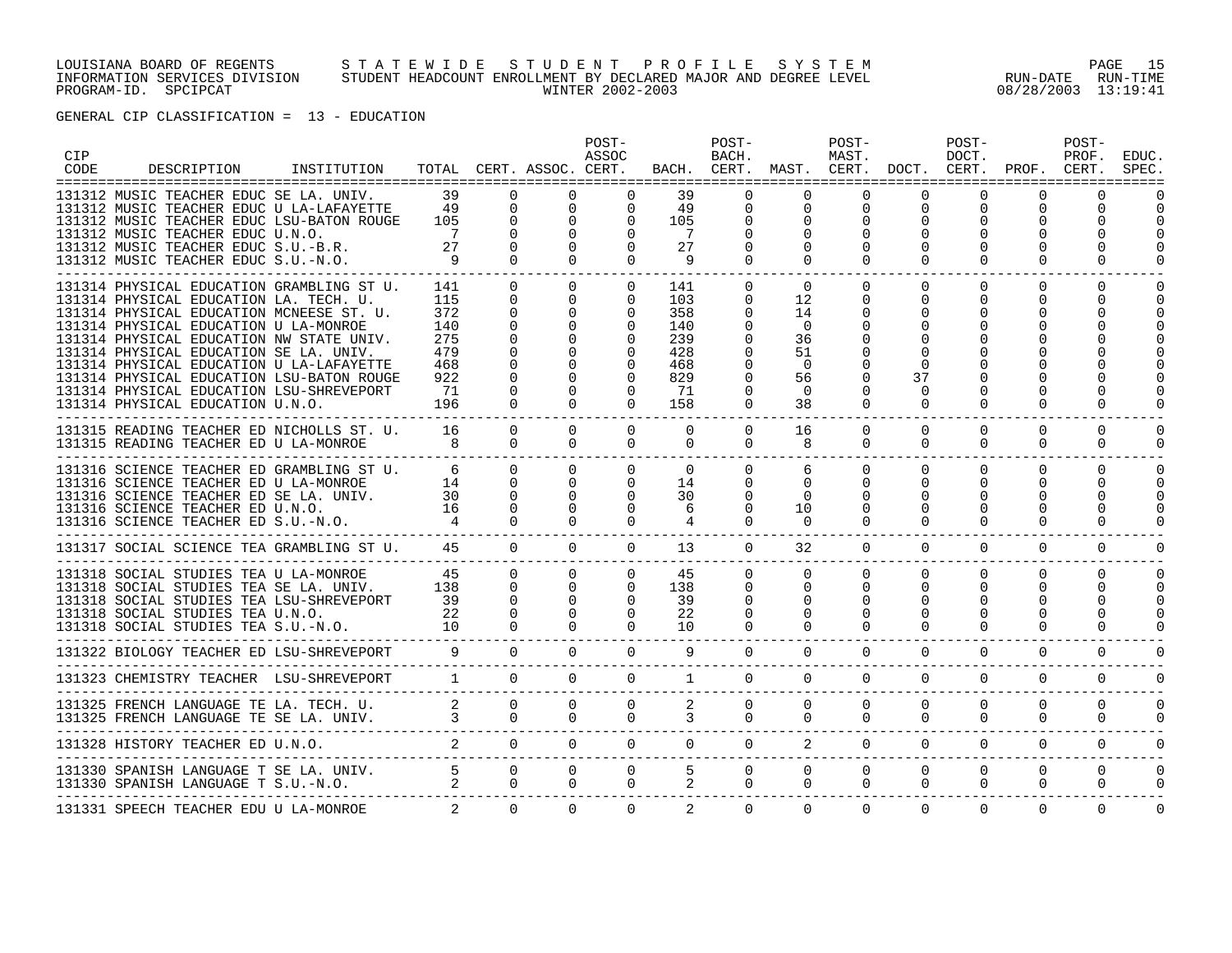#### LOUISIANA BOARD OF REGENTS S T A T E W I D E S T U D E N T P R O F I L E S Y S T E M PAGE 15 INFORMATION SERVICES DIVISION STUDENT HEADCOUNT ENROLLMENT BY DECLARED MAJOR AND DEGREE LEVEL RUN-DATE RUN-TIME PROGRAM-ID. SPCIPCAT WINTER 2002-2003 08/28/2003 13:19:41

| CIP<br>CODE | DESCRIPTION                                                                                                                                                                                                                                                                                                                                                                                                                             | INSTITUTION |                                                                   |                                                                                                                         | TOTAL CERT. ASSOC. CERT.                                                                                             | POST-<br>ASSOC                               |                                                                   | POST-<br>BACH.                                    |                                                                                  | POST-<br>MAST.                                    |                                        | POST-<br>DOCT.                             | BACH. CERT. MAST. CERT. DOCT. CERT. PROF. CERT. | POST-<br>PROF.                                 | EDUC<br>SPEC         |
|-------------|-----------------------------------------------------------------------------------------------------------------------------------------------------------------------------------------------------------------------------------------------------------------------------------------------------------------------------------------------------------------------------------------------------------------------------------------|-------------|-------------------------------------------------------------------|-------------------------------------------------------------------------------------------------------------------------|----------------------------------------------------------------------------------------------------------------------|----------------------------------------------|-------------------------------------------------------------------|---------------------------------------------------|----------------------------------------------------------------------------------|---------------------------------------------------|----------------------------------------|--------------------------------------------|-------------------------------------------------|------------------------------------------------|----------------------|
|             | 131312 MUSIC TEACHER EDUC SE LA. UNIV.<br>131312 MUSIC TEACHER EDUC U LA-LAFAYETTE<br>131312 MUSIC TEACHER EDUC LSU-BATON ROUGE<br>131312 MUSIC TEACHER EDUC U.N.O.<br>131312 MUSIC TEACHER EDUC S.U.-B.R.<br>131312 MUSIC TEACHER EDUC S.U.-N.O.                                                                                                                                                                                       |             | 39<br>49<br>105<br>7<br>27<br>- 9                                 | $\Omega$<br>$\Omega$<br>$\Omega$<br>$\Omega$<br>$\Omega$<br>$\Omega$                                                    | $\Omega$<br>$\Omega$<br>$\Omega$<br>$\Omega$<br>$\Omega$                                                             | 0<br>$\Omega$                                | 39<br>49<br>105<br>$7\phantom{.0}$<br>27<br>- 9                   | $\Omega$<br>$\Omega$<br>0<br>$\Omega$             | $\Omega$<br>$\mathbf 0$<br>$\Omega$<br>$\Omega$<br>$\Omega$                      | 0<br>$\Omega$<br>$\Omega$                         | 0                                      | 0<br>O<br>O                                | O<br>U                                          | ∩<br><sup>0</sup>                              |                      |
|             | 131314 PHYSICAL EDUCATION GRAMBLING ST U.<br>131314 PHYSICAL EDUCATION LA. TECH. U.<br>131314 PHYSICAL EDUCATION MCNEESE ST. U.<br>131314 PHYSICAL EDUCATION U LA-MONROE<br>131314 PHYSICAL EDUCATION NW STATE UNIV.<br>131314 PHYSICAL EDUCATION SE LA. UNIV.<br>131314 PHYSICAL EDUCATION U LA-LAFAYETTE<br>131314 PHYSICAL EDUCATION LSU-BATON ROUGE<br>131314 PHYSICAL EDUCATION LSU-SHREVEPORT<br>131314 PHYSICAL EDUCATION U.N.O. |             | 141<br>115<br>372<br>140<br>275<br>479<br>468<br>922<br>71<br>196 | $\Omega$<br>$\mathbf 0$<br>$\Omega$<br>$\Omega$<br>$\Omega$<br>$\Omega$<br>$\Omega$<br>$\Omega$<br>$\Omega$<br>$\Omega$ | $\Omega$<br>$\Omega$<br>$\Omega$<br>$\Omega$<br>$\Omega$<br>$\Omega$<br>$\Omega$<br>$\Omega$<br>$\Omega$<br>$\Omega$ | $\Omega$<br>$\Omega$<br>$\Omega$<br>$\Omega$ | 141<br>103<br>358<br>140<br>239<br>428<br>468<br>829<br>71<br>158 | 0<br>0<br>0<br>$\Omega$                           | $\Omega$<br>12<br>14<br>$\Omega$<br>36<br>51<br>$\Omega$<br>56<br>$\Omega$<br>38 | $\Omega$<br>0<br>$\Omega$<br>$\Omega$<br>$\Omega$ | $\Omega$<br>37<br>$\Omega$<br>$\Omega$ | $\Omega$<br>$\Omega$<br>O                  | 0<br>U                                          | $\Omega$                                       |                      |
|             | 131315 READING TEACHER ED NICHOLLS ST. U.<br>131315 READING TEACHER ED U LA-MONROE                                                                                                                                                                                                                                                                                                                                                      |             | 16<br>8 <sup>8</sup>                                              | $\Omega$<br>$\Omega$                                                                                                    | $\Omega$<br>$\Omega$                                                                                                 | $\Omega$<br>$\Omega$                         | $\Omega$<br>$\Omega$                                              | $\Omega$<br>$\overline{0}$                        | 16<br>8                                                                          | $\Omega$<br>$\Omega$                              | $\Omega$<br>$\Omega$                   | $\Omega$<br>$\Omega$                       | 0<br>$\Omega$                                   | $\Omega$<br>$\Omega$                           | $\Omega$             |
|             | 131316 SCIENCE TEACHER ED GRAMBLING ST U.<br>131316 SCIENCE TEACHER ED U LA-MONROE<br>131316 SCIENCE TEACHER ED SE LA. UNIV.<br>131316 SCIENCE TEACHER ED U.N.O.<br>131316 SCIENCE TEACHER ED S.U.-N.O.                                                                                                                                                                                                                                 |             | 6<br>14<br>30<br>16<br>$\overline{4}$                             | $\Omega$<br>$\mathbf 0$<br>$\Omega$<br>$\Omega$<br>$\Omega$                                                             | $\Omega$<br>$\Omega$<br>$\Omega$<br>$\Omega$                                                                         | $\Omega$<br>$\Omega$                         | $\Omega$<br>14<br>30<br>6                                         | $\Omega$<br>$\Omega$<br>$\Omega$<br>0<br>$\Omega$ | 6<br>$\mathbf 0$<br>$\Omega$<br>10<br>$\Omega$                                   | $\Omega$<br>$\Omega$<br>$\Omega$<br>0<br>$\Omega$ | $\Omega$<br>$\Omega$                   | $\Omega$<br>$\Omega$<br>U<br>$\Omega$<br>U | $\Omega$<br>$\Omega$<br>U                       | $\Omega$<br>$\Omega$<br>U<br><sup>0</sup><br>U | $\Omega$<br>$\Omega$ |
|             | 131317 SOCIAL SCIENCE TEA GRAMBLING ST U.                                                                                                                                                                                                                                                                                                                                                                                               |             | 45                                                                | $\Omega$                                                                                                                | $\Omega$                                                                                                             | $\Omega$                                     | 13                                                                | $\Omega$                                          | 32                                                                               | $\Omega$                                          | $\Omega$                               | $\Omega$                                   | $\Omega$                                        | $\Omega$                                       |                      |
|             | 131318 SOCIAL STUDIES TEA U LA-MONROE<br>131318 SOCIAL STUDIES TEA SE LA. UNIV.<br>131318 SOCIAL STUDIES TEA LSU-SHREVEPORT<br>131318 SOCIAL STUDIES TEA U.N.O.<br>131318 SOCIAL STUDIES TEA S.U.-N.O. 10                                                                                                                                                                                                                               |             | 45<br>138<br>$\frac{39}{2}$<br>22                                 | $\Omega$<br>$\mathbf 0$<br>$\Omega$<br>$\Omega$<br>$\Omega$                                                             | $\Omega$<br>$\mathbf{0}$<br>$\Omega$<br>$\Omega$                                                                     | $\Omega$<br>$\Omega$                         | 45<br>138<br>39<br>22<br>1 O                                      | $\Omega$<br>$\Omega$<br>0<br>$\Omega$             | $\Omega$<br>$\mathbf 0$<br>$\Omega$<br>$\Omega$<br>$\Omega$                      | $\Omega$<br>$\mathbf 0$<br>$\Omega$               | $\Omega$<br>$\Omega$                   | $\Omega$<br>$\Omega$<br>U<br>$\Omega$      | $\Omega$<br>$\Omega$<br>0                       | $\Omega$<br>$\Omega$<br>U                      | $\Omega$<br>$\Omega$ |
|             | BIOLOGY TEACHER ED LSU-SHREVEPORT 9 0<br>131322 BIOLOGY TEACHER ED LSU-SHREVEPORT                                                                                                                                                                                                                                                                                                                                                       |             |                                                                   |                                                                                                                         | $\Omega$                                                                                                             | $\Omega$                                     | 9                                                                 | $\overline{0}$                                    | $\Omega$                                                                         | $\Omega$                                          | $\Omega$                               | $\Omega$                                   | $\mathbf{0}$                                    | $\Omega$                                       |                      |
|             | 131323 CHEMISTRY TEACHER LSU-SHREVEPORT                                                                                                                                                                                                                                                                                                                                                                                                 |             | $\frac{1}{1}$                                                     | $\Omega$                                                                                                                | $\Omega$                                                                                                             | $\Omega$                                     | $\mathbf{1}$                                                      | $\overline{0}$                                    | $\overline{0}$                                                                   | $\overline{0}$                                    | $\overline{0}$                         | $\overline{0}$                             | $\mathbf 0$                                     | $\mathbf 0$                                    | $\mathbf 0$          |
|             |                                                                                                                                                                                                                                                                                                                                                                                                                                         |             |                                                                   | $\overline{0}$<br>$\Omega$                                                                                              | $\overline{0}$<br>$\Omega$                                                                                           | $\overline{0}$<br>$\Omega$                   | $2^{\circ}$                                                       | $\overline{0}$<br>$\Omega$                        | $\overline{0}$<br>$\Omega$                                                       | $\overline{0}$<br>$\Omega$                        | $\mathbf{0}$<br>$\Omega$               | $\mathbf{0}$<br>$\Omega$                   | $\mathbf{0}$<br>$\mathbf 0$                     | $\mathbf 0$<br>$\mathbf 0$                     | $\mathbf 0$<br>0     |
|             | 131328 HISTORY TEACHER ED U.N.O.                                                                                                                                                                                                                                                                                                                                                                                                        |             |                                                                   |                                                                                                                         |                                                                                                                      |                                              |                                                                   |                                                   |                                                                                  |                                                   | $2 \qquad 0 \qquad 0$                  |                                            | $0 \qquad \qquad$<br>$\overline{0}$             | $\mathbf 0$                                    | $\Omega$             |
|             | 131330 SPANISH LANGUAGE T SE LA. UNIV. 5<br>131330 SPANISH LANGUAGE T S.U.-N.O. 2                                                                                                                                                                                                                                                                                                                                                       |             |                                                                   | $\Omega$<br>$\Omega$                                                                                                    | $\Omega$<br>$\Omega$                                                                                                 | $\Omega$<br>$\Omega$                         | 5 <sup>1</sup>                                                    | $\Omega$<br>$2 \left( \frac{1}{2} \right)$        | $\Omega$<br>$\Omega$<br>$\Omega$                                                 | $\Omega$                                          | $\Omega$<br>$\Omega$<br>$\Omega$       | $\Omega$<br>$\mathbf 0$                    | $\Omega$<br>$\mathbf 0$                         | $\Omega$<br>$\Omega$                           | $\Omega$             |
|             | 131331 SPEECH TEACHER EDU U LA-MONROE                                                                                                                                                                                                                                                                                                                                                                                                   |             | 2                                                                 | $\Omega$                                                                                                                | $\Omega$                                                                                                             | $\Omega$                                     | 2                                                                 | $\Omega$                                          | $\Omega$                                                                         | $\Omega$                                          | $\Omega$                               | $\Omega$                                   | $\Omega$                                        | $\Omega$                                       | $\Omega$             |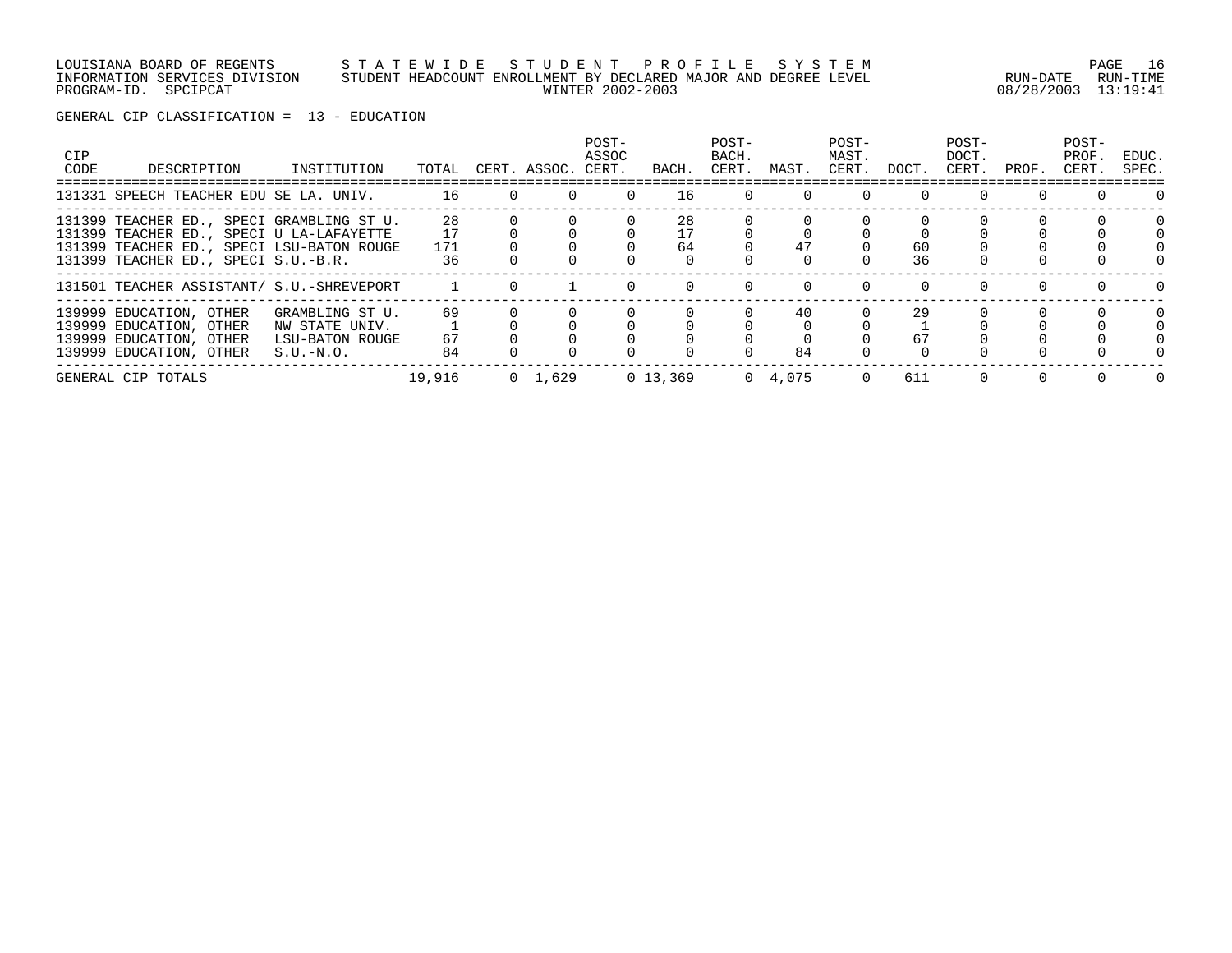#### LOUISIANA BOARD OF REGENTS S T A T E W I D E S T U D E N T P R O F I L E S Y S T E M PAGE 16 INFORMATION SERVICES DIVISION STUDENT HEADCOUNT ENROLLMENT BY DECLARED MAJOR AND DEGREE LEVEL RUN-DATE RUN-TIME PROGRAM-ID. SPCIPCAT WINTER 2002-2003 08/28/2003 13:19:41

| <b>CIP</b><br>CODE | DESCRIPTION                                                                                                                                                               | INSTITUTION                                                         | TOTAL           |                   | CERT. ASSOC.    | POST-<br>ASSOC<br>CERT. | BACH.    | POST-<br>BACH.<br>CERT. | MAST.           | POST-<br>MAST.<br>CERT. | DOCT.    | POST-<br>DOCT.<br>CERT. | PROF.    | POST-<br>PROF.<br>CERT. | EDUC.<br>SPEC. |
|--------------------|---------------------------------------------------------------------------------------------------------------------------------------------------------------------------|---------------------------------------------------------------------|-----------------|-------------------|-----------------|-------------------------|----------|-------------------------|-----------------|-------------------------|----------|-------------------------|----------|-------------------------|----------------|
|                    | 131331 SPEECH TEACHER EDU SE LA. UNIV.                                                                                                                                    |                                                                     |                 | 16 16<br>$\Omega$ | $\Omega$        | $\Omega$                | 16       | $\Omega$                | $\Omega$        | $\Omega$                |          |                         |          |                         | $\Omega$       |
|                    | 131399 TEACHER ED., SPECI GRAMBLING ST U.<br>131399 TEACHER ED., SPECI U LA-LAFAYETTE<br>131399 TEACHER ED., SPECI LSU-BATON ROUGE<br>131399 TEACHER ED., SPECI S.U.-B.R. |                                                                     | 28<br>171<br>36 |                   |                 |                         | 28<br>64 |                         | 47              |                         | 60<br>36 |                         |          |                         |                |
|                    | 131501 TEACHER ASSISTANT/ S.U.-SHREVEPORT                                                                                                                                 |                                                                     |                 |                   |                 |                         |          |                         |                 | $\Omega$                | $\cap$   | $\Omega$                | $\Omega$ |                         |                |
|                    | 139999 EDUCATION, OTHER<br>139999 EDUCATION, OTHER<br>139999 EDUCATION, OTHER<br>139999 EDUCATION, OTHER                                                                  | GRAMBLING ST U.<br>NW STATE UNIV.<br>LSU-BATON ROUGE<br>$S.U.-N.O.$ | 69<br>67<br>84  |                   |                 |                         |          |                         | 40<br>84        |                         | 29<br>67 |                         |          |                         |                |
|                    | GENERAL CIP TOTALS                                                                                                                                                        |                                                                     | 19,916          |                   | $0 \quad 1,629$ |                         | 0 13,369 |                         | $0 \quad 4,075$ |                         | 611      |                         |          |                         | 0              |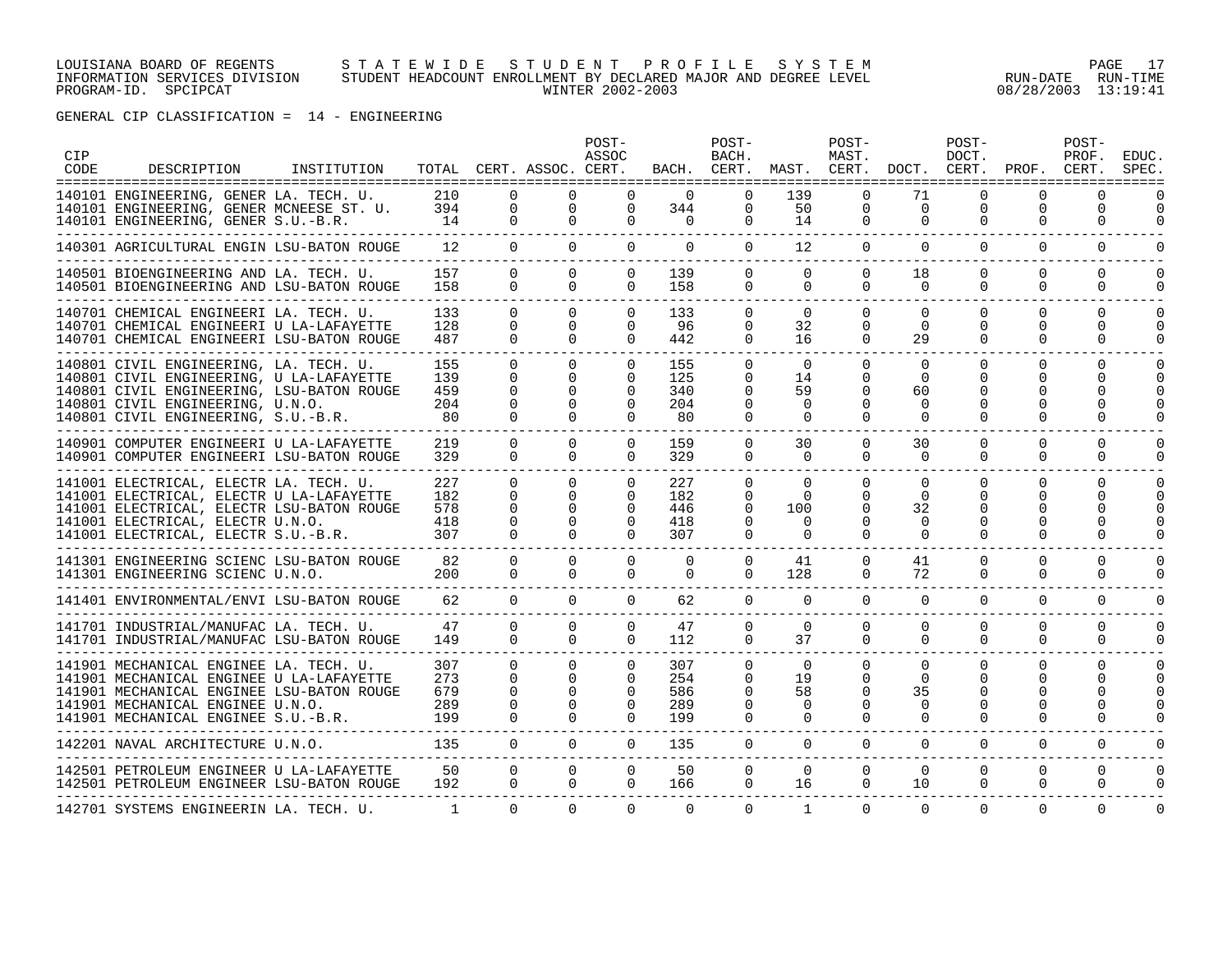#### LOUISIANA BOARD OF REGENTS S T A T E W I D E S T U D E N T P R O F I L E S Y S T E M PAGE 17 INFORMATION SERVICES DIVISION STUDENT HEADCOUNT ENROLLMENT BY DECLARED MAJOR AND DEGREE LEVEL RUN-DATE RUN-TIME PROGRAM-ID. SPCIPCAT WINTER 2002-2003 08/28/2003 13:19:41

GENERAL CIP CLASSIFICATION = 14 - ENGINEERING

| CIP<br>CODE | DESCRIPTION                                                                                                                                                                                                | INSTITUTION |                                 |                                                   | TOTAL CERT. ASSOC. CERT.                                 | POST-<br>ASSOC                                               |                                 | POST-<br>BACH.<br>BACH. CERT.                                |                                                     | POST-<br>MAST.                                           | MAST. CERT. DOCT. CERT. PROF.                      | POST-<br>DOCT.                             |                                                   | POST-<br>PROF.<br>CERT.   | <b>EDUC</b><br>SPEC       |
|-------------|------------------------------------------------------------------------------------------------------------------------------------------------------------------------------------------------------------|-------------|---------------------------------|---------------------------------------------------|----------------------------------------------------------|--------------------------------------------------------------|---------------------------------|--------------------------------------------------------------|-----------------------------------------------------|----------------------------------------------------------|----------------------------------------------------|--------------------------------------------|---------------------------------------------------|---------------------------|---------------------------|
|             | 140101 ENGINEERING, GENER LA. TECH. U.<br>140101 ENGINEERING, GENER MCNEESE ST. U.<br>140101 ENGINEERING, GENER S.U.-B.R.                                                                                  |             | 210<br>394<br>14                | $\Omega$<br>0<br>0                                | $\Omega$<br>$\mathbf 0$<br>$\Omega$                      | $\Omega$<br>$\Omega$<br>$\Omega$                             | $\Omega$<br>344<br>$\Omega$     | $\Omega$<br>$\mathbf{0}$<br>$\mathbf{0}$                     | 139<br>50<br>14                                     | $\Omega$<br>0<br>$\mathbf{0}$                            | 71<br>$\mathbf 0$<br>$\mathbf 0$                   | $\Omega$<br>0<br>0                         | $\Omega$<br>0<br>0                                | <sup>n</sup><br>0<br>0    | 0<br>$\Omega$             |
|             | ---------------------------<br>140301 AGRICULTURAL ENGIN LSU-BATON ROUGE                                                                                                                                   |             | 12                              | $\Omega$                                          | $\Omega$                                                 | $\Omega$                                                     | $\Omega$                        | $\Omega$                                                     | 12                                                  | $\Omega$                                                 | $\Omega$                                           | $\Omega$                                   | $\Omega$                                          | $\Omega$                  | $\Omega$                  |
|             | 140501 BIOENGINEERING AND LA. TECH. U.<br>140501 BIOENGINEERING AND LSU-BATON ROUGE                                                                                                                        |             | 157<br>158                      | $\Omega$<br>$\mathbf 0$                           | $\Omega$<br>$\Omega$                                     | $\Omega$<br>$\Omega$                                         | 139<br>158                      | $\Omega$<br>$\overline{0}$                                   | $\Omega$<br>$\mathbf 0$                             | $\Omega$<br>$\Omega$                                     | 18<br>$\Omega$                                     | $\Omega$<br>$\Omega$                       | $\Omega$<br>$\Omega$                              | $\Omega$<br>0             | $\Omega$<br>$\Omega$      |
|             | 140701 CHEMICAL ENGINEERI LA. TECH. U.<br>140701 CHEMICAL ENGINEERI U LA-LAFAYETTE<br>140701 CHEMICAL ENGINEERI LSU-BATON ROUGE                                                                            |             | 133<br>128<br>487               | $\Omega$<br>$\Omega$<br>$\Omega$                  | $\Omega$<br>$\Omega$<br>$\Omega$                         | $\Omega$<br>$\Omega$<br>$\Omega$                             | 133<br>96<br>442                | $\Omega$<br>0<br>$\Omega$                                    | $\Omega$<br>32<br>16                                | $\Omega$<br>$\mathbf{0}$<br>$\Omega$                     | $\Omega$<br>0<br>29                                | $\Omega$<br>0<br>$\Omega$                  | $\Omega$<br>0<br>$\Omega$                         | $\Omega$<br>0<br>$\Omega$ | $\Omega$<br>0<br>$\Omega$ |
|             | 140801 CIVIL ENGINEERING, LA. TECH. U.<br>140801 CIVIL ENGINEERING, U LA-LAFAYETTE<br>140801 CIVIL ENGINEERING, LSU-BATON ROUGE<br>140801 CIVIL ENGINEERING, U.N.O.<br>140801 CIVIL ENGINEERING, S.U.-B.R. |             | 155<br>139<br>459<br>204<br>80  | $\Omega$<br>0<br>$\Omega$<br>$\Omega$<br>$\Omega$ | $\Omega$<br>$\Omega$<br>$\Omega$<br>$\Omega$<br>$\cap$   | $\Omega$<br>$\Omega$<br>$\Omega$<br>$\Omega$                 | 155<br>125<br>340<br>204<br>80  | $\Omega$<br>$\Omega$<br>$\Omega$<br>$\Omega$<br>$\Omega$     | $\Omega$<br>14<br>59<br>$\Omega$<br>$\Omega$        | $\Omega$<br>$\Omega$<br>$\Omega$<br>$\Omega$<br>$\Omega$ | $\Omega$<br>$\Omega$<br>60<br>$\Omega$<br>$\Omega$ | $\Omega$<br>$\Omega$<br>O<br>$\Omega$<br>0 | $\Omega$<br>$\Omega$<br>O<br>$\Omega$<br>$\Omega$ | $\Omega$<br>U<br>U        | $\Omega$<br>O             |
|             | ----------------------------------<br>140901 COMPUTER ENGINEERI U LA-LAFAYETTE<br>140901 COMPUTER ENGINEERI LSU-BATON ROUGE<br>____________________________________                                        |             | 219<br>329                      | $\Omega$<br>$\Omega$                              | $\Omega$<br>$\Omega$                                     | $\Omega$<br>$\Omega$                                         | 159<br>329                      | $\Omega$<br>$\Omega$                                         | 30<br>$\Omega$                                      | $\Omega$<br>$\Omega$                                     | 30<br>$\Omega$                                     | $\Omega$<br>$\Omega$                       | $\Omega$<br>$\Omega$                              | $\Omega$<br>$\Omega$      | $\Omega$                  |
|             | 141001 ELECTRICAL, ELECTR LA. TECH. U.<br>141001 ELECTRICAL, ELECTR U LA-LAFAYETTE<br>141001 ELECTRICAL, ELECTR LSU-BATON ROUGE<br>141001 ELECTRICAL, ELECTR U.N.O.<br>141001 ELECTRICAL, ELECTR S.U.-B.R. |             | 227<br>182<br>578<br>418<br>307 | 0<br>$\Omega$<br>$\Omega$<br>$\Omega$<br>$\Omega$ | $\Omega$<br>$\Omega$<br>$\Omega$<br>$\Omega$<br>$\Omega$ | $\mathbf{0}$<br>$\Omega$<br>$\Omega$<br>$\Omega$<br>$\Omega$ | 227<br>182<br>446<br>418<br>307 | $\mathbf{0}$<br>$\Omega$<br>$\Omega$<br>$\Omega$<br>$\Omega$ | $\Omega$<br>$\Omega$<br>100<br>$\Omega$<br>$\Omega$ | $\Omega$<br>$\Omega$<br>$\Omega$<br>$\Omega$<br>$\Omega$ | $\Omega$<br>$\Omega$<br>32<br>0<br>$\Omega$        | $\Omega$<br>$\Omega$<br>O<br>O<br>$\Omega$ | $\Omega$<br>$\Omega$<br>U<br>$\Omega$             | 0<br>U<br>0               | $\Omega$<br>$\Omega$      |
|             | 141301 ENGINEERING SCIENC LSU-BATON ROUGE<br>141301 ENGINEERING SCIENC U.N.O.                                                                                                                              |             | 82<br>200                       | $\Omega$<br>$\Omega$                              | $\Omega$<br>$\Omega$                                     | $\Omega$<br>$\Omega$                                         | $\Omega$<br>$\Omega$            | $\Omega$<br>$\Omega$                                         | 41<br>128                                           | $\Omega$<br>$\mathbf{0}$                                 | 41<br>72                                           | $\Omega$<br>0                              | $\Omega$<br>0                                     | $\Omega$<br>0             | 0                         |
|             | 141401 ENVIRONMENTAL/ENVI LSU-BATON ROUGE                                                                                                                                                                  |             | 62                              | $\Omega$                                          | $\Omega$                                                 | $\Omega$                                                     | 62                              | $\Omega$                                                     | $\Omega$                                            | $\Omega$                                                 | $\Omega$                                           | $\Omega$                                   | $\Omega$                                          | $\Omega$                  | 0                         |
|             | 141701 INDUSTRIAL/MANUFAC LA. TECH. U.<br>141701 INDUSTRIAL/MANUFAC LSU-BATON ROUGE                                                                                                                        |             | 47<br>149                       | $\Omega$<br>$\Omega$                              | $\Omega$<br>$\cap$                                       | $\Omega$<br>$\Omega$                                         | 47<br>112                       | $\Omega$<br>$\Omega$                                         | $\Omega$<br>37                                      | $\Omega$<br>$\Omega$                                     | $\Omega$<br>$\Omega$                               | $\Omega$<br>$\Omega$                       | $\Omega$<br>$\Omega$                              | $\Omega$<br>$\Omega$      | $\Omega$<br>$\Omega$      |
|             | 141901 MECHANICAL ENGINEE LA. TECH. U.<br>141901 MECHANICAL ENGINEE U LA-LAFAYETTE<br>141901 MECHANICAL ENGINEE LSU-BATON ROUGE<br>141901 MECHANICAL ENGINEE U.N.O.<br>141901 MECHANICAL ENGINEE S.U.-B.R. |             | 307<br>273<br>679<br>289<br>199 | $\Omega$<br>$\Omega$<br>0<br>$\Omega$<br>$\Omega$ | $\Omega$<br>$\Omega$<br>$\Omega$<br>$\Omega$             | $\Omega$<br>$\Omega$<br>$\Omega$<br>$\Omega$                 | 307<br>254<br>586<br>289<br>199 | $\Omega$<br>$\Omega$<br>0<br>$\Omega$<br>0                   | $\Omega$<br>19<br>58<br>$\Omega$<br>0               | $\Omega$<br>$\mathbf{0}$<br>0<br>$\Omega$<br>0           | $\Omega$<br>$\Omega$<br>35<br>$\Omega$<br>0        | $\Omega$<br>0<br>O<br>$\Omega$<br>0        | $\Omega$<br>O<br>O<br>$\Omega$<br>0               | $\Omega$<br>U<br>0        | $\Omega$<br>$\Omega$      |
|             | 142201 NAVAL ARCHITECTURE U.N.O.                                                                                                                                                                           |             | 135                             | $\Omega$                                          | $\Omega$                                                 | $\Omega$                                                     | 135                             | $\Omega$                                                     | $\Omega$                                            | $\Omega$                                                 | $\Omega$                                           | $\Omega$                                   | $\Omega$                                          | $\Omega$                  | $\Omega$                  |
|             | 142501 PETROLEUM ENGINEER U LA-LAFAYETTE<br>142501 PETROLEUM ENGINEER LSU-BATON ROUGE                                                                                                                      |             | 50<br>192                       | $\Omega$<br>$\Omega$                              | $\Omega$<br>$\Omega$                                     | $\Omega$<br>$\Omega$                                         | 50<br>166                       | $\Omega$<br>$\mathbf{0}$                                     | $\Omega$<br>16                                      | $\Omega$<br>$\Omega$                                     | $\Omega$<br>10                                     | $\Omega$<br>$\Omega$                       | $\Omega$<br>$\Omega$                              | $\Omega$<br>$\Omega$      | $\Omega$<br>$\Omega$      |
|             | 142701 SYSTEMS ENGINEERIN LA. TECH. U.                                                                                                                                                                     |             | $\mathbf{1}$                    | $\Omega$                                          | $\Omega$                                                 | $\Omega$                                                     | $\Omega$                        | $\Omega$                                                     | 1                                                   | $\Omega$                                                 | $\Omega$                                           | $\Omega$                                   | $\Omega$                                          | $\Omega$                  | $\Omega$                  |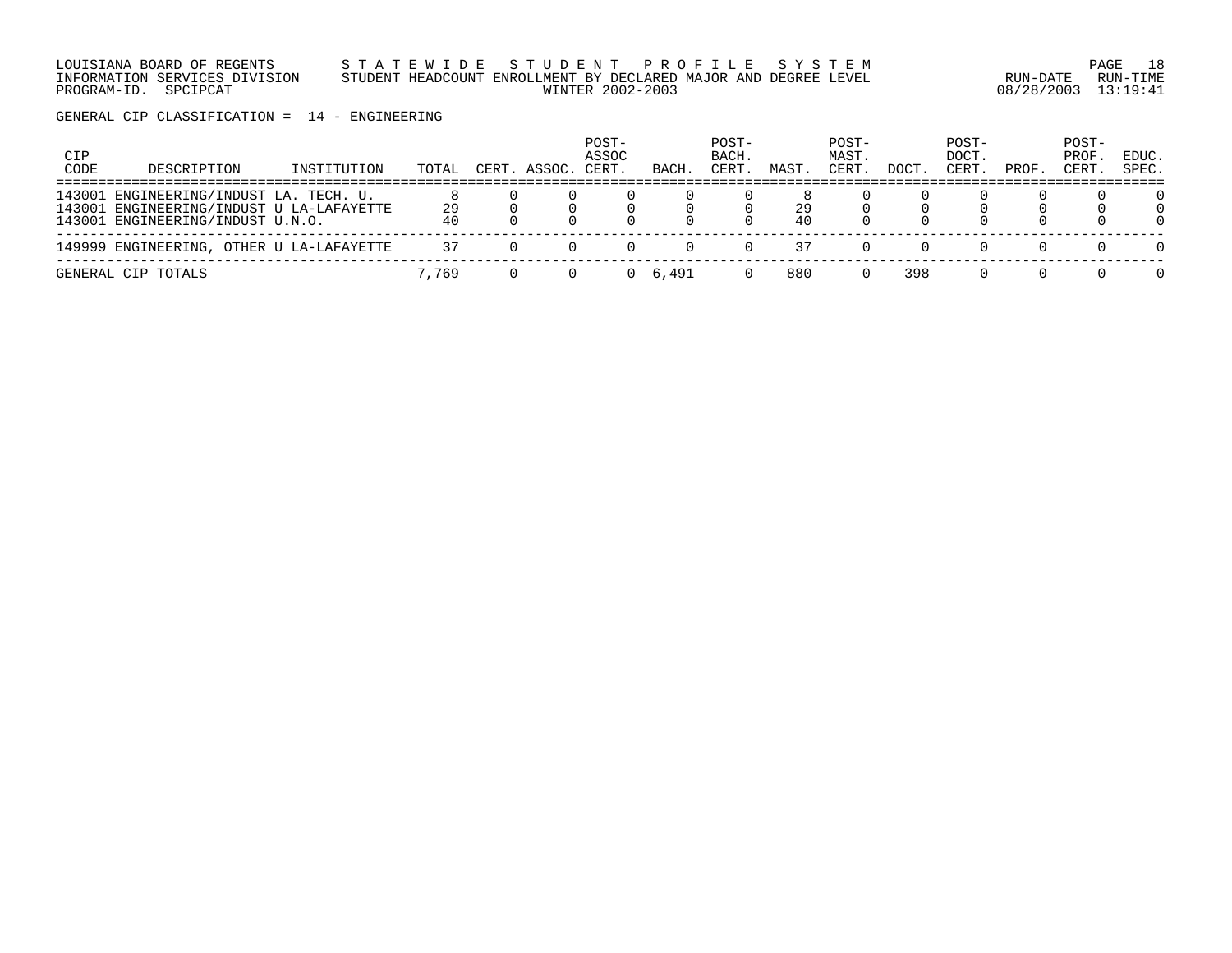LOUISIANA BOARD OF REGENTS S T A T E W I D E S T U D E N T P R O F I L E S Y S T E M PAGE 18 INFORMATION SERVICES DIVISION STUDENT HEADCOUNT ENROLLMENT BY DECLARED MAJOR AND DEGREE LEVEL RUN-DATE RUN-TIME PROGRAM-ID. SPCIPCAT WINTER 2002-2003 08/28/2003 13:19:41

GENERAL CIP CLASSIFICATION = 14 - ENGINEERING

| CIP<br>CODE | DESCRIPTION                                                                                                            | INSTITUTION | TOTAL    | CERT. ASSOC. | POST-<br>ASSOC<br>CERT. | BACH  | POST-<br>BACH.<br>CERT. | MAST     | POST-<br>MAST.<br>CERT. | DOCT. | POST-<br>DOCT.<br>CERT | PROF. | POST-<br>PROF.<br>CERT. | EDUC.<br>SPEC. |
|-------------|------------------------------------------------------------------------------------------------------------------------|-------------|----------|--------------|-------------------------|-------|-------------------------|----------|-------------------------|-------|------------------------|-------|-------------------------|----------------|
|             | 143001 ENGINEERING/INDUST LA. TECH. U.<br>143001 ENGINEERING/INDUST U LA-LAFAYETTE<br>143001 ENGINEERING/INDUST U.N.O. |             | 29<br>40 |              |                         |       |                         | 29<br>40 |                         |       |                        |       |                         | O.<br>0        |
|             | 149999 ENGINEERING, OTHER U LA-LAFAYETTE                                                                               |             | 37       |              |                         |       |                         | 37       |                         |       |                        |       |                         | $\Omega$       |
|             | GENERAL CIP TOTALS                                                                                                     |             | 7.769    |              |                         | 6,491 |                         | 880      |                         | 398   |                        |       |                         | 0              |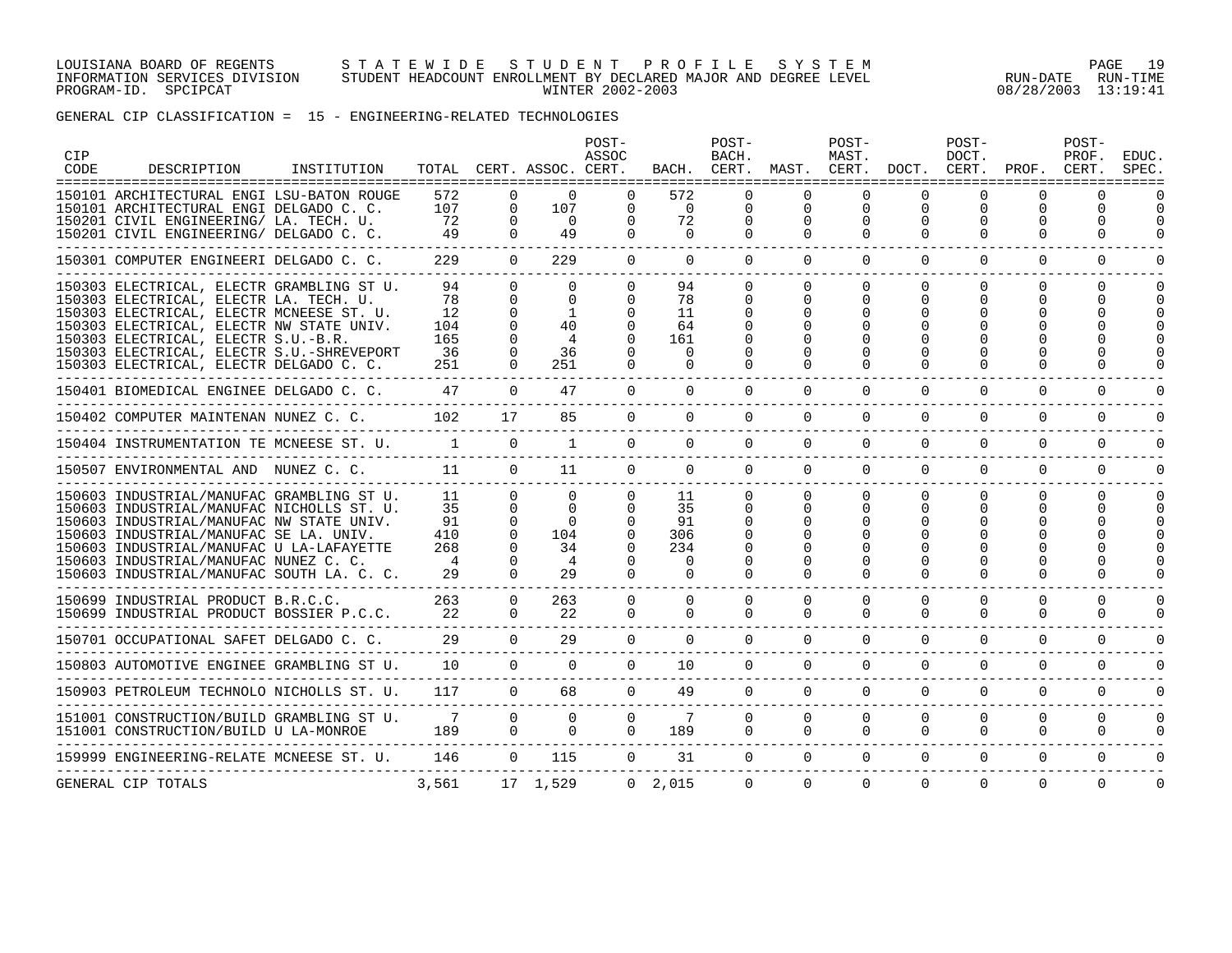#### LOUISIANA BOARD OF REGENTS S T A T E W I D E S T U D E N T P R O F I L E S Y S T E M PAGE 19 INFORMATION SERVICES DIVISION STUDENT HEADCOUNT ENROLLMENT BY DECLARED MAJOR AND DEGREE LEVEL RUN-DATE RUN-TIME PROGRAM-ID. SPCIPCAT WINTER 2002-2003 08/28/2003 13:19:41

GENERAL CIP CLASSIFICATION = 15 - ENGINEERING-RELATED TECHNOLOGIES

| CIP<br>CODE | DESCRIPTION                                                                                                                                                                                                                                                                                                    | INSTITUTION |                                           |                                                                                  | TOTAL CERT. ASSOC. CERT.                                 | POST-<br>ASSOC                               | BACH.                                               | POST-<br>BACH.                                           | CERT. MAST. CERT. DOCT. CERT.                | POST-<br>MAST.                   |                                  | POST-<br>DOCT.            |                                  | POST-<br>PROF.<br>PROF. CERT.  | EDUC<br>SPEC         |
|-------------|----------------------------------------------------------------------------------------------------------------------------------------------------------------------------------------------------------------------------------------------------------------------------------------------------------------|-------------|-------------------------------------------|----------------------------------------------------------------------------------|----------------------------------------------------------|----------------------------------------------|-----------------------------------------------------|----------------------------------------------------------|----------------------------------------------|----------------------------------|----------------------------------|---------------------------|----------------------------------|--------------------------------|----------------------|
|             | =====================================<br>150101 ARCHITECTURAL ENGI LSU-BATON ROUGE<br>150101 ARCHITECTURAL ENGI DELGADO C. C.<br>150201 CIVIL ENGINEERING/ LA. TECH. U.<br>150201 CIVIL ENGINEERING/ DELGADO C. C.                                                                                             |             | 572<br>107<br>72<br>49                    | 0<br>$\Omega$<br>$\Omega$<br>$\Omega$                                            | $\Omega$<br>107<br>$\Omega$<br>49                        | $\Omega$<br>$\Omega$<br>$\Omega$             | 572<br>$\overline{0}$<br>72<br>$\Omega$             | $\Omega$<br>$\mathbf 0$<br>$\Omega$                      | $\Omega$<br>$\Omega$<br>0<br>$\Omega$        | $\mathbf 0$<br>0<br>$\Omega$     | $\Omega$<br>$\Omega$<br>$\Omega$ | $\Omega$<br>0<br>$\Omega$ | $\Omega$<br>$\Omega$<br>$\Omega$ | ∩<br>$\Omega$<br>0<br>$\Omega$ | $\Omega$             |
|             | 150301 COMPUTER ENGINEERI DELGADO C. C.                                                                                                                                                                                                                                                                        |             | 229                                       | $\Omega$                                                                         | 229                                                      | $\Omega$                                     | $\Omega$                                            | $\Omega$                                                 | $\Omega$                                     | $\Omega$                         | $\Omega$                         | $\Omega$                  | $\Omega$                         | $\Omega$                       | $\Omega$             |
|             | 150303 ELECTRICAL, ELECTR GRAMBLING ST U.<br>150303 ELECTRICAL, ELECTR LA. TECH. U.<br>150303 ELECTRICAL, ELECTR MCNEESE ST. U.<br>150303 ELECTRICAL, ELECTR NW STATE UNIV.<br>150303 ELECTRICAL, ELECTR S.U.-B.R.<br>150303 ELECTRICAL, ELECTR S.U.-SHREVEPORT<br>150303 ELECTRICAL, ELECTR DELGADO C. C.     |             | 94<br>78<br>12<br>104<br>165<br>36<br>251 | $\Omega$<br>$\Omega$<br>$\Omega$<br>$\Omega$<br>$\cap$                           | $\Omega$<br>$\Omega$<br>1<br>40<br>4<br>36<br>251        | $\Omega$<br>$\Omega$                         | 94<br>78<br>11<br>64<br>161<br>$\Omega$<br>$\cap$   | $\Omega$<br>$\Omega$<br>0<br>$\Omega$                    | $\Omega$<br>$\Omega$<br>$\Omega$<br>$\Omega$ | $\Omega$<br>$\Omega$<br>$\Omega$ | $\Omega$<br>$\Omega$<br>O        | $\Omega$<br>0<br>U<br>O   | 0<br>0<br>U                      | $\Omega$<br>0                  | $\Omega$<br>$\Omega$ |
|             | 150401 BIOMEDICAL ENGINEE DELGADO C. C.                                                                                                                                                                                                                                                                        |             | 47                                        | $\cap$                                                                           | 47                                                       | $\Omega$                                     | $\cap$                                              | $\Omega$                                                 | $\Omega$                                     | $\Omega$                         | $\Omega$                         | $\Omega$                  | $\Omega$                         | $\Omega$                       |                      |
|             | 150402 COMPUTER MAINTENAN NUNEZ C. C.                                                                                                                                                                                                                                                                          |             | 102                                       | 17                                                                               | 85                                                       | $\Omega$                                     | $\Omega$                                            | $\Omega$                                                 | $\Omega$                                     | $\Omega$                         | $\Omega$                         | $\Omega$                  | $\Omega$                         | $\Omega$                       | $\cap$               |
|             | 150404 INSTRUMENTATION TE MCNEESE ST. U.                                                                                                                                                                                                                                                                       |             | $\sim$ $\sim$ $\sim$ $\sim$ $\sim$ $\sim$ | $\Omega$                                                                         | $\overline{1}$                                           | $\Omega$                                     | $\Omega$                                            | $\Omega$                                                 | $\Omega$                                     | $\Omega$                         | $\Omega$                         | $\Omega$                  | $\Omega$                         | $\Omega$                       | $\Omega$             |
|             | 150507 ENVIRONMENTAL AND NUNEZ C. C.                                                                                                                                                                                                                                                                           |             | 11                                        | $\Omega$                                                                         | 11                                                       | $\Omega$                                     | $\Omega$                                            | $\Omega$                                                 | $\Omega$                                     | $\Omega$                         | $\Omega$                         | $\Omega$                  | $\Omega$                         | $\Omega$                       | $\Omega$             |
|             | 150603 INDUSTRIAL/MANUFAC GRAMBLING ST U.<br>150603 INDUSTRIAL/MANUFAC NICHOLLS ST. U.<br>150603 INDUSTRIAL/MANUFAC NW STATE UNIV.<br>150603 INDUSTRIAL/MANUFAC SE LA. UNIV.<br>150603 INDUSTRIAL/MANUFAC U LA-LAFAYETTE<br>150603 INDUSTRIAL/MANUFAC NUNEZ C. C.<br>150603 INDUSTRIAL/MANUFAC SOUTH LA. C. C. |             | 11<br>35<br>91<br>410<br>268<br>4<br>29   | $\Omega$<br>$\Omega$<br>$\Omega$<br>$\Omega$<br>$\Omega$<br>$\Omega$<br>$\Omega$ | $\Omega$<br>$\Omega$<br>$\Omega$<br>104<br>34<br>4<br>29 | $\Omega$<br>$\Omega$<br>$\Omega$<br>$\Omega$ | -11<br>35<br>91<br>306<br>234<br>$\Omega$<br>$\cap$ | $\Omega$<br>$\Omega$<br>$\Omega$<br>$\Omega$<br>$\Omega$ | $\Omega$<br>$\Omega$<br>$\Omega$<br>$\Omega$ | $\Omega$<br>$\Omega$<br>$\Omega$ | $\Omega$                         | $\Omega$<br>0<br>O        | 0<br>U<br>0                      | $\Omega$<br>U<br>U             | $\Omega$             |
|             | 150699 INDUSTRIAL PRODUCT B.R.C.C.<br>150699 INDUSTRIAL PRODUCT BOSSIER P.C.C.                                                                                                                                                                                                                                 |             | 263<br>22                                 | $\Omega$<br>$\Omega$                                                             | 263<br>22                                                | $\Omega$<br>$\Omega$                         | $\Omega$<br>$\Omega$                                | $\Omega$<br>$\Omega$                                     | $\Omega$<br>$\Omega$                         | $\mathbf 0$<br>$\Omega$          | $\Omega$<br>$\Omega$             | $\Omega$<br>$\Omega$      | $\Omega$<br>$\Omega$             | 0<br>$\Omega$                  |                      |
|             | 150701 OCCUPATIONAL SAFET DELGADO C. C.                                                                                                                                                                                                                                                                        |             | 29                                        | $\Omega$                                                                         | 29                                                       | $\Omega$                                     | $\Omega$                                            | $\Omega$                                                 | $\Omega$                                     | $\Omega$                         | $\Omega$                         | $\Omega$                  | $\Omega$                         | $\Omega$                       | $\Omega$             |
|             | 150803 AUTOMOTIVE ENGINEE GRAMBLING ST U.                                                                                                                                                                                                                                                                      |             | 10                                        | $\Omega$                                                                         | $\Omega$                                                 | $\Omega$                                     | 10 <sup>°</sup>                                     | $\Omega$                                                 | $\Omega$                                     | $\Omega$                         | $\Omega$                         | $\Omega$                  | $\Omega$                         | $\Omega$                       | $\Omega$             |
|             | 150903 PETROLEUM TECHNOLO NICHOLLS ST. U.                                                                                                                                                                                                                                                                      |             | 117                                       | $\Omega$                                                                         | 68                                                       | $\Omega$                                     | 49                                                  | $\Omega$                                                 | $\Omega$                                     | $\Omega$                         | $\Omega$                         | $\Omega$                  | $\Omega$                         | $\Omega$                       | $\mathbf 0$          |
|             | 151001 CONSTRUCTION/BUILD GRAMBLING ST U.<br>151001 CONSTRUCTION/BUILD U LA-MONROE                                                                                                                                                                                                                             |             | 7<br>189                                  | $\Omega$<br>$\Omega$                                                             | $\Omega$<br>$\Omega$                                     | $\Omega$<br>$\Omega$                         | $7\phantom{.0}$<br>189                              | $\Omega$<br>$\Omega$                                     | $\Omega$<br>$\Omega$                         | $\Omega$<br>$\Omega$             | $\Omega$<br>$\Omega$             | $\Omega$<br>$\Omega$      | $\Omega$<br>$\Omega$             | $\Omega$<br>$\Omega$           | $\Omega$<br>$\Omega$ |
|             | 159999 ENGINEERING-RELATE MCNEESE ST. U.                                                                                                                                                                                                                                                                       |             | 146                                       | $\Omega$                                                                         | 115                                                      | $\Omega$                                     | 31                                                  | $\Omega$                                                 | $\Omega$                                     | $\Omega$                         | $\Omega$                         | $\Omega$                  | $\Omega$                         | $\Omega$                       | $\Omega$             |
|             | GENERAL CIP TOTALS                                                                                                                                                                                                                                                                                             |             | 3,561                                     |                                                                                  | 17 1,529                                                 |                                              | $0 \quad 2.015$                                     | $\Omega$                                                 | $\Omega$                                     | $\Omega$                         | $\Omega$                         | $\Omega$                  | $\Omega$                         | $\Omega$                       | $\Omega$             |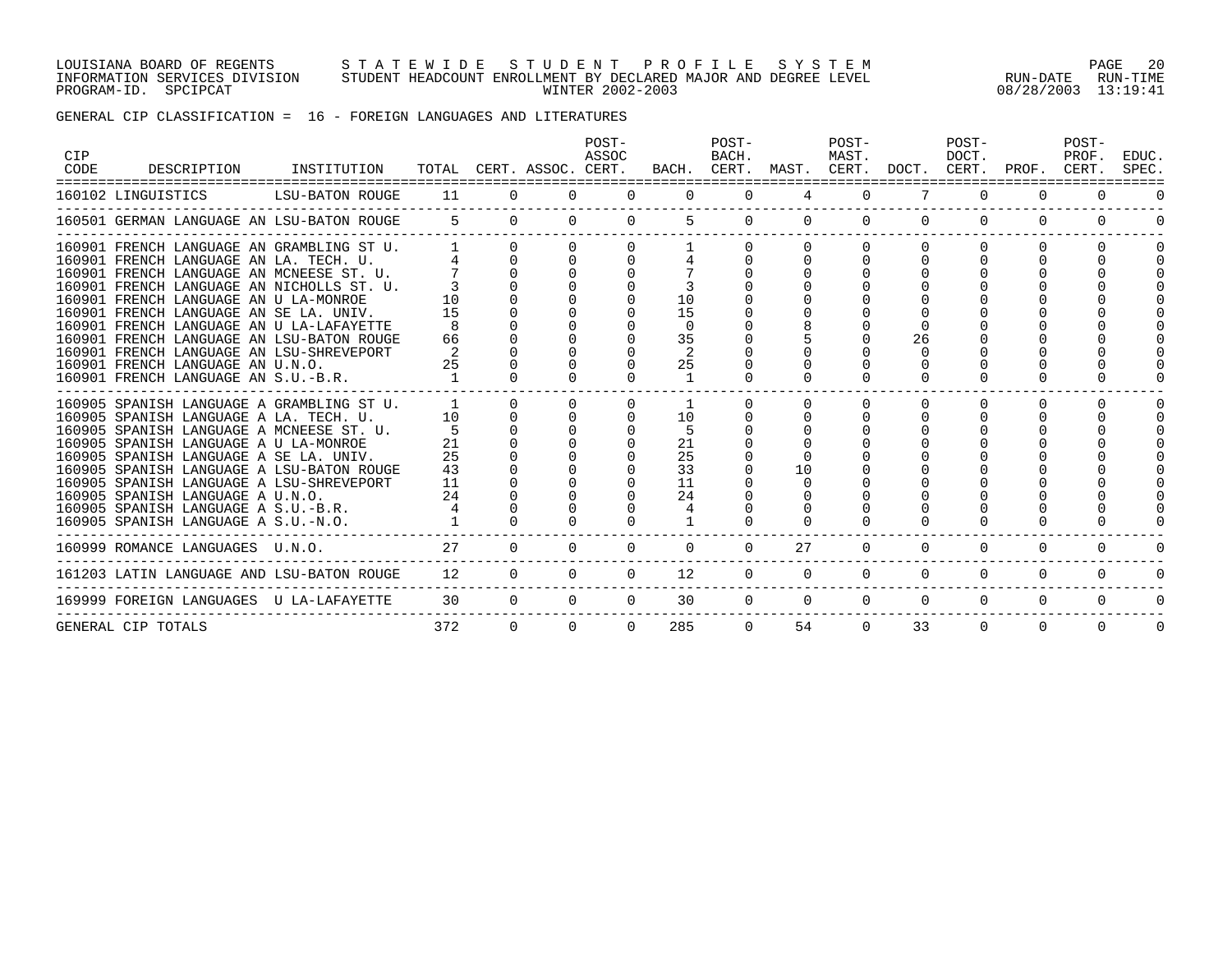#### LOUISIANA BOARD OF REGENTS S T A T E W I D E S T U D E N T P R O F I L E S Y S T E M PAGE 20 INFORMATION SERVICES DIVISION STUDENT HEADCOUNT ENROLLMENT BY DECLARED MAJOR AND DEGREE LEVEL RUN-DATE RUN-TIME PROGRAM-ID. SPCIPCAT WINTER 2002-2003 08/28/2003 13:19:41

# GENERAL CIP CLASSIFICATION = 16 - FOREIGN LANGUAGES AND LITERATURES

| CIP<br>CODE | DESCRIPTION<br>===========================                                                                                                                                                                                                                                                                                                                                                                                                                                      | INSTITUTION     |                                            |          | TOTAL CERT. ASSOC. CERT. | POST-<br>ASSOC |                                       | POST-<br>BACH. |                | POST-<br>MAST. | BACH. CERT. MAST. CERT. DOCT. CERT. PROF. | POST-<br>DOCT. |          | POST-<br>PROF.<br>CERT. | EDUC.<br>SPEC. |
|-------------|---------------------------------------------------------------------------------------------------------------------------------------------------------------------------------------------------------------------------------------------------------------------------------------------------------------------------------------------------------------------------------------------------------------------------------------------------------------------------------|-----------------|--------------------------------------------|----------|--------------------------|----------------|---------------------------------------|----------------|----------------|----------------|-------------------------------------------|----------------|----------|-------------------------|----------------|
|             | 160102 LINGUISTICS                                                                                                                                                                                                                                                                                                                                                                                                                                                              | LSU-BATON ROUGE | 11                                         | $\Omega$ | $\Omega$                 | $\Omega$       | $\Omega$                              | $\Omega$       | $\overline{4}$ | $\Omega$       |                                           | $\Omega$       | $\Omega$ | $\Omega$                | $\Omega$       |
|             | 160501 GERMAN LANGUAGE AN LSU-BATON ROUGE                                                                                                                                                                                                                                                                                                                                                                                                                                       |                 | $5^{\circ}$                                | $\Omega$ | $\Omega$                 |                |                                       | $\Omega$       | $\Omega$       | $\Omega$       |                                           | $\Omega$       | $\Omega$ |                         |                |
|             | 160901 FRENCH LANGUAGE AN GRAMBLING ST U.<br>160901 FRENCH LANGUAGE AN LA. TECH. U.<br>160901 FRENCH LANGUAGE AN MCNEESE ST. U.<br>160901 FRENCH LANGUAGE AN NICHOLLS ST. U.<br>160901 FRENCH LANGUAGE AN U LA-MONROE<br>160901 FRENCH LANGUAGE AN SE LA. UNIV.<br>160901 FRENCH LANGUAGE AN U LA-LAFAYETTE<br>160901 FRENCH LANGUAGE AN LSU-BATON ROUGE<br>160901 FRENCH LANGUAGE AN LSU-SHREVEPORT<br>160901 FRENCH LANGUAGE AN U.N.O.<br>160901 FRENCH LANGUAGE AN S.U.-B.R. |                 | 10<br>15<br>66<br>2<br>25                  |          | $\Omega$                 |                | 10<br>15<br>$\Omega$<br>35<br>2<br>25 |                |                |                | 26                                        |                |          |                         |                |
|             | 160905 SPANISH LANGUAGE A GRAMBLING ST U.<br>160905 SPANISH LANGUAGE A LA. TECH. U.<br>160905 SPANISH LANGUAGE A MCNEESE ST. U.<br>160905 SPANISH LANGUAGE A U LA-MONROE<br>160905 SPANISH LANGUAGE A SE LA. UNIV.<br>160905 SPANISH LANGUAGE A LSU-BATON ROUGE<br>160905 SPANISH LANGUAGE A LSU-SHREVEPORT<br>160905 SPANISH LANGUAGE A U.N.O.<br>160905 SPANISH LANGUAGE A S.U.-B.R.<br>160905 SPANISH LANGUAGE A S.U.-N.O.                                                   |                 | $\mathbf{1}$<br>10<br>25<br>43<br>11<br>24 |          |                          |                | 10<br>21<br>25<br>33<br>11<br>24      |                | 10             |                |                                           | ∩              |          |                         |                |
|             | 160999 ROMANCE LANGUAGES U.N.O.                                                                                                                                                                                                                                                                                                                                                                                                                                                 |                 | 27                                         | $\Omega$ | 0                        |                | $\Omega$                              | $\Omega$       | 27             | $\Omega$       | $\Omega$                                  | $\Omega$       | 0        | 0                       |                |
|             | 161203 LATIN LANGUAGE AND LSU-BATON ROUGE                                                                                                                                                                                                                                                                                                                                                                                                                                       |                 | 12                                         | 0        | $\Omega$                 | $\Omega$       | 12                                    | $\Omega$       | $\Omega$       | $\Omega$       | $\Omega$                                  | $\Omega$       | $\Omega$ | $\Omega$                |                |
|             | 169999 FOREIGN LANGUAGES U LA-LAFAYETTE                                                                                                                                                                                                                                                                                                                                                                                                                                         |                 | 30                                         | $\Omega$ | $\Omega$                 | $\Omega$       | 30                                    | $\Omega$       | $\Omega$       | $\Omega$       | $\Omega$                                  | $\Omega$       | $\Omega$ | $\Omega$                |                |
|             | GENERAL CIP TOTALS                                                                                                                                                                                                                                                                                                                                                                                                                                                              |                 | 372                                        | $\Omega$ | $\Omega$                 |                | 285                                   | $\Omega$       | 54             | $\Omega$       | 33                                        | $\Omega$       | $\Omega$ | $\Omega$                | $\Omega$       |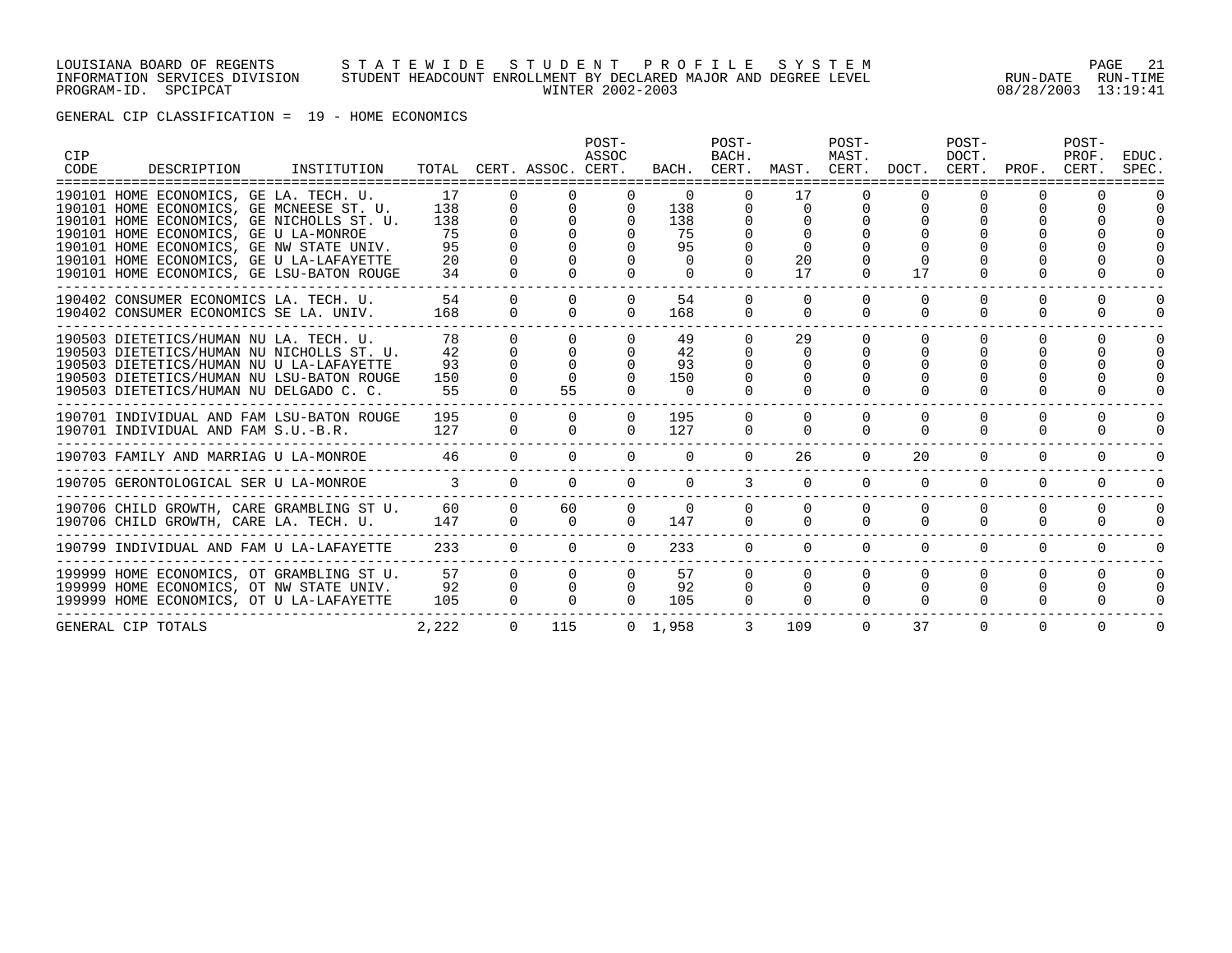#### LOUISIANA BOARD OF REGENTS S T A T E W I D E S T U D E N T P R O F I L E S Y S T E M PAGE 21 INFORMATION SERVICES DIVISION STUDENT HEADCOUNT ENROLLMENT BY DECLARED MAJOR AND DEGREE LEVEL RUN-DATE RUN-TIME PROGRAM-ID. SPCIPCAT WINTER 2002-2003 08/28/2003 13:19:41

GENERAL CIP CLASSIFICATION = 19 - HOME ECONOMICS

| <b>CIP</b><br>CODE | DESCRIPTION                                                                                                                                                                                                                                                                                                   | INSTITUTION |                                          |                                  | TOTAL CERT. ASSOC. CERT.                     | POST-<br>ASSOC                   |                                                            | POST-<br>BACH.                                   |                                        | POST-<br>MAST.                   |                      | POST-<br>DOCT.           | BACH. CERT. MAST. CERT. DOCT. CERT. PROF. CERT. | POST-<br>PROF. | EDUC.<br>SPEC. |
|--------------------|---------------------------------------------------------------------------------------------------------------------------------------------------------------------------------------------------------------------------------------------------------------------------------------------------------------|-------------|------------------------------------------|----------------------------------|----------------------------------------------|----------------------------------|------------------------------------------------------------|--------------------------------------------------|----------------------------------------|----------------------------------|----------------------|--------------------------|-------------------------------------------------|----------------|----------------|
|                    | 190101 HOME ECONOMICS, GE LA. TECH. U.<br>190101 HOME ECONOMICS, GE MCNEESE ST. U.<br>190101 HOME ECONOMICS, GE NICHOLLS ST. U.<br>190101 HOME ECONOMICS, GE U LA-MONROE<br>190101 HOME ECONOMICS, GE NW STATE UNIV.<br>190101 HOME ECONOMICS, GE U LA-LAFAYETTE<br>190101 HOME ECONOMICS, GE LSU-BATON ROUGE |             | 17<br>138<br>138<br>75<br>95<br>20<br>34 | $\Omega$<br>0<br>$\Omega$        | $\cap$<br>$\Omega$<br><sup>n</sup><br>$\cap$ | $\mathbf 0$<br>$\cap$            | $\Omega$<br>138<br>138<br>75<br>95<br>$\Omega$<br>$\Omega$ | $\Omega$<br>$\mathbf{0}$<br>$\Omega$<br>$\Omega$ | 17<br>$\Omega$<br>$\Omega$<br>20<br>17 | $\Omega$<br>$\Omega$             | 17                   | ∩                        |                                                 |                |                |
|                    | 190402 CONSUMER ECONOMICS LA. TECH. U.<br>190402 CONSUMER ECONOMICS SE LA. UNIV.                                                                                                                                                                                                                              |             | 54<br>168                                | $\Omega$<br>$\Omega$             | $\Omega$<br>$\Omega$                         | $\Omega$<br>$\Omega$             | 54<br>168                                                  | $\Omega$<br>$\Omega$                             | $\Omega$<br>$\Omega$                   | $\Omega$<br>$\Omega$             | $\Omega$<br>$\Omega$ | $\Omega$<br><sup>0</sup> | $\Omega$<br>$\Omega$                            | $\Omega$<br>0  | $\Omega$<br>O  |
|                    | 190503 DIETETICS/HUMAN NU LA. TECH. U.<br>190503 DIETETICS/HUMAN NU NICHOLLS ST. U.<br>190503 DIETETICS/HUMAN NU U LA-LAFAYETTE<br>190503 DIETETICS/HUMAN NU LSU-BATON ROUGE<br>190503 DIETETICS/HUMAN NU DELGADO C. C.                                                                                       |             | 78<br>42<br>93<br>150<br>55              | $\Omega$                         | $\Omega$<br>55                               |                                  | 49<br>42<br>93<br>150<br>$\Omega$                          | $\Omega$<br>$\Omega$                             | 29<br>0                                | $\Omega$                         | $\Omega$             | <sup>n</sup>             | $\cap$                                          |                | $\Omega$       |
|                    | ------------------------<br>190701 INDIVIDUAL AND FAM LSU-BATON ROUGE<br>190701 INDIVIDUAL AND FAM S.U.-B.R.                                                                                                                                                                                                  |             | 195<br>127                               | $\Omega$<br>$\Omega$             | $\Omega$<br>$\Omega$                         | $\Omega$<br>$\Omega$             | 195<br>127                                                 | $\Omega$<br>$\Omega$                             | $\Omega$                               | $\Omega$<br>$\Omega$             | $\Omega$             |                          | $\Omega$                                        |                | $\Omega$       |
|                    | 190703 FAMILY AND MARRIAG U LA-MONROE                                                                                                                                                                                                                                                                         |             | 46                                       | $\Omega$                         | $\Omega$                                     |                                  | $\Omega$                                                   | $\Omega$                                         | 26                                     | $\Omega$                         | 20                   | $\Omega$                 | $\Omega$                                        | $\Omega$       | $\Omega$       |
|                    | 190705 GERONTOLOGICAL SER U LA-MONROE                                                                                                                                                                                                                                                                         |             | $\mathcal{R}$                            | $\Omega$                         | $\Omega$                                     | $\cap$                           | $\cap$                                                     | $\mathcal{L}$                                    | $\Omega$                               | $\Omega$                         | $\Omega$             | $\Omega$                 | $\cap$                                          | $\Omega$       | $\Omega$       |
|                    | 190706 CHILD GROWTH, CARE GRAMBLING ST U.<br>190706 CHILD GROWTH, CARE LA. TECH. U.                                                                                                                                                                                                                           |             | 60<br>147                                | $\Omega$<br>$\Omega$             | 60<br>$\Omega$                               | $\Omega$<br>$\cap$               | $\Omega$<br>147                                            | $\cap$<br>$\cap$                                 | $\Omega$<br>$\cap$                     | $\Omega$<br>$\Omega$             | $\Omega$<br>$\cap$   | $\Omega$<br>$\cap$       | $\Omega$<br>$\cap$                              | $\Omega$       | 0              |
|                    | 190799 INDIVIDUAL AND FAM U LA-LAFAYETTE                                                                                                                                                                                                                                                                      |             | 233                                      | $\Omega$                         | $\Omega$                                     | $\Omega$                         | 233                                                        | $\Omega$                                         | $\Omega$                               | $\Omega$                         | $\Omega$             | $\Omega$                 | $\Omega$                                        | $\Omega$       | $\Omega$       |
|                    | 199999 HOME ECONOMICS, OT GRAMBLING ST U.<br>199999 HOME ECONOMICS, OT NW STATE UNIV.<br>199999 HOME ECONOMICS, OT U LA-LAFAYETTE                                                                                                                                                                             |             | 57<br>92<br>105                          | $\Omega$<br>$\Omega$<br>$\Omega$ | $\Omega$<br>$\Omega$<br>$\cap$               | $\Omega$<br>$\Omega$<br>$\Omega$ | 57<br>92<br>105                                            | $\Omega$<br>$\Omega$<br>$\Omega$                 | $\Omega$<br>$\Omega$<br>$\Omega$       | $\Omega$<br>$\Omega$<br>$\Omega$ | $\cap$<br>$\Omega$   | $\Omega$<br>$\Omega$     | $\Omega$<br>$\Omega$                            | <sup>n</sup>   | $\Omega$       |
|                    | GENERAL CIP TOTALS                                                                                                                                                                                                                                                                                            |             | 2,222                                    | $\Omega$                         | 115                                          |                                  | 0, 1, 958                                                  |                                                  | 109                                    | $\Omega$                         | 37                   | $\Omega$                 | $\Omega$                                        | $\Omega$       | $\Omega$       |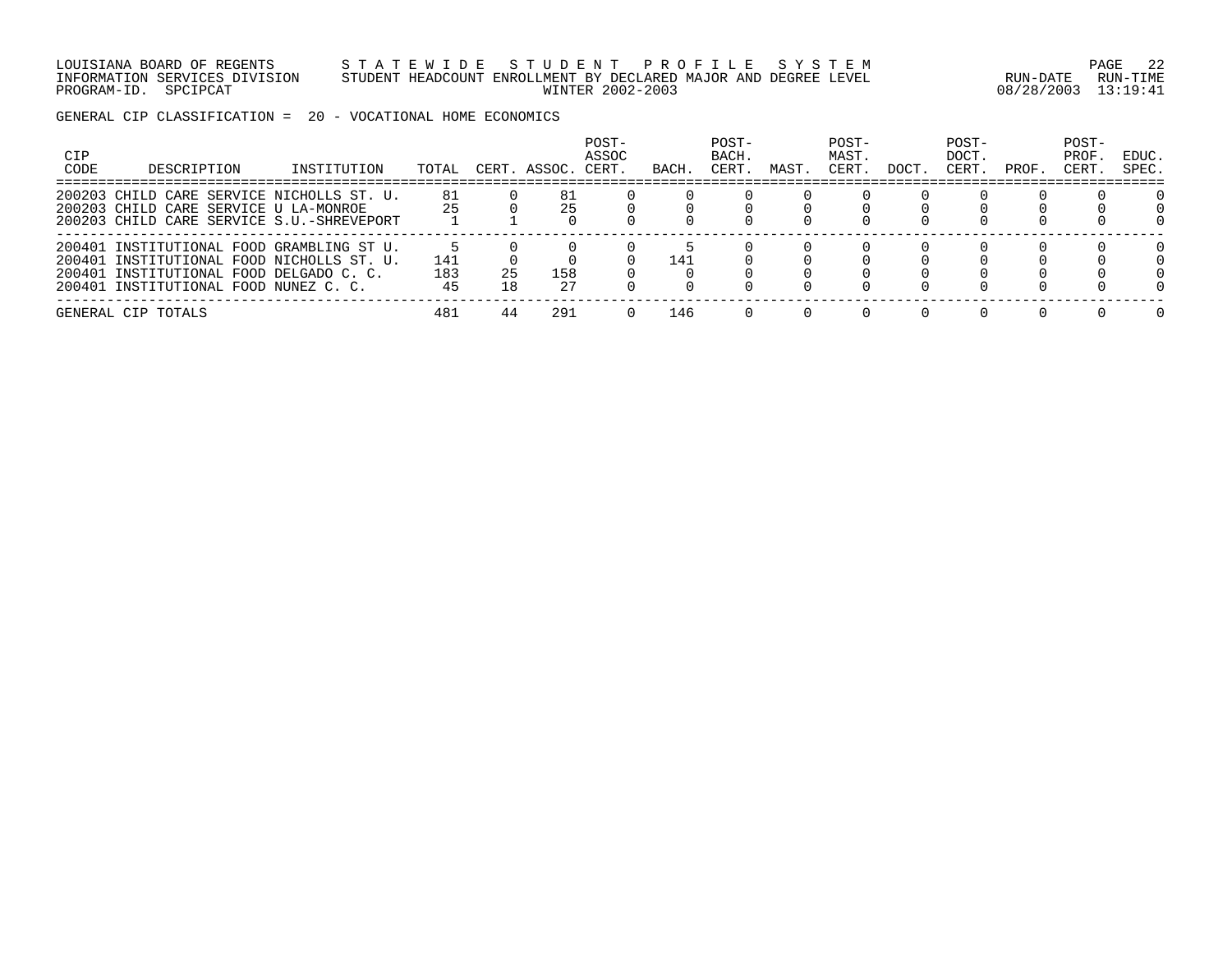LOUISIANA BOARD OF REGENTS S T A T E W I D E S T U D E N T P R O F I L E S Y S T E M PAGE 22 INFORMATION SERVICES DIVISION STUDENT HEADCOUNT ENROLLMENT BY DECLARED MAJOR AND DEGREE LEVEL RUN-DATE RUN-TIME PROGRAM-ID. SPCIPCAT WINTER 2002-2003 08/28/2003 13:19:41

GENERAL CIP CLASSIFICATION = 20 - VOCATIONAL HOME ECONOMICS

| <b>CIP</b><br>CODE | DESCRIPTION                                                                                                                                                                | INSTITUTION | TOTAL            | CERT     | '. ASSOC. | POST-<br>ASSOC<br>CERT. | BACH | POST-<br>BACH.<br>CERT | MAST | POST-<br>MAST.<br>CERT | DOCT | POST-<br>DOCT.<br>CERT. | PROF. | POST-<br>PROF.<br>CERT | EDUC.<br>SPEC. |
|--------------------|----------------------------------------------------------------------------------------------------------------------------------------------------------------------------|-------------|------------------|----------|-----------|-------------------------|------|------------------------|------|------------------------|------|-------------------------|-------|------------------------|----------------|
|                    | 200203 CHILD CARE SERVICE NICHOLLS ST. U.<br>200203 CHILD CARE SERVICE U LA-MONROE<br>200203 CHILD CARE SERVICE S.U.-SHREVEPORT                                            |             | 81<br>25         |          | 81<br>25  |                         |      |                        |      |                        |      |                         |       |                        |                |
|                    | 200401 INSTITUTIONAL FOOD GRAMBLING ST U.<br>200401 INSTITUTIONAL FOOD NICHOLLS ST. U.<br>200401 INSTITUTIONAL FOOD DELGADO C. C.<br>200401 INSTITUTIONAL FOOD NUNEZ C. C. |             | 141<br>183<br>45 | 25<br>18 | 158<br>27 |                         | 141  |                        |      |                        |      |                         |       |                        |                |
|                    | GENERAL CIP TOTALS                                                                                                                                                         |             | 481              | 44       | 291       |                         | 146  |                        |      |                        |      |                         |       |                        |                |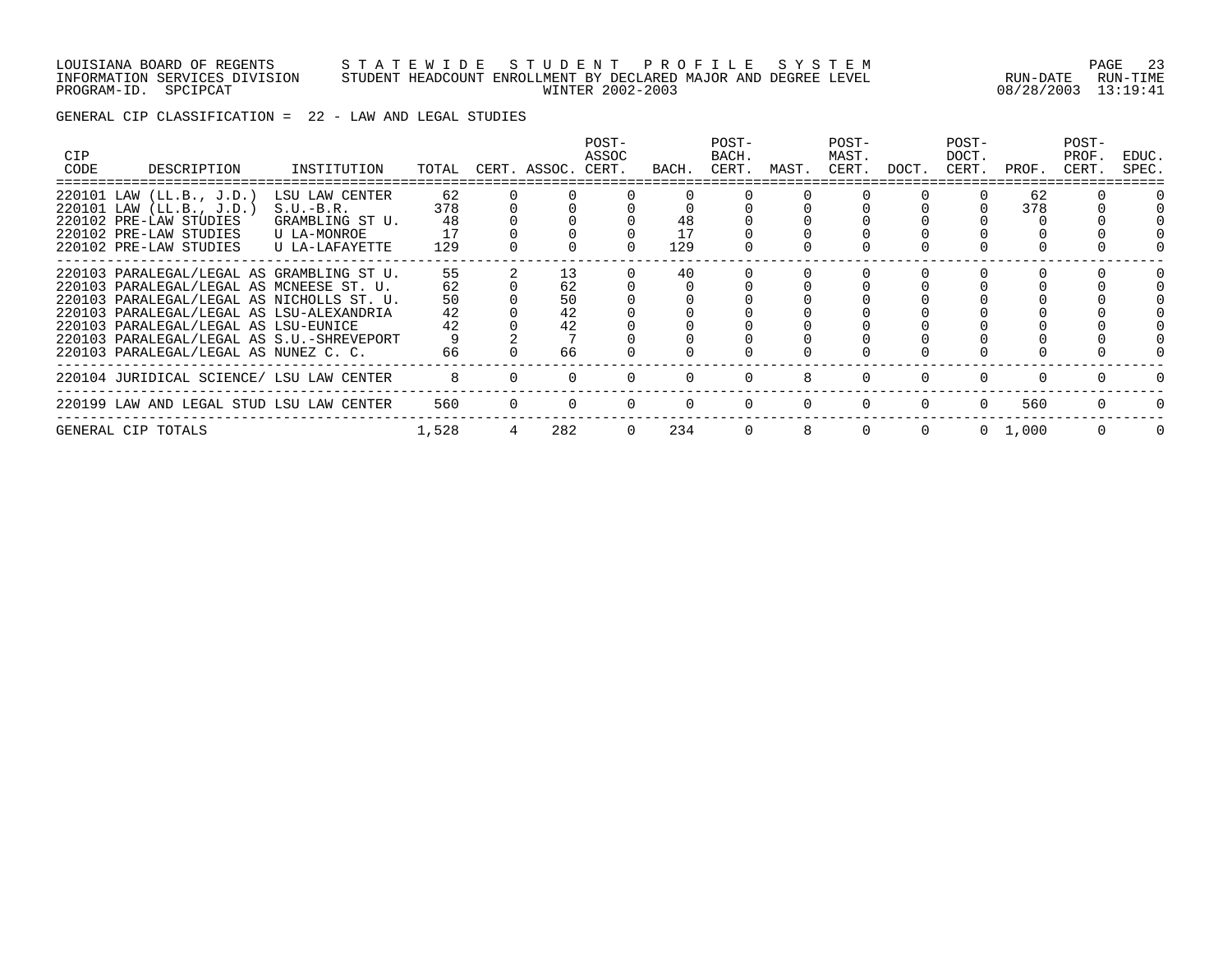#### LOUISIANA BOARD OF REGENTS S T A T E W I D E S T U D E N T P R O F I L E S Y S T E M PAGE 23 INFORMATION SERVICES DIVISION STUDENT HEADCOUNT ENROLLMENT BY DECLARED MAJOR AND DEGREE LEVEL RUN-DATE RUN-TIME PROGRAM-ID. SPCIPCAT WINTER 2002-2003 08/28/2003 13:19:41

GENERAL CIP CLASSIFICATION = 22 - LAW AND LEGAL STUDIES

| <b>CIP</b><br>CODE | DESCRIPTION                                                                                                                                                                                                                                                                                                  | INSTITUTION                                                                       | TOTAL                            |   | CERT. ASSOC.                     | POST-<br>ASSOC<br>CERT. | BACH.     | POST-<br>BACH.<br>CERT. | MAST.    | POST-<br>MAST.<br>CERT. | DOCT.    | POST-<br>DOCT.<br>CERT. | PROF.           | POST-<br>PROF.<br>CERT. | EDUC.<br>SPEC. |
|--------------------|--------------------------------------------------------------------------------------------------------------------------------------------------------------------------------------------------------------------------------------------------------------------------------------------------------------|-----------------------------------------------------------------------------------|----------------------------------|---|----------------------------------|-------------------------|-----------|-------------------------|----------|-------------------------|----------|-------------------------|-----------------|-------------------------|----------------|
|                    | 220101 LAW (LL.B., J.D.)<br>220101 LAW (LL.B., J.D.)<br>220102 PRE-LAW STUDIES<br>220102 PRE-LAW STUDIES<br>220102 PRE-LAW STUDIES                                                                                                                                                                           | LSU LAW CENTER<br>$S.U.-B.R.$<br>GRAMBLING ST U.<br>U LA-MONROE<br>U LA-LAFAYETTE | 62<br>378<br>48<br>17<br>129     |   |                                  |                         | 48<br>129 |                         |          |                         |          |                         | 62<br>378       |                         |                |
|                    | 220103 PARALEGAL/LEGAL AS GRAMBLING ST U.<br>220103 PARALEGAL/LEGAL AS MCNEESE ST. U.<br>220103 PARALEGAL/LEGAL AS NICHOLLS ST. U.<br>220103 PARALEGAL/LEGAL AS LSU-ALEXANDRIA<br>220103 PARALEGAL/LEGAL AS LSU-EUNICE<br>220103 PARALEGAL/LEGAL AS S.U.-SHREVEPORT<br>220103 PARALEGAL/LEGAL AS NUNEZ C. C. |                                                                                   | 55<br>62<br>50<br>42<br>42<br>66 |   | 13<br>62<br>50<br>42<br>42<br>66 |                         | 40        |                         |          |                         |          |                         |                 |                         |                |
|                    | 220104 JURIDICAL SCIENCE/ LSU LAW CENTER                                                                                                                                                                                                                                                                     |                                                                                   | 8                                |   |                                  |                         |           |                         | 8        |                         |          | 0                       |                 |                         |                |
|                    | 220199 LAW AND LEGAL STUD LSU LAW CENTER                                                                                                                                                                                                                                                                     |                                                                                   | 560                              | 0 |                                  |                         | $\Omega$  |                         | $\Omega$ | $\Omega$                | $\Omega$ | $\Omega$                | 560             | $\Omega$                |                |
|                    | GENERAL CIP TOTALS                                                                                                                                                                                                                                                                                           |                                                                                   | 1,528                            |   | 282                              | $\Omega$                | 234       |                         | 8        |                         |          |                         | $0 \quad 1.000$ | $\Omega$                | $\Omega$       |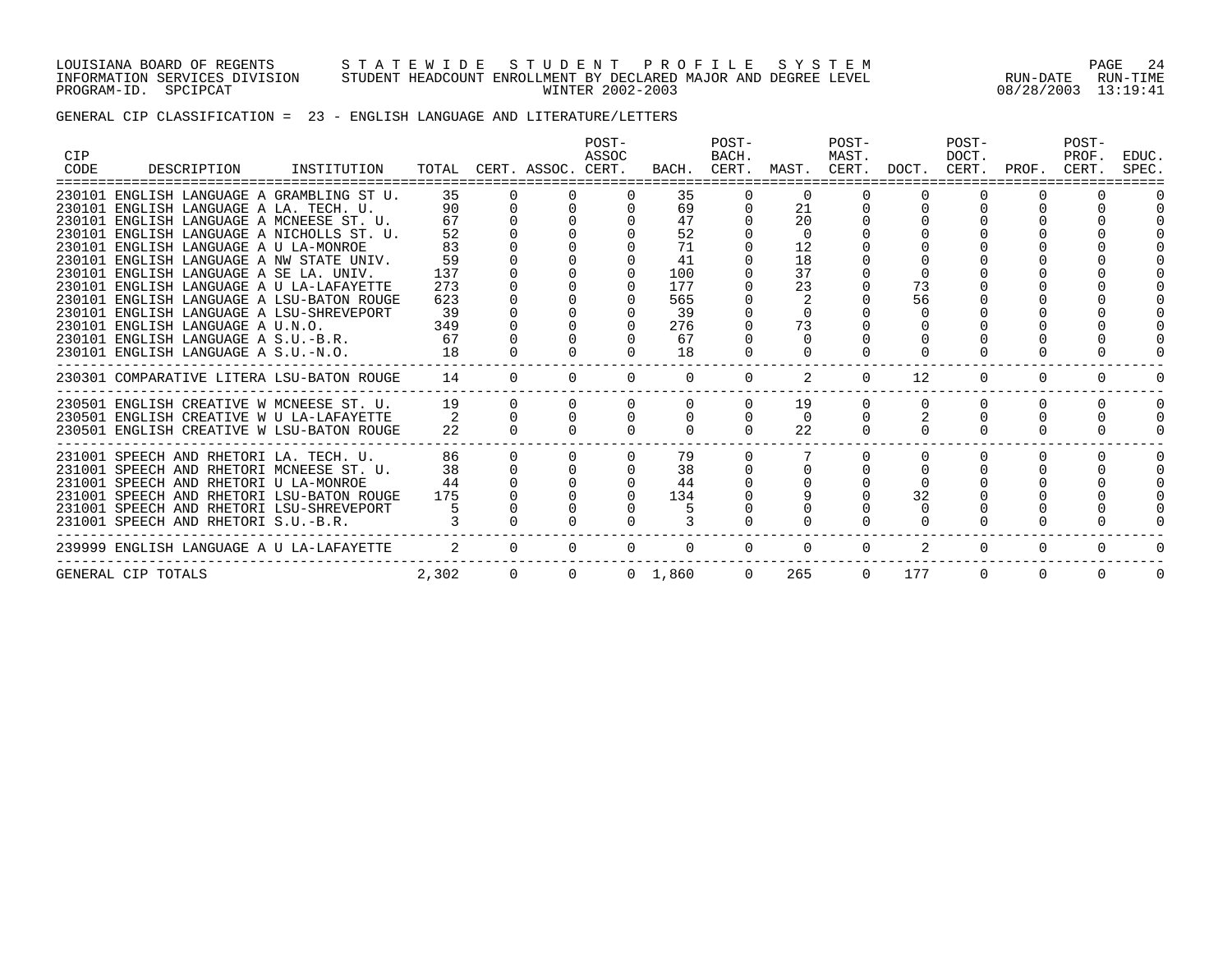LOUISIANA BOARD OF REGENTS S T A T E W I D E S T U D E N T P R O F I L E S Y S T E M PAGE 24 INFORMATION SERVICES DIVISION STUDENT HEADCOUNT ENROLLMENT BY DECLARED MAJOR AND DEGREE LEVEL RUN-DATE RUN-TIME PROGRAM-ID. SPCIPCAT WINTER 2002-2003 08/28/2003 13:19:41

### GENERAL CIP CLASSIFICATION = 23 - ENGLISH LANGUAGE AND LITERATURE/LETTERS

| <b>CIP</b> |                                           |             |       |          |                          | POST-<br>ASSOC    |          | POST-<br>BACH. |                       | POST-<br>MAST. |                               | POST-<br>DOCT. |             | POST-<br>PROF. | EDUC.    |
|------------|-------------------------------------------|-------------|-------|----------|--------------------------|-------------------|----------|----------------|-----------------------|----------------|-------------------------------|----------------|-------------|----------------|----------|
| CODE       | DESCRIPTION                               | INSTITUTION |       |          | TOTAL CERT. ASSOC. CERT. |                   |          |                |                       |                | BACH. CERT. MAST. CERT. DOCT. |                | CERT. PROF. | CERT.          | SPEC     |
|            | 230101 ENGLISH LANGUAGE A GRAMBLING ST U. |             | 35    |          |                          |                   | 35       |                | $\Omega$              |                |                               |                |             |                |          |
|            | 230101 ENGLISH LANGUAGE A LA. TECH. U.    |             | 90    |          |                          |                   | 69       |                | 21                    |                |                               |                |             |                |          |
|            | 230101 ENGLISH LANGUAGE A MCNEESE ST. U.  |             | 67    |          |                          |                   | 47       |                | 20                    |                |                               |                |             |                |          |
|            | 230101 ENGLISH LANGUAGE A NICHOLLS ST. U. |             | 52    |          |                          |                   | 52       |                | $\Omega$              |                |                               |                |             |                |          |
|            | 230101 ENGLISH LANGUAGE A U LA-MONROE     |             | 83    |          |                          |                   | 71       |                | $12 \overline{ }$     |                |                               |                |             |                |          |
|            | 230101 ENGLISH LANGUAGE A NW STATE UNIV.  |             | 59    |          |                          |                   |          |                | 18                    |                |                               |                |             |                |          |
|            | 230101 ENGLISH LANGUAGE A SE LA. UNIV.    |             | 137   |          |                          |                   | 100      |                | 37                    |                |                               |                |             |                |          |
|            | 230101 ENGLISH LANGUAGE A U LA-LAFAYETTE  |             | 273   |          |                          |                   | 177      |                | 23                    |                | 73                            |                |             |                |          |
|            | 230101 ENGLISH LANGUAGE A LSU-BATON ROUGE |             | 623   |          |                          |                   | 565      |                |                       |                | 56                            |                |             |                |          |
|            | 230101 ENGLISH LANGUAGE A LSU-SHREVEPORT  |             | 39    |          |                          |                   | 39       |                |                       |                |                               |                |             |                |          |
|            | 230101 ENGLISH LANGUAGE A U.N.O.          |             | 349   |          |                          |                   | 276      |                | 73                    |                |                               |                |             |                |          |
|            | 230101 ENGLISH LANGUAGE A S.U.-B.R.       |             | 67    |          |                          |                   | 67       |                |                       |                |                               |                |             |                |          |
|            | 230101 ENGLISH LANGUAGE A S.U.-N.O.       |             | 18    |          |                          |                   | 18       |                |                       |                |                               |                |             |                |          |
|            | 230301 COMPARATIVE LITERA LSU-BATON ROUGE |             | 14    | $\Omega$ | $\Omega$                 | $\Omega$          | $\Omega$ | $\Omega$       | 2                     | $\Omega$       | $12 \overline{ }$             | $\Omega$       | $\Omega$    | $\Omega$       | $\Omega$ |
|            | 230501 ENGLISH CREATIVE W MCNEESE ST. U.  |             | 19    | $\Omega$ | $\Omega$                 |                   |          |                | 19                    |                |                               |                |             |                | $\Omega$ |
|            | 230501 ENGLISH CREATIVE W U LA-LAFAYETTE  |             |       |          |                          |                   |          |                | $\Omega$              |                |                               |                |             |                |          |
|            | 230501 ENGLISH CREATIVE W LSU-BATON ROUGE |             | 22    |          |                          |                   |          |                | 22                    |                |                               |                |             |                |          |
|            | 231001 SPEECH AND RHETORI LA. TECH. U.    |             | 86    |          |                          |                   | 79       |                |                       |                |                               |                |             |                |          |
|            | 231001 SPEECH AND RHETORI MCNEESE ST. U.  |             | 38    |          |                          |                   | 38       |                |                       |                |                               |                |             |                |          |
|            | 231001 SPEECH AND RHETORI U LA-MONROE     |             | 44    |          |                          |                   | 44       |                |                       |                |                               |                |             |                |          |
|            | 231001 SPEECH AND RHETORI LSU-BATON ROUGE |             | 175   |          |                          |                   | 134      |                |                       |                | 32                            |                |             |                |          |
|            | 231001 SPEECH AND RHETORI LSU-SHREVEPORT  |             |       |          |                          |                   |          |                |                       |                |                               |                |             |                |          |
|            | 231001 SPEECH AND RHETORI S.U.-B.R.       |             |       |          |                          |                   |          |                |                       |                |                               |                |             |                |          |
|            | 239999 ENGLISH LANGUAGE A U LA-LAFAYETTE  |             |       | $\cap$   | $\cap$                   | $\cap$            | $\Omega$ | $\Omega$       | $\Omega$              | $\Omega$       |                               | $\Omega$       | $\Omega$    |                |          |
|            | GENERAL CIP TOTALS                        |             | 2,302 | $\Omega$ |                          | $0 \t 0 \t 1.860$ |          |                | $\Omega$<br>265 — 200 |                | 177<br>$\Omega$               | $\Omega$       | $\Omega$    | $\Omega$       | $\Omega$ |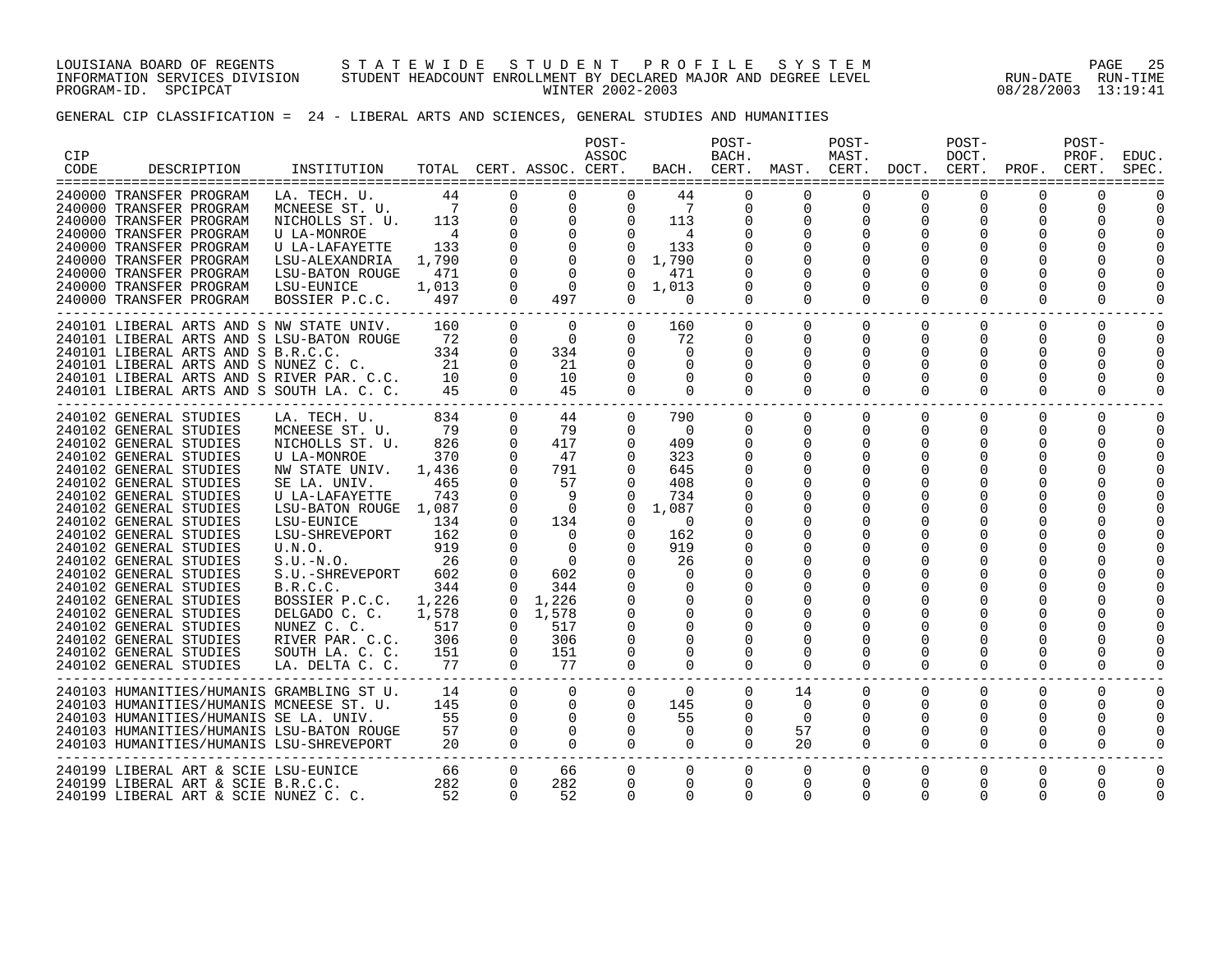LOUISIANA BOARD OF REGENTS S T A T E W I D E S T U D E N T P R O F I L E S Y S T E M PAGE 25 INFORMATION SERVICES DIVISION STUDENT HEADCOUNT ENROLLMENT BY DECLARED MAJOR AND DEGREE LEVEL RUN-DATE RUN-TIME PROGRAM-ID. SPCIPCAT WINTER 2002-2003 08/28/2003 13:19:41

GENERAL CIP CLASSIFICATION = 24 - LIBERAL ARTS AND SCIENCES, GENERAL STUDIES AND HUMANITIES

| <b>CIP</b><br>CODE | DESCRIPTION                                                                                                                                                                                                                                                                                                                                                                                                                                                                                                                          | INSTITUTION                                                                                                                                                                                                                                                                                                                                      |                                                                                                                                      |                                                                                                                                                                                                 | TOTAL CERT. ASSOC. CERT.                                                                                                                                               | POST-<br>ASSOC                                                                                                                                                                         |                                                                                                                                                                                        | POST-<br>BACH.                                                                                                                                                                                  |                                                                                                                                                                                                 | POST-<br>MAST.                                                                                                                                                                  |                                                                                                                     | POST-<br>DOCT.                                                                                                          | BACH. CERT. MAST. CERT. DOCT. CERT. PROF. CERT.  | POST-<br>PROF.                                  | EDUC.<br>SPEC.                   |
|--------------------|--------------------------------------------------------------------------------------------------------------------------------------------------------------------------------------------------------------------------------------------------------------------------------------------------------------------------------------------------------------------------------------------------------------------------------------------------------------------------------------------------------------------------------------|--------------------------------------------------------------------------------------------------------------------------------------------------------------------------------------------------------------------------------------------------------------------------------------------------------------------------------------------------|--------------------------------------------------------------------------------------------------------------------------------------|-------------------------------------------------------------------------------------------------------------------------------------------------------------------------------------------------|------------------------------------------------------------------------------------------------------------------------------------------------------------------------|----------------------------------------------------------------------------------------------------------------------------------------------------------------------------------------|----------------------------------------------------------------------------------------------------------------------------------------------------------------------------------------|-------------------------------------------------------------------------------------------------------------------------------------------------------------------------------------------------|-------------------------------------------------------------------------------------------------------------------------------------------------------------------------------------------------|---------------------------------------------------------------------------------------------------------------------------------------------------------------------------------|---------------------------------------------------------------------------------------------------------------------|-------------------------------------------------------------------------------------------------------------------------|--------------------------------------------------|-------------------------------------------------|----------------------------------|
|                    | 240000 TRANSFER PROGRAM<br>240000 TRANSFER PROGRAM<br>240000 TRANSFER PROGRAM<br>240000 TRANSFER PROGRAM<br>240000 TRANSFER PROGRAM<br>240000 TRANSFER PROGRAM<br>240000 TRANSFER PROGRAM<br>240000 TRANSFER PROGRAM<br>240000 TRANSFER PROGRAM                                                                                                                                                                                                                                                                                      | LA. TECH. U.<br>MCNEESE ST. U.<br>NICHOLLS ST. U.<br><b>U LA-MONROE</b><br>U LA-LAFAYETTE<br>LSU-ALEXANDRIA<br>LSU-BATON ROUGE<br>LSU-EUNICE<br>BOSSIER P.C.C.                                                                                                                                                                                   | 44<br>$\overline{7}$<br>113<br>$\frac{4}{3}$<br>133<br>1,790<br>471<br>1,013<br>497                                                  | $\Omega$<br>0<br>0<br>$\mathbf 0$<br>$\Omega$<br>$\Omega$<br>$\Omega$<br>0<br>$\Omega$                                                                                                          | 0<br>$\mathbf 0$<br>0<br>$\overline{0}$<br>$\Omega$<br>$\Omega$<br>$\Omega$<br>497                                                                                     | 0<br>$\mathbf 0$<br>$0 \qquad \qquad$<br>$\Omega$<br>$\Omega$<br>$\Omega$<br>$\Omega$<br>$\Omega$<br>$\Omega$                                                                          | 44<br>$\overline{7}$<br>113<br>$\overline{4}$<br>133<br>1,790<br>471<br>1,013<br>$\Omega$                                                                                              | $\Omega$<br>0<br>0<br>0<br>$\Omega$<br>$\Omega$<br>0<br>$\Omega$                                                                                                                                | $\Omega$<br>$\mathbf 0$<br>0<br>0<br>$\mathbf 0$<br>0<br>$\Omega$<br>0<br>$\Omega$                                                                                                              | $\mathbf 0$<br>0<br>0<br>0<br>$\Omega$<br>0<br>$\Omega$                                                                                                                         | $\mathbf 0$<br>$\mathbf 0$<br>0<br>$\Omega$<br>0<br>$\Omega$                                                        | $\Omega$<br>0<br>0<br>0<br>$\Omega$<br>0<br>$\Omega$                                                                    | 0<br>0<br>0<br>0<br>$\Omega$                     | 0<br>0<br>0<br>$\Omega$                         | -----                            |
|                    | 240101 LIBERAL ARTS AND S NW STATE UNIV.<br>240101 LIBERAL ARTS AND S LSU-BATON ROUGE<br>240101 LIBERAL ARTS AND S B.R.C.C.<br>240101 LIBERAL ARTS AND S NUNEZ C. C.<br>240101 LIBERAL ARTS AND S RIVER PAR. C.C.<br>240101 LIBERAL ARTS AND S SOUTH LA. C. C.                                                                                                                                                                                                                                                                       |                                                                                                                                                                                                                                                                                                                                                  | 160<br>72<br>334<br>21<br>10<br>45                                                                                                   | $\overline{0}$<br>$\mathbf 0$<br>$\Omega$<br>$\Omega$<br>$\Omega$<br>$\Omega$                                                                                                                   | $\Omega$<br>$\Omega$<br>334<br>21<br>10<br>45                                                                                                                          | $\mathbf{0}$<br>$\Omega$<br>$\Omega$<br>$\Omega$<br>$\Omega$<br>$\Omega$                                                                                                               | 160<br>72<br>$\Omega$<br>$\Omega$<br>$\Omega$<br>$\Omega$                                                                                                                              | $\overline{0}$<br>0<br>$\Omega$<br>$\Omega$<br>$\Omega$<br>$\Omega$                                                                                                                             | $\mathbf{0}$<br>$\mathbf 0$<br>0<br>$\Omega$<br>$\Omega$<br>$\Omega$                                                                                                                            | $\overline{0}$<br>$\mathbf 0$<br>0<br>$\Omega$<br>$\Omega$<br>$\Omega$                                                                                                          | $\Omega$<br>$\Omega$<br>0<br>$\Omega$<br>$\Omega$<br>$\Omega$                                                       | $\overline{0}$<br>0<br>$\Omega$<br>$\Omega$<br>$\Omega$<br>$\Omega$                                                     | 0<br>0<br>0<br>O<br>O<br>0                       | 0<br>$\Omega$<br>$\Omega$<br>O<br>0<br>$\Omega$ | $\Omega$<br>$\Omega$<br>$\Omega$ |
|                    | 240102 GENERAL STUDIES<br>240102 GENERAL STUDIES<br>240102 GENERAL STUDIES<br>240102 GENERAL STUDIES<br>240102 GENERAL STUDIES<br>240102 GENERAL STUDIES<br>240102 GENERAL STUDIES<br>240102 GENERAL STUDIES<br>240102 GENERAL STUDIES<br>240102 GENERAL STUDIES<br>240102 GENERAL STUDIES<br>240102 GENERAL STUDIES<br>240102 GENERAL STUDIES<br>240102 GENERAL STUDIES<br>240102 GENERAL STUDIES<br>240102 GENERAL STUDIES<br>240102 GENERAL STUDIES<br>240102 GENERAL STUDIES<br>240102 GENERAL STUDIES<br>240102 GENERAL STUDIES | LA. TECH. U.<br>MCNEESE ST. U.<br>NICHOLLS ST. U.<br>U LA-MONROE<br>NW STATE UNIV.<br>SE LA. UNIV.<br>U LA-LAFAYETTE<br>LSU-BATON ROUGE 1,087<br>LSU-EUNICE<br>LSU-SHREVEPORT<br>U.N.O.<br>$S.U.-N.O.$<br>S.U.-SHREVEPORT<br>B.R.C.C.<br>BOSSIER P.C.C.<br>DELGADO C. C.<br>NUNEZ C. C.<br>RIVER PAR. C.C.<br>SOUTH LA. C. C.<br>LA. DELTA C. C. | 834<br>79<br>826<br>370<br>1,436<br>465<br>743<br>134<br>162<br>919<br>26<br>602<br>344<br>1,226<br>1,578<br>517<br>306<br>151<br>77 | $\mathbf 0$<br>0<br>$\mathbf 0$<br>$\mathbf 0$<br>$\Omega$<br>$\Omega$<br>$\Omega$<br>0<br>$\Omega$<br>$\Omega$<br>$\Omega$<br>0<br>$\Omega$<br>$\Omega$<br>$\Omega$<br>0<br>0<br>0<br>$\Omega$ | 44<br>79<br>417<br>47<br>791<br>57<br>-9<br>$\bigcirc$<br>134<br>$\Omega$<br>$\Omega$<br>$\Omega$<br>602<br>344<br>1,226<br>$0 \quad 1.578$<br>517<br>306<br>151<br>77 | $\Omega$<br>$\Omega$<br>0<br>$\mathbf 0$<br>$\Omega$<br>$\Omega$<br>$\Omega$<br>$\Omega$<br>0<br>$\Omega$<br>$\Omega$<br>$\Omega$<br>$\Omega$<br>$\Omega$<br>$\Omega$<br>0<br>$\Omega$ | 790<br>- 0<br>409<br>323<br>645<br>408<br>734<br>1,087<br>$\Omega$<br>162<br>919<br>26<br>$\Omega$<br>$\Omega$<br>$\Omega$<br>$\Omega$<br>$\Omega$<br>$\Omega$<br>$\Omega$<br>$\Omega$ | $\mathbf{0}$<br>0<br>$\mathbf 0$<br>0<br>$\Omega$<br>$\Omega$<br>$\Omega$<br>$\Omega$<br>$\Omega$<br>0<br>$\Omega$<br>$\Omega$<br>0<br>$\Omega$<br>$\Omega$<br>$\Omega$<br>$\Omega$<br>$\Omega$ | $\overline{0}$<br>$\overline{0}$<br>0<br>0<br>$\mathbf 0$<br>0<br>0<br>0<br>0<br>0<br>0<br>$\mathbf 0$<br>$\Omega$<br>$\Omega$<br>$\Omega$<br>$\Omega$<br>$\Omega$<br>$\Omega$<br>0<br>$\Omega$ | $\mathbf{0}$<br>$\mathbf{0}$<br>0<br>0<br>$\mathbf 0$<br>0<br>0<br>0<br>0<br>0<br>0<br>$\mathbf 0$<br>$\Omega$<br>$\Omega$<br>$\Omega$<br>$\Omega$<br>$\Omega$<br>0<br>$\Omega$ | $\Omega$<br>0<br>$\mathbf 0$<br>0<br>$\Omega$<br>$\Omega$<br>0<br>$\Omega$<br>$\Omega$<br>$\Omega$<br>0<br>$\Omega$ | $\mathbf 0$<br>0<br>0<br>0<br>0<br>0<br><sup>0</sup><br><sup>0</sup><br>0<br>$\Omega$<br>$\Omega$<br>0<br>0<br>$\Omega$ | 0<br>0<br>0<br>0<br>O<br>0<br>O<br>0<br>$\Omega$ | $\mathbf 0$<br>0<br>0<br>0<br>0<br>$\Omega$     | $\Omega$<br><sup>0</sup>         |
|                    | 240103 HUMANITIES/HUMANIS GRAMBLING ST U.<br>240103 HUMANITIES/HUMANIS MCNEESE ST. U.<br>240103 HUMANITIES/HUMANIS SE LA. UNIV.<br>240103 HUMANITIES/HUMANIS LSU-BATON ROUGE<br>240103 HUMANITIES/HUMANIS LSU-SHREVEPORT                                                                                                                                                                                                                                                                                                             |                                                                                                                                                                                                                                                                                                                                                  | 14<br>145<br>55<br>57<br>20                                                                                                          | $\Omega$<br>$\Omega$<br>$\Omega$<br>$\Omega$<br>$\Omega$                                                                                                                                        | $\Omega$<br>$\Omega$<br>$\Omega$<br>$\Omega$<br>$\Omega$                                                                                                               | $\Omega$<br>$\Omega$<br>$\Omega$<br>$\Omega$<br>$\Omega$                                                                                                                               | $\Omega$<br>145<br>55<br>$\Omega$<br>$\Omega$                                                                                                                                          | $\Omega$<br>$\Omega$<br>$\Omega$<br>0<br>$\Omega$                                                                                                                                               | 14<br>$\Omega$<br>$\Omega$<br>57<br>20                                                                                                                                                          | $\mathbf{0}$<br>$\overline{0}$<br>$\Omega$<br>0<br>$\Omega$                                                                                                                     | $\Omega$<br>$\Omega$<br>$\Omega$<br>0<br>$\Omega$                                                                   | $\Omega$<br>$\Omega$<br>$\Omega$<br>0<br>$\Omega$                                                                       | $\Omega$<br>0<br>0<br>0<br>$\Omega$              | $\Omega$<br>$\Omega$<br>0<br>0<br>$\Omega$      | $\Omega$<br>$\Omega$             |
|                    | 240199 LIBERAL ART & SCIE LSU-EUNICE<br>240199 LIBERAL ART & SCIE B.R.C.C.<br>240199 LIBERAL ART & SCIE NUNEZ C. C.                                                                                                                                                                                                                                                                                                                                                                                                                  |                                                                                                                                                                                                                                                                                                                                                  | 66<br>282<br>52                                                                                                                      | $\overline{0}$<br>$\Omega$<br>$\Omega$                                                                                                                                                          | 66<br>282<br>52                                                                                                                                                        | $\Omega$<br>$\Omega$<br>$\Omega$                                                                                                                                                       | $\Omega$<br>$\Omega$<br>$\Omega$                                                                                                                                                       | $\mathbf{0}$<br>$\Omega$<br>$\Omega$                                                                                                                                                            | $\mathbf{0}$<br>$\Omega$<br>$\Omega$                                                                                                                                                            | $\overline{0}$<br>$\Omega$<br>$\Omega$                                                                                                                                          | 0<br>$\Omega$<br>$\Omega$                                                                                           | 0<br>$\Omega$<br>$\Omega$                                                                                               | 0<br>$\Omega$<br>$\Omega$                        | 0<br>$\Omega$<br>$\Omega$                       | $\Omega$<br>$\Omega$             |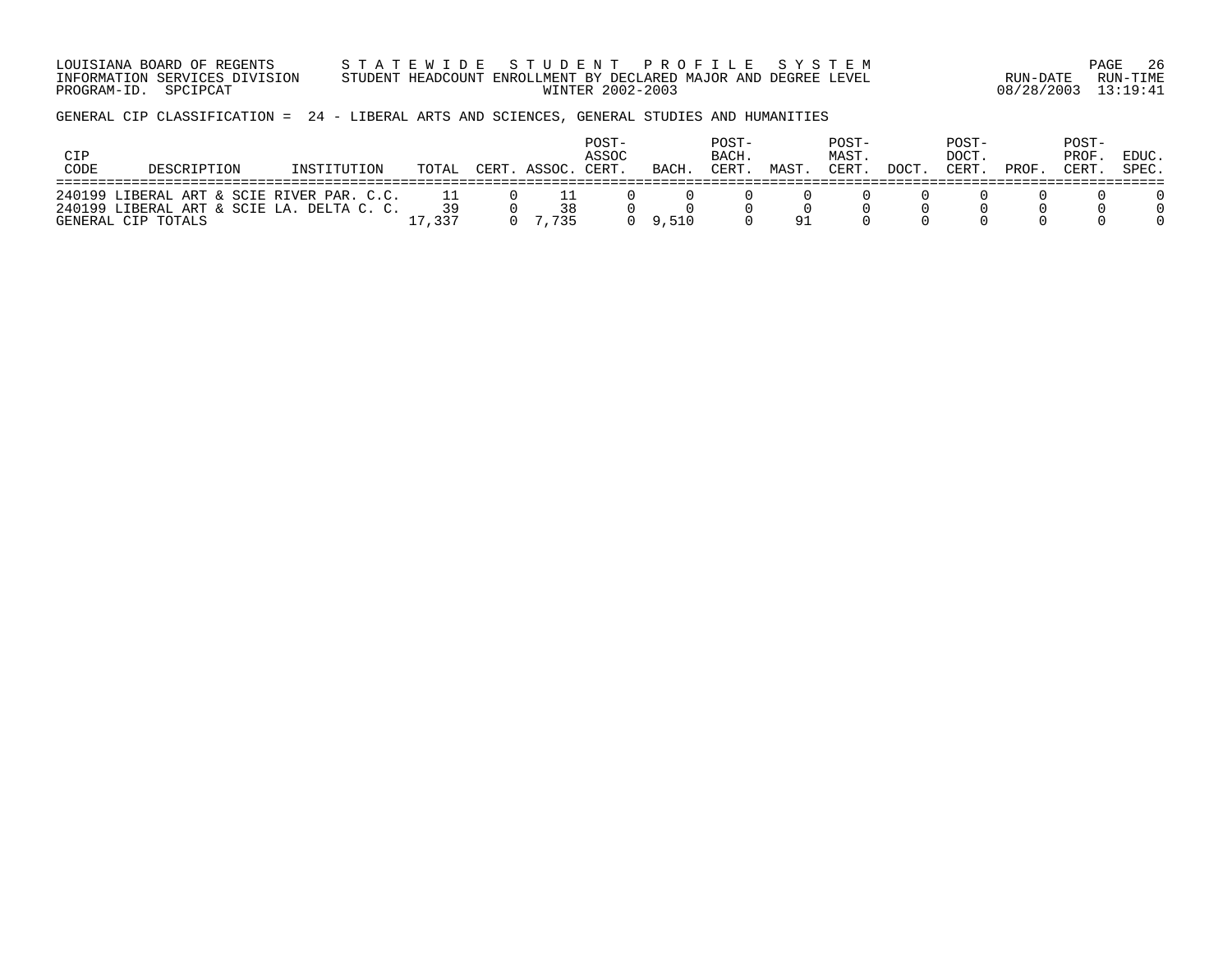LOUISIANA BOARD OF REGENTS S T A T E W I D E S T U D E N T P R O F I L E S Y S T E M PAGE 26 INFORMATION SERVICES DIVISION STUDENT HEADCOUNT ENROLLMENT BY DECLARED MAJOR AND DEGREE LEVEL RUN-DATE RUN-TIME PROGRAM-ID. SPCIPCAT WINTER 2002-2003 08/28/2003 13:19:41

GENERAL CIP CLASSIFICATION = 24 - LIBERAL ARTS AND SCIENCES, GENERAL STUDIES AND HUMANITIES

| CIP<br>CODE | DESCRIPTION                                                                                                  | INSTITUTION | TOTAL        | CERT. ASSOC. | POST-<br>ASSOC<br>CERT. | <b>BACH</b> | POST-<br>BACH.<br>CERT | MAST | POST-<br>MAST.<br>CERT. | DOCT | POST-<br>DOCT.<br>CERT | PROF | POST-<br>PROF<br>CERT. | EDUC.<br>SPEC. |
|-------------|--------------------------------------------------------------------------------------------------------------|-------------|--------------|--------------|-------------------------|-------------|------------------------|------|-------------------------|------|------------------------|------|------------------------|----------------|
|             | 240199 LIBERAL ART & SCIE RIVER PAR. C.C.<br>240199 LIBERAL ART & SCIE LA. DELTA C. C.<br>GENERAL CIP TOTALS |             | 39<br>17,337 | 38<br>7735   |                         | 9,510       |                        | 91   |                         |      |                        |      |                        |                |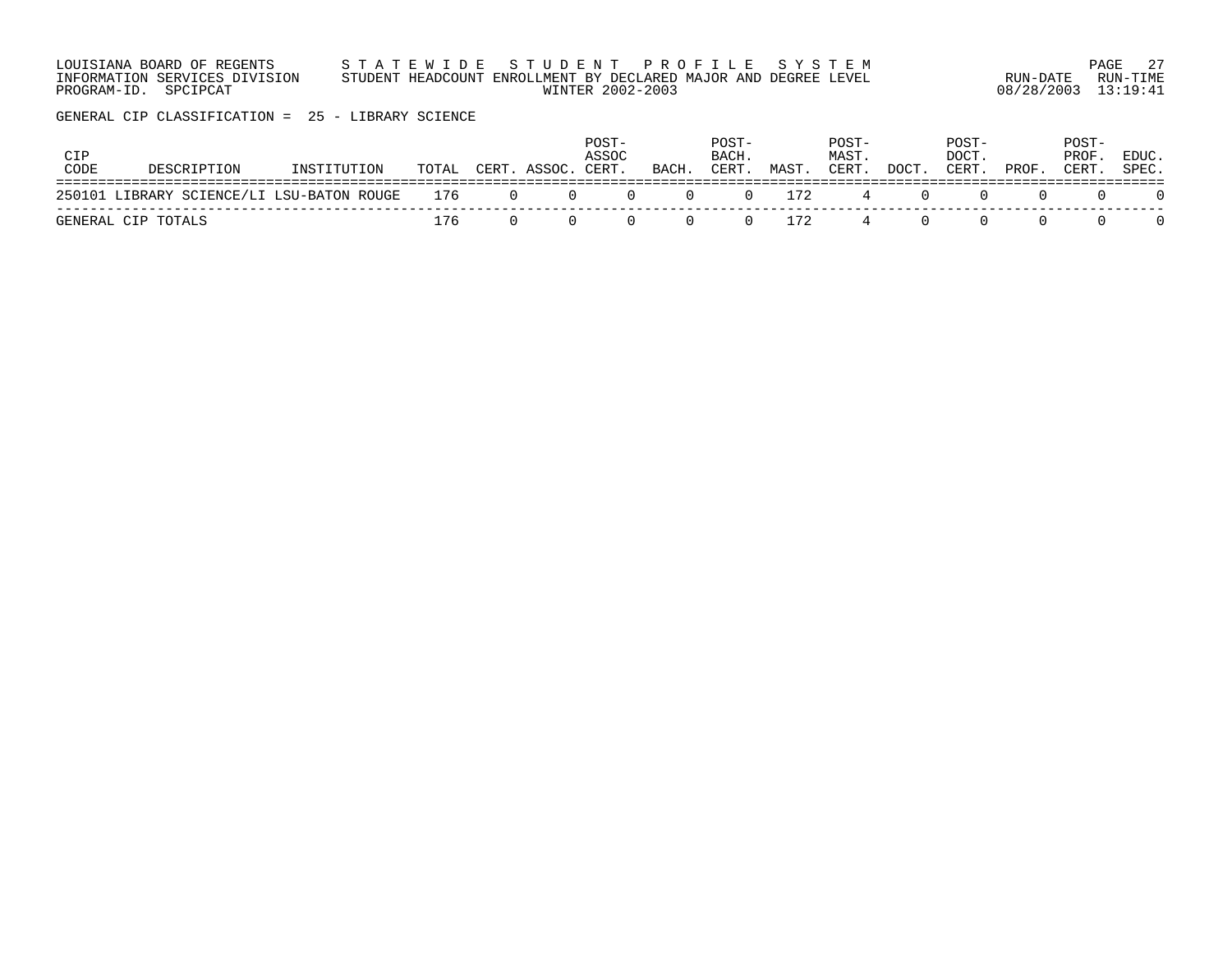| LOUISIANA BOARD OF REGENTS    | STATEWIDE STUDENT PROFILE SYSTEM                                |                     | 27<br>PAGE |
|-------------------------------|-----------------------------------------------------------------|---------------------|------------|
| INFORMATION SERVICES DIVISION | STUDENT HEADCOUNT ENROLLMENT BY DECLARED MAJOR AND DEGREE LEVEL | RUN-DATE            | RUN-TIMF   |
| PROGRAM-ID. SPCIPCAT          | WINTER 2002-2003                                                | 08/28/2003 13:19:41 |            |

GENERAL CIP CLASSIFICATION = 25 - LIBRARY SCIENCE

| CIP<br>CODE | DESCRIPTION                                     | INSTITUTION | TOTAL | CERT. ASSOC. | POST-<br>ASSOC<br>CERT. | BACH.    | POST-<br>BACH.<br>CERT. | MAST. | POST-<br>MAST.<br>CERT. | DOCT. | POST-<br>DOCT.<br>CERT. | PROF. | POST-<br>PROF<br>CERT | EDUC.<br>SPEC. |
|-------------|-------------------------------------------------|-------------|-------|--------------|-------------------------|----------|-------------------------|-------|-------------------------|-------|-------------------------|-------|-----------------------|----------------|
|             | 250101 LIBRARY SCIENCE/LI LSU-BATON ROUGE 176 0 |             |       |              |                         | $\Omega$ | $\Omega$                | 172   |                         |       |                         |       |                       |                |
|             | GENERAL CIP TOTALS                              |             | 176   |              |                         | $\cap$   |                         | 0 172 |                         |       |                         |       |                       |                |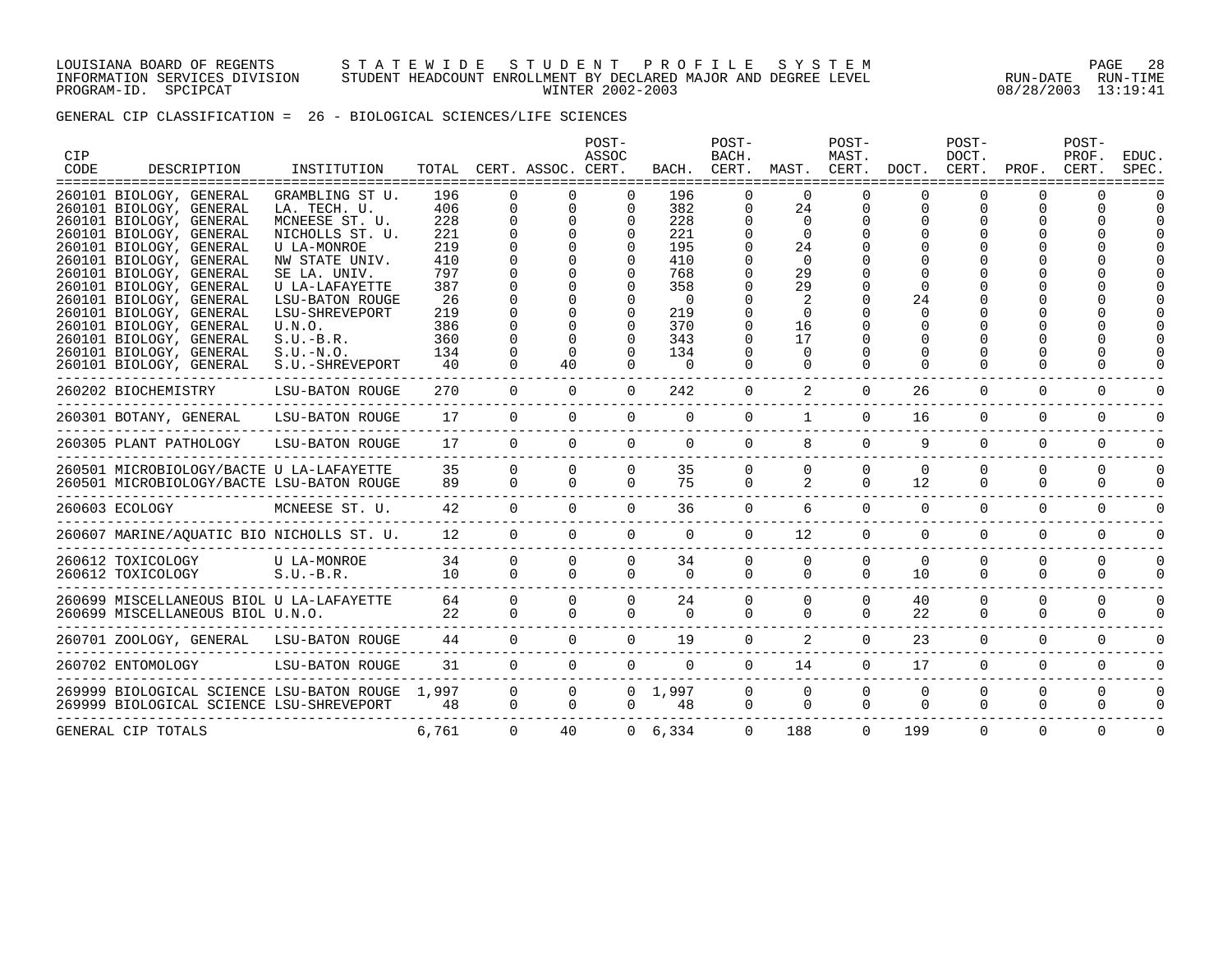#### LOUISIANA BOARD OF REGENTS S T A T E W I D E S T U D E N T P R O F I L E S Y S T E M PAGE 28 INFORMATION SERVICES DIVISION STUDENT HEADCOUNT ENROLLMENT BY DECLARED MAJOR AND DEGREE LEVEL RUN-DATE RUN-TIME PROGRAM-ID. SPCIPCAT WINTER 2002-2003 08/28/2003 13:19:41

GENERAL CIP CLASSIFICATION = 26 - BIOLOGICAL SCIENCES/LIFE SCIENCES

| CIP  |                                                                                                                                                                                                                                                                                                       |                                                                                                                                                                                               |                                                                          |                         |                                     | POST-<br>ASSOC                                    |                                                                                | POST-<br>BACH.                                  |                                                                                        | POST-<br>MAST.                |                               | POST-<br>DOCT.       |                         | POST-<br>PROF.       | EDUC.    |
|------|-------------------------------------------------------------------------------------------------------------------------------------------------------------------------------------------------------------------------------------------------------------------------------------------------------|-----------------------------------------------------------------------------------------------------------------------------------------------------------------------------------------------|--------------------------------------------------------------------------|-------------------------|-------------------------------------|---------------------------------------------------|--------------------------------------------------------------------------------|-------------------------------------------------|----------------------------------------------------------------------------------------|-------------------------------|-------------------------------|----------------------|-------------------------|----------------------|----------|
| CODE | DESCRIPTION                                                                                                                                                                                                                                                                                           | INSTITUTION                                                                                                                                                                                   | TOTAL                                                                    |                         | CERT. ASSOC. CERT.                  |                                                   |                                                                                | BACH. CERT.                                     | MAST. CERT.                                                                            |                               | DOCT.                         | CERT.                | PROF.                   | CERT.                | SPEC.    |
|      | 260101 BIOLOGY, GENERAL<br>260101 BIOLOGY, GENERAL<br>260101 BIOLOGY, GENERAL<br>260101 BIOLOGY, GENERAL<br>260101 BIOLOGY, GENERAL<br>260101 BIOLOGY, GENERAL<br>260101 BIOLOGY, GENERAL<br>260101 BIOLOGY, GENERAL<br>260101 BIOLOGY, GENERAL<br>260101 BIOLOGY, GENERAL<br>260101 BIOLOGY, GENERAL | GRAMBLING ST U.<br>LA. TECH. U.<br>MCNEESE ST. U.<br>NICHOLLS ST. U.<br>U LA-MONROE<br>NW STATE UNIV.<br>SE LA. UNIV.<br>U LA-LAFAYETTE<br><b>LSU-BATON ROUGE</b><br>LSU-SHREVEPORT<br>U.N.O. | 196<br>406<br>228<br>221<br>219<br>410<br>797<br>387<br>26<br>219<br>386 | $\mathbf 0$<br>$\Omega$ | $\mathbf 0$<br>$\Omega$<br>$\Omega$ | 0<br>$\Omega$<br>$\Omega$<br>$\Omega$<br>$\Omega$ | 196<br>382<br>228<br>221<br>195<br>410<br>768<br>358<br>$\Omega$<br>219<br>370 | O<br>0<br>$\Omega$<br>O<br>$\Omega$<br>$\Omega$ | $\Omega$<br>24<br>$\Omega$<br>$\Omega$<br>24<br>$\Omega$<br>29<br>29<br>$\Omega$<br>16 | <sup>0</sup><br>0<br>$\Omega$ | O<br>0<br>O<br>24<br>$\Omega$ | 0<br>0               | U<br>0                  |                      |          |
|      | 260101 BIOLOGY, GENERAL                                                                                                                                                                                                                                                                               | $S.U.-B.R.$                                                                                                                                                                                   | 360                                                                      | $\Omega$                | $\Omega$<br>$\Omega$                | $\Omega$<br>$\cap$                                | 343<br>134                                                                     | 0<br>$\Omega$                                   | 17<br>$\Omega$                                                                         |                               | O                             |                      |                         |                      |          |
|      | 260101 BIOLOGY, GENERAL<br>260101 BIOLOGY, GENERAL                                                                                                                                                                                                                                                    | $S.U.-N.O.$<br>S.U.-SHREVEPORT                                                                                                                                                                | 134<br>40                                                                |                         | 40                                  | $\Omega$                                          | $\Omega$                                                                       | $\Omega$                                        | $\Omega$                                                                               | $\Omega$                      | $\Omega$                      |                      |                         |                      |          |
|      | 260202 BIOCHEMISTRY                                                                                                                                                                                                                                                                                   | LSU-BATON ROUGE                                                                                                                                                                               | 270                                                                      | $\overline{0}$          | $\Omega$                            | $\overline{0}$                                    | 242                                                                            | $\overline{0}$                                  | 2                                                                                      | $\mathbf{0}$                  | 26                            | $\mathbf 0$          | 0                       | 0                    |          |
|      | 260301 BOTANY, GENERAL                                                                                                                                                                                                                                                                                | LSU-BATON ROUGE                                                                                                                                                                               | 17                                                                       | $\Omega$                | $\Omega$                            | $\Omega$                                          | $\Omega$                                                                       | $\Omega$                                        | $\mathbf{1}$                                                                           | $\Omega$                      | 16                            | $\Omega$             | $\Omega$                | 0                    |          |
|      | 260305 PLANT PATHOLOGY                                                                                                                                                                                                                                                                                | LSU-BATON ROUGE                                                                                                                                                                               | 17                                                                       | $\Omega$                | $\Omega$                            | $\Omega$                                          | $\Omega$                                                                       | $\Omega$                                        | 8                                                                                      | $\Omega$                      | 9                             | $\Omega$             | $\Omega$                | 0                    | O        |
|      | 260501 MICROBIOLOGY/BACTE U LA-LAFAYETTE<br>260501 MICROBIOLOGY/BACTE LSU-BATON ROUGE                                                                                                                                                                                                                 |                                                                                                                                                                                               | 35<br>89                                                                 | $\Omega$<br>$\Omega$    | $\Omega$<br>$\Omega$                | $\Omega$<br>$\Omega$                              | 35<br>75                                                                       | 0<br>$\Omega$                                   | $\Omega$<br>2                                                                          | $\Omega$<br>$\Omega$          | $\Omega$<br>12                | $\Omega$<br>$\Omega$ | $\Omega$<br>$\Omega$    | $\Omega$<br>$\Omega$ | ∩        |
|      | 260603 ECOLOGY                                                                                                                                                                                                                                                                                        | MCNEESE ST. U.                                                                                                                                                                                | 42                                                                       | $\Omega$                | $\Omega$                            | $\Omega$                                          | 36                                                                             | $\Omega$                                        | 6                                                                                      | $\Omega$                      | $\Omega$                      | $\Omega$             | $\Omega$                | $\Omega$             |          |
|      | 260607 MARINE/AQUATIC BIO NICHOLLS ST. U.                                                                                                                                                                                                                                                             |                                                                                                                                                                                               | 12                                                                       | $\overline{0}$          | $\Omega$                            | $\Omega$                                          | $\Omega$                                                                       | $\Omega$                                        | 12                                                                                     | $\mathbf{0}$                  | $\Omega$                      | $\Omega$             | $\Omega$                | $\mathbf 0$          | ∩        |
|      | 260612 TOXICOLOGY<br>260612 TOXICOLOGY                                                                                                                                                                                                                                                                | U LA-MONROE<br>$S.U.-B.R.$                                                                                                                                                                    | 34<br>10                                                                 | $\Omega$<br>$\Omega$    | $\Omega$<br>$\Omega$                | $\Omega$<br>$\Omega$                              | 34<br>$\Omega$                                                                 | $\overline{0}$<br>$\Omega$                      | $\Omega$<br>$\Omega$                                                                   | $\Omega$<br>$\Omega$          | $\Omega$<br>10                | $\Omega$<br>$\Omega$ | $\mathbf 0$<br>$\Omega$ | 0<br>$\Omega$        |          |
|      | 260699 MISCELLANEOUS BIOL U LA-LAFAYETTE<br>260699 MISCELLANEOUS BIOL U.N.O.                                                                                                                                                                                                                          |                                                                                                                                                                                               | 64<br>22                                                                 | $\Omega$<br>$\Omega$    | $\Omega$<br>$\Omega$                | $\Omega$<br>$\Omega$                              | 24<br>$\Omega$                                                                 | $\overline{0}$<br>$\Omega$                      | $\Omega$<br>$\Omega$                                                                   | $\mathbf 0$<br>$\Omega$       | 40<br>22                      | 0<br>$\Omega$        | $\mathbf 0$<br>$\Omega$ | $\Omega$<br>$\Omega$ |          |
|      | 260701 ZOOLOGY, GENERAL LSU-BATON ROUGE                                                                                                                                                                                                                                                               |                                                                                                                                                                                               | 44                                                                       | $\Omega$                | $\Omega$                            | $\Omega$                                          | 19                                                                             | $\overline{0}$                                  | 2                                                                                      | $\Omega$                      | 23                            | $\Omega$             | $\Omega$                | $\Omega$             |          |
|      | 260702 ENTOMOLOGY                                                                                                                                                                                                                                                                                     | LSU-BATON ROUGE                                                                                                                                                                               | 31                                                                       | $\overline{0}$          | $\overline{0}$                      | $\overline{0}$                                    | $\overline{0}$                                                                 | $\overline{0}$                                  | 14                                                                                     | $\overline{0}$                | 17                            | $\mathbf 0$          | $\mathbf 0$             | $\mathbf 0$          | $\Omega$ |
|      | 269999 BIOLOGICAL SCIENCE LSU-BATON ROUGE 1,997<br>269999 BIOLOGICAL SCIENCE LSU-SHREVEPORT                                                                                                                                                                                                           |                                                                                                                                                                                               | 48                                                                       | $\Omega$<br>$\Omega$    | $\Omega$<br>$\Omega$                | $\Omega$                                          | $0 \quad 1,997$<br>48                                                          | $\overline{0}$<br>$\overline{0}$                | $\Omega$<br>$\mathbf{0}$                                                               | $\mathbf 0$<br>$\Omega$       | $\Omega$<br>$\Omega$          | $\Omega$<br>$\Omega$ | $\mathbf 0$<br>$\Omega$ | 0<br>$\Omega$        | $\Omega$ |
|      | GENERAL CIP TOTALS                                                                                                                                                                                                                                                                                    |                                                                                                                                                                                               | 6,761                                                                    | $\Omega$                | 40                                  |                                                   | 0, 6, 334                                                                      | $\Omega$                                        | 188                                                                                    | $\Omega$                      | 199                           | $\Omega$             | $\Omega$                | $\Omega$             | $\Omega$ |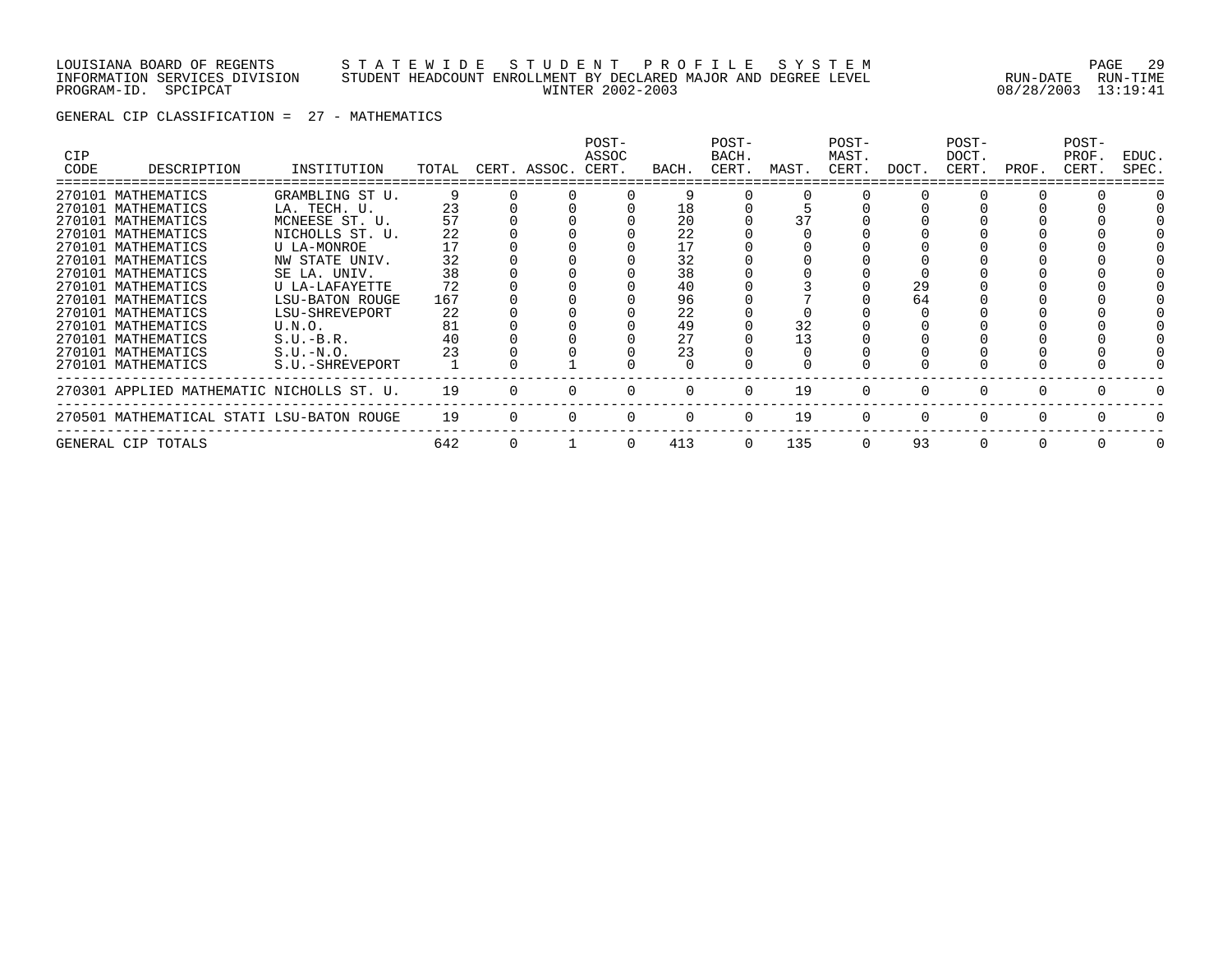#### LOUISIANA BOARD OF REGENTS S T A T E W I D E S T U D E N T P R O F I L E S Y S T E M PAGE 29 INFORMATION SERVICES DIVISION STUDENT HEADCOUNT ENROLLMENT BY DECLARED MAJOR AND DEGREE LEVEL RUN-DATE RUN-TIME PROGRAM-ID. SPCIPCAT WINTER 2002-2003 08/28/2003 13:19:41

GENERAL CIP CLASSIFICATION = 27 - MATHEMATICS

| <b>CIP</b> |                                           |                        |       |          |              | POST-<br>ASSOC |          | POST-<br>BACH. |       | POST-<br>MAST. |              | POST-<br>DOCT. |          | POST-<br>PROF. | EDUC.    |
|------------|-------------------------------------------|------------------------|-------|----------|--------------|----------------|----------|----------------|-------|----------------|--------------|----------------|----------|----------------|----------|
| CODE       | DESCRIPTION                               | INSTITUTION            | TOTAL |          | CERT. ASSOC. | CERT.          | BACH.    | CERT.          | MAST. | CERT.          | DOCT.        | CERT.          | PROF.    | CERT.          | SPEC.    |
|            | 270101 MATHEMATICS                        | GRAMBLING ST U.        | 9     |          |              |                | Q        |                |       |                |              |                |          |                |          |
|            | 270101 MATHEMATICS                        | LA. TECH. U.           | 23    |          |              |                | 18       |                |       |                |              |                |          |                |          |
|            | 270101 MATHEMATICS                        | MCNEESE ST. U.         |       |          |              |                | 20       |                |       |                |              |                |          |                |          |
|            | 270101 MATHEMATICS                        | NICHOLLS ST. U.        | 22    |          |              |                | 22       |                |       |                |              |                |          |                |          |
|            | 270101 MATHEMATICS                        | U LA-MONROE            |       |          |              |                |          |                |       |                |              |                |          |                |          |
|            | 270101 MATHEMATICS                        | NW STATE UNIV.         | 32    |          |              |                | 32       |                |       |                |              |                |          |                |          |
|            | 270101 MATHEMATICS                        | SE LA. UNIV.           | 38    |          |              |                | 38       |                |       |                |              |                |          |                |          |
|            | 270101 MATHEMATICS                        | U LA-LAFAYETTE         | 72    |          |              |                | 40       |                |       |                | 29           |                |          |                |          |
|            | 270101 MATHEMATICS                        | <b>LSU-BATON ROUGE</b> | 167   |          |              |                | 96       |                |       |                | 64           |                |          |                |          |
|            | 270101 MATHEMATICS                        | LSU-SHREVEPORT         | 22    |          |              |                | 22       |                |       |                |              |                |          |                |          |
|            | 270101 MATHEMATICS                        | U.N.O.                 | 81    |          |              |                | 49       |                | 32    |                |              |                |          |                |          |
|            | 270101 MATHEMATICS                        | $S.U.-B.R.$            | 40    |          |              |                | 27       |                | 13    |                |              |                |          |                |          |
|            | 270101 MATHEMATICS                        | $S.U.-N.O.$            |       |          |              |                | 23       |                |       |                |              |                |          |                |          |
|            | 270101 MATHEMATICS                        | S.U.-SHREVEPORT        |       |          |              |                |          |                |       |                |              |                |          |                |          |
|            | 270301 APPLIED MATHEMATIC NICHOLLS ST. U. |                        | 19    |          |              |                | $\Omega$ | $\Omega$       | 19    |                |              | 0              |          |                |          |
|            | 270501 MATHEMATICAL STATI LSU-BATON ROUGE |                        | 19    | $\Omega$ |              |                | $\Omega$ | $\Omega$       | 19    | $\Omega$       | <sup>0</sup> | 0              | $\Omega$ |                |          |
|            | GENERAL CIP TOTALS                        |                        | 642   | 0        |              | $\Omega$       | 413      | $\Omega$       | 135   | $\Omega$       | 93           | 0              | $\Omega$ |                | $\Omega$ |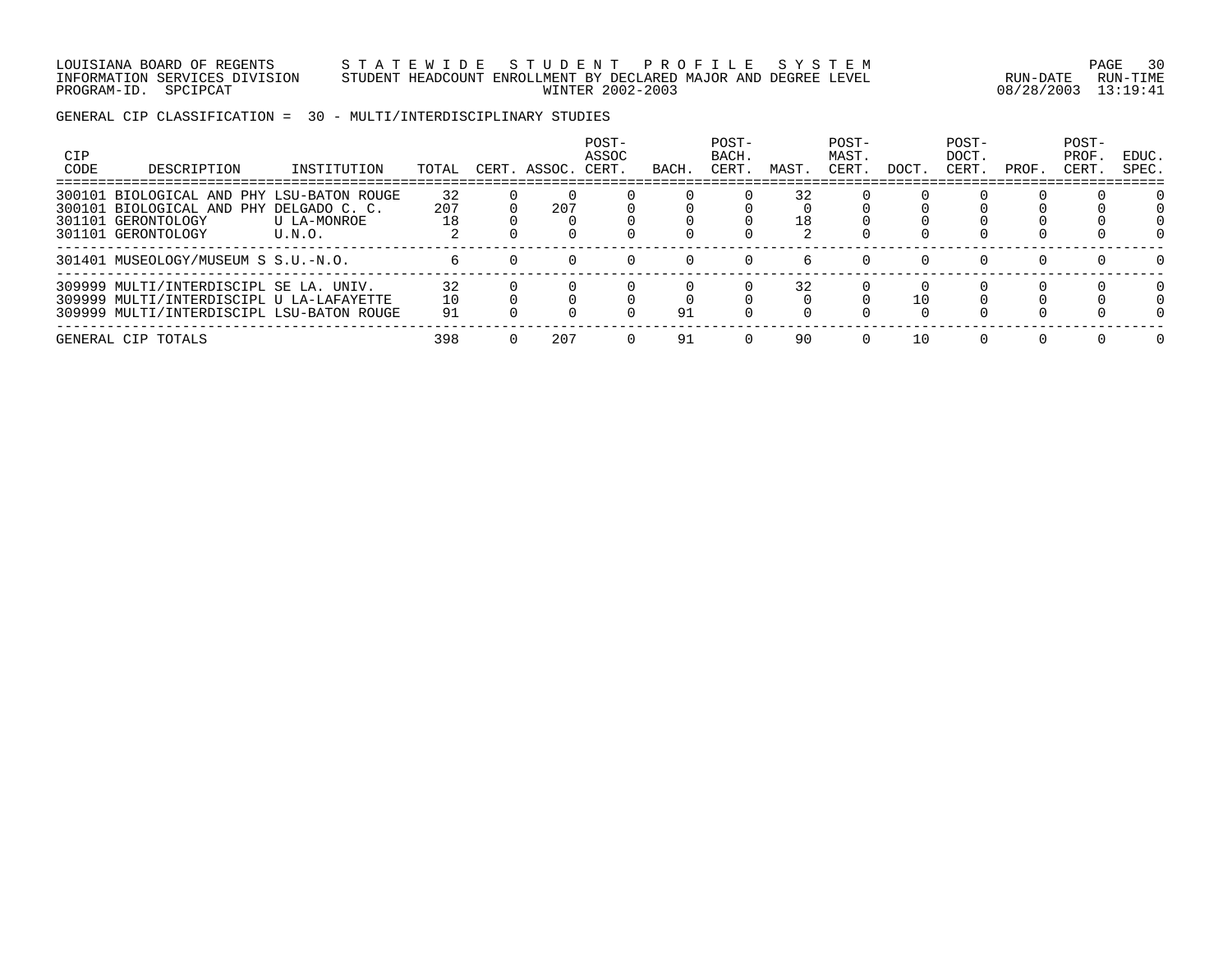#### LOUISIANA BOARD OF REGENTS S T A T E W I D E S T U D E N T P R O F I L E S Y S T E M PAGE 30 INFORMATION SERVICES DIVISION STUDENT HEADCOUNT ENROLLMENT BY DECLARED MAJOR AND DEGREE LEVEL RUN-DATE RUN-TIME PROGRAM-ID. SPCIPCAT WINTER 2002-2003 08/28/2003 13:19:41

GENERAL CIP CLASSIFICATION = 30 - MULTI/INTERDISCIPLINARY STUDIES

| <b>CIP</b><br>CODE | DESCRIPTION                                                                                                                     | INSTITUTION           | TOTAL           | CERT. ASSOC. | POST-<br>ASSOC<br>CERT. | BACH | POST-<br>BACH.<br>CERT. | MAST.    | POST-<br>MAST.<br>CERT. | DOCT. | POST-<br>DOCT.<br>CERT. | PROF. | POST-<br>PROF<br>CERT. | EDUC.<br>SPEC. |
|--------------------|---------------------------------------------------------------------------------------------------------------------------------|-----------------------|-----------------|--------------|-------------------------|------|-------------------------|----------|-------------------------|-------|-------------------------|-------|------------------------|----------------|
| 300101             | BIOLOGICAL AND PHY LSU-BATON ROUGE<br>300101 BIOLOGICAL AND PHY DELGADO C. C.<br>301101 GERONTOLOGY<br>301101 GERONTOLOGY       | U LA-MONROE<br>U.N.O. | 32<br>207<br>18 | 207          |                         |      |                         | 32<br>18 |                         |       |                         |       |                        |                |
|                    | 301401 MUSEOLOGY/MUSEUM S S.U.-N.O.                                                                                             |                       |                 |              |                         |      |                         | h        |                         |       |                         |       |                        |                |
|                    | 309999 MULTI/INTERDISCIPL SE LA. UNIV.<br>309999 MULTI/INTERDISCIPL U LA-LAFAYETTE<br>309999 MULTI/INTERDISCIPL LSU-BATON ROUGE |                       | 32<br>10<br>91  |              |                         | 91   |                         | 32       |                         | 10    |                         |       |                        |                |
|                    | GENERAL CIP TOTALS                                                                                                              |                       | 398             | 207          |                         | 91   |                         | 90       |                         | 10    |                         |       |                        |                |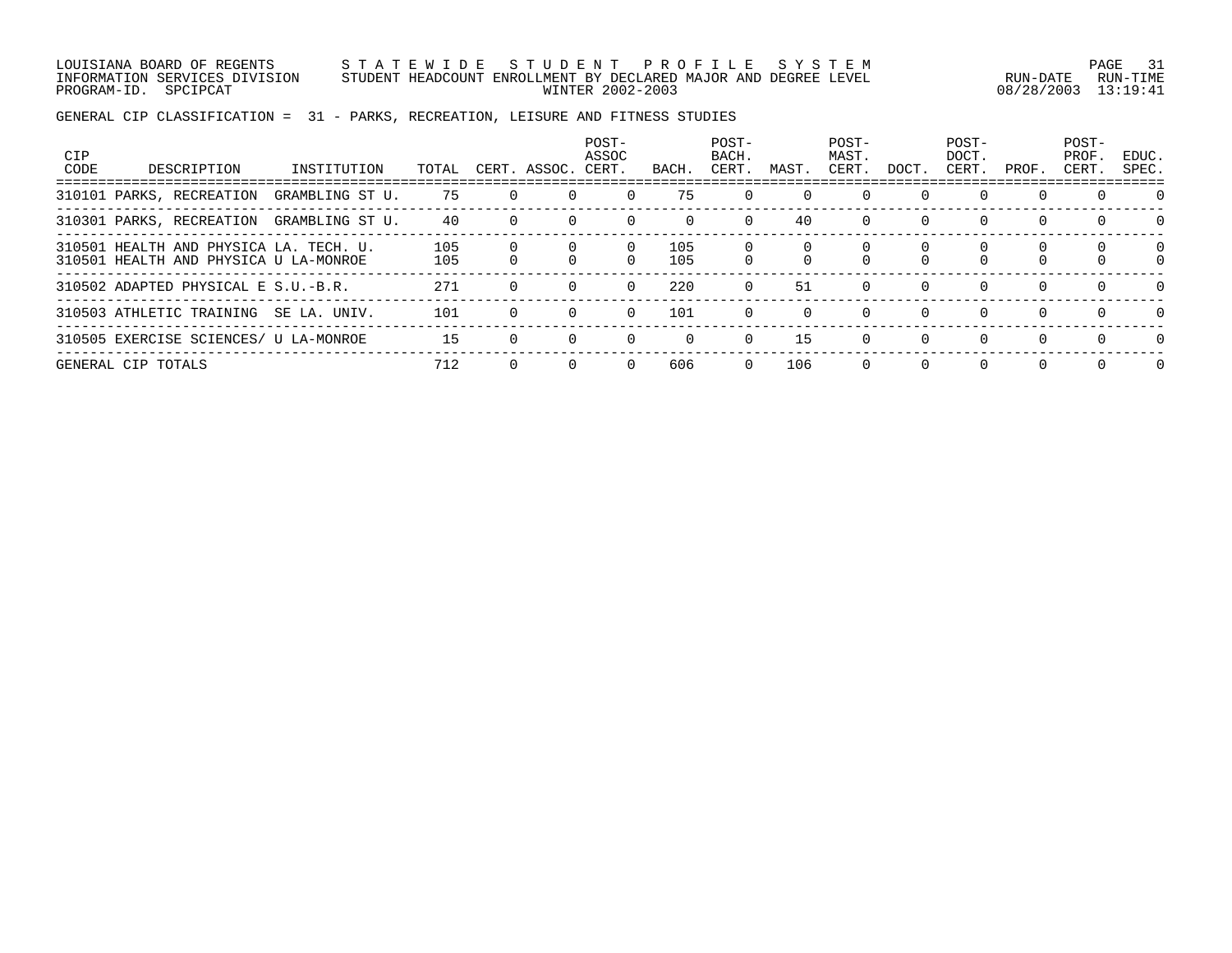LOUISIANA BOARD OF REGENTS S T A T E W I D E S T U D E N T P R O F I L E S Y S T E M PAGE 31 INFORMATION SERVICES DIVISION STUDENT HEADCOUNT ENROLLMENT BY DECLARED MAJOR AND DEGREE LEVEL RUN-DATE RUN-TIME PROGRAM-ID. SPCIPCAT WINTER 2002-2003 08/28/2003 13:19:41

GENERAL CIP CLASSIFICATION = 31 - PARKS, RECREATION, LEISURE AND FITNESS STUDIES

| <b>CIP</b><br>CODE | DESCRIPTION                                                                     | INSTITUTION     | TOTAL      | CERT. ASSOC. | POST-<br>ASSOC<br>CERT. | BACH.      | POST-<br>BACH.<br>CERT. | MAST.    | POST-<br>MAST.<br>CERT. | DOCT.    | POST-<br>DOCT.<br>CERT. | PROF.    | POST-<br>PROF.<br>CERT. | EDUC.<br>SPEC.       |
|--------------------|---------------------------------------------------------------------------------|-----------------|------------|--------------|-------------------------|------------|-------------------------|----------|-------------------------|----------|-------------------------|----------|-------------------------|----------------------|
|                    | 310101 PARKS, RECREATION                                                        | GRAMBLING ST U. | 75         |              |                         | 75         | $\Omega$                | $\Omega$ | $\Omega$                |          | $\Omega$                | $\Omega$ | $\Omega$                | $\Omega$             |
|                    | 310301 PARKS, RECREATION                                                        | GRAMBLING ST U. | 40         |              |                         |            | $\Omega$                | 40       | $\Omega$                | $\Omega$ | $\Omega$                | $\Omega$ | $\Omega$                | $\Omega$             |
|                    | 310501 HEALTH AND PHYSICA LA. TECH. U.<br>310501 HEALTH AND PHYSICA U LA-MONROE |                 | 105<br>105 |              |                         | 105<br>105 |                         | U        | U                       |          |                         |          |                         | $\Omega$<br>$\Omega$ |
|                    | 310502 ADAPTED PHYSICAL E S.U.-B.R.                                             |                 | 271        |              |                         | 220        | $\Omega$                | 51       | $\Omega$                | $\Omega$ | $\Omega$                | $\Omega$ | $\Omega$                | $\Omega$             |
|                    | 310503 ATHLETIC TRAINING                                                        | SE LA. UNIV.    | 101        |              | $\Omega$                | 101        | $\Omega$                | $\Omega$ | $\Omega$                | $\Omega$ | $\Omega$                | $\Omega$ | $\Omega$                | $\Omega$             |
|                    | 310505 EXERCISE SCIENCES/ U LA-MONROE                                           |                 | 15         |              |                         | $\Omega$   | $\Omega$                | 15       | $\Omega$                | $\Omega$ | $\Omega$                | $\Omega$ | $\Omega$                | $\Omega$             |
|                    | GENERAL CIP TOTALS                                                              |                 | 712        |              |                         | 606        | $\Omega$                | 106      | $\Omega$                | $\Omega$ | $\Omega$                | $\Omega$ | $\Omega$                | $\Omega$             |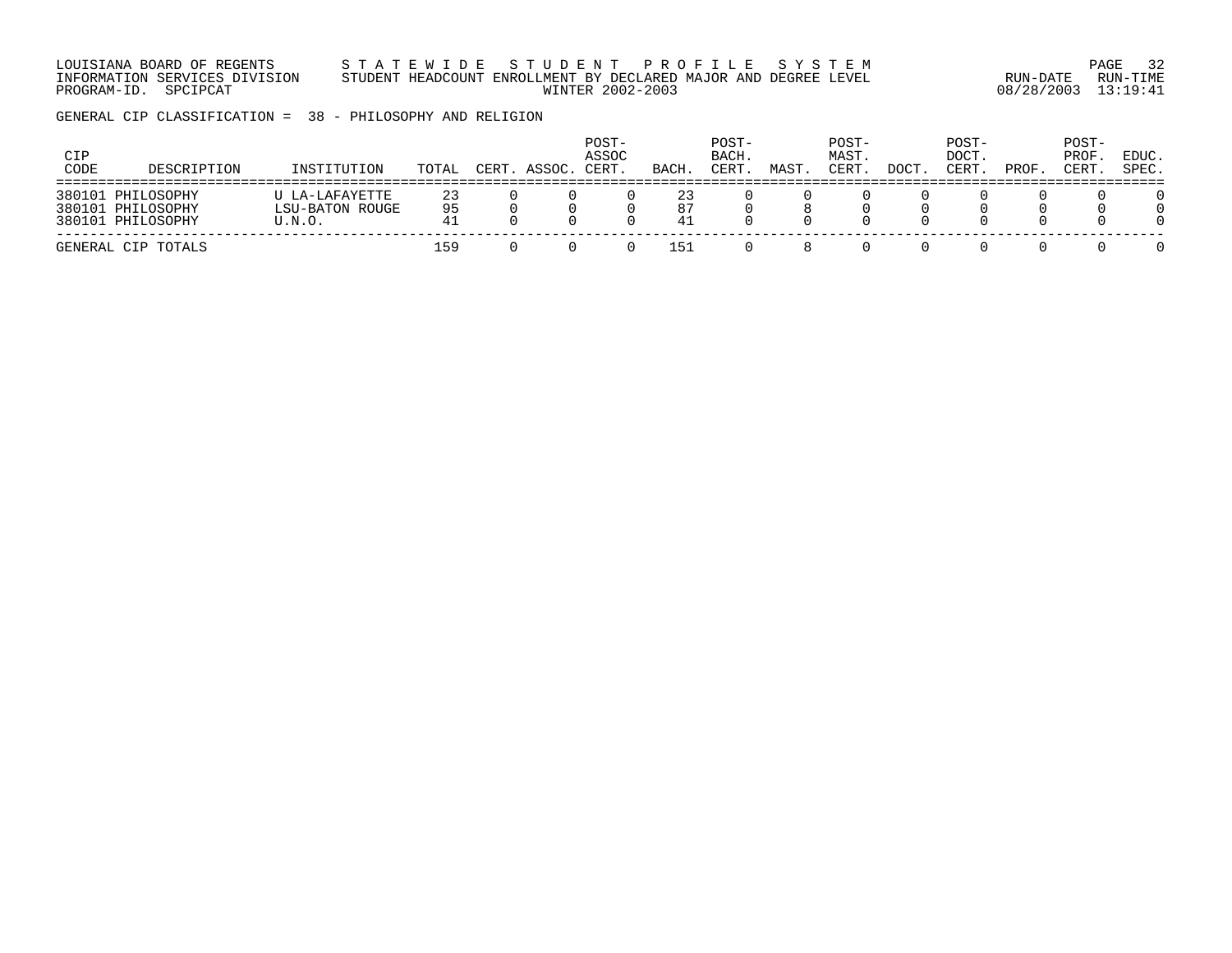LOUISIANA BOARD OF REGENTS S T A T E W I D E S T U D E N T P R O F I L E S Y S T E M PAGE 32 INFORMATION SERVICES DIVISION STUDENT HEADCOUNT ENROLLMENT BY DECLARED MAJOR AND DEGREE LEVEL RUN-DATE RUN-TIME PROGRAM-ID. SPCIPCAT WINTER 2002-2003 08/28/2003 13:19:41

GENERAL CIP CLASSIFICATION = 38 - PHILOSOPHY AND RELIGION

| CIP<br>CODE | DESCRIPTION                                                 | INSTITUTION                                 | TOTAL          | CERT. ASSOC. | POST-<br>ASSOC<br>CERT | BACH           | POST-<br>BACH.<br>CERT. | MAST | POST-<br>MAST.<br>CERT. | DOCT | POST-<br>DOCT.<br>CERT. | PROF | POST-<br>PROF<br>CERT | EDUC.<br>SPEC. |
|-------------|-------------------------------------------------------------|---------------------------------------------|----------------|--------------|------------------------|----------------|-------------------------|------|-------------------------|------|-------------------------|------|-----------------------|----------------|
|             | 380101 PHILOSOPHY<br>380101 PHILOSOPHY<br>380101 PHILOSOPHY | U LA-LAFAYETTE<br>LSU-BATON ROUGE<br>U.N.O. | 23<br>95<br>41 |              |                        | 23<br>87<br>41 |                         |      |                         |      |                         |      |                       |                |
|             | GENERAL CIP TOTALS                                          |                                             | 159            |              |                        | 151            |                         |      |                         |      |                         |      |                       |                |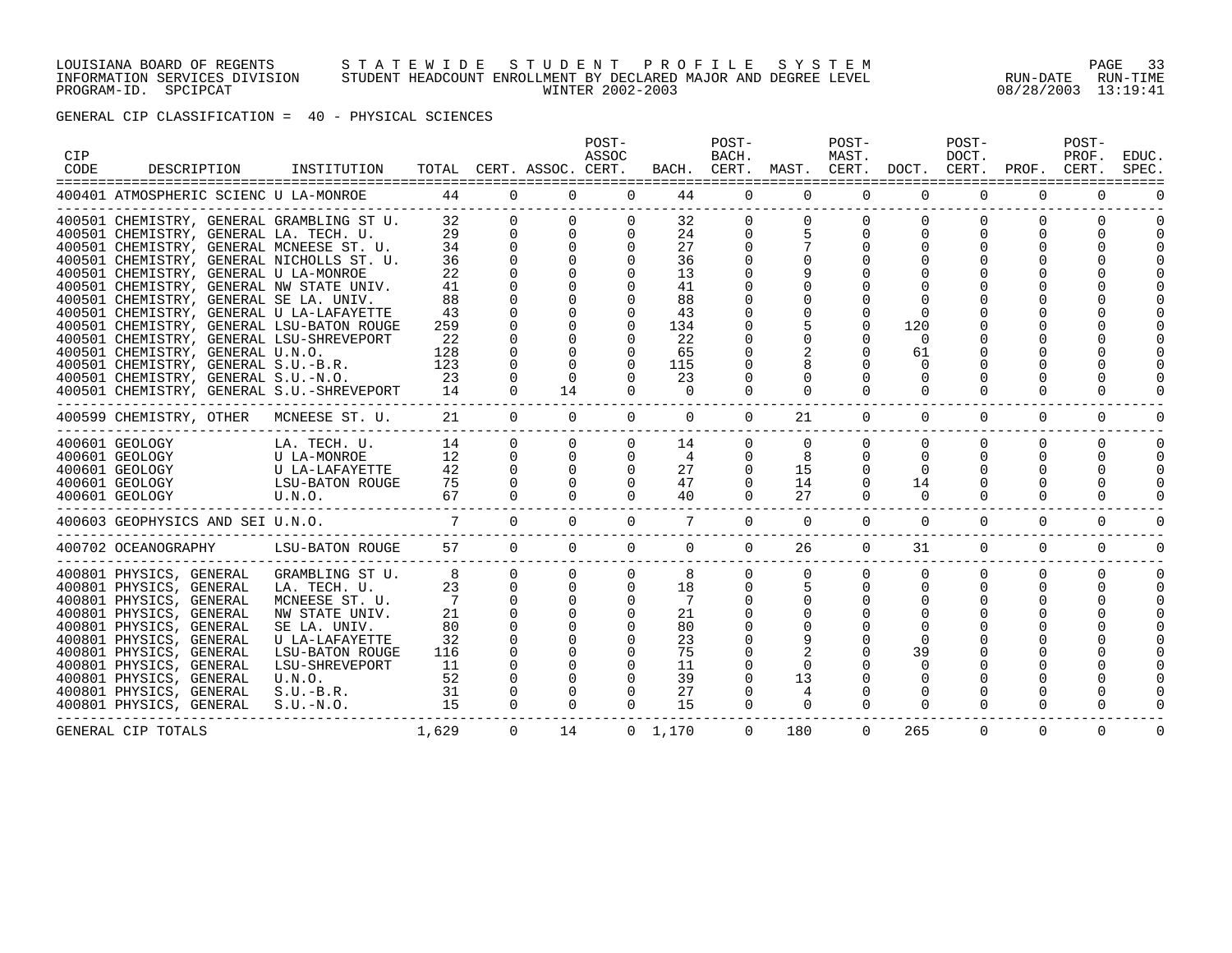#### LOUISIANA BOARD OF REGENTS S T A T E W I D E S T U D E N T P R O F I L E S Y S T E M PAGE 33 INFORMATION SERVICES DIVISION STUDENT HEADCOUNT ENROLLMENT BY DECLARED MAJOR AND DEGREE LEVEL RUN-DATE RUN-TIME PROGRAM-ID. SPCIPCAT WINTER 2002-2003 08/28/2003 13:19:41

GENERAL CIP CLASSIFICATION = 40 - PHYSICAL SCIENCES

| <b>CIP</b><br>CODE | DESCRIPTION                                                                                                                                                                                                                                                                                                                                                                                                                                      | INSTITUTION                                                                                                                                                                        |                                                               |                                                                                                 | TOTAL CERT. ASSOC. CERT.                                                | POST-<br>ASSOC       |                                                                            | POST-<br>BACH.<br>BACH. CERT.                     | MAST. CERT.                                      | POST-<br>MAST.                                           | DOCT. CERT.                            | POST-<br>DOCT.                   | PROF.                     | POST-<br>PROF.<br>CERT.      | EDUC.<br>SPEC                    |
|--------------------|--------------------------------------------------------------------------------------------------------------------------------------------------------------------------------------------------------------------------------------------------------------------------------------------------------------------------------------------------------------------------------------------------------------------------------------------------|------------------------------------------------------------------------------------------------------------------------------------------------------------------------------------|---------------------------------------------------------------|-------------------------------------------------------------------------------------------------|-------------------------------------------------------------------------|----------------------|----------------------------------------------------------------------------|---------------------------------------------------|--------------------------------------------------|----------------------------------------------------------|----------------------------------------|----------------------------------|---------------------------|------------------------------|----------------------------------|
|                    | 400401 ATMOSPHERIC SCIENC U LA-MONROE                                                                                                                                                                                                                                                                                                                                                                                                            |                                                                                                                                                                                    | 44                                                            | $\Omega$                                                                                        | $\Omega$                                                                | $\Omega$             | 44                                                                         | $\overline{0}$                                    | $\overline{0}$                                   | $\Omega$                                                 | $\Omega$                               | $\Omega$                         | $\Omega$                  | $\Omega$                     |                                  |
|                    | 400501 CHEMISTRY, GENERAL GRAMBLING ST U.<br>400501 CHEMISTRY, GENERAL LA. TECH. U.<br>400501 CHEMISTRY, GENERAL MCNEESE ST. U.<br>400501 CHEMISTRY, GENERAL NICHOLLS ST. U.<br>400501 CHEMISTRY, GENERAL U LA-MONROE<br>400501 CHEMISTRY, GENERAL NW STATE UNIV.<br>400501 CHEMISTRY, GENERAL SE LA. UNIV.<br>400501 CHEMISTRY, GENERAL U LA-LAFAYETTE<br>400501 CHEMISTRY, GENERAL LSU-BATON ROUGE<br>400501 CHEMISTRY, GENERAL LSU-SHREVEPORT |                                                                                                                                                                                    | 32<br>29<br>34<br>36<br>22<br>41<br>88<br>43<br>259<br>22     | $\Omega$<br>$\Omega$<br>$\Omega$<br>$\Omega$                                                    | $\Omega$<br>$\mathbf{0}$<br>$\mathbf 0$                                 |                      | 32<br>24<br>27<br>36<br>13<br>41<br>88<br>43<br>134<br>22                  | $\Omega$                                          | $\Omega$<br>5                                    | $\Omega$<br>$\Omega$                                     | 120<br>$\Omega$                        | $\Omega$<br>0                    |                           |                              |                                  |
|                    | 400501 CHEMISTRY, GENERAL U.N.O.<br>400501 CHEMISTRY, GENERAL S.U.-B.R.<br>400501 CHEMISTRY, GENERAL S.U.-N.O.<br>400501 CHEMISTRY, GENERAL S.U.-SHREVEPORT                                                                                                                                                                                                                                                                                      |                                                                                                                                                                                    | 128<br>123<br>23<br>14                                        | $\Omega$<br>$\Omega$                                                                            | $\Omega$<br>$\Omega$<br>$\Omega$<br>14                                  | $\Omega$             | 65<br>115<br>23<br>$\Omega$                                                |                                                   | $\Omega$                                         |                                                          | 61                                     | 0                                |                           |                              |                                  |
|                    | 400599 CHEMISTRY, OTHER                                                                                                                                                                                                                                                                                                                                                                                                                          | MCNEESE ST. U.                                                                                                                                                                     | 21                                                            | $\Omega$                                                                                        | $\Omega$                                                                | $\Omega$             | $\Omega$                                                                   | $\Omega$                                          | 21                                               | $\Omega$                                                 | $\Omega$                               | $\Omega$                         | $\Omega$                  | $\Omega$                     |                                  |
|                    | 400601 GEOLOGY<br>400601 GEOLOGY<br>400601 GEOLOGY<br>400601 GEOLOGY<br>400601 GEOLOGY<br>U.N.O.                                                                                                                                                                                                                                                                                                                                                 | LA. TECH. U.<br>U LA-MONROE<br>U LA-LAFAYETTE<br>LSU-BATON ROUGE                                                                                                                   | 14<br>12<br>42<br>75<br>67                                    | $\Omega$<br>$\Omega$<br>$\Omega$<br>$\Omega$<br>$\Omega$                                        | $\Omega$<br>$\Omega$<br>$\Omega$<br>$\Omega$                            | $\Omega$<br>$\Omega$ | 14<br>4<br>27<br>47<br>40                                                  | 0<br>$\Omega$<br>$\Omega$<br>$\Omega$<br>$\Omega$ | $\Omega$<br>8<br>15<br>14<br>27                  | $\Omega$<br>$\Omega$<br>$\Omega$<br>$\Omega$<br>$\Omega$ | $\Omega$<br>$\Omega$<br>14<br>$\Omega$ | $\Omega$<br>$\Omega$<br>$\Omega$ | 0<br>0<br>$\Omega$        | 0<br>0<br>U<br>U<br>$\Omega$ | $\Omega$<br>$\Omega$<br>$\Omega$ |
|                    | 400603 GEOPHYSICS AND SEI U.N.O.                                                                                                                                                                                                                                                                                                                                                                                                                 |                                                                                                                                                                                    | $\overline{7}$                                                | $\Omega$                                                                                        | $\Omega$                                                                | $\Omega$             | $7^{\circ}$                                                                | $\Omega$                                          | $\Omega$                                         | $\Omega$                                                 | $\Omega$                               | $\Omega$                         | $\Omega$                  | $\Omega$                     | $\Omega$                         |
|                    | 400702 OCEANOGRAPHY                                                                                                                                                                                                                                                                                                                                                                                                                              | LSU-BATON ROUGE                                                                                                                                                                    | 57                                                            | $\Omega$                                                                                        | $\Omega$                                                                | $\Omega$             | $\Omega$                                                                   | $\Omega$                                          | 26                                               | $\Omega$                                                 | 31                                     | $\Omega$                         | $\Omega$                  | $\Omega$                     | $\Omega$                         |
|                    | 400801 PHYSICS, GENERAL<br>400801 PHYSICS, GENERAL<br>400801 PHYSICS, GENERAL<br>400801 PHYSICS, GENERAL<br>400801 PHYSICS, GENERAL<br>400801 PHYSICS, GENERAL<br>400801 PHYSICS, GENERAL<br>400801 PHYSICS, GENERAL<br>400801 PHYSICS, GENERAL<br>400801 PHYSICS, GENERAL<br>400801 PHYSICS, GENERAL                                                                                                                                            | GRAMBLING ST U.<br>LA. TECH. U.<br>MCNEESE ST. U.<br>NW STATE UNIV.<br>SE LA. UNIV.<br>U LA-LAFAYETTE<br>LSU-BATON ROUGE<br>LSU-SHREVEPORT<br>U.N.O.<br>$S.U.-B.R.$<br>$S.U.-N.O.$ | 8<br>23<br>7<br>21<br>80<br>32<br>116<br>11<br>52<br>31<br>15 | $\Omega$<br>$\Omega$<br>$\mathbf 0$<br>$\Omega$<br>$\Omega$<br>$\Omega$<br>$\Omega$<br>$\Omega$ | $\Omega$<br>$\Omega$<br>$\mathbf 0$<br>$\Omega$<br>$\Omega$<br>$\Omega$ | $\Omega$<br>$\Omega$ | 8<br>18<br>$7\overline{ }$<br>21<br>80<br>23<br>75<br>11<br>39<br>27<br>15 | $\Omega$<br>$\Omega$                              | $\Omega$<br>5<br>$\Omega$<br>13<br>4<br>$\Omega$ | $\Omega$<br>$\Omega$<br>$\Omega$                         | $\Omega$<br>0<br>39<br>0<br>$\Omega$   | $\Omega$<br>O<br>$\Omega$        | $\Omega$<br>U<br>$\Omega$ | $\Omega$<br>U                | $\Omega$                         |
|                    | GENERAL CIP TOTALS                                                                                                                                                                                                                                                                                                                                                                                                                               |                                                                                                                                                                                    | 1,629                                                         | $\Omega$                                                                                        | 14                                                                      |                      | $0 \quad 1,170$                                                            | $\Omega$                                          | 180                                              | $\Omega$                                                 | 265                                    | $\Omega$                         | 0                         | $\Omega$                     | $\Omega$                         |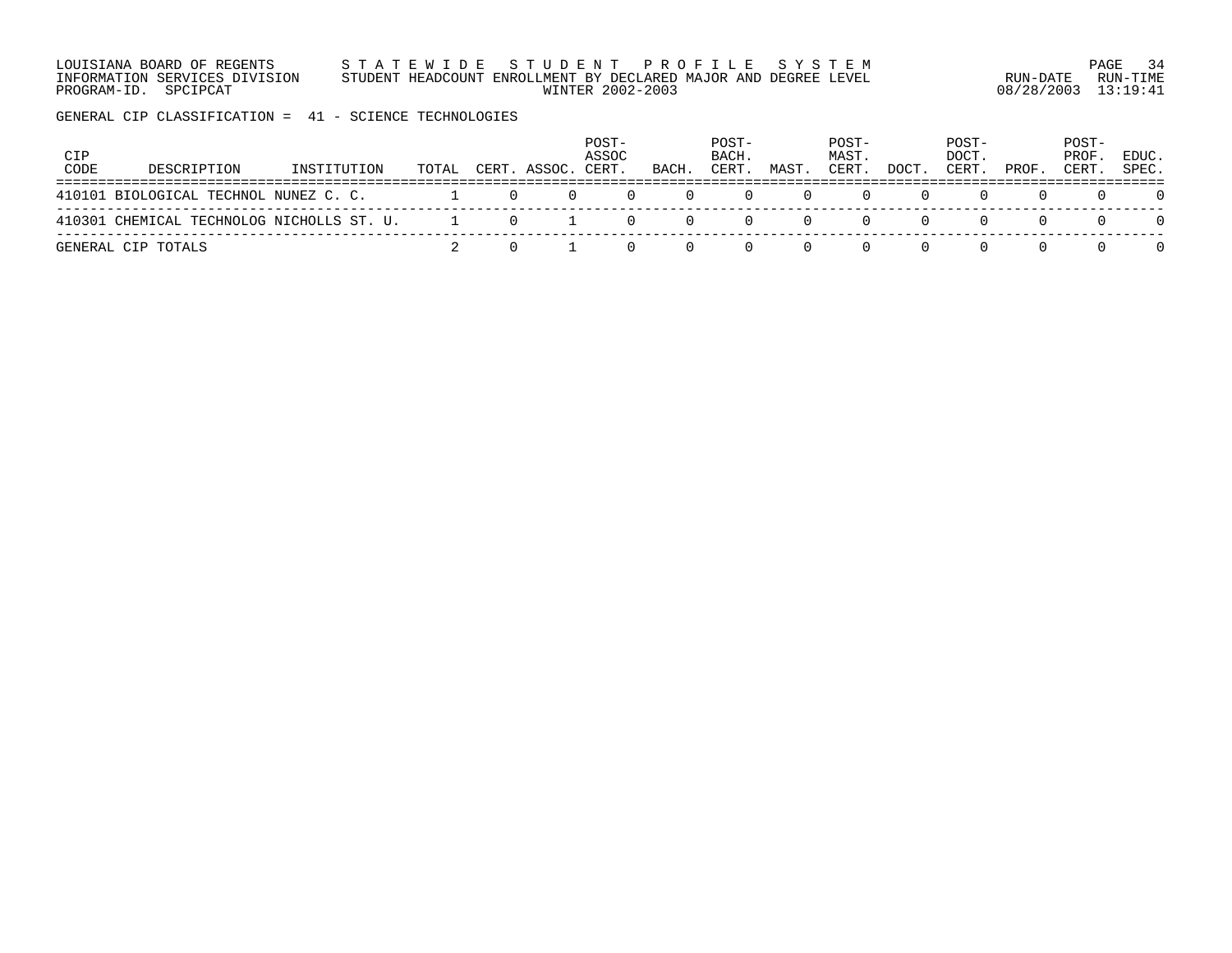LOUISIANA BOARD OF REGENTS S T A T E W I D E S T U D E N T P R O F I L E S Y S T E M PAGE 34 INFORMATION SERVICES DIVISION STUDENT HEADCOUNT ENROLLMENT BY DECLARED MAJOR AND DEGREE LEVEL RUN-DATE RUN-TIME PROGRAM-ID. SPCIPCAT WINTER 2002-2003 08/28/2003 13:19:41

GENERAL CIP CLASSIFICATION = 41 - SCIENCE TECHNOLOGIES

| CIP<br>CODE | DESCRIPTION                               | INSTITUTION | TOTAL |          | CERT. ASSOC. CERT. | POST-<br>ASSOC | BACH.    | POST-<br>BACH.<br>CERT. | MAST. | POST-<br>MAST.<br>CERT. | DOCT. | POST-<br>DOCT.<br>CERT. | PROF. | POST-<br>PROF.<br>CERT. | EDUC.<br>SPEC. |
|-------------|-------------------------------------------|-------------|-------|----------|--------------------|----------------|----------|-------------------------|-------|-------------------------|-------|-------------------------|-------|-------------------------|----------------|
|             | 410101 BIOLOGICAL TECHNOL NUNEZ C. C.     |             |       | $\Omega$ |                    |                | $\Omega$ |                         |       |                         |       |                         |       |                         | $\Omega$       |
|             | 410301 CHEMICAL TECHNOLOG NICHOLLS ST. U. |             |       |          | $1 \t 0 \t 1$      | $\Omega$       | $\Omega$ |                         |       |                         |       |                         |       |                         | $\Omega$       |
|             | GENERAL CIP TOTALS                        |             |       |          |                    |                |          |                         |       |                         |       |                         |       |                         | $\Omega$       |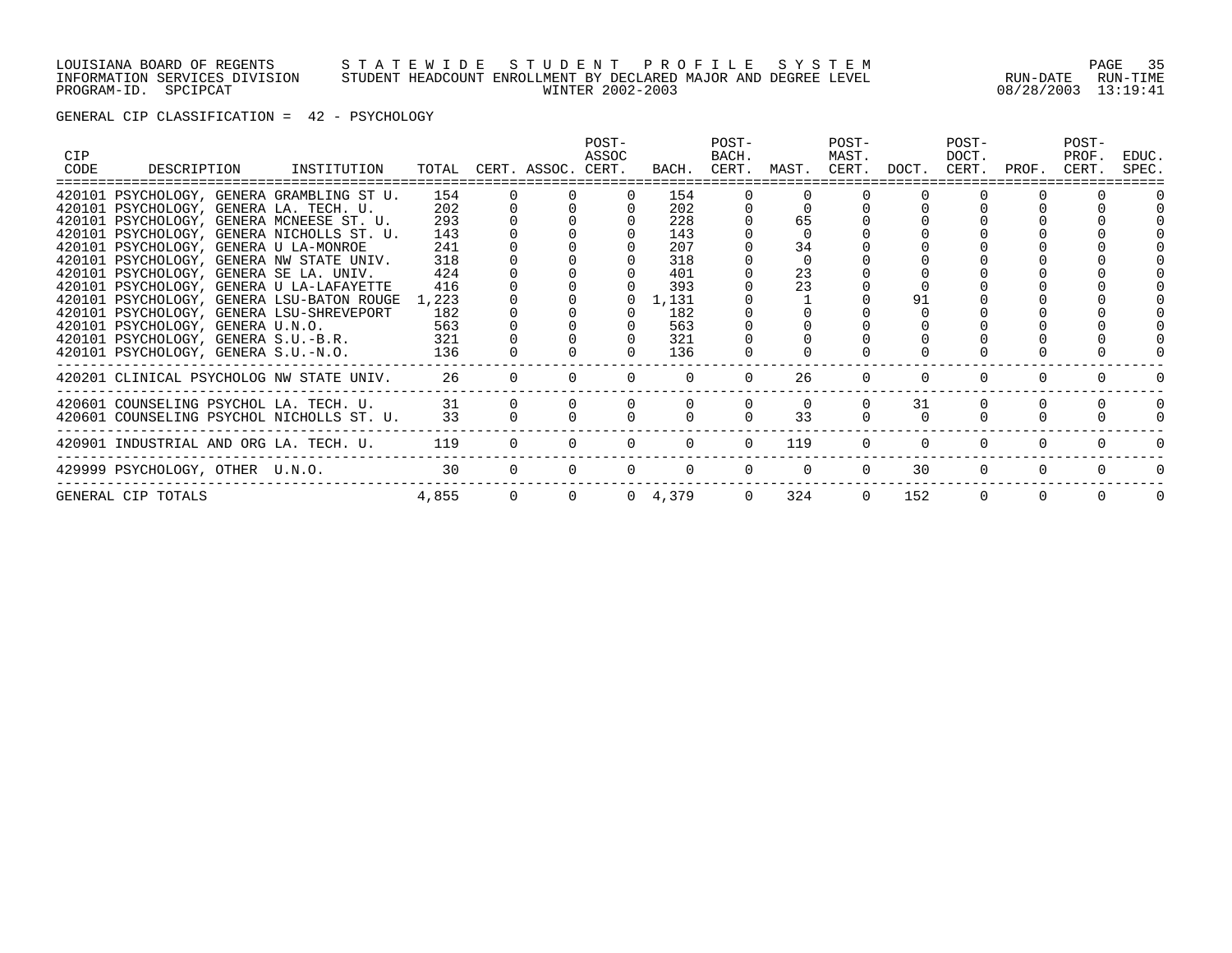#### LOUISIANA BOARD OF REGENTS S T A T E W I D E S T U D E N T P R O F I L E S Y S T E M PAGE 35 INFORMATION SERVICES DIVISION STUDENT HEADCOUNT ENROLLMENT BY DECLARED MAJOR AND DEGREE LEVEL RUN-DATE RUN-TIME PROGRAM-ID. SPCIPCAT WINTER 2002-2003 08/28/2003 13:19:41

GENERAL CIP CLASSIFICATION = 42 - PSYCHOLOGY

| CIP<br>CODE | DESCRIPTION INSTITUTION                                                                     |       |                | TOTAL CERT. ASSOC. CERT. | $POST-$<br>ASSOC |                        | POST-<br>BACH.<br>BACH. CERT. MAST. CERT. DOCT. |          | POST-<br>MAST. |          | POST-<br>DOCT.<br>CERT. | PROF. | POST-<br>PROF.<br>CERT. | EDUC.<br>SPEC. |
|-------------|---------------------------------------------------------------------------------------------|-------|----------------|--------------------------|------------------|------------------------|-------------------------------------------------|----------|----------------|----------|-------------------------|-------|-------------------------|----------------|
|             | 420101 PSYCHOLOGY, GENERA GRAMBLING ST U.                                                   | 154   |                |                          |                  | 154                    |                                                 |          |                |          |                         |       |                         |                |
|             | 420101 PSYCHOLOGY, GENERA LA. TECH. U.                                                      | 202   |                |                          |                  | 202                    |                                                 |          |                |          |                         |       |                         |                |
|             | 420101 PSYCHOLOGY, GENERA MCNEESE ST. U.                                                    | 293   |                |                          |                  | 228                    |                                                 | 65       |                |          |                         |       |                         |                |
|             | 420101 PSYCHOLOGY, GENERA NICHOLLS ST. U.                                                   | 143   |                |                          |                  | 143                    |                                                 |          |                |          |                         |       |                         |                |
|             | 420101 PSYCHOLOGY, GENERA U LA-MONROE                                                       | 241   |                |                          |                  | 207                    |                                                 | 34       |                |          |                         |       |                         |                |
|             | 420101 PSYCHOLOGY, GENERA NW STATE UNIV.                                                    | 318   |                |                          |                  | 318                    |                                                 |          |                |          |                         |       |                         |                |
|             | 420101 PSYCHOLOGY, GENERA SE LA. UNIV.                                                      | 424   |                |                          |                  | 401                    |                                                 | 23<br>23 |                |          |                         |       |                         |                |
|             | 420101 PSYCHOLOGY, GENERA U LA-LAFAYETTE                                                    | 416   |                |                          |                  | 393                    |                                                 |          |                |          |                         |       |                         |                |
|             | 420101 PSYCHOLOGY, GENERA LSU-BATON ROUGE 1,223<br>420101 PSYCHOLOGY, GENERA LSU-SHREVEPORT | 182   |                |                          |                  | $0 \quad 1,131$<br>182 |                                                 |          |                |          |                         |       |                         |                |
|             | 420101 PSYCHOLOGY, GENERA U.N.O.                                                            | 563   |                |                          |                  | 563                    |                                                 |          |                |          |                         |       |                         |                |
|             | 420101 PSYCHOLOGY, GENERA S.U.-B.R.                                                         | 321   |                |                          |                  | 321                    |                                                 |          |                |          |                         |       |                         |                |
|             | 420101 PSYCHOLOGY, GENERA S.U.-N.O.                                                         | 136   |                |                          |                  | 136                    |                                                 |          |                |          |                         |       |                         |                |
|             |                                                                                             |       |                |                          |                  |                        |                                                 |          |                |          |                         |       |                         |                |
|             | 420201 CLINICAL PSYCHOLOG NW STATE UNIV. 26                                                 |       | $\Omega$       |                          |                  |                        |                                                 | 26       |                |          |                         |       |                         |                |
|             | 420601 COUNSELING PSYCHOL LA. TECH. U. 31                                                   |       |                |                          |                  |                        |                                                 |          |                | 31       |                         |       |                         |                |
|             | 420601 COUNSELING PSYCHOL NICHOLLS ST. U.                                                   | 33    |                |                          |                  |                        |                                                 | 33       |                |          |                         |       |                         |                |
|             |                                                                                             |       |                |                          |                  |                        |                                                 |          |                |          |                         |       |                         |                |
|             | 420901 INDUSTRIAL AND ORG LA. TECH. U. 119                                                  |       | $\Omega$       | $\Omega$                 | $\Omega$         | $\Omega$               | $\Omega$                                        | 119      |                | $\Omega$ | $\Omega$                |       |                         |                |
|             | 429999 PSYCHOLOGY, OTHER U.N.O.                                                             | 30    |                | $\Omega$<br>$\Omega$     | $\Omega$         | $\Omega$               | $\Omega$                                        | $\Omega$ | $\Omega$       | 30       | $\Omega$                |       |                         |                |
|             | GENERAL CIP TOTALS                                                                          | 4,855 | $\overline{0}$ | $\overline{0}$           |                  | $0 \quad 4,379$        | $\Omega$                                        | 324      | $\Omega$       | 152      | $\Omega$                |       |                         |                |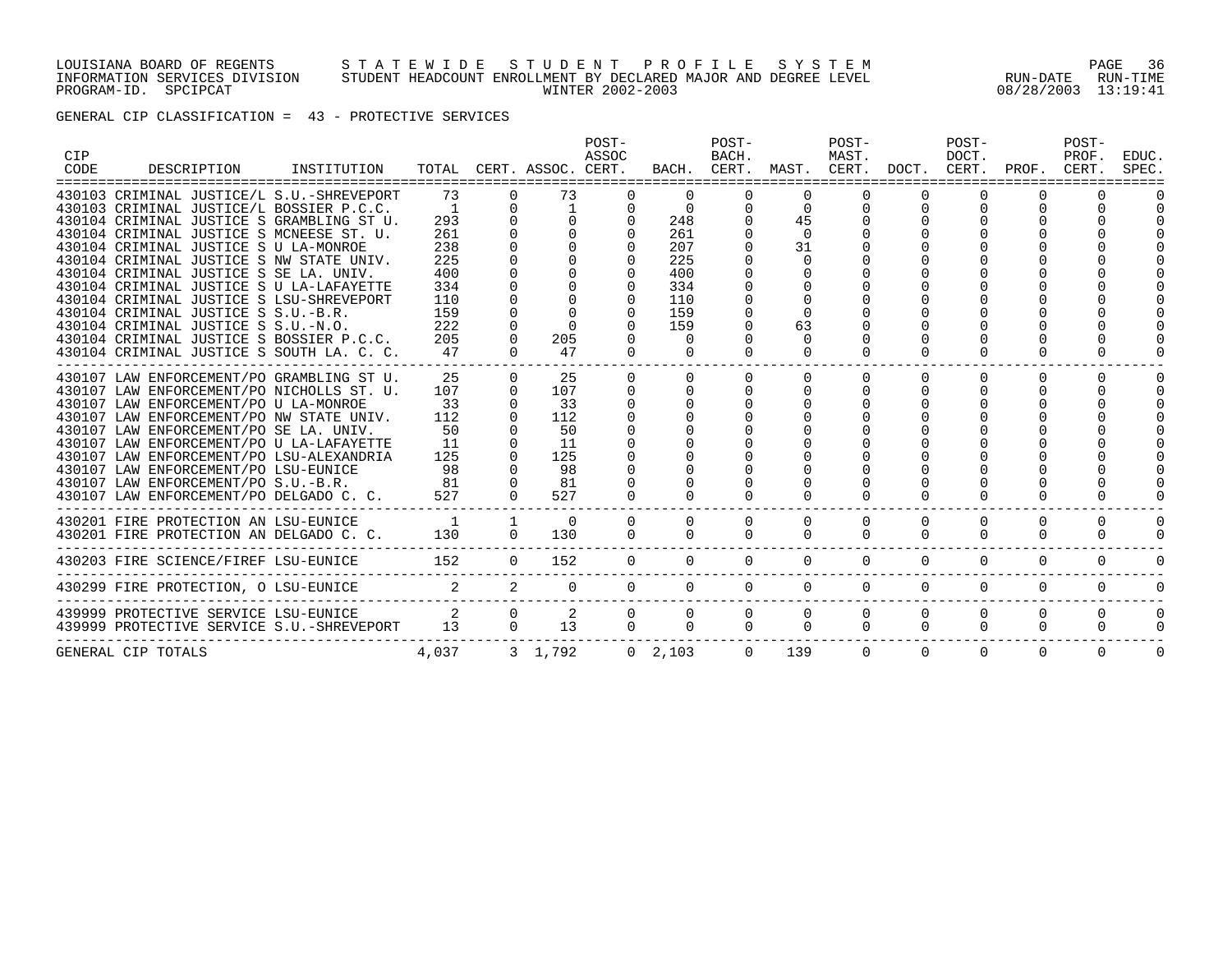#### LOUISIANA BOARD OF REGENTS S T A T E W I D E S T U D E N T P R O F I L E S Y S T E M PAGE 36 INFORMATION SERVICES DIVISION STUDENT HEADCOUNT ENROLLMENT BY DECLARED MAJOR AND DEGREE LEVEL RUN-DATE RUN-TIME PROGRAM-ID. SPCIPCAT WINTER 2002-2003 08/28/2003 13:19:41

GENERAL CIP CLASSIFICATION = 43 - PROTECTIVE SERVICES

| <b>CIP</b><br>CODE | DESCRIPTION                                                                                                                                                                                                                                                                                                                                                                                                                                                                                                                                                                  | INSTITUTION |                                                                                            |                          | TOTAL CERT. ASSOC. CERT.                                     | POST-<br>ASSOC                   |                                                                                                 | POST-<br>BACH.          |                                                                            | POST-<br>MAST.       |                      | POST-<br>DOCT.       | BACH. CERT. MAST. CERT. DOCT. CERT. PROF. | POST-<br>PROF.<br>CERT. | EDUC.<br>SPEC. |
|--------------------|------------------------------------------------------------------------------------------------------------------------------------------------------------------------------------------------------------------------------------------------------------------------------------------------------------------------------------------------------------------------------------------------------------------------------------------------------------------------------------------------------------------------------------------------------------------------------|-------------|--------------------------------------------------------------------------------------------|--------------------------|--------------------------------------------------------------|----------------------------------|-------------------------------------------------------------------------------------------------|-------------------------|----------------------------------------------------------------------------|----------------------|----------------------|----------------------|-------------------------------------------|-------------------------|----------------|
|                    | 430103 CRIMINAL JUSTICE/L S.U.-SHREVEPORT<br>430103 CRIMINAL JUSTICE/L BOSSIER P.C.C.<br>430104 CRIMINAL JUSTICE S GRAMBLING ST U.<br>430104 CRIMINAL JUSTICE S MCNEESE ST. U.<br>430104 CRIMINAL JUSTICE S U LA-MONROE<br>430104 CRIMINAL JUSTICE S NW STATE UNIV.<br>430104 CRIMINAL JUSTICE S SE LA. UNIV.<br>430104 CRIMINAL JUSTICE S U LA-LAFAYETTE<br>430104 CRIMINAL JUSTICE S LSU-SHREVEPORT<br>430104 CRIMINAL JUSTICE S S.U.-B.R.<br>430104 CRIMINAL JUSTICE S S.U.-N.O.<br>430104 CRIMINAL JUSTICE S BOSSIER P.C.C.<br>430104 CRIMINAL JUSTICE S SOUTH LA. C. C. |             | 73<br>$\sim$ 1<br>293<br>261<br>238<br>225<br>400<br>334<br>110<br>159<br>222<br>205<br>47 | $\Omega$                 | 73<br>1<br>205<br>47                                         | $\Omega$<br>$\Omega$<br>$\Omega$ | $\Omega$<br>248<br>261<br>207<br>225<br>400<br>334<br>110<br>159<br>159<br>$\Omega$<br>$\Omega$ |                         | $\Omega$<br>45<br>$\Omega$<br>31<br>$\Omega$<br>63<br>$\Omega$<br>$\Omega$ |                      | ∩                    | U                    | U                                         |                         |                |
|                    | 430107 LAW ENFORCEMENT/PO GRAMBLING ST U.<br>430107 LAW ENFORCEMENT/PO NICHOLLS ST. U.<br>430107 LAW ENFORCEMENT/PO U LA-MONROE<br>430107 LAW ENFORCEMENT/PO NW STATE UNIV.<br>430107 LAW ENFORCEMENT/PO SE LA. UNIV.<br>430107 LAW ENFORCEMENT/PO U LA-LAFAYETTE<br>430107 LAW ENFORCEMENT/PO LSU-ALEXANDRIA<br>430107 LAW ENFORCEMENT/PO LSU-EUNICE<br>430107 LAW ENFORCEMENT/PO S.U.-B.R.<br>430107 LAW ENFORCEMENT/PO DELGADO C. C.                                                                                                                                      |             | 25<br>107<br>33<br>112<br>50<br>11<br>125<br>98<br>81<br>527                               | $\Omega$<br>$\Omega$     | 25<br>107<br>33<br>112<br>50<br>11<br>125<br>98<br>81<br>527 | $\Omega$                         | $\Omega$                                                                                        | $\Omega$                | $\Omega$                                                                   |                      | 0                    | <sup>n</sup>         | 0                                         | $\Omega$                |                |
|                    | 430201 FIRE PROTECTION AN LSU-EUNICE<br>430201 FIRE PROTECTION AN DELGADO C. C.                                                                                                                                                                                                                                                                                                                                                                                                                                                                                              |             | 130                                                                                        | $\mathbf{1}$<br>$\Omega$ | $\Omega$<br>130                                              | $\Omega$<br>$\Omega$             | $\Omega$<br>0                                                                                   | $\Omega$<br>$\Omega$    | $\Omega$<br>$\Omega$                                                       | $\Omega$<br>$\Omega$ | $\Omega$<br>$\Omega$ | $\Omega$<br>$\Omega$ | $\Omega$<br>$\Omega$                      | $\Omega$<br>$\Omega$    |                |
|                    | 430203 FIRE SCIENCE/FIREF LSU-EUNICE                                                                                                                                                                                                                                                                                                                                                                                                                                                                                                                                         |             | 152                                                                                        | $\overline{0}$           | 152                                                          | $\overline{0}$                   | $\Omega$                                                                                        | $\Omega$                | $\overline{0}$                                                             | $\Omega$             | $\mathbf{0}$         | 0                    | $\Omega$                                  | 0                       | $\Omega$       |
|                    | 430299 FIRE PROTECTION, O LSU-EUNICE                                                                                                                                                                                                                                                                                                                                                                                                                                                                                                                                         |             | $\sim$ 2                                                                                   | $\overline{2}$           | $\Omega$                                                     | $\Omega$                         | $\Omega$                                                                                        | $\Omega$                | $\Omega$                                                                   | $\Omega$             | $\Omega$             | $\Omega$             | $\Omega$                                  | $\Omega$                |                |
|                    | 439999 PROTECTIVE SERVICE LSU-EUNICE<br>439999 PROTECTIVE SERVICE S.U. - SHREVEPORT                                                                                                                                                                                                                                                                                                                                                                                                                                                                                          |             | 13                                                                                         | $\Omega$<br>$\Omega$     | 2<br>13                                                      | $\mathbf 0$                      | $\Omega$<br>$\Omega$                                                                            | $\mathbf 0$<br>$\Omega$ | 0<br>$\Omega$                                                              | $\Omega$<br>$\Omega$ | 0<br>$\Omega$        | 0<br>$\Omega$        | $\Omega$<br>$\Omega$                      | 0<br>$\Omega$           |                |
|                    | GENERAL CIP TOTALS                                                                                                                                                                                                                                                                                                                                                                                                                                                                                                                                                           |             | 4,037                                                                                      |                          | 3 1,792                                                      |                                  | $0 \quad 2,103$                                                                                 | $\Omega$                | 139                                                                        | $\Omega$             | $\Omega$             | $\Omega$             | $\Omega$                                  | $\Omega$                | $\Omega$       |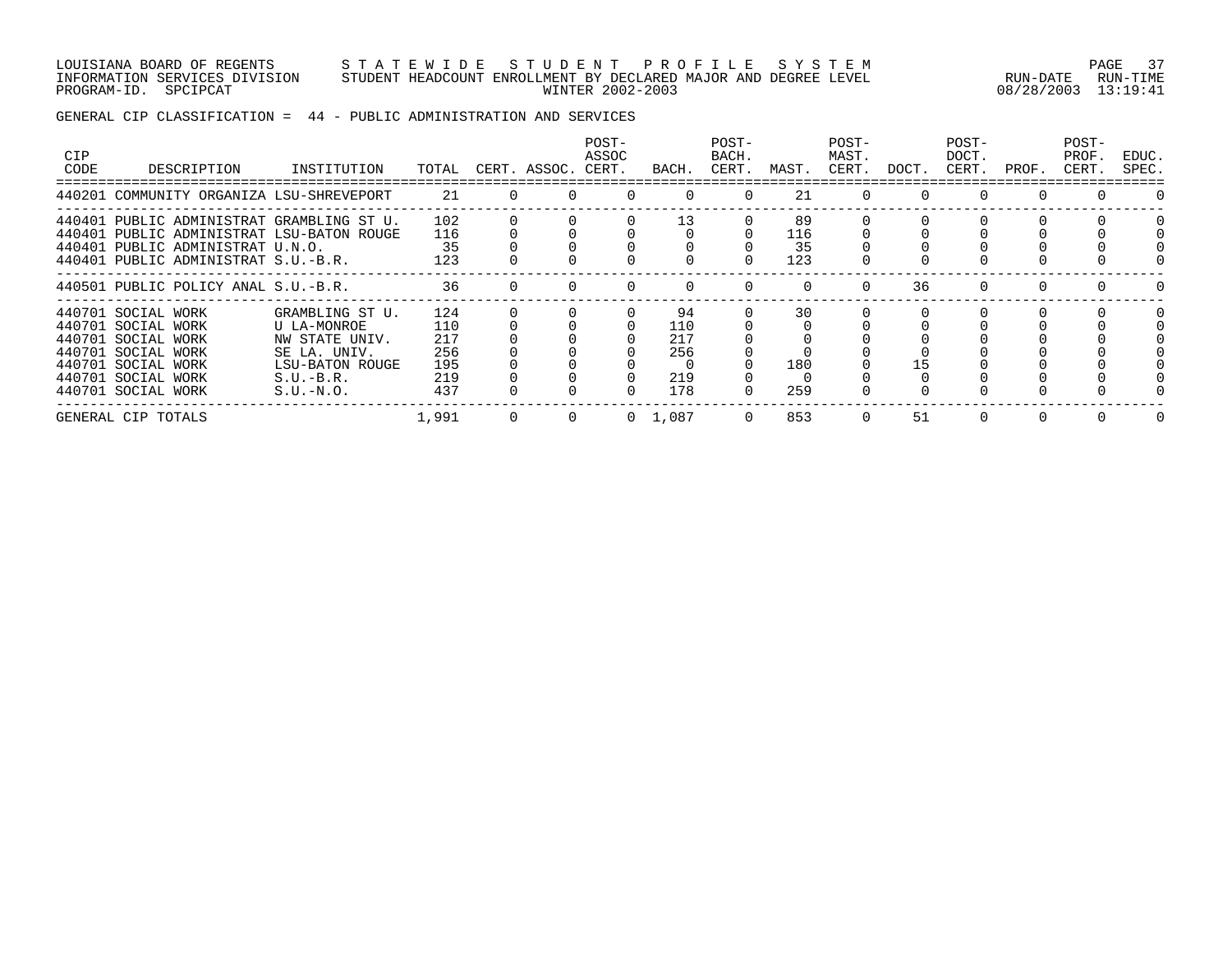#### LOUISIANA BOARD OF REGENTS S T A T E W I D E S T U D E N T P R O F I L E S Y S T E M PAGE 37 INFORMATION SERVICES DIVISION STUDENT HEADCOUNT ENROLLMENT BY DECLARED MAJOR AND DEGREE LEVEL RUN-DATE RUN-TIME PROGRAM-ID. SPCIPCAT WINTER 2002-2003 08/28/2003 13:19:41

# GENERAL CIP CLASSIFICATION = 44 - PUBLIC ADMINISTRATION AND SERVICES

| <b>CIP</b><br>CODE | DESCRIPTION                                                                                                                                                       | INSTITUTION                                                                                                       | TOTAL                                         |              | CERT. ASSOC. CERT. | POST-<br>ASSOC | BACH.                                 | POST-<br>BACH.<br>CERT. | MAST.                  | POST-<br>MAST.<br>CERT. | DOCT. | POST-<br>DOCT.<br>CERT. | PROF. | POST-<br>PROF.<br>CERT. | EDUC.<br>SPEC. |
|--------------------|-------------------------------------------------------------------------------------------------------------------------------------------------------------------|-------------------------------------------------------------------------------------------------------------------|-----------------------------------------------|--------------|--------------------|----------------|---------------------------------------|-------------------------|------------------------|-------------------------|-------|-------------------------|-------|-------------------------|----------------|
|                    | 440201 COMMUNITY ORGANIZA LSU-SHREVEPORT                                                                                                                          |                                                                                                                   | 21                                            | $\Omega$     | $\Omega$           |                | $\Omega$                              | $\Omega$                | 21                     | $\Omega$                |       | $\Omega$                |       |                         |                |
|                    | 440401 PUBLIC ADMINISTRAT GRAMBLING ST U.<br>440401 PUBLIC ADMINISTRAT LSU-BATON ROUGE<br>440401 PUBLIC ADMINISTRAT U.N.O.<br>440401 PUBLIC ADMINISTRAT S.U.-B.R. |                                                                                                                   | 102<br>116<br>35<br>123                       |              |                    |                | 13                                    |                         | 89<br>116<br>35<br>123 |                         |       |                         |       |                         |                |
|                    | 440501 PUBLIC POLICY ANAL S.U.-B.R.                                                                                                                               |                                                                                                                   | 36                                            | <sup>o</sup> |                    |                | $\Omega$                              | $\Omega$                | $\Omega$               | $\Omega$                | 36    | $\Omega$                | 0     | $\Omega$                |                |
|                    | 440701 SOCIAL WORK<br>440701 SOCIAL WORK<br>440701 SOCIAL WORK<br>440701 SOCIAL WORK<br>440701 SOCIAL WORK<br>440701 SOCIAL WORK<br>440701 SOCIAL WORK            | GRAMBLING ST U.<br>U LA-MONROE<br>NW STATE UNIV.<br>SE LA. UNIV.<br>LSU-BATON ROUGE<br>$S.U.-B.R.$<br>$S.U.-N.O.$ | 124<br>110<br>217<br>256<br>195<br>219<br>437 |              |                    |                | 94<br>110<br>217<br>256<br>219<br>178 | 0                       | 30<br>180<br>259       |                         |       |                         |       |                         |                |
|                    | GENERAL CIP TOTALS                                                                                                                                                |                                                                                                                   | 1,991                                         | 0            | $\Omega$           |                | $0 \quad 1,087$                       | $\Omega$                | 853                    | $\Omega$                | 51    | $\Omega$                |       |                         |                |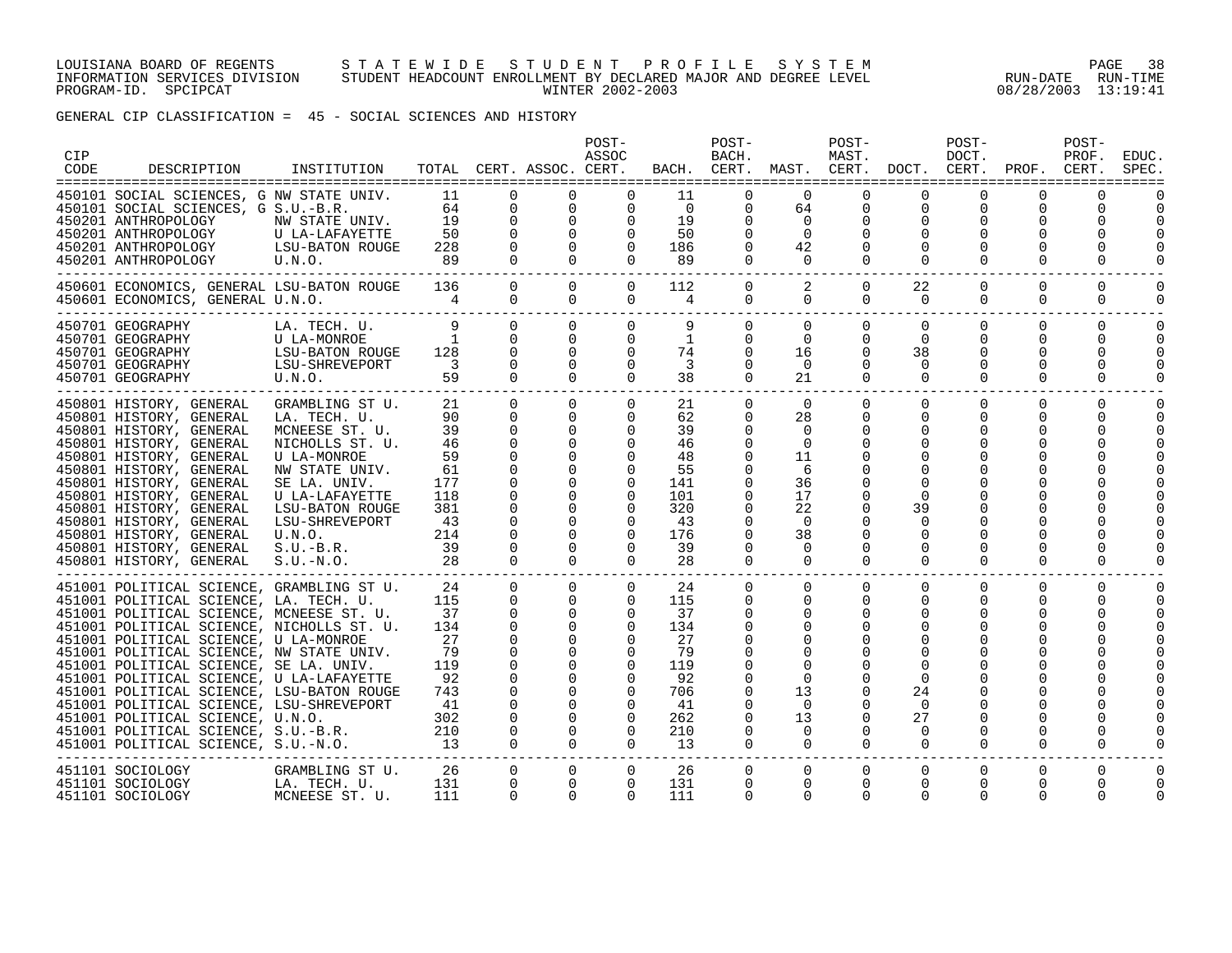#### LOUISIANA BOARD OF REGENTS S T A T E W I D E S T U D E N T P R O F I L E S Y S T E M PAGE 38 INFORMATION SERVICES DIVISION STUDENT HEADCOUNT ENROLLMENT BY DECLARED MAJOR AND DEGREE LEVEL RUN-DATE RUN-TIME PROGRAM-ID. SPCIPCAT WINTER 2002-2003 08/28/2003 13:19:41

GENERAL CIP CLASSIFICATION = 45 - SOCIAL SCIENCES AND HISTORY

| CIP<br>CODE | DESCRIPTION                                                                                                                                                                                                                                                                                                                                                                                                                                                                                                                                                                                                                                 | INSTITUTION                                                                                                                                                                                                          |                                                                                       |                                                                                                                                                           | TOTAL CERT. ASSOC. CERT.                                                                                                                                                                                     | POST-<br>ASSOC                                                                                                                                                                                                               |                                                                                   | POST-<br>BACH.                                                                                                  |                                                                                                                          | POST-<br>MAST.                                   | BACH. CERT. MAST. CERT. DOCT. CERT. PROF. CERT.                                                                     | POST-<br>DOCT.                                          |                                                                  | POST-<br>PROF.                                | EDUC.<br>SPEC.                   |
|-------------|---------------------------------------------------------------------------------------------------------------------------------------------------------------------------------------------------------------------------------------------------------------------------------------------------------------------------------------------------------------------------------------------------------------------------------------------------------------------------------------------------------------------------------------------------------------------------------------------------------------------------------------------|----------------------------------------------------------------------------------------------------------------------------------------------------------------------------------------------------------------------|---------------------------------------------------------------------------------------|-----------------------------------------------------------------------------------------------------------------------------------------------------------|--------------------------------------------------------------------------------------------------------------------------------------------------------------------------------------------------------------|------------------------------------------------------------------------------------------------------------------------------------------------------------------------------------------------------------------------------|-----------------------------------------------------------------------------------|-----------------------------------------------------------------------------------------------------------------|--------------------------------------------------------------------------------------------------------------------------|--------------------------------------------------|---------------------------------------------------------------------------------------------------------------------|---------------------------------------------------------|------------------------------------------------------------------|-----------------------------------------------|----------------------------------|
|             | 450101 SOCIAL SCIENCES, G NW STATE UNIV.<br>450101 SOCIAL SCIENCES, G S.U.-B.R.<br>450201 ANTHROPOLOGY<br>450201 ANTHROPOLOGY<br>450201 ANTHROPOLOGY<br>450201 ANTHROPOLOGY                                                                                                                                                                                                                                                                                                                                                                                                                                                                 | NW STATE UNIV.<br>U LA-LAFAYETTE<br>LSU-BATON ROUGE<br>U.N.O.                                                                                                                                                        | 11<br>$\begin{array}{cc}\n 64 \\  \hline\n 10\n \end{array}$<br>19<br>50<br>228<br>89 | $\mathsf{O}$<br>$\mathsf{O}$<br>$\mathsf{O}$<br>$\mathbf 0$<br>$\Omega$                                                                                   |                                                                                                                                                                                                              | $\begin{bmatrix} 0 & 0 \ 0 & 0 \ 0 & 0 \ 0 & 0 \ 0 & 0 \end{bmatrix}$                                                                                                                                                        | 11<br>$\overline{0}$<br>19<br>50<br>186<br>89                                     | 0<br>0<br>0<br>0<br>$\overline{0}$<br>$\Omega$                                                                  | $\overline{0}$<br>64<br>$\overline{0}$<br>$\overline{0}$<br>42<br>$\bigcirc$                                             | 0<br>0<br>0                                      | $\mathbf 0$<br>$\mathbf 0$<br>0<br>$\Omega$<br>$\Omega$                                                             | 0<br>0<br>$\Omega$                                      | 0<br>0<br>0<br>$\Omega$                                          | 0                                             |                                  |
|             | 450601 ECONOMICS, GENERAL LSU-BATON ROUGE 136 0 0<br>450601 ECONOMICS, GENERAL U.N.O.                                                                                                                                                                                                                                                                                                                                                                                                                                                                                                                                                       | $4\overline{)}$                                                                                                                                                                                                      |                                                                                       | $\overline{0}$                                                                                                                                            | $\Omega$                                                                                                                                                                                                     | $\overline{0}$<br>$\Omega$                                                                                                                                                                                                   | 112<br>4                                                                          | $\overline{0}$                                                                                                  | $0 \qquad \qquad$<br>2<br>$\overline{0}$                                                                                 | $\overline{0}$<br>$\mathbf 0$                    | 22<br>$\Omega$                                                                                                      | $\mathbf 0$<br>$\Omega$                                 | $\mathbf 0$<br>$\mathbf 0$                                       | $\mathbf 0$<br>0                              | 0                                |
|             | 450701 GEOGRAPHY<br>450701 GEOGRAPHY U LA-MONROE<br>450701 GEOGRAPHY LSU-BATON ROUGE 128<br>450701 GEOGRAPHY LSU-SHREVEPORT 3<br>450701 GEOGRAPHY U.N.O. 59                                                                                                                                                                                                                                                                                                                                                                                                                                                                                 | LA. TECH. U.                                                                                                                                                                                                         | 9                                                                                     | $\overline{0}$<br>$\mathbf 0$<br>$\mathbf 0$<br>$\Omega$<br>$\Omega$                                                                                      | $\Omega$<br>$\mathbf{0}$<br>$\overline{0}$<br>$\overline{0}$                                                                                                                                                 | $\overline{0}$<br>$\overline{0}$<br>$\overline{0}$<br>$\Omega$<br>$\Omega$                                                                                                                                                   | 9<br>$\mathbf{1}$<br>74<br>$\overline{3}$<br>38                                   | $\mathbf{0}$<br>$\mathbf{0}$<br>$\mathbf 0$<br>$\Omega$<br>$\Omega$                                             | $\Omega$<br>$\mathbf 0$<br>16<br>$\Omega$<br>21                                                                          | $\Omega$<br>0<br>$\Omega$<br>$\Omega$            | $\mathbf 0$<br>$\mathbf 0$<br>38<br>$\Omega$<br>$\Omega$                                                            | $\mathbf 0$<br>$\mathbf 0$<br>0<br>$\Omega$<br>$\Omega$ | $\Omega$<br>$\mathbf 0$<br>0<br>$\Omega$<br>$\Omega$             | $\mathbf 0$<br>0<br>0<br>$\Omega$<br>$\Omega$ | $\Omega$<br>$\Omega$<br>$\Omega$ |
|             | 450801 HISTORY, GENERAL<br>450801 HISTORY, GENERAL<br>450801 HISTORY, GENERAL<br>450801 HISTORY, GENERAL<br>450801 HISTORY, GENERAL<br>450801 HISTORY, GENERAL<br>450801 HISTORY, GENERAL<br>450801 HISTORY, GENERAL<br>450801 HISTORY, GENERAL<br>450801 HISTORY, GENERAL<br>450801 HISTORY, GENERAL<br>450801 HISTORY, GENERAL<br>450801 HISTORY, GENERAL                                                                                                                                                                                                                                                                                 | GRAMBLING ST U.<br>LA. TECH. U.<br>MCNEESE ST. U.<br>NICHOLLS ST. U.<br>U LA-MONROE<br>NW STATE UNIV.<br>SE LA. UNIV.<br>U LA-LAFAYETTE<br>LSU-BATON ROUGE<br>LSU-SHREVEPORT<br>U.N.O.<br>$S.U.-B.R.$<br>$S.U.-N.O.$ | 90 —<br>39<br>46<br>59<br>61<br>177<br>118<br>381<br>43<br>214<br>39<br>28            | $\Omega$<br>21 —<br>$\overline{0}$<br>$\mathbf{0}$<br>$\mathbf 0$<br>$\Omega$<br>$\Omega$<br>$\mathbf 0$<br>$\mathbf 0$<br>$\mathbf 0$                    | $\overline{0}$<br>$\overline{0}$<br>$\mathsf{O}$<br>$\mathbf{0}$<br>$\Omega$<br>$\Omega$<br>$\mathbf{0}$<br>$\overline{0}$<br>$\mathbf 0$<br>0<br>$\mathbf 0$                                                | $\Omega$<br>$\Omega$<br>$0 \qquad \qquad$<br>$\overline{0}$<br>$\mathbf{0}$<br>$\overline{0}$<br>$\mathbf 0$<br>$\Omega$<br>$\overline{0}$<br>$\Omega$<br>$\Omega$<br>$\Omega$<br>$\mathbf{0}$<br>$\Omega$<br>$\overline{0}$ | 62<br>39<br>46<br>48<br>55<br>141<br>101<br>320<br>43<br>176<br>39<br>28          | 21 / 12<br>$\Omega$<br>$\mathbf 0$<br>0<br>0<br>$\Omega$<br>0<br>0<br>$\mathbf 0$<br>0<br>0<br>0<br>$\mathbf 0$ | $\Omega$<br>28<br>0<br>$\mathbf 0$<br>11<br>6<br>36<br>17<br>22<br>$\overline{0}$<br>38<br>$\overline{0}$<br>$\mathbf 0$ | $\Omega$<br>$\mathbf 0$<br>0<br>0<br>$\mathbf 0$ | $\Omega$<br>$\mathbf 0$<br>0<br>$\mathbf 0$<br>$\Omega$<br>0<br>$\Omega$<br>39<br>$\Omega$<br>0<br>0<br>$\mathbf 0$ | $\Omega$<br>0<br>0<br>0                                 | $\Omega$<br>$\mathbf 0$<br>0<br>0<br>0<br>0<br>$\mathbf 0$       | $\Omega$<br>0<br>0<br>0                       | $\Omega$<br>$\Omega$             |
|             | 451001 POLITICAL SCIENCE, GRAMBLING ST U.<br>451001 POLITICAL SCIENCE, LA. TECH. U.<br>451001 POLITICAL SCIENCE, MCNEESE ST. U.<br>451001 POLITICAL SCIENCE, NICHOLLS ST. U.<br>451001 POLITICAL SCIENCE, U LA-MONROE<br>451001 POLITICAL SCIENCE, NW STATE UNIV.<br>451001 POLITICAL SCIENCE, SE LA. UNIV.<br>451001 POLITICAL SCIENCE, U LA-LAFAYETTE<br>451001 POLITICAL SCIENCE, LSU-BATON ROUGE<br>451001 POLITICAL SCIENCE, LSU-SHREVEPORT<br>451001 POLITICAL SCIENCE, U.N.O.<br>451001 POLITICAL SCIENCE, S.U.-B.R. 210<br>451001 POLITICAL SCIENCE, S.U.-N.O. 13<br>451001 POLITICAL SCIENCE, S.U.-N.O.<br>----------------------- |                                                                                                                                                                                                                      | 24<br>115<br>37<br>134<br>27<br>79<br>119<br>92<br>743<br>41<br>302                   | $\Omega$<br>$\Omega$<br>$\mathbf 0$<br>$\overline{0}$<br>$\mathbf 0$<br>$\mathbf 0$<br>$\Omega$<br>$\Omega$<br>$\Omega$<br>$\mathbf{0}$<br>$\overline{0}$ | $\Omega$<br>$\begin{bmatrix} 0 \\ 0 \\ 0 \\ 0 \end{bmatrix}$<br>$\overline{0}$<br>$\begin{matrix}0\\0\end{matrix}$<br>$\overline{0}$<br>$\overline{0}$<br>$\overline{0}$<br>$\overline{0}$<br>$\overline{0}$ | $\Omega$<br>$\overline{0}$<br>$\overline{0}$<br>$\overline{0}$<br>$\overline{0}$<br>$\overline{0}$<br>$\overline{0}$<br>$\overline{0}$<br>$\Omega$<br>$\Omega$<br>$\overline{0}$<br>$\overline{0}$<br>$\overline{0}$         | 24<br>115<br>37<br>134<br>27<br>-79<br>119<br>92<br>706<br>41<br>262<br>210<br>13 | $\Omega$<br>0<br>0<br>0<br>0<br>0<br>0<br>0<br>$\mathbf 0$<br>0<br>$\Omega$                                     | $\Omega$<br>$\Omega$<br>0<br>0<br>$\mathbf 0$<br>13<br>$\Omega$<br>13<br>$\overline{0}$<br>$\Omega$                      | $\Omega$<br>$\Omega$<br>0<br>0<br>$\Omega$       | $\Omega$<br>$\Omega$<br>$\Omega$<br>$\Omega$<br>0<br>$\mathbf 0$<br>24<br>$\Omega$<br>27<br>0<br>$\Omega$           | $\Omega$<br>$\Omega$<br>0<br>$\Omega$                   | $\Omega$<br>$\Omega$<br>$\Omega$<br>0<br>0<br>O<br>0<br>$\Omega$ | $\Omega$<br>$\Omega$<br>$\Omega$              |                                  |
|             | 451101 SOCIOLOGY<br>451101 SOCIOLOGY<br>451101 SOCIOLOGY                                                                                                                                                                                                                                                                                                                                                                                                                                                                                                                                                                                    | GRAMBLING ST U.<br>LA. TECH. U.<br>MCNEESE ST. U. 111                                                                                                                                                                | 26<br>131                                                                             | $\overline{0}$<br>$\Omega$<br>$\Omega$                                                                                                                    | $\overline{0}$<br>$\Omega$<br>$\Omega$                                                                                                                                                                       | $\mathbf{0}$<br>$\Omega$<br>$\Omega$                                                                                                                                                                                         | 26<br>131<br>111                                                                  | 0<br>$\Omega$<br>$\Omega$                                                                                       | 0<br>$\Omega$<br>$\Omega$                                                                                                | 0<br>$\Omega$<br>$\Omega$                        | 0<br>$\mathbf 0$<br>$\Omega$                                                                                        | 0<br>$\Omega$<br>U                                      | $\mathbf 0$<br>$\Omega$<br>O                                     | 0                                             | $\Omega$                         |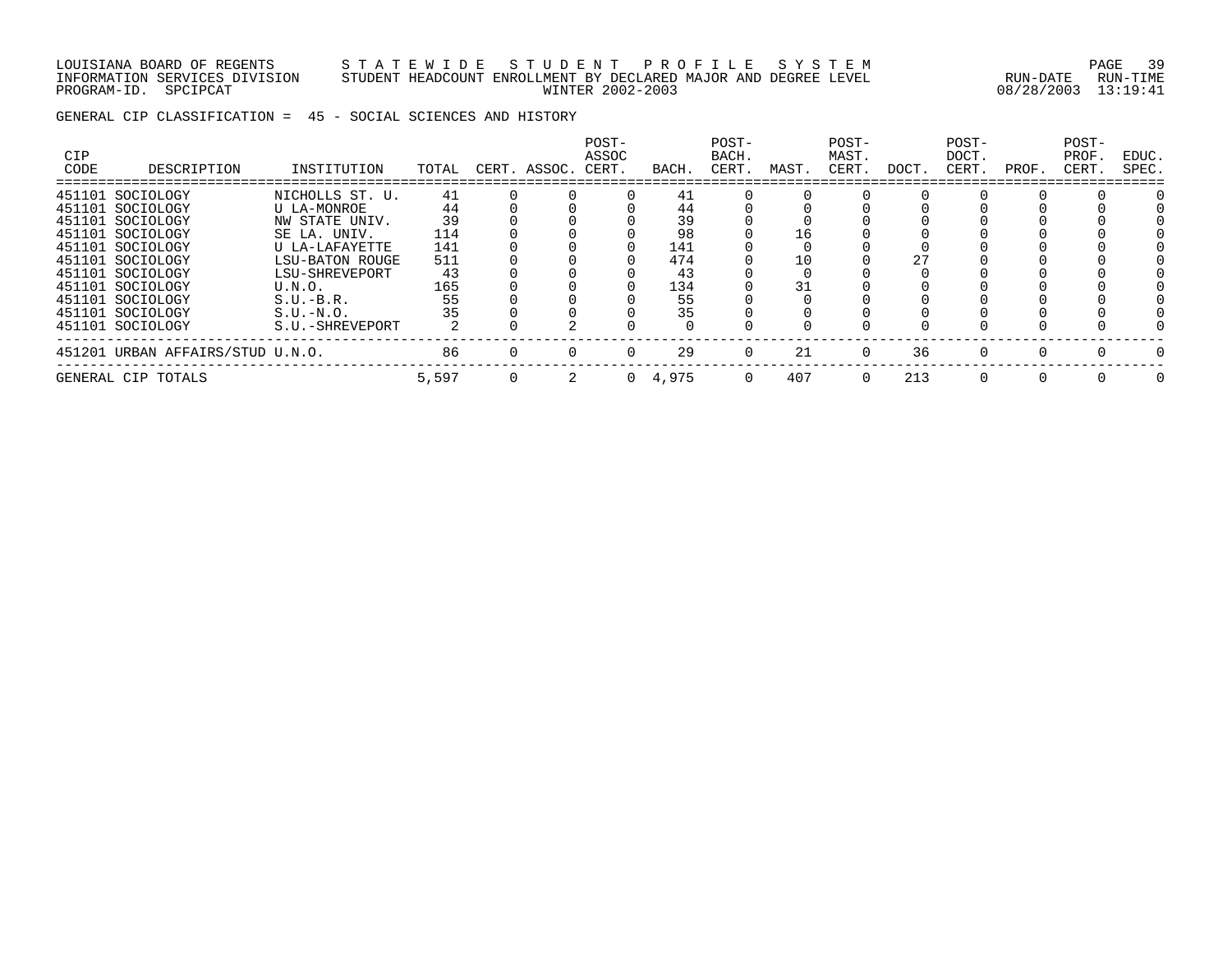LOUISIANA BOARD OF REGENTS S T A T E W I D E S T U D E N T P R O F I L E S Y S T E M PAGE 39 INFORMATION SERVICES DIVISION STUDENT HEADCOUNT ENROLLMENT BY DECLARED MAJOR AND DEGREE LEVEL RUN-DATE RUN-TIME PROGRAM-ID. SPCIPCAT WINTER 2002-2003 08/28/2003 13:19:41

GENERAL CIP CLASSIFICATION = 45 - SOCIAL SCIENCES AND HISTORY

| <b>CIP</b><br>CODE | DESCRIPTION                      | INSTITUTION     | TOTAL | CERT. ASSOC. CERT. | POST-<br>ASSOC | BACH.           | POST-<br>BACH.<br>CERT. | MAST. | POST-<br>MAST.<br>CERT. | DOCT. | POST-<br>DOCT.<br>CERT. | PROF.    | POST-<br>PROF.<br>CERT. | EDUC.<br>SPEC. |
|--------------------|----------------------------------|-----------------|-------|--------------------|----------------|-----------------|-------------------------|-------|-------------------------|-------|-------------------------|----------|-------------------------|----------------|
|                    | 451101 SOCIOLOGY                 | NICHOLLS ST. U. | 41    |                    |                | 41              |                         |       |                         |       |                         |          |                         |                |
|                    | 451101 SOCIOLOGY                 | U LA-MONROE     | 44    |                    |                | 44              |                         |       |                         |       |                         |          |                         |                |
|                    | 451101 SOCIOLOGY                 | NW STATE UNIV.  | 39    |                    |                | 39              |                         |       |                         |       |                         |          |                         |                |
|                    | 451101 SOCIOLOGY                 | SE LA. UNIV.    | 114   |                    |                | 98              |                         | 16    |                         |       |                         |          |                         |                |
|                    | 451101 SOCIOLOGY                 | U LA-LAFAYETTE  | 141   |                    |                | 141             |                         |       |                         |       |                         |          |                         |                |
|                    | 451101 SOCIOLOGY                 | LSU-BATON ROUGE | 511   |                    |                | 474             |                         | 10    |                         | 27    |                         |          |                         |                |
|                    | 451101 SOCIOLOGY                 | LSU-SHREVEPORT  | 43    |                    |                | 43              |                         |       |                         |       |                         |          |                         |                |
|                    | 451101 SOCIOLOGY                 | U.N.O.          | 165   |                    |                | 134             |                         | 31    |                         |       |                         |          |                         |                |
|                    | 451101 SOCIOLOGY                 | $S.U.-B.R.$     | 55    |                    |                | 55              |                         |       |                         |       |                         |          |                         |                |
|                    | 451101 SOCIOLOGY                 | $S.U.-N.O.$     | 35    |                    |                | 35              |                         |       |                         |       |                         |          |                         |                |
|                    | 451101 SOCIOLOGY                 | S.U.-SHREVEPORT |       |                    |                |                 |                         |       |                         |       |                         |          |                         |                |
|                    | 451201 URBAN AFFAIRS/STUD U.N.O. |                 | 86    |                    |                | 29              | $\Omega$                | 21    | $\Omega$                | 36    | <sup>0</sup>            | $\cap$   |                         |                |
|                    | GENERAL CIP TOTALS               |                 | 5,597 |                    |                | $0 \quad 4,975$ | $\Omega$                | 407   | $\Omega$                | 213   | 0                       | $\Omega$ |                         | $\Omega$       |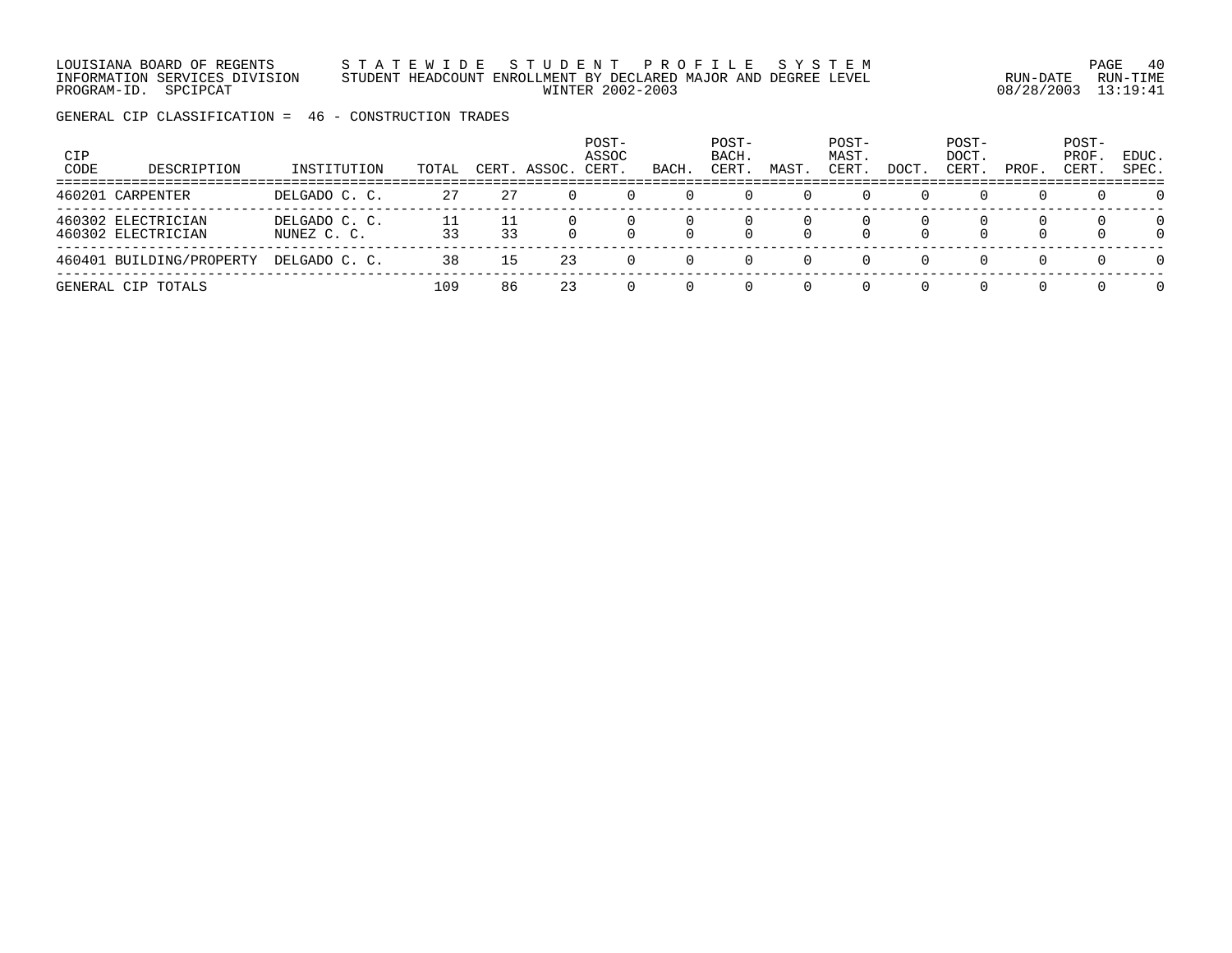LOUISIANA BOARD OF REGENTS S T A T E W I D E S T U D E N T P R O F I L E S Y S T E M PAGE 40 INFORMATION SERVICES DIVISION STUDENT HEADCOUNT ENROLLMENT BY DECLARED MAJOR AND DEGREE LEVEL RUN-DATE RUN-TIME PROGRAM-ID. SPCIPCAT WINTER 2002-2003 08/28/2003 13:19:41

GENERAL CIP CLASSIFICATION = 46 - CONSTRUCTION TRADES

| <b>CIP</b><br>CODE | DESCRIPTION                              | INSTITUTION                  | TOTAL | CERT. | ASSOC. | POST-<br>ASSOC<br>CERT. | BACH     | POST-<br>BACH.<br>CERT. | MAST | POST-<br>MAST.<br>CERT. | DOCT | POST-<br>DOCT.<br>CERT. | PROF.            | POST-<br>PROF.<br>CERT | EDUC.<br>SPEC.       |
|--------------------|------------------------------------------|------------------------------|-------|-------|--------|-------------------------|----------|-------------------------|------|-------------------------|------|-------------------------|------------------|------------------------|----------------------|
|                    | 460201 CARPENTER                         | DELGADO C. C.                | 27    | -27   |        |                         |          |                         |      |                         |      | $\left( \right)$        | $\left( \right)$ | $\Omega$               | $\Omega$             |
|                    | 460302 ELECTRICIAN<br>460302 ELECTRICIAN | DELGADO C. C.<br>NUNEZ C. C. | 33    | 33    | $\cap$ |                         | $\cap$   | $\Omega$                |      |                         |      | $\Omega$                | $\Omega$         | $\Omega$               | $\Omega$<br>$\Omega$ |
|                    | 460401 BUILDING/PROPERTY                 | DELGADO C. C.                | 38    | 15    | 23     |                         | $\Omega$ | $\Omega$                |      |                         |      | 0                       | $\Omega$         | $\Omega$               | $\Omega$             |
|                    | GENERAL CIP TOTALS                       |                              | 109   | 86    | 23     |                         |          |                         |      |                         |      |                         | $\Omega$         | $\cap$                 | $\Omega$             |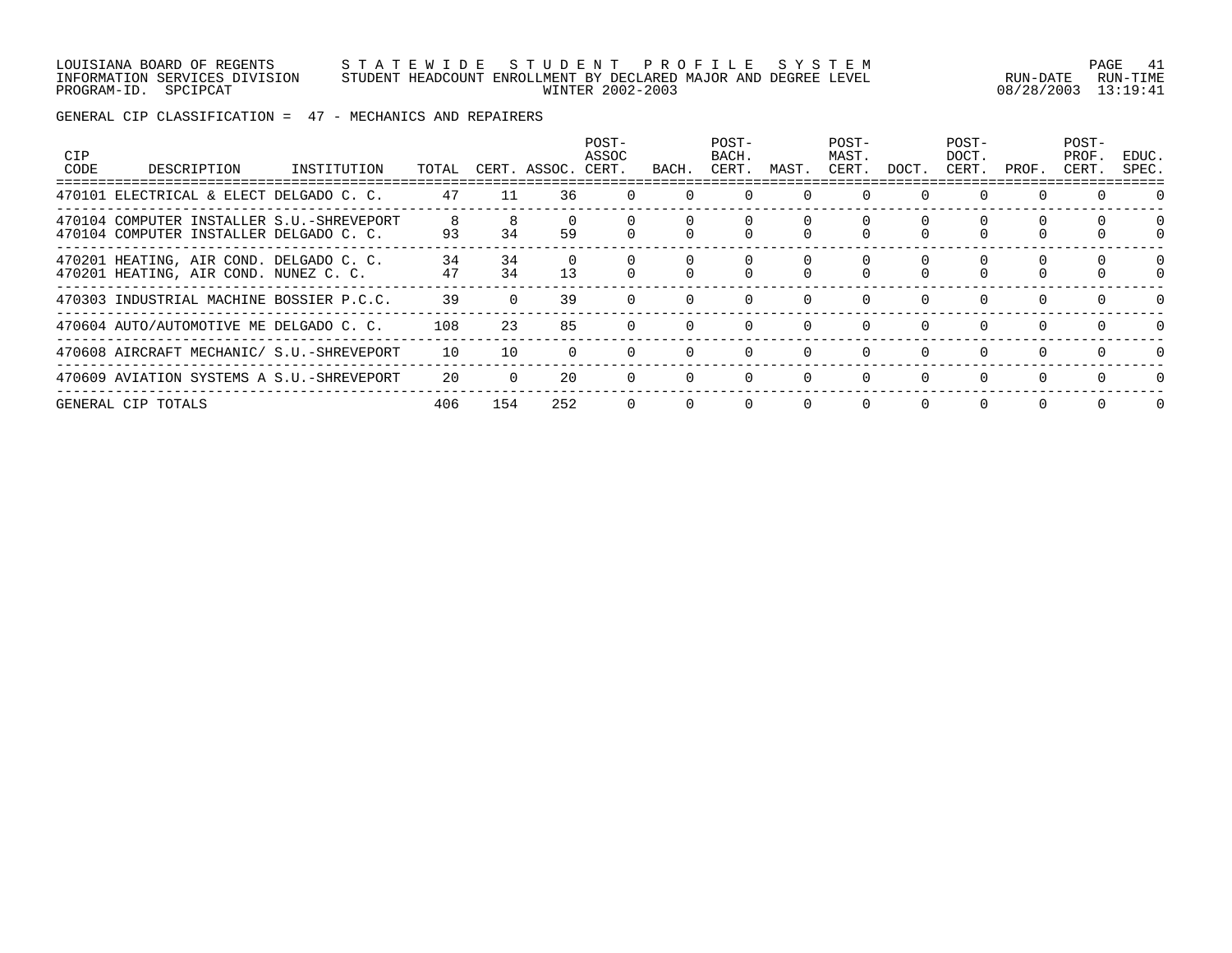#### LOUISIANA BOARD OF REGENTS S T A T E W I D E S T U D E N T P R O F I L E S Y S T E M PAGE 41 INFORMATION SERVICES DIVISION STUDENT HEADCOUNT ENROLLMENT BY DECLARED MAJOR AND DEGREE LEVEL RUN-DATE RUN-TIME PROGRAM-ID. SPCIPCAT WINTER 2002-2003 08/28/2003 13:19:41

GENERAL CIP CLASSIFICATION = 47 - MECHANICS AND REPAIRERS

| CIP<br>CODE | DESCRIPTION                                                                          | INSTITUTION | TOTAL    |          | CERT. ASSOC. | POST-<br>ASSOC<br>CERT. | BACH     | POST-<br>BACH.<br>CERT. | MAST.    | POST-<br>MAST.<br>CERT. | DOCT.    | POST-<br>DOCT.<br>CERT. | PROF.    | POST-<br>PROF.<br>CERT. | EDUC.<br>SPEC. |
|-------------|--------------------------------------------------------------------------------------|-------------|----------|----------|--------------|-------------------------|----------|-------------------------|----------|-------------------------|----------|-------------------------|----------|-------------------------|----------------|
|             | 470101 ELECTRICAL & ELECT DELGADO C. C.                                              |             | 47       | 11       | 36           |                         |          |                         |          |                         |          | 0                       | $\Omega$ |                         |                |
|             | 470104 COMPUTER INSTALLER S.U.-SHREVEPORT<br>470104 COMPUTER INSTALLER DELGADO C. C. |             | 8<br>93  | 34       | 59           |                         |          |                         |          |                         |          |                         |          |                         | $\Omega$       |
|             | 470201 HEATING, AIR COND. DELGADO C. C.<br>470201 HEATING, AIR COND. NUNEZ C. C.     |             | 34<br>47 | 34<br>34 | 13           |                         |          |                         |          |                         |          |                         |          |                         | $\Omega$       |
|             | 470303 INDUSTRIAL MACHINE BOSSIER P.C.C.                                             |             | 39       |          | 39           | $\Omega$                | $\Omega$ |                         | $\Omega$ | $\Omega$                | $\Omega$ | $\Omega$                | $\Omega$ | $\Omega$                |                |
|             | 470604 AUTO/AUTOMOTIVE ME DELGADO C. C.                                              |             | 108      | 23       | 85           |                         |          |                         |          |                         | $\Omega$ | $\Omega$                | $\Omega$ | $\Omega$                | $\Omega$       |
|             | 470608 AIRCRAFT MECHANIC/ S.U.-SHREVEPORT                                            |             | 10       | 10       |              |                         | $\Omega$ |                         | $\Omega$ | $\Omega$                | $\Omega$ | $\Omega$                | $\Omega$ | $\Omega$                |                |
|             | 470609 AVIATION SYSTEMS A S.U.-SHREVEPORT                                            |             | 20       |          | 20           |                         |          |                         |          |                         | $\Omega$ |                         | $\Omega$ | $\Omega$                | $\Omega$       |
|             | GENERAL CIP TOTALS                                                                   |             | 406      | 154      | 252          | $\Omega$                | $\Omega$ | $\Omega$                | $\Omega$ | $\Omega$                | $\Omega$ | $\Omega$                | $\Omega$ | $\Omega$                | $\Omega$       |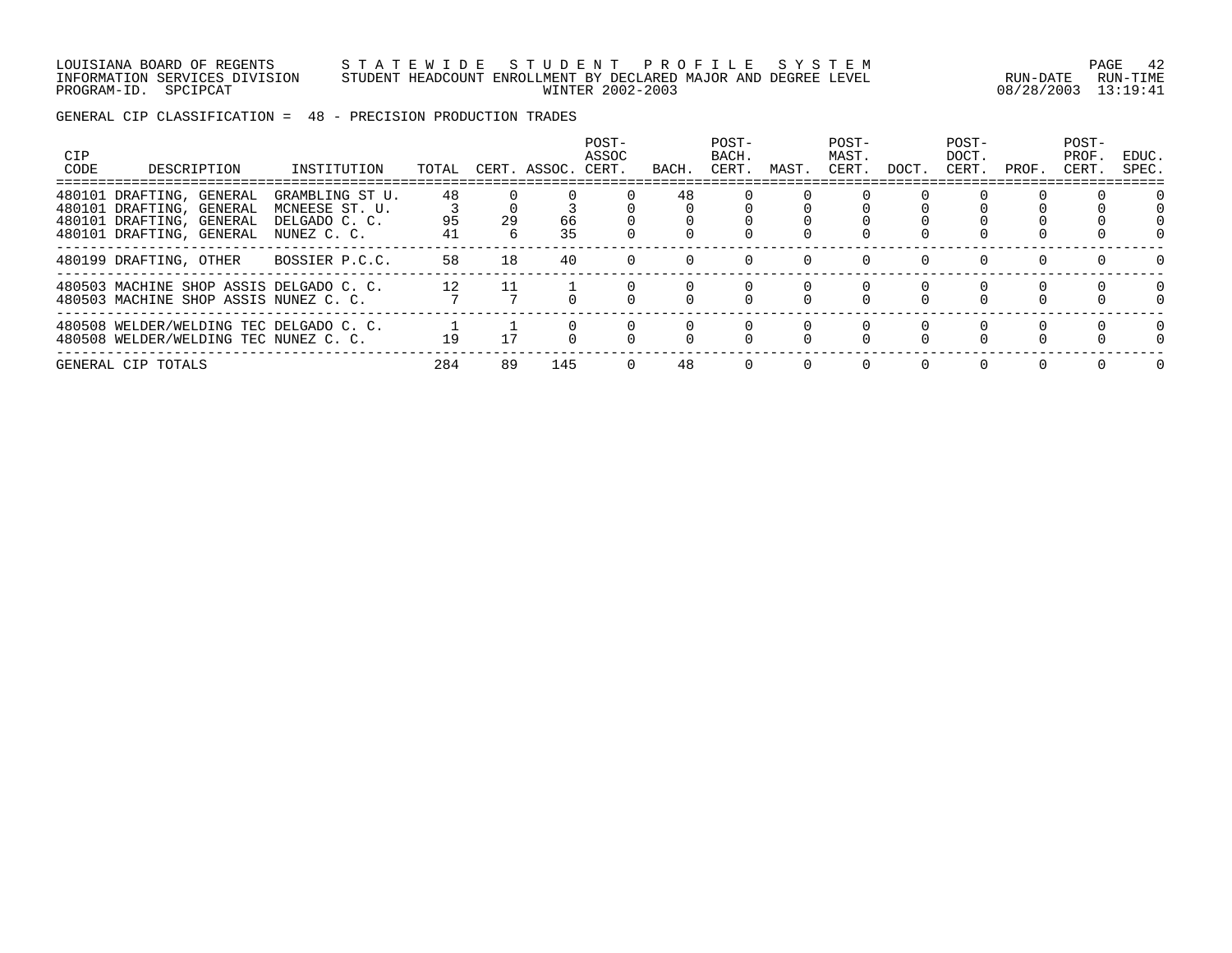#### LOUISIANA BOARD OF REGENTS S T A T E W I D E S T U D E N T P R O F I L E S Y S T E M PAGE 42 INFORMATION SERVICES DIVISION STUDENT HEADCOUNT ENROLLMENT BY DECLARED MAJOR AND DEGREE LEVEL RUN-DATE RUN-TIME PROGRAM-ID. SPCIPCAT WINTER 2002-2003 08/28/2003 13:19:41

GENERAL CIP CLASSIFICATION = 48 - PRECISION PRODUCTION TRADES

| <b>CIP</b><br>CODE | DESCRIPTION                                                                                                  | INSTITUTION                                                       | TOTAL          |          | CERT. ASSOC. | POST-<br>ASSOC<br>CERT. | BACH | POST-<br>BACH.<br>CERT. | MAST. | POST-<br>MAST.<br>CERT. | DOCT.    | POST-<br>DOCT.<br>CERT. | PROF.    | POST-<br>PROF.<br>CERT. | EDUC.<br>SPEC. |
|--------------------|--------------------------------------------------------------------------------------------------------------|-------------------------------------------------------------------|----------------|----------|--------------|-------------------------|------|-------------------------|-------|-------------------------|----------|-------------------------|----------|-------------------------|----------------|
|                    | 480101 DRAFTING, GENERAL<br>480101 DRAFTING, GENERAL<br>480101 DRAFTING, GENERAL<br>480101 DRAFTING, GENERAL | GRAMBLING ST U.<br>MCNEESE ST. U.<br>DELGADO C. C.<br>NUNEZ C. C. | 48<br>95<br>41 | 29<br>б. | 66<br>35     |                         | 48   |                         |       |                         |          |                         |          |                         |                |
|                    | 480199 DRAFTING, OTHER                                                                                       | BOSSIER P.C.C.                                                    | 58             | 18       | 40           |                         |      |                         |       |                         |          | 0                       |          |                         | $\Omega$       |
|                    | 480503 MACHINE SHOP ASSIS DELGADO C. C.<br>480503 MACHINE SHOP ASSIS NUNEZ C. C.                             |                                                                   | 12             |          |              |                         |      |                         |       |                         |          |                         |          |                         | $\Omega$       |
|                    | 480508 WELDER/WELDING TEC DELGADO C. C.<br>480508 WELDER/WELDING TEC NUNEZ C. C.                             |                                                                   | 19             |          |              |                         |      |                         |       |                         |          |                         | $\Omega$ |                         | $\Omega$       |
|                    | GENERAL CIP TOTALS                                                                                           |                                                                   | 284            | 89       | 145          | $\Omega$                | 48   |                         |       |                         | $\Omega$ | $\Omega$                | $\Omega$ | $\cap$                  | $\Omega$       |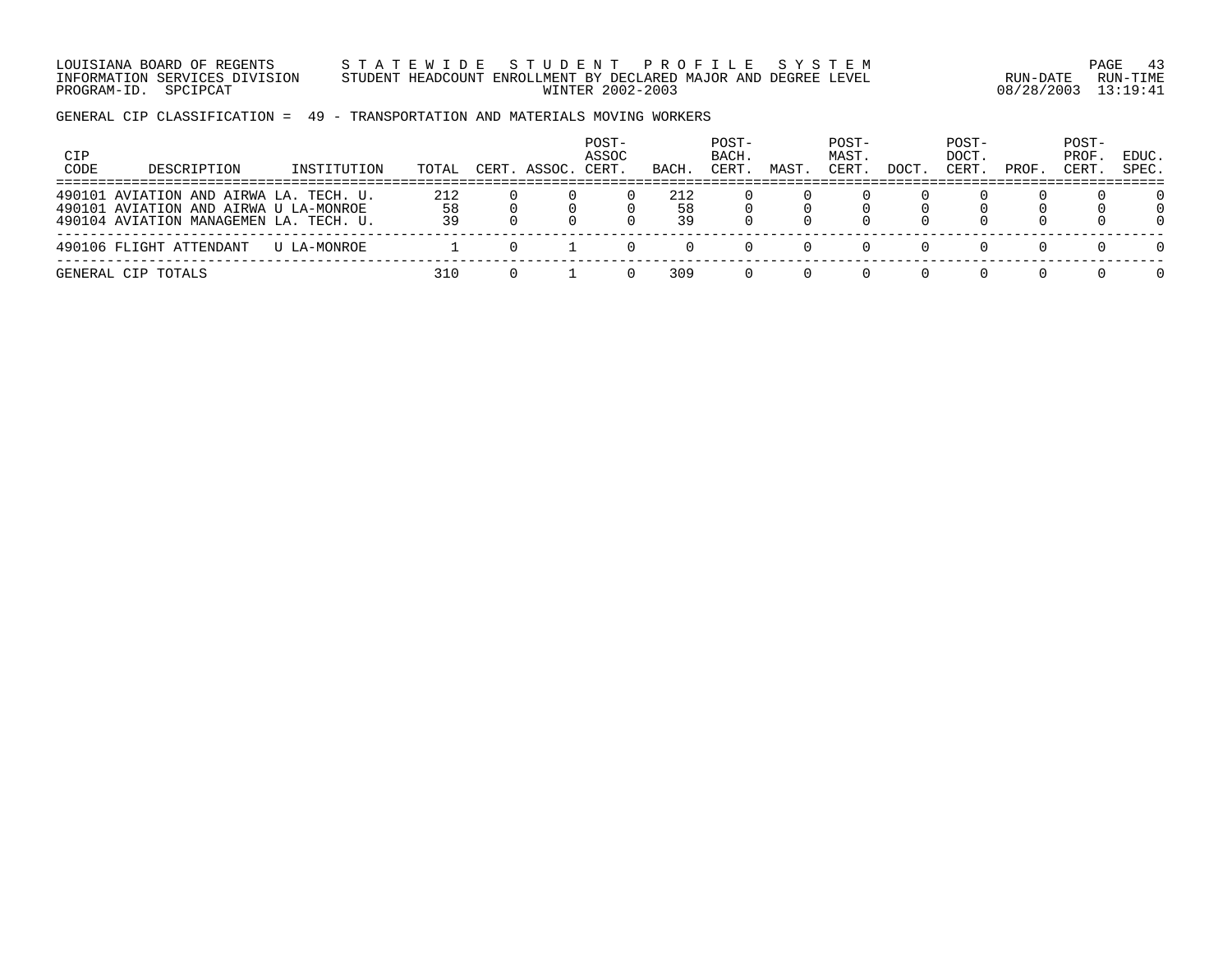LOUISIANA BOARD OF REGENTS S T A T E W I D E S T U D E N T P R O F I L E S Y S T E M PAGE 43 INFORMATION SERVICES DIVISION STUDENT HEADCOUNT ENROLLMENT BY DECLARED MAJOR AND DEGREE LEVEL RUN-DATE RUN-TIME PROGRAM-ID. SPCIPCAT WINTER 2002-2003 08/28/2003 13:19:41

GENERAL CIP CLASSIFICATION = 49 - TRANSPORTATION AND MATERIALS MOVING WORKERS

| CIP<br>CODE | DESCRIPTION                                                                                                               | INSTITUTION | TOTAL           | CERT. ASSOC. CERT. | POST-<br>ASSOC | BACH.           | POST-<br>BACH.<br>CERT. | MAST | POST-<br>MAST.<br>CERT. | DOCT | POST-<br>DOCT.<br>CERT | PROF | POST-<br>PROF.<br>CERT. | EDUC.<br>SPEC.            |
|-------------|---------------------------------------------------------------------------------------------------------------------------|-------------|-----------------|--------------------|----------------|-----------------|-------------------------|------|-------------------------|------|------------------------|------|-------------------------|---------------------------|
|             | 490101 AVIATION AND AIRWA LA. TECH. U.<br>490101 AVIATION AND AIRWA U LA-MONROE<br>490104 AVIATION MANAGEMEN LA. TECH. U. |             | 212<br>58<br>39 |                    |                | 212<br>58<br>39 |                         |      |                         |      |                        |      |                         | 0<br>$\Omega$<br>$\Omega$ |
|             | 490106 FLIGHT ATTENDANT                                                                                                   | U LA-MONROE |                 |                    |                |                 |                         |      |                         |      |                        |      |                         | $\Omega$                  |
|             | GENERAL CIP TOTALS                                                                                                        |             | 310             |                    |                | 309             |                         |      |                         |      |                        |      |                         | $\Omega$                  |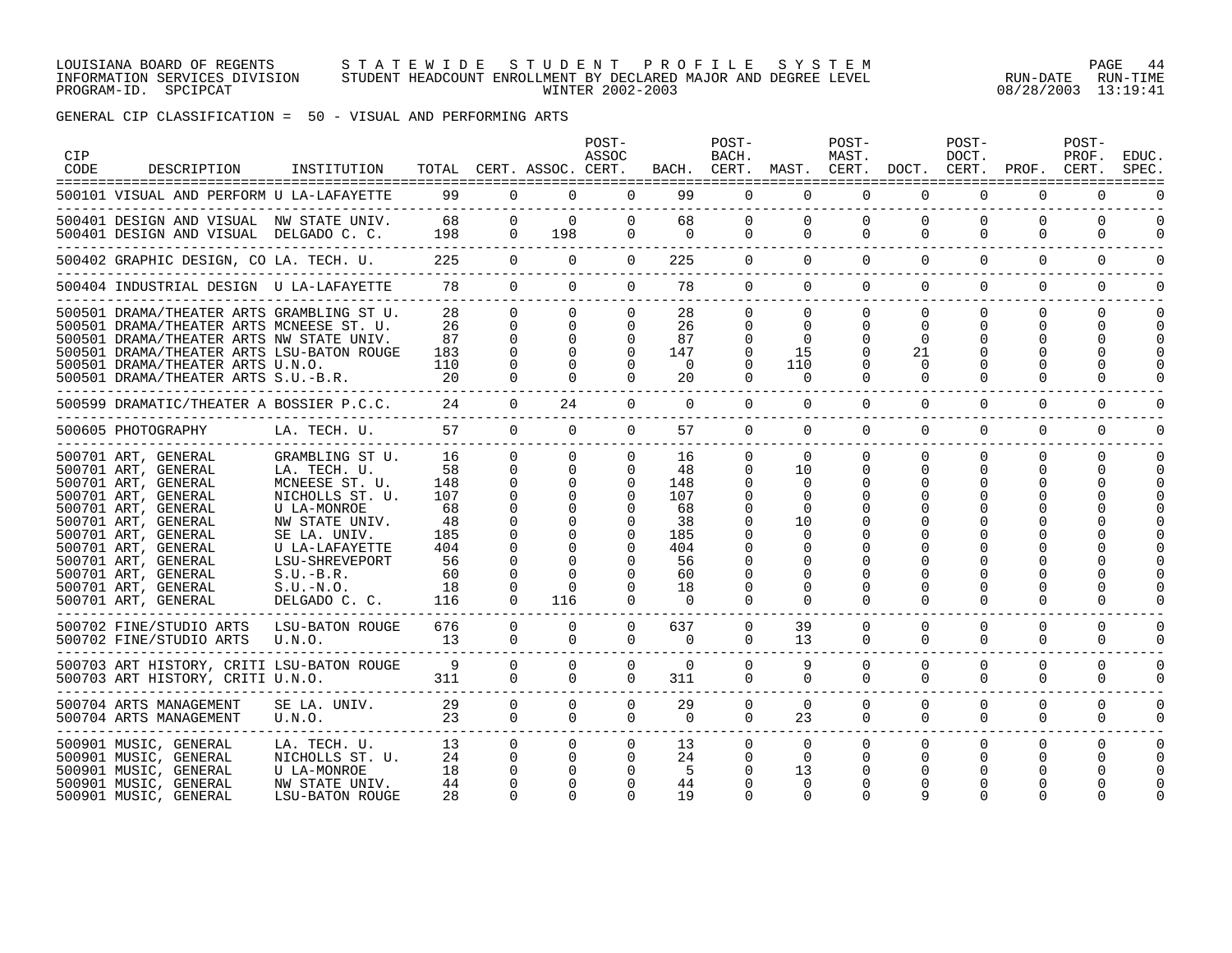#### LOUISIANA BOARD OF REGENTS S T A T E W I D E S T U D E N T P R O F I L E S Y S T E M PAGE 44 INFORMATION SERVICES DIVISION STUDENT HEADCOUNT ENROLLMENT BY DECLARED MAJOR AND DEGREE LEVEL RUN-DATE RUN-TIME PROGRAM-ID. SPCIPCAT WINTER 2002-2003 08/28/2003 13:19:41

GENERAL CIP CLASSIFICATION = 50 - VISUAL AND PERFORMING ARTS

| <b>CIP</b><br>CODE | DESCRIPTION                                                                                                                                                                                                                                                                      | INSTITUTION                                                                                                                                                                                            |                                                                            |                                                       | TOTAL CERT. ASSOC. CERT.                | POST-<br>ASSOC                                                       |                                                                                | POST-<br>BACH.<br>BACH. CERT.                                        | MAST. CERT.                                                                | POST-<br>MAST.                       | DOCT. CERT.                                      | POST-<br>DOCT.            | PROF.                                   | POST-<br>PROF.<br>CERT. | EDUC.<br>SPEC        |
|--------------------|----------------------------------------------------------------------------------------------------------------------------------------------------------------------------------------------------------------------------------------------------------------------------------|--------------------------------------------------------------------------------------------------------------------------------------------------------------------------------------------------------|----------------------------------------------------------------------------|-------------------------------------------------------|-----------------------------------------|----------------------------------------------------------------------|--------------------------------------------------------------------------------|----------------------------------------------------------------------|----------------------------------------------------------------------------|--------------------------------------|--------------------------------------------------|---------------------------|-----------------------------------------|-------------------------|----------------------|
|                    | 500101 VISUAL AND PERFORM U LA-LAFAYETTE                                                                                                                                                                                                                                         |                                                                                                                                                                                                        | 99 0                                                                       |                                                       | $\overline{0}$                          | $\overline{0}$                                                       |                                                                                | 99                                                                   | $0\qquad 0$                                                                | $\overline{0}$                       | $\overline{0}$                                   | $\mathbf 0$               | $\mathbf 0$                             | 0                       |                      |
|                    |                                                                                                                                                                                                                                                                                  |                                                                                                                                                                                                        |                                                                            |                                                       |                                         | $\overline{0}$<br>$\Omega$                                           | $\overline{0}$                                                                 | 68 1                                                                 | 0<br>$\overline{0}$<br>$0 \qquad \qquad$<br>$\Omega$                       | $\mathbf 0$<br>$\Omega$              | $\Omega$<br>$\Omega$                             | $\mathbf 0$<br>$\Omega$   | $\Omega$<br>$\Omega$                    | $\Omega$<br>$\Omega$    | $\Omega$<br>$\Omega$ |
|                    | 500402 GRAPHIC DESIGN, CO LA. TECH. U. 225 0                                                                                                                                                                                                                                     |                                                                                                                                                                                                        |                                                                            |                                                       | $\Omega$                                | $\overline{0}$                                                       | 225                                                                            |                                                                      | $\Omega$                                                                   | $\Omega$<br>$\Omega$                 | $\Omega$                                         | $\Omega$                  | $\Omega$                                | $\Omega$                | $\Omega$             |
|                    | 500404 INDUSTRIAL DESIGN U LA-LAFAYETTE 78 0 0                                                                                                                                                                                                                                   |                                                                                                                                                                                                        |                                                                            |                                                       |                                         | $\Omega$                                                             | 78                                                                             |                                                                      | $\Omega$                                                                   | $\Omega$                             | $\Omega$                                         | $\Omega$                  | $\Omega$<br>$\Omega$                    | $\Omega$                | $\Omega$             |
|                    | 500501 DRAMA/THEATER ARTS GRAMBLING ST U.<br>500501 DRAMA/THEATER ARTS MCNEESE ST. U.<br>500501 DRAMA/THEATER ARTS NW STATE UNIV.<br>500501 DRAMA/THEATER ARTS LSU-BATON ROUGE<br>500501 DRAMA/THEATER ARTS U.N.O.<br>500501 DRAMA/THEATER ARTS S.U.-B.R.                        |                                                                                                                                                                                                        | 28<br>26<br>87<br>183<br>110<br>20                                         | $\Omega$<br>$\Omega$<br>$\Omega$<br>$\cap$            | $\Omega$<br>$\Omega$<br>$\Omega$        | $\Omega$<br>$\Omega$<br>$\Omega$<br>$\Omega$<br>$\Omega$<br>$\Omega$ | 28<br>26<br>87<br>147<br>$\Omega$<br>20                                        | $\Omega$<br>$\Omega$<br>$\Omega$<br>$\Omega$<br>$\Omega$<br>$\Omega$ | $\overline{0}$<br>$\Omega$<br>$\Omega$<br>15<br>110<br>$\Omega$            | $\overline{0}$<br>$\Omega$<br>0<br>0 | $\Omega$<br>$\Omega$<br>0<br>21<br>0<br>$\Omega$ | $\Omega$<br>$\Omega$<br>∩ | $\Omega$<br>0<br>$\Omega$               | $\Omega$<br>0           | <sup>0</sup>         |
|                    | 500599 DRAMATIC/THEATER A BOSSIER P.C.C.                                                                                                                                                                                                                                         |                                                                                                                                                                                                        | 24                                                                         | $\Omega$                                              | 24                                      | $\Omega$                                                             | $\Omega$                                                                       | $\Omega$                                                             | $\Omega$                                                                   | $\Omega$                             | $\Omega$                                         | $\Omega$                  | $\Omega$                                | $\Omega$                |                      |
|                    | 500605 PHOTOGRAPHY                                                                                                                                                                                                                                                               | LA. TECH. U. 57                                                                                                                                                                                        |                                                                            | $\Omega$                                              | $\Omega$                                | $\Omega$                                                             | 57                                                                             | $\Omega$                                                             | $\Omega$                                                                   | $\Omega$                             | $\Omega$                                         | $\Omega$                  | $\Omega$                                | $\Omega$                | $\Omega$             |
|                    | 500701 ART, GENERAL<br>500701 ART, GENERAL<br>500701 ART, GENERAL<br>500701 ART, GENERAL<br>500701 ART, GENERAL<br>500701 ART, GENERAL<br>500701 ART, GENERAL<br>500701 ART, GENERAL<br>500701 ART, GENERAL<br>500701 ART, GENERAL<br>500701 ART, GENERAL<br>500701 ART, GENERAL | GRAMBLING ST U.<br>LA. TECH. U.<br>MCNEESE ST. U.<br>NICHOLLS ST. U.<br>U LA-MONROE<br>NW STATE UNIV.<br>SE LA. UNIV.<br>U LA-LAFAYETTE<br>LSU-SHREVEPORT<br>S.U.-B.R.<br>$S.U.-N.O.$<br>DELGADO C. C. | 16<br>58<br>148<br>107<br>68<br>48<br>185<br>404<br>56<br>60<br>-18<br>116 | $\overline{0}$<br>$\mathbf 0$<br>$\Omega$<br>$\Omega$ | $\Omega$<br>$\Omega$<br>$\Omega$<br>116 | $\overline{0}$<br>$\Omega$<br>0                                      | 16<br>48<br>148<br>107<br>68<br>38<br>185<br>404<br>56<br>60<br>18<br>$\Omega$ | $\mathbf{0}$<br>$\Omega$                                             | $\overline{0}$<br>10<br>$\Omega$<br>$\Omega$<br>$\Omega$<br>10<br>$\Omega$ | $\overline{0}$<br>0                  | $\mathbf 0$<br>$\Omega$                          | 0<br>0<br>$\Omega$        | $\mathbf 0$<br>$\Omega$<br><sup>0</sup> | 0<br>O                  |                      |
|                    | 500702 FINE/STUDIO ARTS<br>500702 FINE/STUDIO ARTS                                                                                                                                                                                                                               | LSU-BATON ROUGE<br>U.N.O.                                                                                                                                                                              | 676<br>13                                                                  | $\overline{0}$<br>$\Omega$                            | $\Omega$<br>$\Omega$                    | $\overline{0}$<br>$\Omega$                                           | 637<br>$\Omega$                                                                | $\overline{0}$<br>$\Omega$                                           | 39<br>13                                                                   | 0<br>$\Omega$                        | 0<br>$\Omega$                                    | 0<br>$\Omega$             | 0<br>$\Omega$                           | 0<br>0                  |                      |
|                    | 500703 ART HISTORY, CRITI LSU-BATON ROUGE<br>500703 ART HISTORY, CRITI U.N.O.                                                                                                                                                                                                    |                                                                                                                                                                                                        | 9<br>311                                                                   | $\Omega$<br>$\Omega$                                  | $\Omega$<br>$\Omega$                    | 0<br>$\Omega$                                                        | $\Omega$<br>311                                                                | 0<br>$\Omega$                                                        | 9<br>$\Omega$                                                              | 0<br>$\Omega$                        | $\Omega$<br>$\Omega$                             | 0<br>$\Omega$             | $\Omega$<br>$\Omega$                    | 0<br>$\Omega$           |                      |
|                    | 500704 ARTS MANAGEMENT<br>500704 ARTS MANAGEMENT                                                                                                                                                                                                                                 | SE LA. UNIV. 29<br>U.N.O. 23                                                                                                                                                                           |                                                                            | $\Omega$<br>$\Omega$                                  | $\Omega$<br>$\Omega$                    | $\Omega$<br>$\Omega$                                                 | 29<br>$\Omega$                                                                 | $\Omega$<br>$\Omega$                                                 | $\Omega$<br>23                                                             | $\Omega$<br>$\Omega$                 | $\Omega$<br>$\Omega$                             | $\Omega$<br>$\Omega$      | $\Omega$<br>$\Omega$                    | $\Omega$<br>$\Omega$    | $\Omega$<br>$\Omega$ |
|                    | 500901 MUSIC, GENERAL<br>500901 MUSIC, GENERAL<br>500901 MUSIC, GENERAL<br>500901 MUSIC, GENERAL<br>500901 MUSIC, GENERAL                                                                                                                                                        | LA. TECH. U.<br>NICHOLLS ST. U.<br>U LA-MONROE<br>NW STATE UNIV.<br>LSU-BATON ROUGE                                                                                                                    | 13<br>24<br>18<br>44<br>28                                                 | $\overline{0}$<br>$\mathbf 0$                         | $\Omega$<br>0<br>0                      | $\mathbf 0$<br>0                                                     | 13<br>24<br>-5<br>44<br>19                                                     | $\mathbf{0}$<br>0                                                    | $\overline{0}$<br>$\mathbf 0$<br>13<br>$\Omega$<br>$\Omega$                | $\mathbf{0}$<br>0<br>$\Omega$        | 0<br>$\Omega$                                    | 0<br>$\Omega$<br>O        | 0<br>0                                  | $\Omega$                |                      |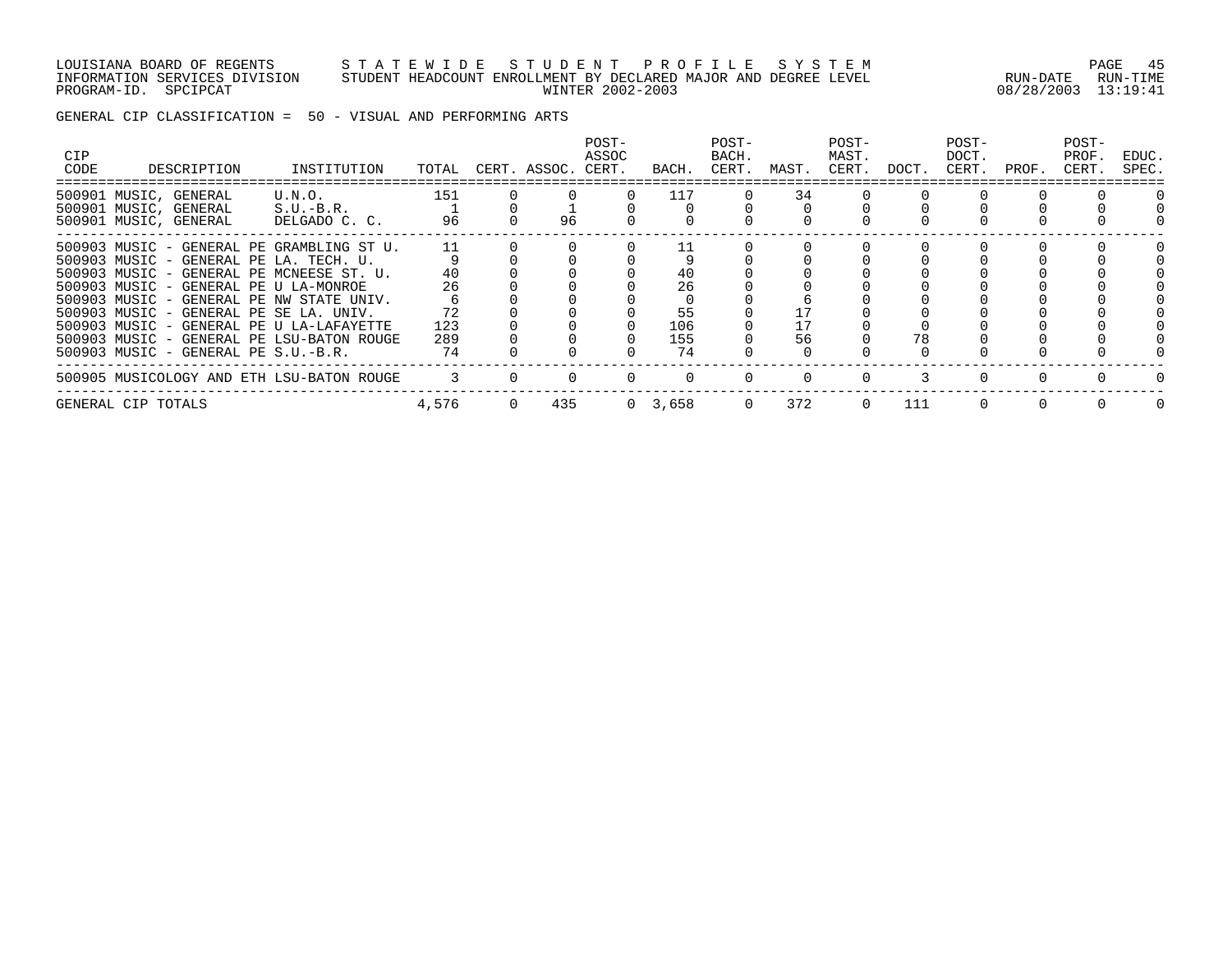#### LOUISIANA BOARD OF REGENTS S T A T E W I D E S T U D E N T P R O F I L E S Y S T E M PAGE 45 INFORMATION SERVICES DIVISION STUDENT HEADCOUNT ENROLLMENT BY DECLARED MAJOR AND DEGREE LEVEL RUN-DATE RUN-TIME PROGRAM-ID. SPCIPCAT WINTER 2002-2003 08/28/2003 13:19:41

GENERAL CIP CLASSIFICATION = 50 - VISUAL AND PERFORMING ARTS

| <b>CIP</b><br>CODE | DESCRIPTION                                                                                                                                                                                                                                                                                                                                                                                    | INSTITUTION                            | TOTAL                              |          | CERT. ASSOC. CERT. | POST-<br>ASSOC | BACH.                              | POST-<br>BACH.<br>CERT. | MAST.    | POST-<br>MAST.<br>CERT. | DOCT. | POST-<br>DOCT.<br>CERT. | PROF. | POST-<br>PROF.<br>CERT. | EDUC.<br>SPEC. |
|--------------------|------------------------------------------------------------------------------------------------------------------------------------------------------------------------------------------------------------------------------------------------------------------------------------------------------------------------------------------------------------------------------------------------|----------------------------------------|------------------------------------|----------|--------------------|----------------|------------------------------------|-------------------------|----------|-------------------------|-------|-------------------------|-------|-------------------------|----------------|
|                    | 500901 MUSIC, GENERAL<br>500901 MUSIC, GENERAL<br>500901 MUSIC, GENERAL                                                                                                                                                                                                                                                                                                                        | U.N.O.<br>$S.U.-B.R.$<br>DELGADO C. C. | 151<br>96                          |          | 96                 |                | 117                                |                         | 34       |                         |       |                         |       |                         |                |
|                    | 500903 MUSIC - GENERAL PE GRAMBLING ST U.<br>500903 MUSIC - GENERAL PE LA. TECH. U.<br>500903 MUSIC - GENERAL PE MCNEESE ST. U.<br>500903 MUSIC - GENERAL PE U LA-MONROE<br>500903 MUSIC - GENERAL PE NW STATE UNIV.<br>500903 MUSIC - GENERAL PE SE LA. UNIV.<br>500903 MUSIC - GENERAL PE U LA-LAFAYETTE<br>500903 MUSIC - GENERAL PE LSU-BATON ROUGE<br>500903 MUSIC - GENERAL PE S.U.-B.R. |                                        | 11<br>40<br>26<br>123<br>289<br>74 |          |                    |                | 40<br>26<br>55<br>106<br>155<br>74 |                         | 17<br>56 |                         | 78    |                         |       |                         |                |
|                    | 500905 MUSICOLOGY AND ETH LSU-BATON ROUGE                                                                                                                                                                                                                                                                                                                                                      |                                        | $\overline{\mathbf{3}}$            |          |                    |                |                                    | $\Omega$                |          |                         |       |                         |       |                         |                |
|                    | GENERAL CIP TOTALS                                                                                                                                                                                                                                                                                                                                                                             |                                        | 4,576                              | $\Omega$ | 435                |                | 0, 3, 658                          | $\overline{0}$          | 372      | $\Omega$                | 111   | $\Omega$                |       |                         |                |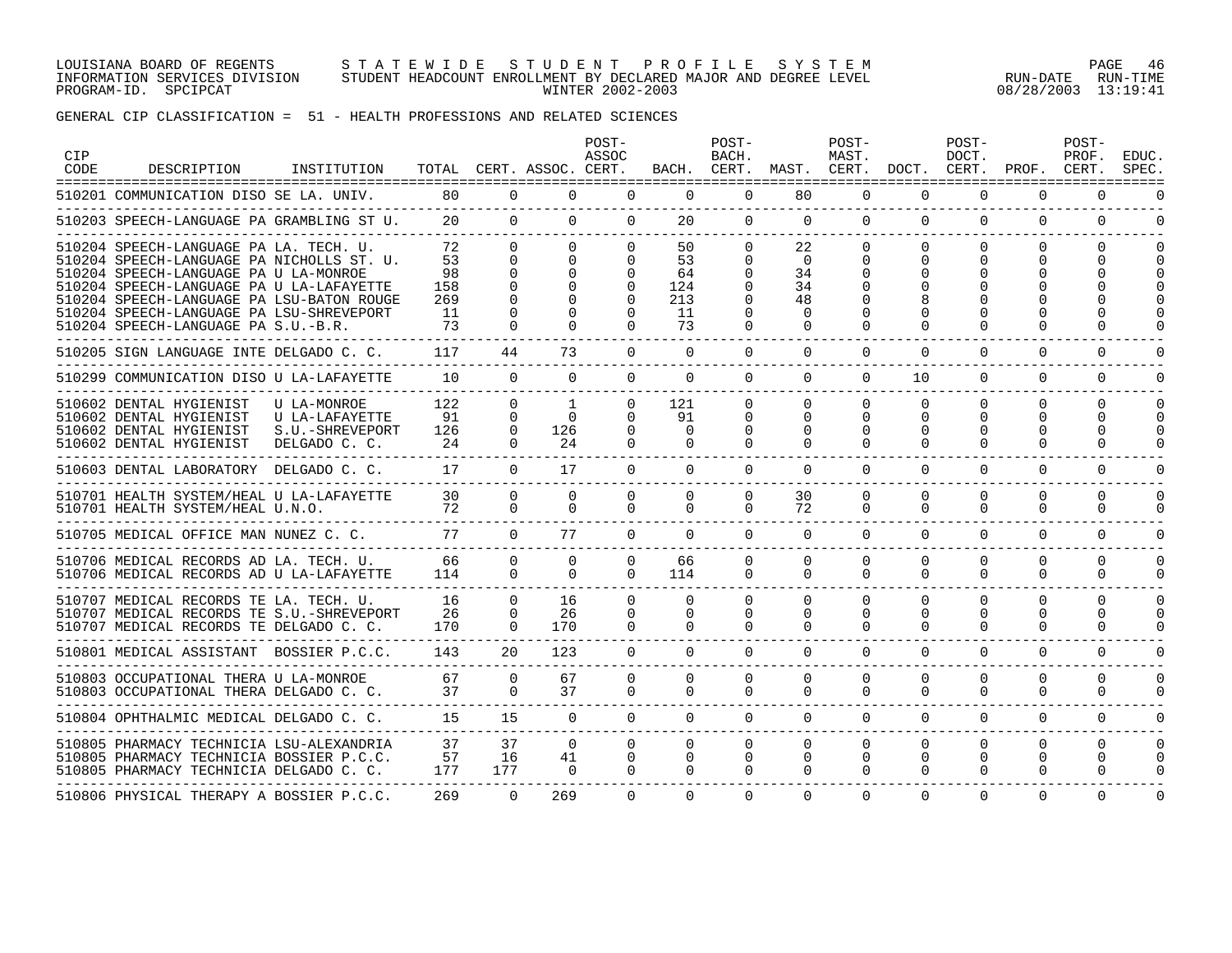#### LOUISIANA BOARD OF REGENTS S T A T E W I D E S T U D E N T P R O F I L E S Y S T E M PAGE 46 INFORMATION SERVICES DIVISION STUDENT HEADCOUNT ENROLLMENT BY DECLARED MAJOR AND DEGREE LEVEL RUN-DATE RUN-TIME PROGRAM-ID. SPCIPCAT WINTER 2002-2003 08/28/2003 13:19:41

| <b>CIP</b><br>CODE | DESCRIPTION                                                                                                                                                                                                                                                                                              | INSTITUTION                                                       |                                           |                                                                    | TOTAL CERT. ASSOC. CERT.                                                       | POST-<br>ASSOC                                                   |                                          | POST-<br>BACH.                                                               | BACH. CERT. MAST. CERT. DOCT. CERT. PROF. CERT.          | POST-<br>MAST.                               |                                              | POST-<br>DOCT.                                   |                                       | POST-<br>PROF.                   | <b>EDUC</b><br>SPEC      |
|--------------------|----------------------------------------------------------------------------------------------------------------------------------------------------------------------------------------------------------------------------------------------------------------------------------------------------------|-------------------------------------------------------------------|-------------------------------------------|--------------------------------------------------------------------|--------------------------------------------------------------------------------|------------------------------------------------------------------|------------------------------------------|------------------------------------------------------------------------------|----------------------------------------------------------|----------------------------------------------|----------------------------------------------|--------------------------------------------------|---------------------------------------|----------------------------------|--------------------------|
|                    | 510201 COMMUNICATION DISO SE LA. UNIV. 80                                                                                                                                                                                                                                                                |                                                                   |                                           |                                                                    | $\Omega$<br>$\Omega$                                                           | $\Omega$                                                         | $\Omega$                                 | $\Omega$                                                                     | 80                                                       | $\Omega$                                     | $\Omega$                                     | $\Omega$                                         | $\Omega$                              | $\Omega$                         | $\Omega$                 |
|                    | 510203 SPEECH-LANGUAGE PA GRAMBLING ST U.                                                                                                                                                                                                                                                                |                                                                   |                                           | 20<br>$\Omega$                                                     | $\Omega$                                                                       | $\Omega$                                                         | 20                                       | $\Omega$                                                                     | $\Omega$                                                 | $\Omega$                                     | $\Omega$                                     | $\Omega$                                         | $\Omega$                              | $\Omega$                         | $\Omega$                 |
|                    | 510204 SPEECH-LANGUAGE PA LA. TECH. U.<br>510204 SPEECH-LANGUAGE PA NICHOLLS ST. U.<br>510204 SPEECH-LANGUAGE PA U LA-MONROE<br>510204 SPEECH-LANGUAGE PA U LA-LAFAYETTE<br>510204 SPEECH-LANGUAGE PA LSU-BATON ROUGE<br>510204 SPEECH-LANGUAGE PA LSU-SHREVEPORT<br>510204 SPEECH-LANGUAGE PA S.U.-B.R. |                                                                   | 72<br>53<br>98<br>158<br>269<br>-11<br>73 | $\Omega$<br>$\Omega$<br>$\Omega$<br>$\Omega$<br>$\Omega$<br>$\cap$ | $\Omega$<br>$\Omega$<br>$\Omega$<br>$\Omega$<br>$\Omega$<br>$\Omega$<br>$\cap$ | $\Omega$<br>$\Omega$<br>$\Omega$<br>$\Omega$<br>$\cap$<br>$\cap$ | 50<br>53<br>64<br>124<br>213<br>11<br>73 | $\Omega$<br>$\Omega$<br>$\Omega$<br>$\Omega$<br>$\cap$<br>$\Omega$<br>$\cap$ | 22<br>$\Omega$<br>34<br>34<br>48<br>$\Omega$<br>$\Omega$ | $\Omega$<br>$\Omega$<br>$\Omega$<br>$\Omega$ | $\Omega$<br>$\Omega$<br>$\Omega$             | $\Omega$<br>$\Omega$<br>$\Omega$<br><sup>n</sup> | $\Omega$<br>$\Omega$<br>U<br>∩        | $\Omega$<br>0                    |                          |
|                    | 510205 SIGN LANGUAGE INTE DELGADO C. C.                                                                                                                                                                                                                                                                  |                                                                   | 117                                       | 44                                                                 | 73                                                                             | $\cap$                                                           | $\Omega$                                 | $\Omega$                                                                     | $\Omega$                                                 | $\cap$                                       | $\cap$                                       | $\cap$                                           | $\cap$                                | $\Omega$                         |                          |
|                    | 510299 COMMUNICATION DISO U LA-LAFAYETTE                                                                                                                                                                                                                                                                 |                                                                   | 10                                        | $\Omega$                                                           | $\cap$                                                                         | $\cap$                                                           | $\cap$                                   | $\cap$                                                                       | $\Omega$                                                 | $\Omega$                                     | 10                                           | $\cap$                                           | $\cap$                                | $\Omega$                         | <sup>n</sup>             |
|                    | 510602 DENTAL HYGIENIST<br>510602 DENTAL HYGIENIST<br>510602 DENTAL HYGIENIST<br>510602 DENTAL HYGIENIST                                                                                                                                                                                                 | U LA-MONROE<br>U LA-LAFAYETTE<br>S.U.-SHREVEPORT<br>DELGADO C. C. | 122<br>91<br>126<br>24                    | $\Omega$<br>$\Omega$<br>$\mathbf{0}$<br>$\Omega$                   | $\mathbf{1}$<br>$\Omega$<br>126<br>24                                          | $\Omega$<br>$\cap$<br>$\Omega$<br>$\cap$                         | 121<br>91<br>$\Omega$<br>$\cap$          | $\Omega$<br>$\Omega$<br>$\Omega$<br>$\Omega$                                 | $\Omega$<br>$\Omega$<br>$\Omega$<br>$\Omega$             | $\Omega$<br>$\Omega$<br>$\Omega$<br>$\Omega$ | $\Omega$<br>$\Omega$<br>$\Omega$<br>$\Omega$ | $\Omega$<br>$\Omega$<br>0<br>$\Omega$            | $\Omega$<br>$\Omega$<br>O<br>$\Omega$ | $\Omega$<br>$\Omega$<br>O        | $\Omega$<br><sup>n</sup> |
|                    | 510603 DENTAL LABORATORY DELGADO C. C.                                                                                                                                                                                                                                                                   |                                                                   | 17                                        | $\Omega$                                                           | 17                                                                             | $\Omega$                                                         | $\Omega$                                 | $\Omega$                                                                     | $\Omega$                                                 | $\Omega$                                     | $\Omega$                                     | $\Omega$                                         | $\Omega$                              | $\Omega$                         |                          |
|                    | 510701 HEALTH SYSTEM/HEAL U LA-LAFAYETTE<br>510701 HEALTH SYSTEM/HEAL U.N.O.                                                                                                                                                                                                                             |                                                                   | 30<br>72                                  | $\Omega$<br>$\Omega$                                               | $\Omega$<br>$\Omega$                                                           | $\cap$<br>$\Omega$                                               | $\Omega$<br>$\Omega$                     | $\Omega$<br>$\Omega$                                                         | 30<br>72                                                 | $\Omega$<br>$\Omega$                         | $\cap$<br>$\Omega$                           | $\Omega$<br>$\Omega$                             | $\Omega$<br>$\Omega$                  | $\Omega$<br>$\Omega$             |                          |
|                    | 510705 MEDICAL OFFICE MAN NUNEZ C. C.                                                                                                                                                                                                                                                                    |                                                                   | 77                                        | $\Omega$                                                           | 77                                                                             | $\Omega$                                                         | $\Omega$                                 | $\Omega$                                                                     | $\Omega$                                                 | $\Omega$                                     | $\Omega$                                     | $\Omega$                                         | $\Omega$                              | $\Omega$                         | <sup>n</sup>             |
|                    | 510706 MEDICAL RECORDS AD LA. TECH. U.<br>510706 MEDICAL RECORDS AD U LA-LAFAYETTE                                                                                                                                                                                                                       |                                                                   | 66<br>114                                 | $\Omega$<br>$\Omega$                                               | $\Omega$<br>$\cap$                                                             | $\Omega$<br>$\Omega$                                             | 66<br>114                                | $\Omega$<br>$\Omega$                                                         | $\Omega$<br>$\Omega$                                     | $\Omega$<br>$\Omega$                         | $\Omega$<br>$\cap$                           | $\Omega$<br>$\Omega$                             | $\Omega$<br>$\Omega$                  | $\Omega$<br>$\Omega$             | $\Omega$<br>$\Omega$     |
|                    | 510707 MEDICAL RECORDS TE LA. TECH. U.<br>510707 MEDICAL RECORDS TE S.U.-SHREVEPORT<br>510707 MEDICAL RECORDS TE DELGADO C. C.<br>---------------------------                                                                                                                                            |                                                                   | 16<br>26<br>170                           | $\Omega$<br>$\Omega$<br>$\Omega$                                   | 16<br>26<br>170                                                                | $\Omega$<br>$\Omega$<br>$\Omega$                                 | $\Omega$<br>$\Omega$<br>$\Omega$         | $\Omega$<br>$\Omega$<br>$\Omega$                                             | $\Omega$<br>$\Omega$<br>$\Omega$                         | $\Omega$<br>$\Omega$<br>$\Omega$             | $\Omega$<br>$\Omega$<br>$\Omega$             | $\Omega$<br>$\Omega$<br>$\Omega$                 | $\Omega$<br>$\Omega$<br>$\Omega$      | $\Omega$<br>0<br>$\Omega$        | $\Omega$<br>0            |
|                    | 510801 MEDICAL ASSISTANT BOSSIER P.C.C.                                                                                                                                                                                                                                                                  |                                                                   | 143                                       | 20                                                                 | 123                                                                            | $\Omega$                                                         | $\Omega$                                 | $\Omega$                                                                     | $\Omega$                                                 | $\Omega$                                     | $\Omega$                                     | $\Omega$                                         | $\Omega$                              | $\Omega$                         | U                        |
|                    | 510803 OCCUPATIONAL THERA U LA-MONROE<br>510803 OCCUPATIONAL THERA DELGADO C. C.                                                                                                                                                                                                                         |                                                                   | 67<br>37                                  | $\Omega$<br>$\Omega$                                               | 67<br>37                                                                       | $\Omega$<br>$\Omega$                                             | $\Omega$<br>$\Omega$                     | $\Omega$<br>$\Omega$                                                         | $\Omega$<br>$\Omega$                                     | $\Omega$<br>$\Omega$                         | $\Omega$<br>$\Omega$                         | $\Omega$<br>$\Omega$                             | $\Omega$<br>$\Omega$                  | 0<br>$\Omega$                    | O<br>0                   |
|                    | 510804 OPHTHALMIC MEDICAL DELGADO C. C.                                                                                                                                                                                                                                                                  |                                                                   | 15                                        | 15                                                                 | $\Omega$                                                                       | $\Omega$                                                         | $\Omega$                                 | $\Omega$                                                                     | $\Omega$                                                 | $\Omega$                                     | $\cap$                                       | $\Omega$                                         | $\Omega$                              | $\Omega$                         | $\Omega$                 |
|                    | 510805 PHARMACY TECHNICIA LSU-ALEXANDRIA<br>510805 PHARMACY TECHNICIA BOSSIER P.C.C.<br>510805 PHARMACY TECHNICIA DELGADO C. C.                                                                                                                                                                          |                                                                   | 37<br>57<br>177                           | 37<br>16<br>177                                                    | $\Omega$<br>41<br>$\Omega$                                                     | $\Omega$<br>$\Omega$<br>$\Omega$                                 | $\Omega$<br>$\Omega$<br>$\Omega$         | $\Omega$<br>$\Omega$<br>$\Omega$                                             | $\Omega$<br>$\Omega$<br>$\Omega$                         | $\Omega$<br>$\mathbf 0$<br>$\Omega$          | $\Omega$<br>$\Omega$<br>$\Omega$             | $\Omega$<br>$\Omega$<br>$\Omega$                 | $\Omega$<br>$\Omega$<br>$\Omega$      | $\Omega$<br>$\Omega$<br>$\Omega$ | $\Omega$<br>0            |
|                    | 510806 PHYSICAL THERAPY A BOSSIER P.C.C.                                                                                                                                                                                                                                                                 |                                                                   | 269                                       | $\Omega$                                                           | 269                                                                            | $\cap$                                                           | $\cap$                                   | $\cap$                                                                       | $\Omega$                                                 | $\Omega$                                     | $\Omega$                                     | $\Omega$                                         | $\Omega$                              | $\Omega$                         | $\Omega$                 |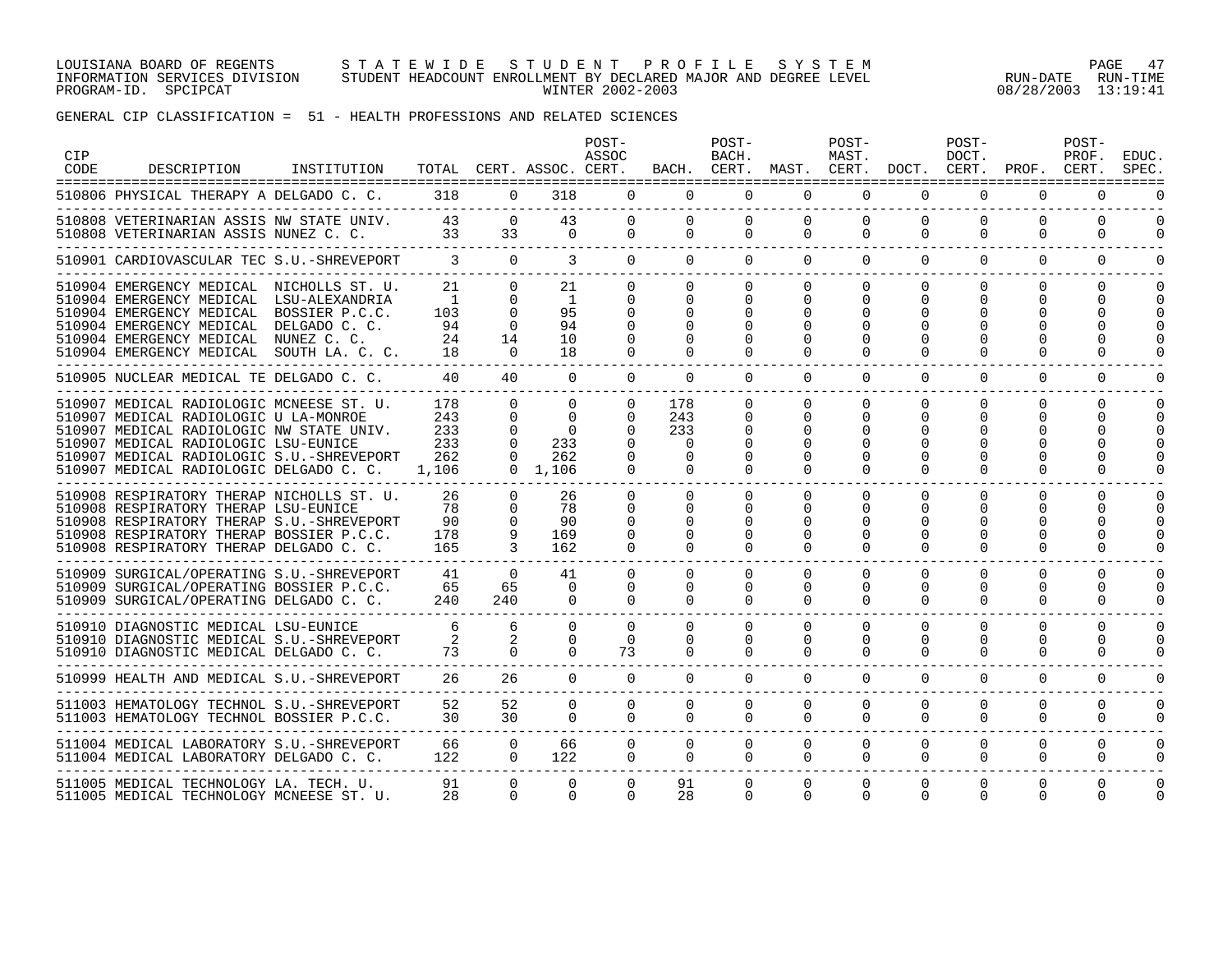#### LOUISIANA BOARD OF REGENTS S T A T E W I D E S T U D E N T P R O F I L E S Y S T E M PAGE 47 INFORMATION SERVICES DIVISION STUDENT HEADCOUNT ENROLLMENT BY DECLARED MAJOR AND DEGREE LEVEL RUN-DATE RUN-TIME PROGRAM-ID. SPCIPCAT WINTER 2002-2003 08/28/2003 13:19:41

| <b>CIP</b><br>CODE | DESCRIPTION                                                                                                                                                                                                                                                   | INSTITUTION    |                                               |                                                                | TOTAL CERT. ASSOC. CERT.                                          | POST-<br>ASSOC                                         |                                                          | POST-<br>BACH.                                           | BACH. CERT. MAST. CERT. DOCT. CERT.               | POST-<br>MAST.                                           |                                                  | POST-<br>DOCT.                             | PROF. CERT.                                     | POST-<br>PROF.                   | <b>EDUC</b><br>SPEC  |
|--------------------|---------------------------------------------------------------------------------------------------------------------------------------------------------------------------------------------------------------------------------------------------------------|----------------|-----------------------------------------------|----------------------------------------------------------------|-------------------------------------------------------------------|--------------------------------------------------------|----------------------------------------------------------|----------------------------------------------------------|---------------------------------------------------|----------------------------------------------------------|--------------------------------------------------|--------------------------------------------|-------------------------------------------------|----------------------------------|----------------------|
|                    | 510806 PHYSICAL THERAPY A DELGADO C. C. 318 0                                                                                                                                                                                                                 |                |                                               |                                                                | 318                                                               | $\Omega$                                               | $\Omega$                                                 | $\Omega$                                                 | $\Omega$                                          | $\Omega$                                                 | $\Omega$                                         | $\Omega$                                   | $\Omega$                                        | $\Omega$                         | $\Omega$             |
|                    | 510808 VETERINARIAN ASSIS NW STATE UNIV. 43<br>510808 VETERINARIAN ASSIS NUNEZ C. C. 33 3                                                                                                                                                                     |                |                                               | $\Omega$                                                       | 43<br>33<br>$\Omega$                                              | $\Omega$<br>$\Omega$                                   | $\Omega$<br>$\Omega$                                     | $\Omega$<br>$\Omega$                                     | $\Omega$<br>$\Omega$                              | $\Omega$<br>$\Omega$                                     | $\Omega$<br>$\Omega$                             | $\Omega$<br>$\Omega$                       | $\Omega$<br>$\Omega$                            | $\Omega$<br>$\Omega$             | $\Omega$<br>$\Omega$ |
|                    | 510901 CARDIOVASCULAR TEC S.U.-SHREVEPORT                                                                                                                                                                                                                     |                | $\overline{\mathbf{3}}$                       | $\overline{0}$                                                 | $\overline{3}$                                                    | $\Omega$                                               | $\Omega$                                                 | $\Omega$                                                 | $\Omega$                                          | $\Omega$                                                 | $\Omega$                                         | $\Omega$                                   | $\Omega$                                        | $\Omega$                         | $\Omega$             |
|                    | 510904 EMERGENCY MEDICAL NICHOLLS ST. U.<br>510904 EMERGENCY MEDICAL LSU-ALEXANDRIA<br>510904 EMERGENCY MEDICAL<br>510904 EMERGENCY MEDICAL DELGADO C. C.<br>510904 EMERGENCY MEDICAL NUNEZ C. C.<br>510904 EMERGENCY MEDICAL SOUTH LA. C. C.                 | BOSSIER P.C.C. | 21<br>$\blacksquare$<br>103<br>94<br>24<br>18 | $\Omega$<br>$\Omega$<br>$\Omega$<br>$\Omega$<br>14<br>$\Omega$ | 21<br>$\mathbf{1}$<br>95<br>94<br>10 <sup>°</sup><br>18           | $\Omega$<br>$\Omega$                                   | $\Omega$<br>0<br>$\Omega$<br>$\Omega$                    | $\Omega$<br>$\Omega$<br>$\Omega$<br>$\Omega$<br>$\Omega$ | $\Omega$<br>$\Omega$<br>$\Omega$<br>$\Omega$      | $\Omega$<br>$\Omega$<br>$\Omega$<br>$\Omega$             | $\Omega$<br>$\Omega$<br>$\Omega$                 | $\Omega$<br>$\Omega$<br>0<br>∩             | $\Omega$<br>$\Omega$<br>O<br>O                  | $\Omega$<br>U                    | $\Omega$             |
|                    | 510905 NUCLEAR MEDICAL TE DELGADO C. C.                                                                                                                                                                                                                       |                | 40                                            | 40                                                             | $\Omega$                                                          | $\Omega$                                               | $\Omega$                                                 | $\Omega$                                                 | $\Omega$                                          | $\Omega$                                                 | $\Omega$                                         | $\Omega$                                   | $\Omega$                                        | $\Omega$                         | $\Omega$             |
|                    | 510907 MEDICAL RADIOLOGIC MCNEESE ST. U.<br>510907 MEDICAL RADIOLOGIC U LA-MONROE<br>510907 MEDICAL RADIOLOGIC NW STATE UNIV.<br>510907 MEDICAL RADIOLOGIC LSU-EUNICE<br>510907 MEDICAL RADIOLOGIC S.U.-SHREVEPORT<br>510907 MEDICAL RADIOLOGIC DELGADO C. C. |                | 178<br>243<br>233<br>233<br>262<br>1,106      | $\Omega$<br>$\Omega$<br>0<br>$\Omega$<br>$\Omega$              | $\Omega$<br>$\Omega$<br>$\Omega$<br>233<br>262<br>$0 \quad 1.106$ | $\Omega$<br>$\Omega$<br>$\Omega$<br>$\Omega$           | 178<br>243<br>233<br>$\Omega$<br>$\Omega$<br>$\Omega$    | $\Omega$<br>$\Omega$<br>$\Omega$<br>$\Omega$             | $\Omega$<br>$\Omega$<br>0<br>$\Omega$             | $\Omega$<br>$\Omega$<br>$\Omega$<br>$\Omega$             | $\Omega$<br>$\Omega$<br><sup>0</sup><br>$\Omega$ | $\Omega$<br>$\Omega$<br>O<br>O<br>$\Omega$ | $\Omega$<br>$\Omega$<br>O<br>O<br>O<br>$\Omega$ | $\Omega$<br>$\Omega$             | $\Omega$             |
|                    | 510908 RESPIRATORY THERAP NICHOLLS ST. U.<br>510908 RESPIRATORY THERAP LSU-EUNICE<br>510908 RESPIRATORY THERAP S.U.-SHREVEPORT<br>510908 RESPIRATORY THERAP BOSSIER P.C.C.<br>510908 RESPIRATORY THERAP DELGADO C. C.                                         |                | 26<br>78<br>90<br>178<br>165                  | $\Omega$<br>$\Omega$<br>$\Omega$<br>9<br>$\mathcal{R}$         | 26<br>78<br>90<br>169<br>162                                      | $\Omega$<br>$\Omega$<br>$\Omega$<br>$\Omega$<br>$\cap$ | $\Omega$<br>$\Omega$<br>$\Omega$<br>$\Omega$<br>$\Omega$ | $\Omega$<br>$\Omega$<br>$\Omega$<br>$\Omega$<br>$\Omega$ | $\Omega$<br>$\Omega$<br>0<br>$\Omega$<br>$\Omega$ | $\Omega$<br>$\Omega$<br>$\Omega$<br>$\Omega$<br>$\Omega$ | $\Omega$<br>$\Omega$<br>$\Omega$<br>$\Omega$     | $\Omega$<br>0<br>$\Omega$<br>$\Omega$      | $\Omega$<br>O<br>0<br>$\Omega$                  | <sup>n</sup><br>U                |                      |
|                    | 510909 SURGICAL/OPERATING S.U.-SHREVEPORT<br>510909 SURGICAL/OPERATING BOSSIER P.C.C.<br>510909 SURGICAL/OPERATING DELGADO C. C.                                                                                                                              |                | 41<br>65<br>240                               | $\Omega$<br>65<br>240                                          | 41<br>$\Omega$<br>$\Omega$                                        | $\Omega$<br>$\Omega$<br>$\Omega$                       | $\Omega$<br>$\Omega$<br>$\Omega$                         | $\Omega$<br>$\Omega$<br>$\Omega$                         | $\Omega$<br>$\Omega$<br>$\Omega$                  | $\Omega$<br>$\Omega$<br>$\Omega$                         | $\Omega$<br>$\Omega$<br>$\Omega$                 | $\Omega$<br>$\Omega$<br>$\Omega$           | $\Omega$<br>$\Omega$<br>$\Omega$                | $\Omega$<br>$\Omega$<br>$\Omega$ | O<br>0<br>0          |
|                    | 510910 DIAGNOSTIC MEDICAL LSU-EUNICE<br>510910 DIAGNOSTIC MEDICAL S.U.-SHREVEPORT<br>510910 DIAGNOSTIC MEDICAL DELGADO C. C.                                                                                                                                  |                | 6<br>2<br>73                                  | 6<br>2<br>$\Omega$                                             | $\Omega$<br>$\Omega$<br>$\Omega$                                  | $\Omega$<br>$\Omega$<br>73                             | $\Omega$<br>$\Omega$<br>$\Omega$                         | $\Omega$<br>$\Omega$<br>$\Omega$                         | $\Omega$<br>$\Omega$<br>$\Omega$                  | $\Omega$<br>$\Omega$<br>$\Omega$                         | $\Omega$<br>$\Omega$<br>$\Omega$                 | $\Omega$<br>$\Omega$<br>$\Omega$           | $\Omega$<br>$\Omega$<br>$\Omega$                | 0<br>$\Omega$<br>$\Omega$        | $\Omega$<br>0        |
|                    | 510999 HEALTH AND MEDICAL S.U.-SHREVEPORT                                                                                                                                                                                                                     |                | 26                                            | 26                                                             | $\Omega$                                                          | $\Omega$                                               | $\Omega$                                                 | $\overline{0}$                                           | $\Omega$                                          | $\Omega$                                                 | $\Omega$                                         | $\Omega$                                   | $\mathbf 0$                                     | 0                                |                      |
|                    | 511003 HEMATOLOGY TECHNOL S.U.-SHREVEPORT<br>511003 HEMATOLOGY TECHNOL BOSSIER P.C.C.                                                                                                                                                                         |                | 52<br>30                                      | 52<br>30                                                       | $\Omega$<br>$\Omega$                                              | $\Omega$<br>$\Omega$                                   | $\Omega$<br>$\Omega$                                     | $\Omega$<br>$\Omega$                                     | $\Omega$<br>$\Omega$                              | $\mathbf 0$<br>$\Omega$                                  | $\Omega$<br>$\Omega$                             | $\Omega$<br>$\Omega$                       | $\Omega$<br>$\Omega$                            | $\Omega$<br>$\Omega$             | $\Omega$<br>$\Omega$ |
|                    | 511004 MEDICAL LABORATORY S.U.-SHREVEPORT<br>511004 MEDICAL LABORATORY DELGADO C. C.                                                                                                                                                                          |                | 66<br>122                                     | $\Omega$<br>$\Omega$                                           | 66<br>122                                                         | $\Omega$<br>$\overline{0}$                             | $\Omega$<br>$\Omega$                                     | $\Omega$<br>$\Omega$                                     | $\Omega$<br>$\Omega$                              | $\Omega$<br>$\Omega$                                     | $\Omega$<br>$\Omega$                             | $\Omega$<br>$\Omega$                       | $\Omega$<br>$\Omega$                            | $\Omega$<br>$\Omega$             | $\Omega$<br>0        |
|                    | 511005 MEDICAL TECHNOLOGY LA. TECH. U.<br>511005 MEDICAL TECHNOLOGY MCNEESE ST. U.                                                                                                                                                                            |                | 91<br>28                                      | $\Omega$<br>$\Omega$                                           | $\mathbf 0$<br>$\Omega$                                           | $\Omega$<br>$\Omega$                                   | 91<br>28                                                 | $\Omega$<br>$\Omega$                                     | 0<br>$\Omega$                                     | $\mathbf 0$<br>$\Omega$                                  | $\Omega$<br>$\Omega$                             | $\Omega$<br>$\Omega$                       | $\Omega$<br>$\Omega$                            | $\Omega$<br><sup>n</sup>         |                      |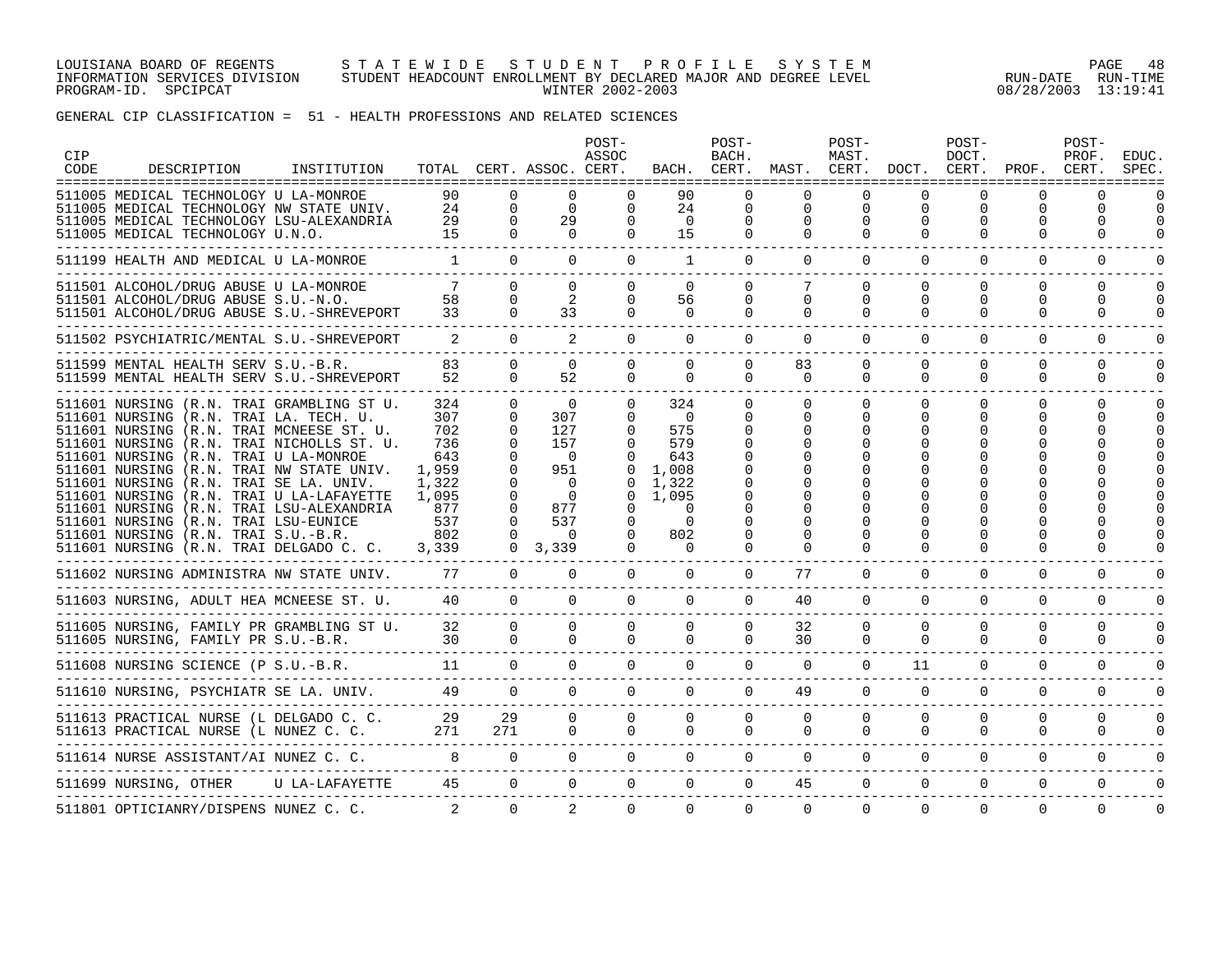#### LOUISIANA BOARD OF REGENTS S T A T E W I D E S T U D E N T P R O F I L E S Y S T E M PAGE 48 INFORMATION SERVICES DIVISION STUDENT HEADCOUNT ENROLLMENT BY DECLARED MAJOR AND DEGREE LEVEL RUN-DATE RUN-TIME PROGRAM-ID. SPCIPCAT WINTER 2002-2003 08/28/2003 13:19:41

| CIP<br>CODE | DESCRIPTION                                                                                                                                                                                                                                                                                                                                                                                                                                                                                                                   | INSTITUTION |                                                                                          |                                                                                                                           | TOTAL CERT. ASSOC. CERT.                                                                                        | POST-<br>ASSOC                                                                                                     |                                                                                                                | POST-<br>BACH.                                                       | BACH. CERT. MAST. CERT. DOCT. CERT. PROF. CERT. | POST-<br>MAST.                                     |                                     | POST-<br>DOCT.                      |                                        | POST-<br>PROF.            | <b>EDUC</b><br>SPEC     |
|-------------|-------------------------------------------------------------------------------------------------------------------------------------------------------------------------------------------------------------------------------------------------------------------------------------------------------------------------------------------------------------------------------------------------------------------------------------------------------------------------------------------------------------------------------|-------------|------------------------------------------------------------------------------------------|---------------------------------------------------------------------------------------------------------------------------|-----------------------------------------------------------------------------------------------------------------|--------------------------------------------------------------------------------------------------------------------|----------------------------------------------------------------------------------------------------------------|----------------------------------------------------------------------|-------------------------------------------------|----------------------------------------------------|-------------------------------------|-------------------------------------|----------------------------------------|---------------------------|-------------------------|
|             | 511005 MEDICAL TECHNOLOGY U LA-MONROE<br>511005 MEDICAL TECHNOLOGY NW STATE UNIV.<br>511005 MEDICAL TECHNOLOGY LSU-ALEXANDRIA<br>511005 MEDICAL TECHNOLOGY U.N.O.                                                                                                                                                                                                                                                                                                                                                             |             | 90<br>24<br>29<br>15                                                                     | $\Omega$<br>$\Omega$<br>$\Omega$                                                                                          | $\Omega$<br>29<br>$\Omega$                                                                                      | $\Omega$<br>$\Omega$<br>$\Omega$                                                                                   | 90<br>24<br>$\overline{0}$<br>15                                                                               | $\Omega$<br>$\Omega$<br>$\Omega$                                     | $\Omega$<br>$\Omega$<br>$\Omega$                | $\mathbf 0$<br>$\mathbf 0$<br>$\Omega$             | $\Omega$<br>$\Omega$<br>$\Omega$    | $\mathbf 0$<br>$\Omega$<br>$\Omega$ | $\Omega$                               |                           |                         |
|             | ------------------------------<br>511199 HEALTH AND MEDICAL U LA-MONROE                                                                                                                                                                                                                                                                                                                                                                                                                                                       |             | $\overline{1}$                                                                           | $\Omega$                                                                                                                  | $\Omega$                                                                                                        | $\Omega$                                                                                                           | $\mathbf{1}$                                                                                                   | $\Omega$                                                             | $\overline{0}$                                  | $\Omega$                                           | $\Omega$                            | $\Omega$                            | $\Omega$                               | $\Omega$                  | $\Omega$                |
|             | 511501 ALCOHOL/DRUG ABUSE U LA-MONROE<br>511501 ALCOHOL/DRUG ABUSE S.U.-N.O.<br>511501 ALCOHOL/DRUG ABUSE S.U.-SHREVEPORT                                                                                                                                                                                                                                                                                                                                                                                                     |             | $7\overline{ }$<br>58<br>33                                                              | $\Omega$<br>$\mathbf 0$<br>$\Omega$                                                                                       | $\Omega$<br>2<br>33                                                                                             | $\Omega$<br>$\Omega$<br>$\Omega$                                                                                   | $\Omega$<br>56<br>$\Omega$                                                                                     | $\Omega$<br>$\overline{0}$<br>$\Omega$                               | $7\overline{ }$<br>$\overline{0}$<br>$\Omega$   | $\Omega$<br>$\overline{0}$<br>$\Omega$             | $\Omega$<br>0<br>$\Omega$           | $\Omega$<br>$\mathbf 0$<br>$\Omega$ | $\Omega$<br>$\mathbf 0$<br>$\Omega$    | $\Omega$<br>0<br>$\Omega$ | <sup>n</sup>            |
|             | 511502 PSYCHIATRIC/MENTAL S.U.-SHREVEPORT                                                                                                                                                                                                                                                                                                                                                                                                                                                                                     |             |                                                                                          | $\Omega$                                                                                                                  | 2                                                                                                               | $\Omega$                                                                                                           | $\Omega$                                                                                                       | $\Omega$                                                             | $\Omega$                                        | $\Omega$                                           | $\Omega$                            | $\Omega$                            | $\Omega$                               | $\Omega$                  |                         |
|             | 511599 MENTAL HEALTH SERV S.U.-B.R.<br>511599 MENTAL HEALTH SERV S.U.-SHREVEPORT                                                                                                                                                                                                                                                                                                                                                                                                                                              |             | 83<br>52                                                                                 | $\Omega$<br>$\Omega$                                                                                                      | $\Omega$<br>52                                                                                                  | $\Omega$<br>$\Omega$                                                                                               | $\Omega$<br>$\Omega$                                                                                           | $\Omega$<br>$\Omega$                                                 | 83<br>$\Omega$                                  | $\Omega$<br>$\Omega$                               | $\Omega$<br>$\cap$                  | $\Omega$<br>$\cap$                  | $\Omega$<br>$\Omega$                   | $\Omega$<br>$\Omega$      | U                       |
|             | 511601 NURSING (R.N. TRAI GRAMBLING ST U.<br>511601 NURSING (R.N. TRAI LA. TECH. U.<br>511601 NURSING (R.N. TRAI MCNEESE ST. U.<br>511601 NURSING (R.N. TRAI NICHOLLS ST. U.<br>511601 NURSING (R.N. TRAI U LA-MONROE<br>511601 NURSING (R.N. TRAI NW STATE UNIV.<br>511601 NURSING (R.N. TRAI SE LA. UNIV.<br>511601 NURSING (R.N. TRAI U LA-LAFAYETTE<br>511601 NURSING (R.N. TRAI LSU-ALEXANDRIA<br>511601 NURSING (R.N. TRAI LSU-EUNICE<br>511601 NURSING (R.N. TRAI S.U.-B.R.<br>511601 NURSING (R.N. TRAI DELGADO C. C. |             | 324<br>307<br>702<br>736<br>643<br>1,959<br>1,322<br>1,095<br>877<br>537<br>802<br>3,339 | $\Omega$<br>$\Omega$<br>$\Omega$<br>$\Omega$<br>$\Omega$<br>$\Omega$<br>$\Omega$<br>0<br>$\Omega$<br>$\Omega$<br>$\Omega$ | $\Omega$<br>307<br>127<br>157<br>$\Omega$<br>951<br>$\Omega$<br>$\Omega$<br>877<br>537<br>$\Omega$<br>0, 3, 339 | $\Omega$<br>$\Omega$<br>$\Omega$<br>$\cap$<br>$\Omega$<br>$\Omega$<br>$\Omega$<br>$\Omega$<br>$\Omega$<br>$\Omega$ | 324<br>$\cap$<br>575<br>579<br>643<br>1,008<br>1,322<br>1,095<br>$\Omega$<br>$\Omega$<br>802<br>$\overline{0}$ | $\Omega$<br>$\Omega$<br>$\Omega$<br>$\Omega$<br>$\Omega$<br>$\Omega$ |                                                 | $\Omega$<br>$\Omega$<br>$\Omega$<br>$\Omega$       | $\Omega$                            | $\Omega$<br>$\Omega$<br>$\Omega$    | $\Omega$<br>$\Omega$                   | $\Omega$                  |                         |
|             | 511602 NURSING ADMINISTRA NW STATE UNIV.                                                                                                                                                                                                                                                                                                                                                                                                                                                                                      |             | 77                                                                                       | $\cap$                                                                                                                    | $\cap$                                                                                                          | $\cap$                                                                                                             | $\Omega$                                                                                                       | $\Omega$                                                             | 77                                              | $\cap$                                             | $\cap$                              | $\cap$                              | $\cap$                                 | $\Omega$                  |                         |
|             | 511603 NURSING, ADULT HEA MCNEESE ST. U. 40 0                                                                                                                                                                                                                                                                                                                                                                                                                                                                                 |             |                                                                                          |                                                                                                                           | $\Omega$                                                                                                        |                                                                                                                    | $\Omega$<br>$\Omega$                                                                                           | $\Omega$                                                             | 40                                              | $\Omega$                                           | $\Omega$                            | $\Omega$                            | $\Omega$                               | $\Omega$                  | $\Omega$                |
|             |                                                                                                                                                                                                                                                                                                                                                                                                                                                                                                                               |             |                                                                                          | $\overline{0}$<br>$\Omega$                                                                                                | $\Omega$<br>$\Omega$                                                                                            | $\Omega$<br>$\cap$                                                                                                 | $\Omega$<br>$\cap$                                                                                             | $\overline{0}$<br>$\Omega$                                           | 32<br>30                                        | $\overline{0}$<br>$\Omega$                         | $\overline{0}$<br>$\Omega$          | $\overline{0}$<br>$\Omega$          | $\mathbf{0}$<br>$\Omega$               | $\mathbf 0$<br>$\cap$     | 0                       |
|             | 511608 NURSING SCIENCE (P S.U.-B.R.                                                                                                                                                                                                                                                                                                                                                                                                                                                                                           |             |                                                                                          |                                                                                                                           |                                                                                                                 |                                                                                                                    |                                                                                                                |                                                                      | $\Omega$                                        | $\Omega$                                           | 11                                  | $\Omega$                            | $\cap$                                 | $\Omega$                  | <sup>n</sup>            |
|             |                                                                                                                                                                                                                                                                                                                                                                                                                                                                                                                               |             |                                                                                          |                                                                                                                           |                                                                                                                 |                                                                                                                    |                                                                                                                |                                                                      |                                                 |                                                    |                                     | $\Omega$                            | $\Omega$                               | $\Omega$                  | $\Omega$                |
|             | 511613 PRACTICAL NURSE (L DELGADO C. C. 29<br>511613 PRACTICAL NURSE (L NUNEZ C. C. 271                                                                                                                                                                                                                                                                                                                                                                                                                                       |             |                                                                                          |                                                                                                                           | $\overline{0}$<br>29<br>271                                                                                     | $0 \qquad \qquad$                                                                                                  | $\Omega$<br>$0 \qquad \qquad$                                                                                  | $\Omega$<br>$\Omega$                                                 | $\Omega$<br>$\Omega$                            | $\overline{0}$<br>$\overline{0}$<br>$\overline{0}$ | $\overline{0}$<br>$0 \qquad \qquad$ | $\overline{0}$<br>0                 | $\overline{0}$<br>$\Omega$<br>$\Omega$ | $\mathbf 0$<br>$\Omega$   | $\mathbf 0$<br>$\Omega$ |
|             | 511614 NURSE ASSISTANT/AI NUNEZ C. C.                                                                                                                                                                                                                                                                                                                                                                                                                                                                                         |             | 8 <sup>8</sup>                                                                           | $\overline{0}$                                                                                                            | $\Omega$                                                                                                        | $\Omega$                                                                                                           | $\Omega$                                                                                                       | $\Omega$                                                             | $\Omega$                                        | $\Omega$                                           | $\Omega$                            | $\Omega$                            | $\Omega$                               | $\Omega$                  | $\Omega$                |
|             | 511699 NURSING, OTHER U LA-LAFAYETTE                                                                                                                                                                                                                                                                                                                                                                                                                                                                                          |             | 45                                                                                       |                                                                                                                           | $\Omega$<br>$\Omega$                                                                                            | $\Omega$                                                                                                           |                                                                                                                | $\Omega$<br>$\Omega$                                                 | 45                                              | $\overline{0}$                                     | $\Omega$                            | $\Omega$                            | $\Omega$                               | $\Omega$                  | $\Omega$                |
|             | 511801 OPTICIANRY/DISPENS NUNEZ C. C.                                                                                                                                                                                                                                                                                                                                                                                                                                                                                         |             | 2                                                                                        | $\Omega$                                                                                                                  | 2                                                                                                               | $\Omega$                                                                                                           | $\Omega$                                                                                                       | $\Omega$                                                             | $\Omega$                                        | $\Omega$                                           | $\Omega$                            | $\Omega$                            | $\Omega$                               | $\Omega$                  | $\Omega$                |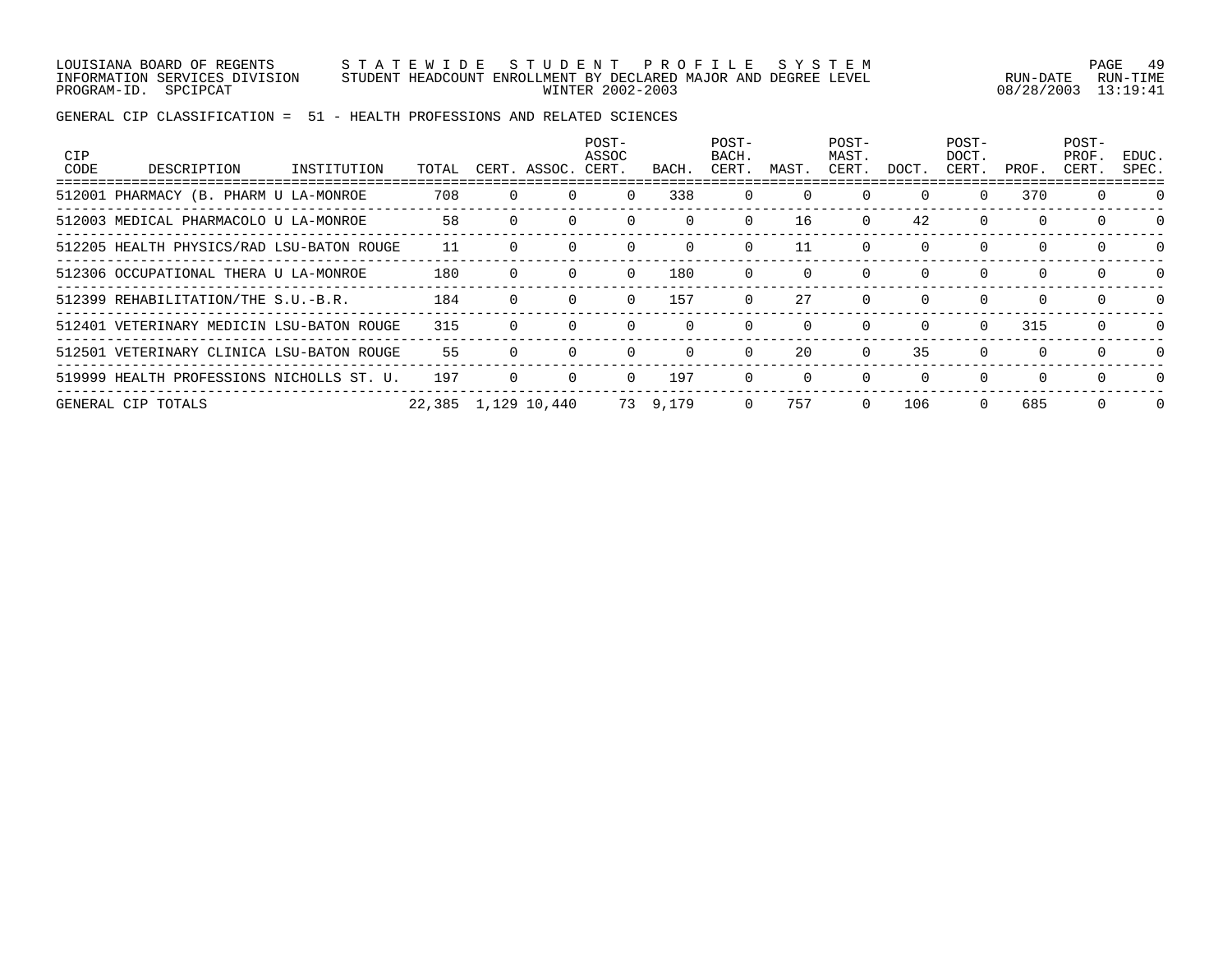LOUISIANA BOARD OF REGENTS S T A T E W I D E S T U D E N T P R O F I L E S Y S T E M PAGE 49 INFORMATION SERVICES DIVISION STUDENT HEADCOUNT ENROLLMENT BY DECLARED MAJOR AND DEGREE LEVEL RUN-DATE RUN-TIME PROGRAM-ID. SPCIPCAT WINTER 2002-2003 08/28/2003 13:19:41

| CIP<br>CODE | DESCRIPTION                               | INSTITUTION | TOTAL               |   | CERT. ASSOC. | POST-<br>ASSOC<br>CERT. | BACH     | POST-<br>BACH.<br>CERT. | MAST.    | POST-<br>MAST.<br>CERT. | DOCT.        | POST-<br>DOCT.<br>CERT. | PROF.    | POST-<br>PROF.<br>CERT. | EDUC.<br>SPEC. |
|-------------|-------------------------------------------|-------------|---------------------|---|--------------|-------------------------|----------|-------------------------|----------|-------------------------|--------------|-------------------------|----------|-------------------------|----------------|
|             | 512001 PHARMACY (B. PHARM U LA-MONROE     |             | 708                 |   |              |                         | 338      | $\Omega$                | $\Omega$ |                         | $\Omega$     | 0                       | 370      | $\Omega$                | $\Omega$       |
|             | 512003 MEDICAL PHARMACOLO U LA-MONROE     |             | 58                  |   |              |                         |          | $\Omega$                | 16       | $\Omega$                | 42           | $\Omega$                | $\Omega$ |                         | $\Omega$       |
|             | 512205 HEALTH PHYSICS/RAD LSU-BATON ROUGE |             | 11                  |   |              |                         | $\Omega$ | $\Omega$                | 11       | $\Omega$                | $\Omega$     | $\Omega$                | $\Omega$ | 0                       | $\Omega$       |
|             | 512306 OCCUPATIONAL THERA U LA-MONROE     |             | 180                 |   |              |                         | 180      |                         | $\Omega$ |                         | <sup>0</sup> | $\Omega$                | $\Omega$ | $\Omega$                | $\Omega$       |
|             | 512399 REHABILITATION/THE S.U.-B.R.       |             | 184                 | 0 |              | $\Omega$                | 157      | $\Omega$                | 27       | $\Omega$                | $\Omega$     | $\Omega$                | $\Omega$ | $\Omega$                | $\Omega$       |
|             | 512401 VETERINARY MEDICIN LSU-BATON ROUGE |             | 315                 |   |              |                         |          |                         | $\Omega$ | $\Omega$                | <sup>0</sup> | $\Omega$                | 315      | $\Omega$                | $\Omega$       |
|             | 512501 VETERINARY CLINICA LSU-BATON ROUGE |             | 55                  | 0 |              |                         | $\Omega$ | $\Omega$                | 20       | $\Omega$                | 35           | $\Omega$                | $\Omega$ | $\Omega$                | $\Omega$       |
|             | 519999 HEALTH PROFESSIONS NICHOLLS ST. U. |             | 197                 |   |              |                         | 197      |                         |          | $\Omega$                | $\Omega$     | $\Omega$                | $\Omega$ | $\Omega$                | $\Omega$       |
|             | GENERAL CIP TOTALS                        |             | 22,385 1,129 10,440 |   |              |                         | 73 9,179 | $\Omega$                | 757      | $\Omega$                | 106          | $\Omega$                | 685      | 0                       | $\Omega$       |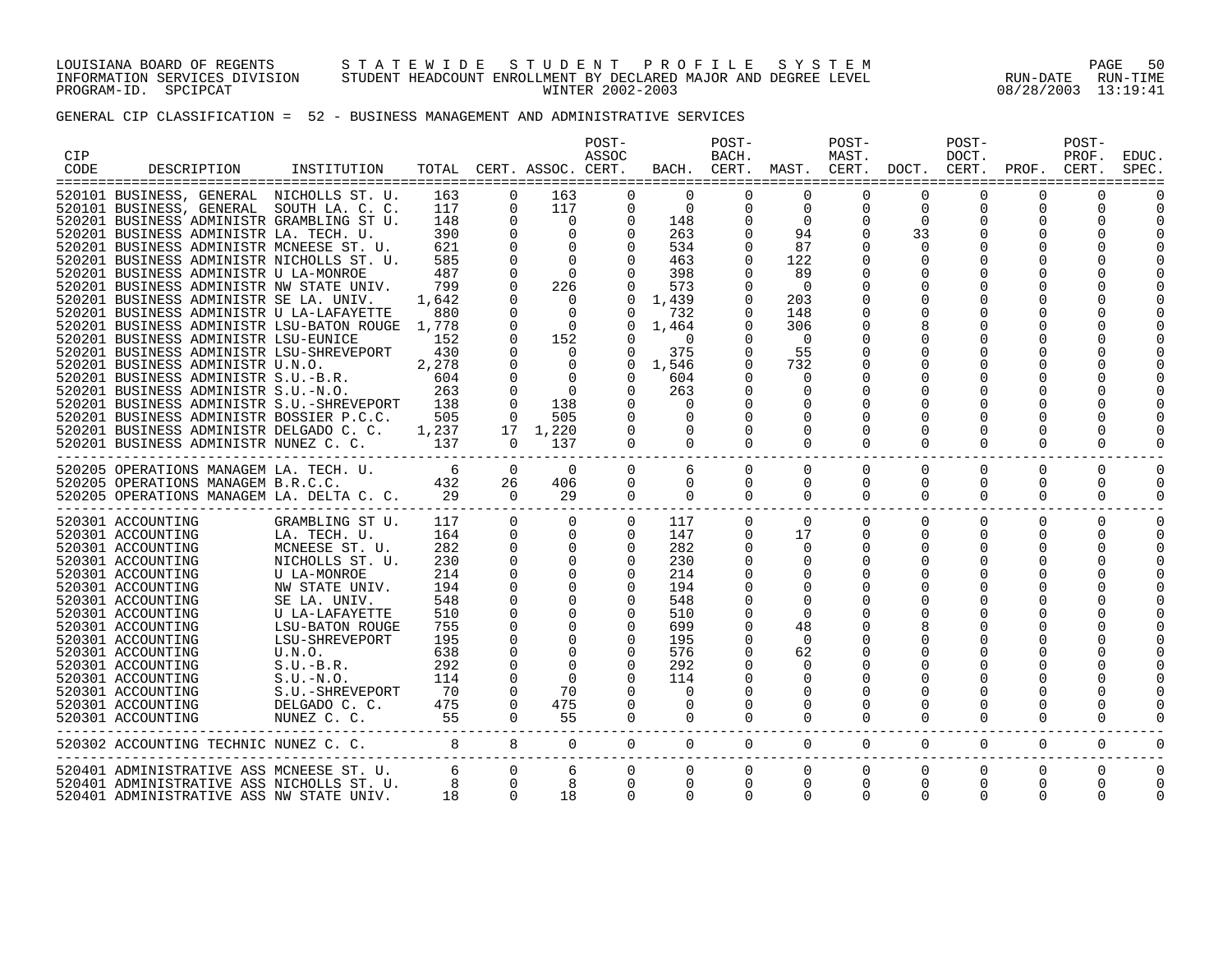#### LOUISIANA BOARD OF REGENTS S T A T E W I D E S T U D E N T P R O F I L E S Y S T E M PAGE 50 INFORMATION SERVICES DIVISION STUDENT HEADCOUNT ENROLLMENT BY DECLARED MAJOR AND DEGREE LEVEL RUN-DATE RUN-TIME PROGRAM-ID. SPCIPCAT WINTER 2002-2003 08/28/2003 13:19:41

## GENERAL CIP CLASSIFICATION = 52 - BUSINESS MANAGEMENT AND ADMINISTRATIVE SERVICES

| CIP<br>CODE | DESCRIPTION                                                                                                                                                                                                                                                                                                                                                                                                                                                                                                                                                                                                                                                                                                                                                                                                                                                                                       | INSTITUTION                                                                                                                                                                                                                                                                |                                                                                                                    |                                                                                                                                                                                                                                         | TOTAL CERT. ASSOC. CERT.                                                                                                                                                                                                            | POST-<br>ASSOC                                                                                                                                                                                                                   |                                                                                                                                                                                                  | POST-<br>BACH.<br>BACH. CERT.                                                                                                                                                                                             | MAST. CERT.                                                                                                                                                         | POST-<br>MAST.                                           | DOCT. CERT.                                                                                                        | POST-<br>DOCT.                                                                                  | PROF.                        | POST-<br>PROF.<br>CERT.                  | EDUC<br>SPEC                     |
|-------------|---------------------------------------------------------------------------------------------------------------------------------------------------------------------------------------------------------------------------------------------------------------------------------------------------------------------------------------------------------------------------------------------------------------------------------------------------------------------------------------------------------------------------------------------------------------------------------------------------------------------------------------------------------------------------------------------------------------------------------------------------------------------------------------------------------------------------------------------------------------------------------------------------|----------------------------------------------------------------------------------------------------------------------------------------------------------------------------------------------------------------------------------------------------------------------------|--------------------------------------------------------------------------------------------------------------------|-----------------------------------------------------------------------------------------------------------------------------------------------------------------------------------------------------------------------------------------|-------------------------------------------------------------------------------------------------------------------------------------------------------------------------------------------------------------------------------------|----------------------------------------------------------------------------------------------------------------------------------------------------------------------------------------------------------------------------------|--------------------------------------------------------------------------------------------------------------------------------------------------------------------------------------------------|---------------------------------------------------------------------------------------------------------------------------------------------------------------------------------------------------------------------------|---------------------------------------------------------------------------------------------------------------------------------------------------------------------|----------------------------------------------------------|--------------------------------------------------------------------------------------------------------------------|-------------------------------------------------------------------------------------------------|------------------------------|------------------------------------------|----------------------------------|
|             | 520101 BUSINESS, GENERAL NICHOLLS ST. U.<br>520101 BUSINESS, GENERAL SOUTH LA. C. C.<br>520201 BUSINESS ADMINISTR GRAMBLING ST U.<br>520201 BUSINESS ADMINISTR LA. TECH. U.<br>520201 BUSINESS ADMINISTR MCNEESE ST. U.<br>520201 BUSINESS ADMINISTR NICHOLLS ST. U.<br>520201 BUSINESS ADMINISTR U LA-MONROE<br>520201 BUSINESS ADMINISTR NW STATE UNIV.<br>520201 BUSINESS ADMINISTR SE LA. UNIV.<br>520201 BUSINESS ADMINISTR U LA-LAFAYETTE<br>520201 BUSINESS ADMINISTR LSU-BATON ROUGE<br>520201 BUSINESS ADMINISTR LSU-EUNICE<br>520201 BUSINESS ADMINISTR LSU-SHREVEPORT<br>520201 BUSINESS ADMINISTR U.N.O.<br>520201 BUSINESS ADMINISTR S.U.-B.R.<br>520201 BUSINESS ADMINISTR S.U.-N.O.<br>520201 BUSINESS ADMINISTR S.U.-SHREVEPORT 138<br>520201 BUSINESS ADMINISTR BOSSIER P.C.C. 505<br>520201 BUSINESS ADMINISTR DELGADO C. C. 1,237<br>520201 BUSINESS ADMINISTR NUNEZ C. C. 137 |                                                                                                                                                                                                                                                                            | 163<br>117<br>148<br>390<br>621<br>585<br>487<br>799<br>1,642<br>880<br>1,778<br>152<br>430<br>2,278<br>604<br>263 | $\Omega$<br>$\Omega$<br>$\Omega$<br>$\Omega$<br>$\mathbf 0$<br>$\Omega$<br>$\mathbf 0$<br>$\mathbf 0$<br>$\Omega$<br>$\Omega$<br>$\Omega$<br>$\Omega$<br>$\Omega$<br>$\Omega$<br>$\Omega$<br>$\Omega$<br>$\Omega$<br>$\Omega$<br>$\cap$ | 163<br>117<br>$\overline{0}$<br>$\Omega$<br>$\Omega$<br>$\bigcap$<br>226<br>$\overline{0}$<br>$\Omega$<br>$\overline{0}$<br>152<br>$\overline{0}$<br>$\overline{0}$<br>$\bigcap$<br>$\overline{0}$<br>138<br>505<br>17 1,220<br>137 | $\Omega$<br>$\Omega$<br>$\Omega$<br>$\Omega$<br>$\Omega$<br>$\Omega$<br>$\Omega$<br>$\Omega$<br>$\Omega$<br>$\Omega$<br>$\Omega$<br>$\Omega$<br>$\Omega$<br>$\Omega$<br>$\Omega$<br>$\Omega$<br>$\Omega$<br>$\Omega$<br>$\Omega$ | $\Omega$<br>$\overline{0}$<br>148<br>263<br>534<br>463<br>398<br>573<br>1,439<br>732<br>1,464<br>$\Omega$<br>375<br>0, 1.546<br>604<br>263<br>$\Omega$<br>$\Omega$<br>$\Omega$<br>$\overline{0}$ | $\Omega$<br>$\Omega$<br>$\Omega$<br>$\Omega$<br>$\Omega$<br>$\Omega$<br>$\Omega$<br>$\Omega$<br>$\Omega$<br>$\Omega$<br>$\Omega$<br>$\Omega$<br>$\Omega$<br>$\Omega$<br>$\Omega$<br>$\Omega$<br>$\Omega$<br>0<br>$\Omega$ | $\Omega$<br>$\Omega$<br>$\Omega$<br>94<br>87<br>122<br>89<br>$\Omega$<br>203<br>148<br>306<br>$\Omega$<br>55<br>732<br>$\Omega$<br>$\Omega$<br>$\Omega$<br>$\Omega$ | $\Omega$<br>$\Omega$<br>$\Omega$<br>$\Omega$<br>$\Omega$ | $\Omega$<br>$\Omega$<br>$\Omega$<br>33<br>$\Omega$<br><sup>0</sup><br>$\Omega$<br>$\Omega$<br>$\Omega$<br>$\Omega$ | $\Omega$<br>$\Omega$<br>$\Omega$<br>$\Omega$<br>$\Omega$<br>O<br>$\Omega$<br>O<br>O<br>$\Omega$ | 0<br>$\Omega$<br>0<br>0<br>0 | $\Omega$<br>$\Omega$<br>O<br>U<br>0<br>U |                                  |
|             | 520205 OPERATIONS MANAGEM LA. TECH. U.<br>520205 OPERATIONS MANAGEM B.R.C.C.<br>520205 OPERATIONS MANAGEM LA. DELTA C. C. 29                                                                                                                                                                                                                                                                                                                                                                                                                                                                                                                                                                                                                                                                                                                                                                      |                                                                                                                                                                                                                                                                            | $6\overline{6}$<br>432                                                                                             | $\Omega$<br>26<br>$\overline{a}$                                                                                                                                                                                                        | $\Omega$<br>406<br>29                                                                                                                                                                                                               | $\Omega$<br>$\Omega$<br>$\Omega$                                                                                                                                                                                                 | 6<br>$\Omega$<br>$\overline{0}$                                                                                                                                                                  | $\Omega$<br>$\Omega$<br>$\Omega$                                                                                                                                                                                          | $\Omega$<br>$\Omega$<br>$\Omega$                                                                                                                                    | $\Omega$<br>$\Omega$<br>$\Omega$                         | $\Omega$<br>0<br>$\Omega$                                                                                          | $\Omega$<br>0<br>$\Omega$                                                                       | $\Omega$<br>0<br>0           | $\Omega$<br>0<br>$\Omega$                | $\Omega$<br>$\Omega$<br>$\Omega$ |
|             | 520301 ACCOUNTING<br>520301 ACCOUNTING<br>520301 ACCOUNTING<br>520301 ACCOUNTING<br>520301 ACCOUNTING<br>520301 ACCOUNTING<br>520301 ACCOUNTING<br>520301 ACCOUNTING<br>520301 ACCOUNTING<br>520301 ACCOUNTING<br>520301 ACCOUNTING<br>520301 ACCOUNTING<br>520301 ACCOUNTING<br>520301 ACCOUNTING<br>520301 ACCOUNTING<br>520301 ACCOUNTING                                                                                                                                                                                                                                                                                                                                                                                                                                                                                                                                                      | GRAMBLING ST U.<br>LA. TECH. U.<br>MCNEESE ST. U.<br>NICHOLLS ST. U.<br>U LA-MONROE<br>NW STATE UNIV.<br>SE LA. UNIV.<br>U LA-LAFAYETTE<br>LSU-BATON ROUGE<br>LSU-SHREVEPORT<br>U.N.O.<br>$S.U.-B.R.$<br>$S.U.-N.O.$<br>S.U.-SHREVEPORT<br>DELGADO C. C.<br>NUNEZ C. C. 55 | 117<br>164<br>282<br>230<br>214<br>194<br>548<br>510<br>755<br>195<br>638<br>292<br>114<br>70<br>475               | $\Omega$<br>$\mathbf 0$<br>$\Omega$<br>$\Omega$<br>$\Omega$<br>$\mathbf 0$<br>$\mathbf 0$<br>$\mathbf 0$<br>$\mathbf 0$<br>0<br>0<br>$\Omega$<br>0<br>$\Omega$<br>$\Omega$<br>$\Omega$                                                  | $\Omega$<br>$\Omega$<br>$\Omega$<br>$\Omega$<br>$\Omega$<br>$\mathbf 0$<br>$\Omega$<br>$\mathbf 0$<br>$\Omega$<br>$\Omega$<br>70<br>475<br>55                                                                                       | $\overline{0}$<br>$\Omega$<br>$\Omega$<br>$\Omega$<br>$\Omega$<br>$\mathbf 0$<br>$\Omega$<br>$\Omega$<br>$\Omega$<br>$\Omega$<br>$\Omega$<br>$\Omega$<br>$\Omega$                                                                | 117<br>147<br>282<br>230<br>214<br>194<br>548<br>510<br>699<br>195<br>576<br>292<br>114<br>$\Omega$<br>$\Omega$<br>$\Omega$                                                                      | $\Omega$<br>$\Omega$<br>$\Omega$<br>0<br>0<br>$\Omega$<br>0<br>$\Omega$                                                                                                                                                   | $\Omega$<br>17<br>$\Omega$<br>$\Omega$<br>$\Omega$<br>$\Omega$<br>48<br>$\Omega$<br>62<br>$\Omega$<br>0<br>0<br>0<br>$\Omega$                                       | $\Omega$<br>$\Omega$<br>$\Omega$<br>0<br>$\Omega$        | $\Omega$<br>$\Omega$<br>0<br>0<br>$\Omega$                                                                         | $\Omega$<br>$\Omega$<br>$\Omega$<br>0<br>$\Omega$                                               | $\Omega$<br>0<br>0<br>0      | $\Omega$<br>$\Omega$<br>U<br>$\Omega$    | $\Omega$<br>$\Omega$<br>$\Omega$ |
|             | 520302 ACCOUNTING TECHNIC NUNEZ C. C. 8 8 0 0                                                                                                                                                                                                                                                                                                                                                                                                                                                                                                                                                                                                                                                                                                                                                                                                                                                     |                                                                                                                                                                                                                                                                            |                                                                                                                    |                                                                                                                                                                                                                                         |                                                                                                                                                                                                                                     | $\Omega$                                                                                                                                                                                                                         | $\Omega$                                                                                                                                                                                         | $\Omega$                                                                                                                                                                                                                  | $\Omega$                                                                                                                                                            | $\Omega$                                                 | $\Omega$                                                                                                           | $\Omega$                                                                                        | $\Omega$                     | $\Omega$                                 | $\Omega$                         |
|             | 520401 ADMINISTRATIVE ASS MCNEESE ST. U.<br>520401 ADMINISTRATIVE ASS NICHOLLS ST. U.<br>520401 ADMINISTRATIVE ASS NW STATE UNIV.                                                                                                                                                                                                                                                                                                                                                                                                                                                                                                                                                                                                                                                                                                                                                                 |                                                                                                                                                                                                                                                                            | $\begin{array}{c} 6 \\ 8 \end{array}$<br>18                                                                        | $\overline{0}$<br>$\Omega$<br>$\Omega$                                                                                                                                                                                                  | 6<br>18                                                                                                                                                                                                                             | $\mathbf 0$<br>$\Omega$<br>$\Omega$                                                                                                                                                                                              | $\overline{0}$<br>$\Omega$<br>$\Omega$                                                                                                                                                           | $\mathbf 0$<br>$\mathbf 0$<br>$\Omega$                                                                                                                                                                                    | $\overline{0}$<br>$\mathbf 0$<br>$\Omega$                                                                                                                           | $\overline{0}$<br>$\mathbf 0$<br>$\Omega$                | $\mathbf{0}$<br>$\mathbf 0$<br>$\Omega$                                                                            | 0<br>0<br>$\Omega$                                                                              | 0<br>0<br>0                  | 0<br>$\Omega$<br>$\Omega$                | 0<br>0<br>0                      |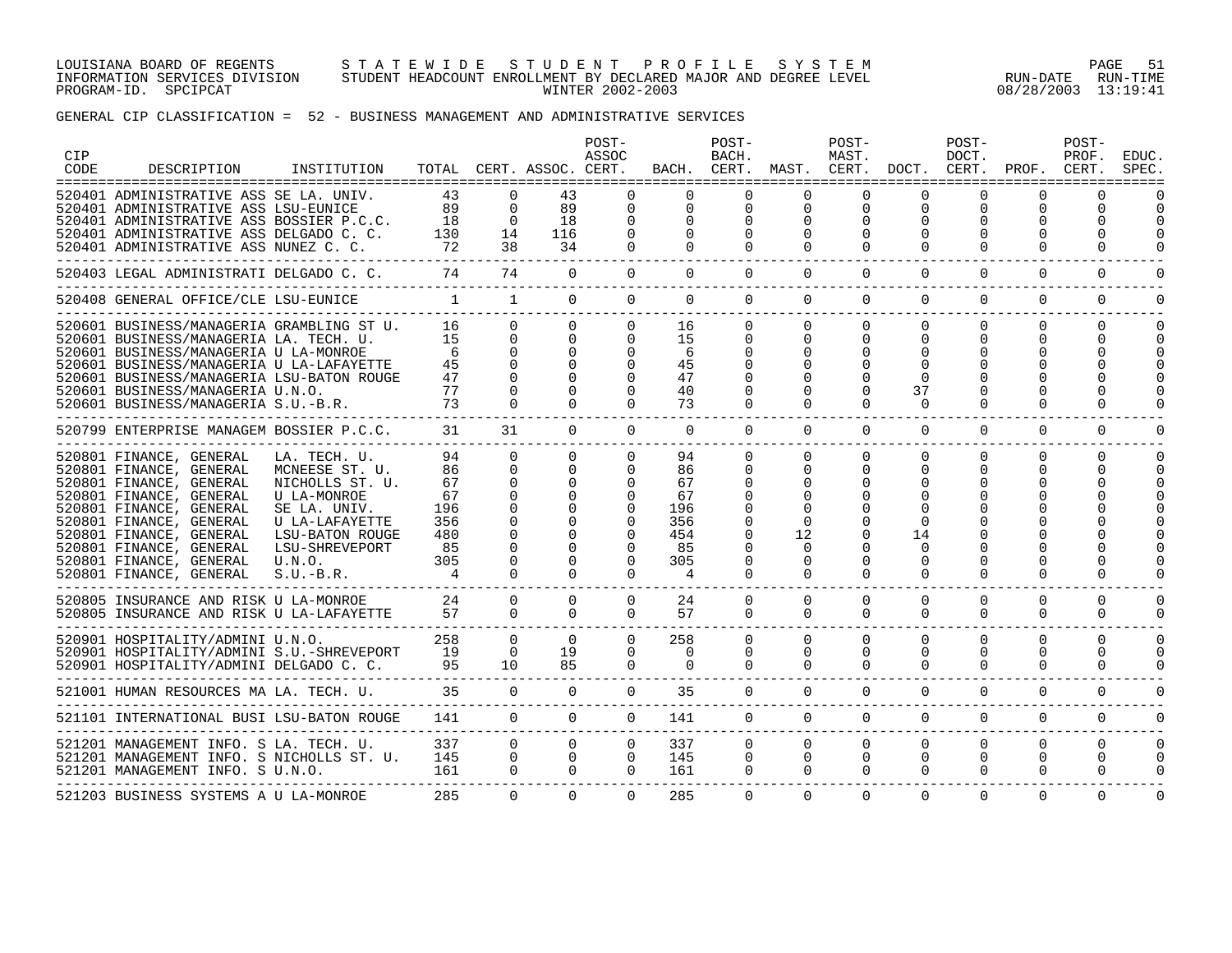#### LOUISIANA BOARD OF REGENTS S T A T E W I D E S T U D E N T P R O F I L E S Y S T E M PAGE 51 INFORMATION SERVICES DIVISION STUDENT HEADCOUNT ENROLLMENT BY DECLARED MAJOR AND DEGREE LEVEL RUN-DATE RUN-TIME PROGRAM-ID. SPCIPCAT WINTER 2002-2003 08/28/2003 13:19:41

### GENERAL CIP CLASSIFICATION = 52 - BUSINESS MANAGEMENT AND ADMINISTRATIVE SERVICES

| CIP<br>CODE | DESCRIPTION                                                                                                                                                                                                                                                                                      | INSTITUTION                                                                                                                                                      |                                                             |                                                                                              | TOTAL CERT. ASSOC. CERT.                                                                                 | POST-<br>ASSOC                                           |                                                             | POST-<br>BACH.<br>BACH. CERT.                            | MAST. CERT.                                                  | POST-<br>MAST.                                           | DOCT. CERT.                                                    | POST-<br>DOCT.                      | PROF.                                        | POST-<br>PROF.<br>CERT.       | <b>EDUC</b><br>SPEC  |
|-------------|--------------------------------------------------------------------------------------------------------------------------------------------------------------------------------------------------------------------------------------------------------------------------------------------------|------------------------------------------------------------------------------------------------------------------------------------------------------------------|-------------------------------------------------------------|----------------------------------------------------------------------------------------------|----------------------------------------------------------------------------------------------------------|----------------------------------------------------------|-------------------------------------------------------------|----------------------------------------------------------|--------------------------------------------------------------|----------------------------------------------------------|----------------------------------------------------------------|-------------------------------------|----------------------------------------------|-------------------------------|----------------------|
|             | 520401 ADMINISTRATIVE ASS SE LA. UNIV.<br>520401 ADMINISTRATIVE ASS LSU-EUNICE<br>520401 ADMINISTRATIVE ASS BOSSIER P.C.C.<br>520401 ADMINISTRATIVE ASS DELGADO C. C.<br>520401 ADMINISTRATIVE ASS NUNEZ C. C.                                                                                   |                                                                                                                                                                  | 43<br>89<br>18<br>130<br>72                                 | $\Omega$<br>$\Omega$<br>$\Omega$<br>14<br>38                                                 | 43<br>89<br>18<br>116<br>34                                                                              | $\Omega$<br>$\Omega$<br>$\Omega$<br>$\Omega$<br>$\Omega$ | $\Omega$<br>$\Omega$<br>$\Omega$<br>$\Omega$                | $\Omega$<br>$\Omega$<br>$\Omega$<br>$\Omega$<br>$\Omega$ | $\Omega$<br>$\Omega$<br>$\Omega$<br>$\Omega$<br>$\Omega$     | ∩<br>$\mathbf 0$<br>$\Omega$<br>$\Omega$<br>$\Omega$     | $\Omega$<br>$\Omega$<br>$\Omega$<br>$\Omega$                   | ∩<br>$\Omega$<br>0<br>O<br>$\Omega$ | $\Omega$<br>$\Omega$<br>$\Omega$<br>$\Omega$ | <sup>n</sup><br>$\Omega$<br>U | O                    |
|             | 520403 LEGAL ADMINISTRATI DELGADO C. C.                                                                                                                                                                                                                                                          |                                                                                                                                                                  | 74                                                          | 74                                                                                           | $\Omega$                                                                                                 | $\Omega$                                                 | $\Omega$                                                    | $\Omega$                                                 | $\Omega$                                                     | $\Omega$                                                 | $\Omega$                                                       | $\Omega$                            | $\Omega$                                     | $\Omega$                      | 0                    |
|             | 520408 GENERAL OFFICE/CLE LSU-EUNICE                                                                                                                                                                                                                                                             |                                                                                                                                                                  | $\sim$ 1                                                    | $\frac{1}{2}$                                                                                | $\Omega$                                                                                                 | $\Omega$                                                 | $\Omega$                                                    | $\Omega$                                                 | $\Omega$                                                     | $\Omega$                                                 | $\Omega$                                                       | $\Omega$                            | $\Omega$                                     | $\Omega$                      | U                    |
|             | 520601 BUSINESS/MANAGERIA GRAMBLING ST U.<br>520601 BUSINESS/MANAGERIA LA. TECH. U.<br>520601 BUSINESS/MANAGERIA U LA-MONROE<br>520601 BUSINESS/MANAGERIA U LA-LAFAYETTE<br>520601 BUSINESS/MANAGERIA LSU-BATON ROUGE<br>520601 BUSINESS/MANAGERIA U.N.O.<br>520601 BUSINESS/MANAGERIA S.U.-B.R. |                                                                                                                                                                  | 16<br>15<br>-6<br>45<br>47<br>77<br>73                      | $\Omega$<br>$\Omega$<br>$\Omega$<br>$\Omega$<br>$\Omega$<br>$\Omega$                         | $\Omega$<br>$\Omega$<br>$\Omega$<br>$\Omega$<br>$\Omega$<br>$\Omega$                                     | $\Omega$<br>$\Omega$<br>$\Omega$<br>$\Omega$             | 16<br>15<br>6<br>45<br>47<br>40<br>73                       | $\Omega$<br>$\Omega$<br>$\Omega$<br>$\Omega$<br>$\Omega$ | $\Omega$<br>$\Omega$<br>0                                    | $\Omega$<br>$\Omega$<br>$\Omega$<br>$\Omega$<br>$\Omega$ | $\Omega$<br>$\Omega$<br>$\Omega$<br>37<br>$\Omega$             | 0<br>O<br>∩                         | $\Omega$<br>O<br>$\Omega$                    | $\Omega$<br>U                 |                      |
|             | 520799 ENTERPRISE MANAGEM BOSSIER P.C.C.                                                                                                                                                                                                                                                         |                                                                                                                                                                  | 31                                                          | 31                                                                                           | $\Omega$                                                                                                 | $\Omega$                                                 | $\Omega$                                                    | $\Omega$                                                 | $\Omega$                                                     | $\Omega$                                                 | $\Omega$                                                       | $\Omega$                            | $\Omega$                                     | $\Omega$                      |                      |
|             | 520801 FINANCE, GENERAL<br>520801 FINANCE, GENERAL<br>520801 FINANCE, GENERAL<br>520801 FINANCE, GENERAL<br>520801 FINANCE, GENERAL<br>520801 FINANCE, GENERAL<br>520801 FINANCE, GENERAL<br>520801 FINANCE, GENERAL<br>520801 FINANCE, GENERAL<br>520801 FINANCE, GENERAL                       | LA. TECH. U.<br>MCNEESE ST. U.<br>NICHOLLS ST. U.<br>U LA-MONROE<br>SE LA. UNIV.<br>U LA-LAFAYETTE<br>LSU-BATON ROUGE<br>LSU-SHREVEPORT<br>U.N.O.<br>$S.U.-B.R.$ | 94<br>86<br>67<br>67<br>196<br>356<br>480<br>85<br>305<br>4 | $\Omega$<br>$\Omega$<br>$\Omega$<br>$\Omega$<br>$\Omega$<br>$\Omega$<br>$\Omega$<br>$\Omega$ | $\Omega$<br>$\Omega$<br>$\Omega$<br>$\Omega$<br>$\Omega$<br>$\Omega$<br>$\Omega$<br>$\Omega$<br>$\Omega$ | $\Omega$<br>$\Omega$<br>$\Omega$<br>$\Omega$<br>$\cap$   | 94<br>86<br>67<br>67<br>196<br>356<br>454<br>85<br>305<br>4 | $\Omega$<br>$\Omega$<br>$\Omega$<br>$\Omega$<br>$\Omega$ | $\Omega$<br>0<br>$\Omega$<br>12<br>0<br>$\Omega$<br>$\Omega$ | $\mathbf 0$<br>$\Omega$<br>O<br>O<br>$\Omega$            | $\Omega$<br>$\Omega$<br>14<br>$\Omega$<br>$\Omega$<br>$\Omega$ | $\Omega$<br>$\Omega$<br>O<br>∩      | $\Omega$<br>$\Omega$<br>$\Omega$             | $\Omega$                      |                      |
|             | 520805 INSURANCE AND RISK U LA-MONROE<br>520805 INSURANCE AND RISK U LA-LAFAYETTE                                                                                                                                                                                                                |                                                                                                                                                                  | 24<br>57                                                    | 0<br>$\Omega$                                                                                | $\Omega$<br>$\Omega$                                                                                     | $\Omega$<br>$\Omega$                                     | 24<br>57                                                    | $\mathbf{0}$<br>$\Omega$                                 | $\Omega$<br>$\Omega$                                         | $\Omega$<br>$\Omega$                                     | $\Omega$<br>$\Omega$                                           | $\Omega$<br>$\Omega$                | $\Omega$<br>$\Omega$                         | $\Omega$<br>0                 |                      |
|             | 520901 HOSPITALITY/ADMINI U.N.O.<br>520901 HOSPITALITY/ADMINI S.U.-SHREVEPORT<br>520901 HOSPITALITY/ADMINI DELGADO C. C.                                                                                                                                                                         |                                                                                                                                                                  | 258<br>19<br>95                                             | $\Omega$<br>$\mathbf 0$<br>10                                                                | $\Omega$<br>19<br>85                                                                                     | $\Omega$<br>0<br>$\Omega$                                | 258<br>$\Omega$<br>$\Omega$                                 | $\Omega$<br>$\Omega$<br>$\Omega$                         | $\Omega$<br>0<br>$\Omega$                                    | $\Omega$<br>$\mathbf{0}$<br>$\Omega$                     | $\Omega$<br>0<br>$\Omega$                                      | $\Omega$<br>0<br>$\Omega$           | $\Omega$<br>0<br>$\Omega$                    | $\Omega$<br>0<br>$\Omega$     | O<br>0               |
|             | 521001 HUMAN RESOURCES MA LA. TECH. U.                                                                                                                                                                                                                                                           |                                                                                                                                                                  | 35                                                          | $\Omega$                                                                                     | $\Omega$                                                                                                 | $\Omega$                                                 | 35                                                          | $\mathbf{0}$                                             | $\mathbf 0$                                                  | $\Omega$                                                 | $\Omega$                                                       | $\Omega$                            | $\Omega$                                     | $\Omega$                      |                      |
|             | 521101 INTERNATIONAL BUSI LSU-BATON ROUGE                                                                                                                                                                                                                                                        |                                                                                                                                                                  | 141                                                         | $\Omega$                                                                                     | $\Omega$                                                                                                 | $\Omega$                                                 | 141                                                         | $\Omega$                                                 | $\Omega$                                                     | $\Omega$                                                 | $\Omega$                                                       | $\Omega$                            | $\Omega$                                     | $\Omega$                      | $\Omega$             |
|             | 521201 MANAGEMENT INFO. S LA. TECH. U.<br>521201 MANAGEMENT INFO. S NICHOLLS ST. U.<br>521201 MANAGEMENT INFO. S U.N.O.                                                                                                                                                                          |                                                                                                                                                                  | 337<br>145<br>161                                           | $\Omega$<br>$\mathbf 0$<br>$\Omega$                                                          | $\Omega$<br>$\Omega$<br>$\Omega$                                                                         | $\Omega$<br>$\overline{0}$<br>$\Omega$                   | 337<br>145<br>161                                           | $\Omega$<br>$\mathbf{0}$<br>$\Omega$                     | $\Omega$<br>$\mathbf 0$<br>$\Omega$                          | $\overline{0}$<br>$\mathbf 0$<br>$\Omega$                | $\Omega$<br>0<br>$\Omega$                                      | $\Omega$<br>$\Omega$<br>$\Omega$    | $\Omega$<br>0<br>$\Omega$                    | $\Omega$<br>0<br>$\Omega$     | $\Omega$<br>$\Omega$ |
|             | 521203 BUSINESS SYSTEMS A U LA-MONROE                                                                                                                                                                                                                                                            |                                                                                                                                                                  | 285                                                         | $\Omega$                                                                                     | $\cap$                                                                                                   | $\Omega$                                                 | 285                                                         | $\Omega$                                                 | $\Omega$                                                     | $\Omega$                                                 | $\Omega$                                                       | $\Omega$                            | $\Omega$                                     | $\Omega$                      | $\Omega$             |